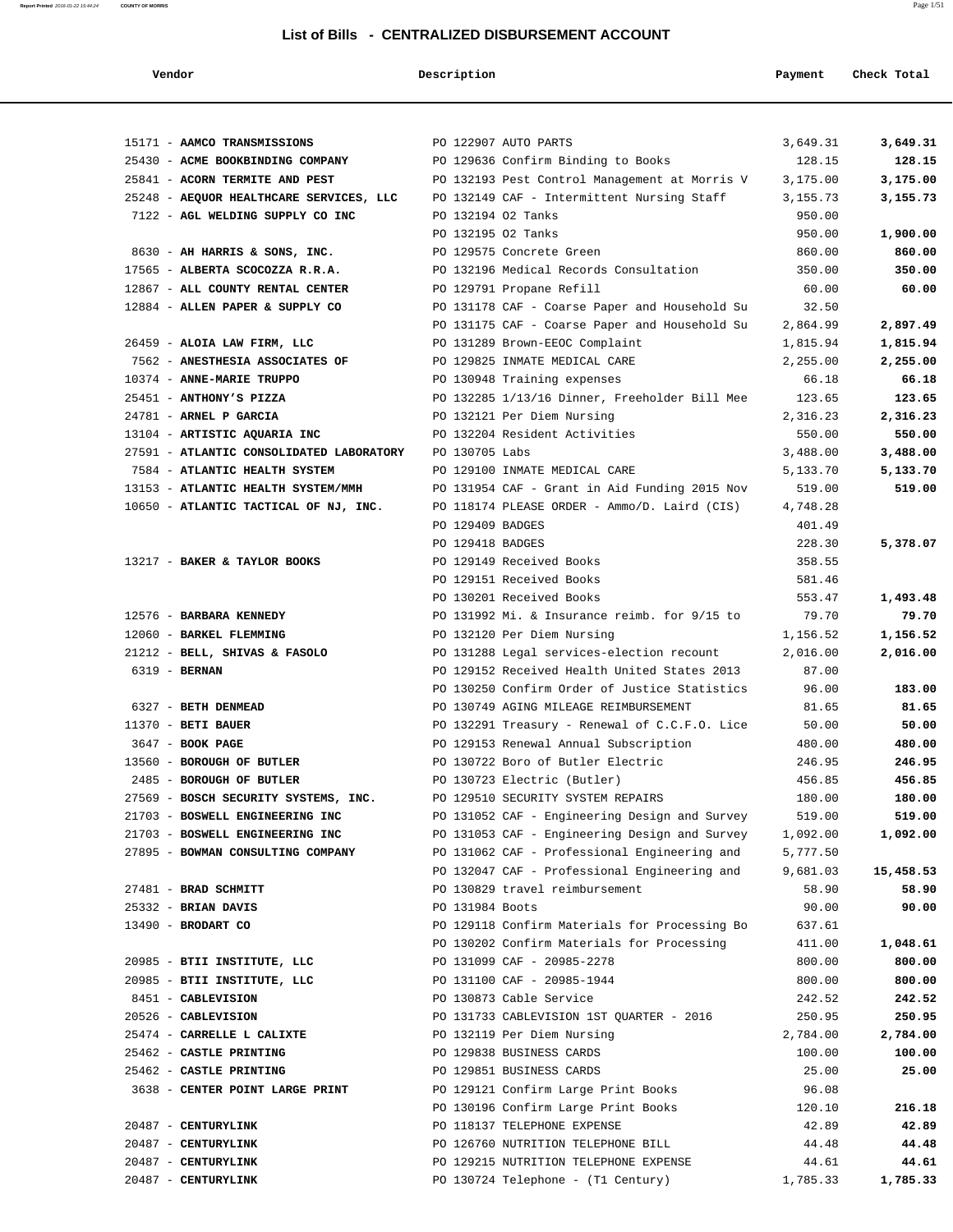| Vendor                                   | Description        |                                               | Payment  | Check Total |
|------------------------------------------|--------------------|-----------------------------------------------|----------|-------------|
|                                          |                    |                                               |          |             |
| 15171 - AAMCO TRANSMISSIONS              |                    | PO 122907 AUTO PARTS                          | 3,649.31 | 3,649.31    |
| 25430 - ACME BOOKBINDING COMPANY         |                    | PO 129636 Confirm Binding to Books            | 128.15   | 128.15      |
| 25841 - ACORN TERMITE AND PEST           |                    | PO 132193 Pest Control Management at Morris V | 3,175.00 | 3,175.00    |
| 25248 - AEQUOR HEALTHCARE SERVICES, LLC  |                    | PO 132149 CAF - Intermittent Nursing Staff    | 3,155.73 | 3,155.73    |
| 7122 - AGL WELDING SUPPLY CO INC         | PO 132194 O2 Tanks |                                               | 950.00   |             |
|                                          | PO 132195 02 Tanks |                                               | 950.00   | 1,900.00    |
| 8630 - AH HARRIS & SONS, INC.            |                    | PO 129575 Concrete Green                      | 860.00   | 860.00      |
| 17565 - ALBERTA SCOCOZZA R.R.A.          |                    | PO 132196 Medical Records Consultation        | 350.00   | 350.00      |
| 12867 - ALL COUNTY RENTAL CENTER         |                    | PO 129791 Propane Refill                      | 60.00    | 60.00       |
| 12884 - ALLEN PAPER & SUPPLY CO          |                    | PO 131178 CAF - Coarse Paper and Household Su | 32.50    |             |
|                                          |                    | PO 131175 CAF - Coarse Paper and Household Su | 2,864.99 | 2,897.49    |
| 26459 - ALOIA LAW FIRM, LLC              |                    | PO 131289 Brown-EEOC Complaint                | 1,815.94 | 1,815.94    |
| 7562 - ANESTHESIA ASSOCIATES OF          |                    | PO 129825 INMATE MEDICAL CARE                 | 2,255.00 | 2,255.00    |
| 10374 - ANNE-MARIE TRUPPO                |                    | PO 130948 Training expenses                   | 66.18    | 66.18       |
| 25451 - ANTHONY'S PIZZA                  |                    | PO 132285 1/13/16 Dinner, Freeholder Bill Mee | 123.65   | 123.65      |
| 24781 - ARNEL P GARCIA                   |                    | PO 132121 Per Diem Nursing                    | 2,316.23 | 2,316.23    |
| 13104 - ARTISTIC AQUARIA INC             |                    | PO 132204 Resident Activities                 | 550.00   | 550.00      |
| 27591 - ATLANTIC CONSOLIDATED LABORATORY | PO 130705 Labs     |                                               | 3,488.00 | 3,488.00    |
| 7584 - ATLANTIC HEALTH SYSTEM            |                    | PO 129100 INMATE MEDICAL CARE                 | 5,133.70 | 5,133.70    |
| 13153 - ATLANTIC HEALTH SYSTEM/MMH       |                    | PO 131954 CAF - Grant in Aid Funding 2015 Nov | 519.00   | 519.00      |
| 10650 - ATLANTIC TACTICAL OF NJ, INC.    |                    | PO 118174 PLEASE ORDER - Ammo/D. Laird (CIS)  | 4,748.28 |             |
|                                          | PO 129409 BADGES   |                                               | 401.49   |             |
|                                          | PO 129418 BADGES   |                                               | 228.30   | 5,378.07    |
| 13217 - BAKER & TAYLOR BOOKS             |                    | PO 129149 Received Books                      | 358.55   |             |
|                                          |                    | PO 129151 Received Books                      | 581.46   |             |
|                                          |                    | PO 130201 Received Books                      | 553.47   | 1,493.48    |
| 12576 - BARBARA KENNEDY                  |                    | PO 131992 Mi. & Insurance reimb. for 9/15 to  | 79.70    | 79.70       |
| 12060 - BARKEL FLEMMING                  |                    | PO 132120 Per Diem Nursing                    | 1,156.52 | 1,156.52    |
| 21212 - BELL, SHIVAS & FASOLO            |                    | PO 131288 Legal services-election recount     | 2,016.00 | 2,016.00    |
| 6319 - BERNAN                            |                    | PO 129152 Received Health United States 2013  | 87.00    |             |
|                                          |                    | PO 130250 Confirm Order of Justice Statistics | 96.00    | 183.00      |
| 6327 - BETH DENMEAD                      |                    | PO 130749 AGING MILEAGE REIMBURSEMENT         | 81.65    | 81.65       |
| $11370$ - BETI BAUER                     |                    | PO 132291 Treasury - Renewal of C.C.F.O. Lice | 50.00    | 50.00       |
| 3647 - BOOK PAGE                         |                    | PO 129153 Renewal Annual Subscription         | 480.00   | 480.00      |
| 13560 - BOROUGH OF BUTLER                |                    | PO 130722 Boro of Butler Electric             | 246.95   | 246.95      |
| 2485 - BOROUGH OF BUTLER                 |                    | PO 130723 Electric (Butler)                   | 456.85   | 456.85      |
| 27569 - BOSCH SECURITY SYSTEMS, INC.     |                    | PO 129510 SECURITY SYSTEM REPAIRS             | 180.00   | 180.00      |
| 21703 - BOSWELL ENGINEERING INC          |                    | PO 131052 CAF - Engineering Design and Survey | 519.00   | 519.00      |
| 21703 - BOSWELL ENGINEERING INC          |                    | PO 131053 CAF - Engineering Design and Survey | 1,092.00 | 1,092.00    |
| 27895 - BOWMAN CONSULTING COMPANY        |                    | PO 131062 CAF - Professional Engineering and  | 5,777.50 |             |
|                                          |                    | PO 132047 CAF - Professional Engineering and  | 9,681.03 | 15,458.53   |
| 27481 - BRAD SCHMITT                     |                    | PO 130829 travel reimbursement                | 58.90    | 58.90       |
| 25332 - BRIAN DAVIS                      | PO 131984 Boots    |                                               | 90.00    | 90.00       |
| $13490$ - BRODART CO                     |                    | PO 129118 Confirm Materials for Processing Bo | 637.61   |             |
|                                          |                    | PO 130202 Confirm Materials for Processing    | 411.00   | 1,048.61    |
| 20985 - BTII INSTITUTE, LLC              |                    | PO 131099 CAF - 20985-2278                    | 800.00   | 800.00      |
| 20985 - BTII INSTITUTE, LLC              |                    | PO 131100 CAF - 20985-1944                    | 800.00   | 800.00      |
| 8451 - CABLEVISION                       |                    | PO 130873 Cable Service                       | 242.52   | 242.52      |
| 20526 - CABLEVISION                      |                    | PO 131733 CABLEVISION 1ST QUARTER - 2016      | 250.95   | 250.95      |
| 25474 - CARRELLE L CALIXTE               |                    | PO 132119 Per Diem Nursing                    | 2,784.00 | 2,784.00    |
| 25462 - CASTLE PRINTING                  |                    | PO 129838 BUSINESS CARDS                      | 100.00   | 100.00      |
| 25462 - CASTLE PRINTING                  |                    | PO 129851 BUSINESS CARDS                      | 25.00    | 25.00       |
| 3638 - CENTER POINT LARGE PRINT          |                    | PO 129121 Confirm Large Print Books           | 96.08    |             |
|                                          |                    | PO 130196 Confirm Large Print Books           | 120.10   | 216.18      |
| 20487 - CENTURYLINK                      |                    | PO 118137 TELEPHONE EXPENSE                   | 42.89    | 42.89       |
| 20487 - CENTURYLINK                      |                    | PO 126760 NUTRITION TELEPHONE BILL            | 44.48    | 44.48       |
| 20487 - CENTURYLINK                      |                    | PO 129215 NUTRITION TELEPHONE EXPENSE         | 44.61    | 44.61       |
| 20487 - CENTURYLINK                      |                    | PO 130724 Telephone - (T1 Century)            | 1,785.33 | 1,785.33    |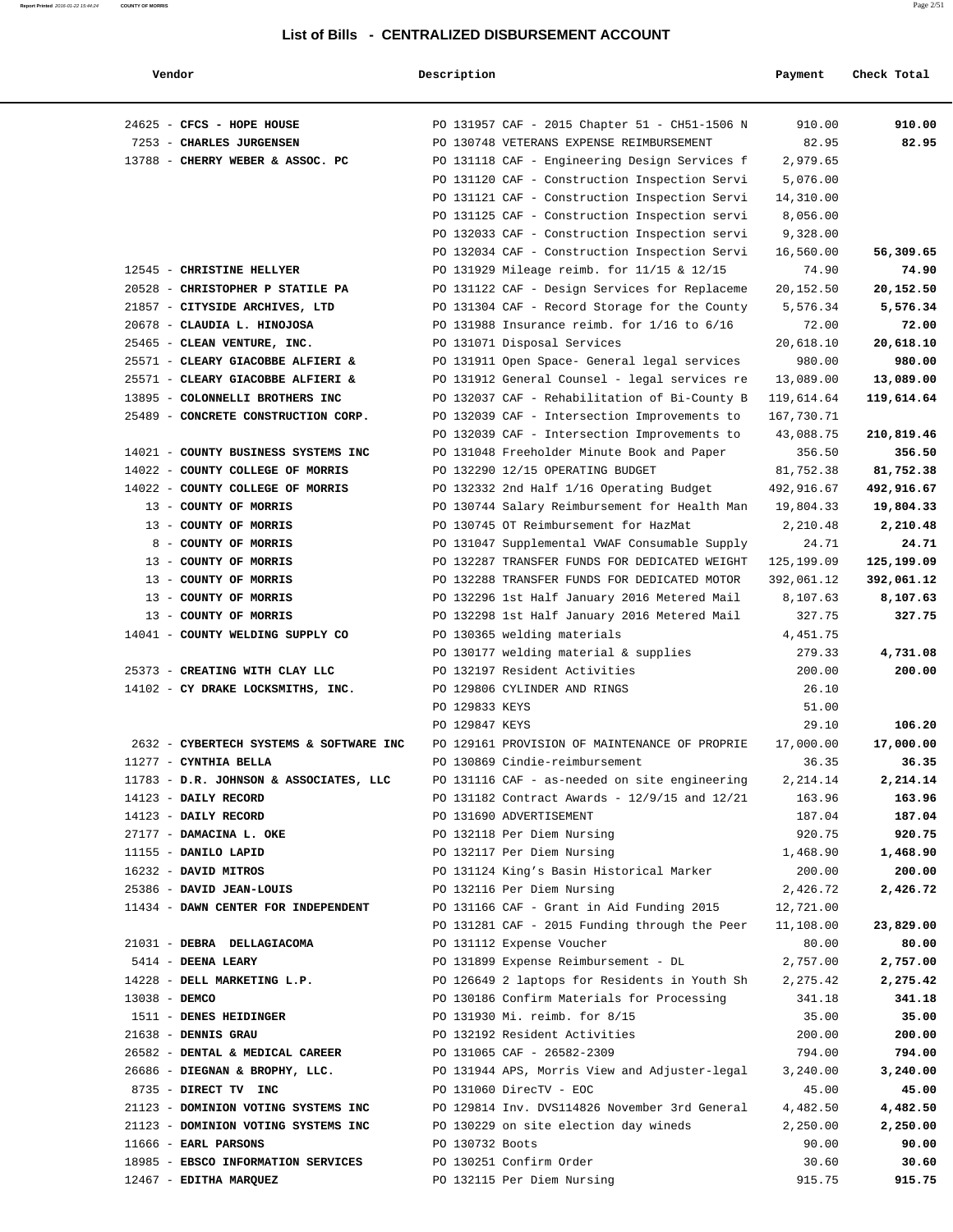| Vendor                                          | Description     |                                                                                                | Payment               | Check Total        |
|-------------------------------------------------|-----------------|------------------------------------------------------------------------------------------------|-----------------------|--------------------|
|                                                 |                 |                                                                                                |                       |                    |
| 24625 - CFCS - HOPE HOUSE                       |                 | PO 131957 CAF - 2015 Chapter 51 - CH51-1506 N                                                  | 910.00                | 910.00             |
| 7253 - CHARLES JURGENSEN                        |                 | PO 130748 VETERANS EXPENSE REIMBURSEMENT                                                       | 82.95                 | 82.95              |
| 13788 - CHERRY WEBER & ASSOC. PC                |                 | PO 131118 CAF - Engineering Design Services f                                                  | 2,979.65              |                    |
|                                                 |                 | PO 131120 CAF - Construction Inspection Servi<br>PO 131121 CAF - Construction Inspection Servi | 5,076.00              |                    |
|                                                 |                 | PO 131125 CAF - Construction Inspection servi                                                  | 14,310.00<br>8,056.00 |                    |
|                                                 |                 | PO 132033 CAF - Construction Inspection servi                                                  | 9,328.00              |                    |
|                                                 |                 | PO 132034 CAF - Construction Inspection Servi                                                  | 16,560.00             | 56,309.65          |
| 12545 - CHRISTINE HELLYER                       |                 | PO 131929 Mileage reimb. for 11/15 & 12/15                                                     | 74.90                 | 74.90              |
| 20528 - CHRISTOPHER P STATILE PA                |                 | PO 131122 CAF - Design Services for Replaceme                                                  | 20,152.50             | 20,152.50          |
| 21857 - CITYSIDE ARCHIVES, LTD                  |                 | PO 131304 CAF - Record Storage for the County                                                  | 5,576.34              | 5,576.34           |
| 20678 - CLAUDIA L. HINOJOSA                     |                 | PO 131988 Insurance reimb. for $1/16$ to $6/16$                                                | 72.00                 | 72.00              |
| 25465 - CLEAN VENTURE, INC.                     |                 | PO 131071 Disposal Services                                                                    | 20,618.10             | 20,618.10          |
| 25571 - CLEARY GIACOBBE ALFIERI &               |                 | PO 131911 Open Space- General legal services                                                   | 980.00                | 980.00             |
| 25571 - CLEARY GIACOBBE ALFIERI &               |                 | PO 131912 General Counsel - legal services re                                                  | 13,089.00             | 13,089.00          |
| 13895 - COLONNELLI BROTHERS INC                 |                 | PO 132037 CAF - Rehabilitation of Bi-County B                                                  | 119,614.64            | 119,614.64         |
| 25489 - CONCRETE CONSTRUCTION CORP.             |                 | PO 132039 CAF - Intersection Improvements to                                                   | 167,730.71            |                    |
|                                                 |                 | PO 132039 CAF - Intersection Improvements to                                                   | 43,088.75             | 210,819.46         |
| 14021 - COUNTY BUSINESS SYSTEMS INC             |                 | PO 131048 Freeholder Minute Book and Paper                                                     | 356.50                | 356.50             |
| 14022 - COUNTY COLLEGE OF MORRIS                |                 | PO 132290 12/15 OPERATING BUDGET                                                               | 81,752.38             | 81,752.38          |
| 14022 - COUNTY COLLEGE OF MORRIS                |                 | PO 132332 2nd Half 1/16 Operating Budget                                                       | 492,916.67            | 492,916.67         |
| 13 - COUNTY OF MORRIS                           |                 | PO 130744 Salary Reimbursement for Health Man                                                  | 19,804.33             | 19,804.33          |
| 13 - COUNTY OF MORRIS                           |                 | PO 130745 OT Reimbursement for HazMat                                                          | 2,210.48              | 2,210.48           |
| 8 - COUNTY OF MORRIS                            |                 | PO 131047 Supplemental VWAF Consumable Supply                                                  | 24.71                 | 24.71              |
| 13 - COUNTY OF MORRIS                           |                 | PO 132287 TRANSFER FUNDS FOR DEDICATED WEIGHT                                                  | 125,199.09            | 125,199.09         |
| 13 - COUNTY OF MORRIS                           |                 | PO 132288 TRANSFER FUNDS FOR DEDICATED MOTOR                                                   | 392,061.12            | 392,061.12         |
| 13 - COUNTY OF MORRIS                           |                 | PO 132296 1st Half January 2016 Metered Mail                                                   | 8,107.63              | 8,107.63           |
| 13 - COUNTY OF MORRIS                           |                 | PO 132298 1st Half January 2016 Metered Mail                                                   | 327.75                | 327.75             |
| 14041 - COUNTY WELDING SUPPLY CO                |                 | PO 130365 welding materials                                                                    | 4,451.75              |                    |
|                                                 |                 | PO 130177 welding material & supplies                                                          | 279.33                | 4,731.08           |
| 25373 - CREATING WITH CLAY LLC                  |                 | PO 132197 Resident Activities                                                                  | 200.00                | 200.00             |
| 14102 - CY DRAKE LOCKSMITHS, INC.               |                 | PO 129806 CYLINDER AND RINGS                                                                   | 26.10                 |                    |
|                                                 | PO 129833 KEYS  |                                                                                                | 51.00                 |                    |
|                                                 | PO 129847 KEYS  |                                                                                                | 29.10                 | 106.20             |
| 2632 - CYBERTECH SYSTEMS & SOFTWARE INC         |                 | PO 129161 PROVISION OF MAINTENANCE OF PROPRIE                                                  | 17,000.00             | 17,000.00          |
| 11277 - CYNTHIA BELLA                           |                 | PO 130869 Cindie-reimbursement                                                                 | 36.35                 | 36.35              |
| 11783 - D.R. JOHNSON & ASSOCIATES, LLC          |                 | PO 131116 CAF - as-needed on site engineering                                                  | 2, 214.14             | 2,214.14           |
| 14123 - DAILY RECORD                            |                 | PO 131182 Contract Awards - 12/9/15 and 12/21                                                  | 163.96                | 163.96             |
| 14123 - DAILY RECORD                            |                 | PO 131690 ADVERTISEMENT                                                                        | 187.04                | 187.04             |
| 27177 - DAMACINA L. OKE<br>11155 - DANILO LAPID |                 | PO 132118 Per Diem Nursing<br>PO 132117 Per Diem Nursing                                       | 920.75<br>1,468.90    | 920.75<br>1,468.90 |
| 16232 - DAVID MITROS                            |                 | PO 131124 King's Basin Historical Marker                                                       | 200.00                | 200.00             |
| 25386 - DAVID JEAN-LOUIS                        |                 | PO 132116 Per Diem Nursing                                                                     | 2,426.72              | 2,426.72           |
| 11434 - DAWN CENTER FOR INDEPENDENT             |                 | PO 131166 CAF - Grant in Aid Funding 2015                                                      | 12,721.00             |                    |
|                                                 |                 | PO 131281 CAF - 2015 Funding through the Peer                                                  | 11,108.00             | 23,829.00          |
| 21031 - DEBRA DELLAGIACOMA                      |                 | PO 131112 Expense Voucher                                                                      | 80.00                 | 80.00              |
| 5414 - DEENA LEARY                              |                 | PO 131899 Expense Reimbursement - DL                                                           | 2,757.00              | 2,757.00           |
| 14228 - DELL MARKETING L.P.                     |                 | PO 126649 2 laptops for Residents in Youth Sh                                                  | 2,275.42              | 2,275.42           |
| 13038 - DEMCO                                   |                 | PO 130186 Confirm Materials for Processing                                                     | 341.18                | 341.18             |
| 1511 - DENES HEIDINGER                          |                 | PO 131930 Mi. reimb. for 8/15                                                                  | 35.00                 | 35.00              |
| 21638 - DENNIS GRAU                             |                 | PO 132192 Resident Activities                                                                  | 200.00                | 200.00             |
| 26582 - DENTAL & MEDICAL CAREER                 |                 | PO 131065 CAF - 26582-2309                                                                     | 794.00                | 794.00             |
| 26686 - DIEGNAN & BROPHY, LLC.                  |                 | PO 131944 APS, Morris View and Adjuster-legal                                                  | 3,240.00              | 3,240.00           |
| 8735 - DIRECT TV INC                            |                 | PO 131060 DirecTV - EOC                                                                        | 45.00                 | 45.00              |
| 21123 - DOMINION VOTING SYSTEMS INC             |                 | PO 129814 Inv. DVS114826 November 3rd General                                                  | 4,482.50              | 4,482.50           |
| 21123 - DOMINION VOTING SYSTEMS INC             |                 | PO 130229 on site election day wineds                                                          | 2,250.00              | 2,250.00           |
| 11666 - EARL PARSONS                            | PO 130732 Boots |                                                                                                | 90.00                 | 90.00              |
| 18985 - EBSCO INFORMATION SERVICES              |                 | PO 130251 Confirm Order                                                                        | 30.60                 | 30.60              |
| 12467 - EDITHA MARQUEZ                          |                 | PO 132115 Per Diem Nursing                                                                     | 915.75                | 915.75             |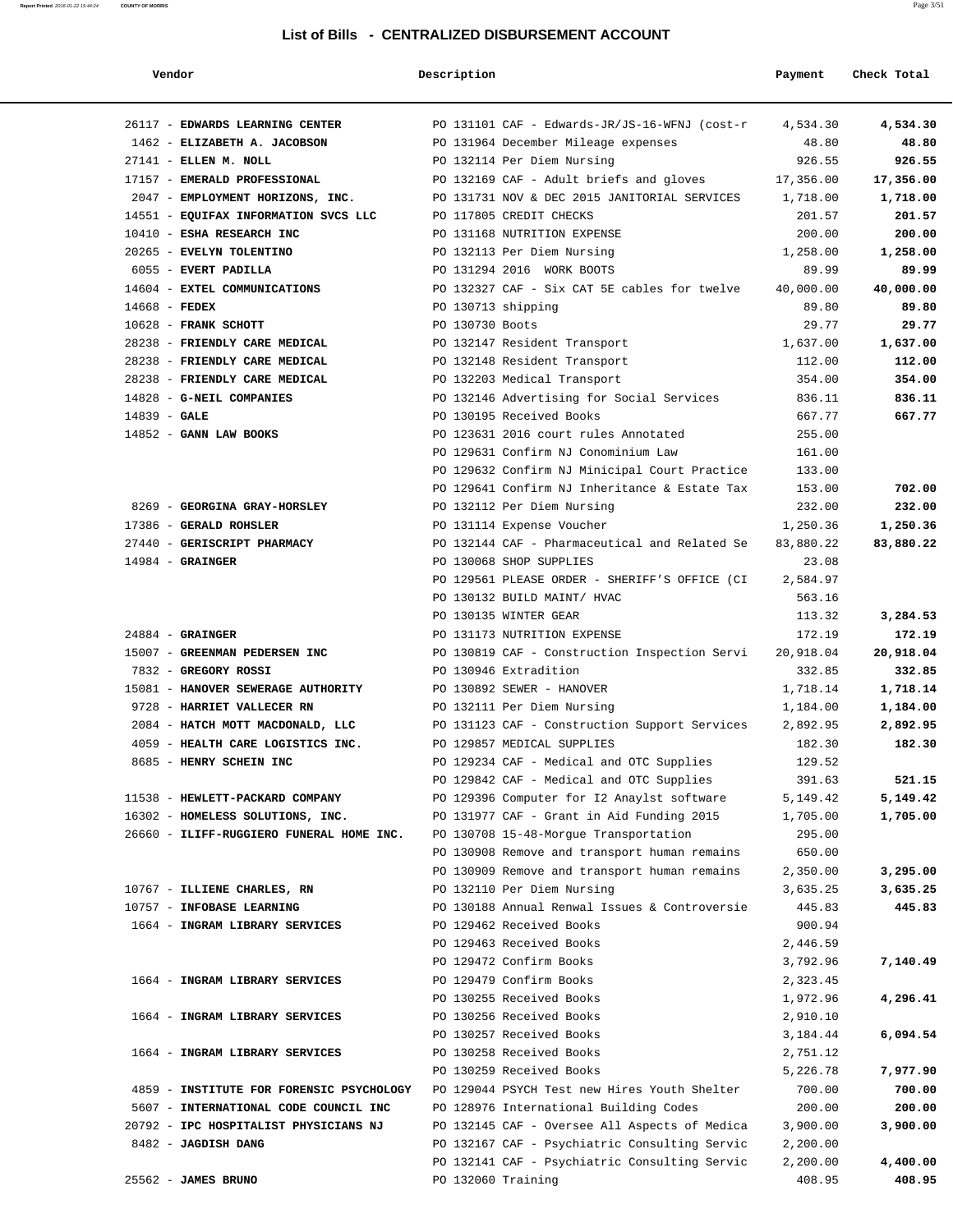#### **Report Printed** 2016-01-22 15:44:24 **COUNTY OF MORRIS** Page 3/51

#### **List of Bills - CENTRALIZED DISBURSEMENT ACCOUNT**

| Vendor                                   | Description        |                                                        | Payment   | Check Total |
|------------------------------------------|--------------------|--------------------------------------------------------|-----------|-------------|
| 26117 - EDWARDS LEARNING CENTER          |                    | PO 131101 CAF - Edwards-JR/JS-16-WFNJ (cost-r 4,534.30 |           | 4,534.30    |
| 1462 - ELIZABETH A. JACOBSON             |                    | PO 131964 December Mileage expenses                    | 48.80     | 48.80       |
| 27141 - ELLEN M. NOLL                    |                    | PO 132114 Per Diem Nursing                             | 926.55    | 926.55      |
| 17157 - EMERALD PROFESSIONAL             |                    | PO 132169 CAF - Adult briefs and gloves                | 17,356.00 | 17,356.00   |
| 2047 - EMPLOYMENT HORIZONS, INC.         |                    | PO 131731 NOV & DEC 2015 JANITORIAL SERVICES 1,718.00  |           | 1,718.00    |
| 14551 - EQUIFAX INFORMATION SVCS LLC     |                    | PO 117805 CREDIT CHECKS                                | 201.57    | 201.57      |
| 10410 - ESHA RESEARCH INC                |                    | PO 131168 NUTRITION EXPENSE                            | 200.00    | 200.00      |
| 20265 - EVELYN TOLENTINO                 |                    | PO 132113 Per Diem Nursing                             | 1,258.00  | 1,258.00    |
| 6055 - EVERT PADILLA                     |                    | PO 131294 2016 WORK BOOTS                              | 89.99     | 89.99       |
| 14604 - EXTEL COMMUNICATIONS             |                    | PO 132327 CAF - Six CAT 5E cables for twelve           | 40,000.00 | 40,000.00   |
| 14668 - FEDEX                            | PO 130713 shipping |                                                        | 89.80     | 89.80       |
| $10628$ - FRANK SCHOTT                   | PO 130730 Boots    |                                                        | 29.77     | 29.77       |
| 28238 - FRIENDLY CARE MEDICAL            |                    | PO 132147 Resident Transport                           | 1,637.00  | 1,637.00    |
| 28238 - FRIENDLY CARE MEDICAL            |                    | PO 132148 Resident Transport                           | 112.00    | 112.00      |
| 28238 - FRIENDLY CARE MEDICAL            |                    | PO 132203 Medical Transport                            | 354.00    | 354.00      |
| 14828 - G-NEIL COMPANIES                 |                    | PO 132146 Advertising for Social Services              | 836.11    | 836.11      |
| $14839 - GALE$                           |                    | PO 130195 Received Books                               | 667.77    | 667.77      |
| $14852$ - GANN LAW BOOKS                 |                    | PO 123631 2016 court rules Annotated                   | 255.00    |             |
|                                          |                    | PO 129631 Confirm NJ Conominium Law                    | 161.00    |             |
|                                          |                    | PO 129632 Confirm NJ Minicipal Court Practice          | 133.00    |             |
|                                          |                    | PO 129641 Confirm NJ Inheritance & Estate Tax          | 153.00    | 702.00      |
| 8269 - GEORGINA GRAY-HORSLEY             |                    | PO 132112 Per Diem Nursing                             | 232.00    | 232.00      |
| 17386 - GERALD ROHSLER                   |                    | PO 131114 Expense Voucher                              | 1,250.36  | 1,250.36    |
| 27440 - GERISCRIPT PHARMACY              |                    | PO 132144 CAF - Pharmaceutical and Related Se          | 83,880.22 | 83,880.22   |
| $14984$ - GRAINGER                       |                    | PO 130068 SHOP SUPPLIES                                | 23.08     |             |
|                                          |                    | PO 129561 PLEASE ORDER - SHERIFF'S OFFICE (CI          | 2,584.97  |             |
|                                          |                    | PO 130132 BUILD MAINT/ HVAC                            | 563.16    |             |
|                                          |                    | PO 130135 WINTER GEAR                                  | 113.32    | 3,284.53    |
| $24884$ - GRAINGER                       |                    | PO 131173 NUTRITION EXPENSE                            | 172.19    | 172.19      |
| 15007 - GREENMAN PEDERSEN INC            |                    | PO 130819 CAF - Construction Inspection Servi          | 20,918.04 | 20,918.04   |
| 7832 - GREGORY ROSSI                     |                    | PO 130946 Extradition                                  | 332.85    | 332.85      |
| 15081 - HANOVER SEWERAGE AUTHORITY       |                    | PO 130892 SEWER - HANOVER                              | 1,718.14  | 1,718.14    |
| 9728 - HARRIET VALLECER RN               |                    | PO 132111 Per Diem Nursing                             | 1,184.00  | 1,184.00    |
| 2084 - HATCH MOTT MACDONALD, LLC         |                    | PO 131123 CAF - Construction Support Services          | 2,892.95  | 2,892.95    |
| 4059 - HEALTH CARE LOGISTICS INC.        |                    | PO 129857 MEDICAL SUPPLIES                             | 182.30    | 182.30      |
| 8685 - HENRY SCHEIN INC                  |                    | PO 129234 CAF - Medical and OTC Supplies               | 129.52    |             |
|                                          |                    | PO 129842 CAF - Medical and OTC Supplies               | 391.63    | 521.15      |
| 11538 - HEWLETT-PACKARD COMPANY          |                    | PO 129396 Computer for I2 Anaylst software             | 5,149.42  | 5,149.42    |
| 16302 - HOMELESS SOLUTIONS, INC.         |                    | PO 131977 CAF - Grant in Aid Funding 2015              | 1,705.00  | 1,705.00    |
| 26660 - ILIFF-RUGGIERO FUNERAL HOME INC. |                    | PO 130708 15-48-Morgue Transportation                  | 295.00    |             |
|                                          |                    | PO 130908 Remove and transport human remains           | 650.00    |             |
|                                          |                    | PO 130909 Remove and transport human remains           | 2,350.00  | 3,295.00    |
| 10767 - ILLIENE CHARLES, RN              |                    | PO 132110 Per Diem Nursing                             | 3,635.25  | 3,635.25    |
| 10757 - INFOBASE LEARNING                |                    | PO 130188 Annual Renwal Issues & Controversie          | 445.83    | 445.83      |
| 1664 - INGRAM LIBRARY SERVICES           |                    | PO 129462 Received Books                               | 900.94    |             |
|                                          |                    | PO 129463 Received Books                               | 2,446.59  |             |
|                                          |                    | PO 129472 Confirm Books                                | 3,792.96  | 7,140.49    |
| 1664 - INGRAM LIBRARY SERVICES           |                    | PO 129479 Confirm Books                                | 2,323.45  |             |
|                                          |                    |                                                        |           |             |
| 1664 - INGRAM LIBRARY SERVICES           |                    | PO 130255 Received Books                               | 1,972.96  | 4,296.41    |
|                                          |                    | PO 130256 Received Books                               | 2,910.10  |             |
|                                          |                    | PO 130257 Received Books                               | 3,184.44  | 6,094.54    |
| 1664 - INGRAM LIBRARY SERVICES           |                    | PO 130258 Received Books                               | 2,751.12  |             |
|                                          |                    | PO 130259 Received Books                               | 5,226.78  | 7,977.90    |
| 4859 - INSTITUTE FOR FORENSIC PSYCHOLOGY |                    | PO 129044 PSYCH Test new Hires Youth Shelter           | 700.00    | 700.00      |
| 5607 - INTERNATIONAL CODE COUNCIL INC    |                    | PO 128976 International Building Codes                 | 200.00    | 200.00      |
| 20792 - IPC HOSPITALIST PHYSICIANS NJ    |                    | PO 132145 CAF - Oversee All Aspects of Medica          | 3,900.00  | 3,900.00    |
| 8482 - JAGDISH DANG                      |                    | PO 132167 CAF - Psychiatric Consulting Servic          | 2,200.00  |             |
|                                          |                    | PO 132141 CAF - Psychiatric Consulting Servic          | 2,200.00  | 4,400.00    |

25562 - **JAMES BRUNO** PO 132060 Training 408.95 **408.95**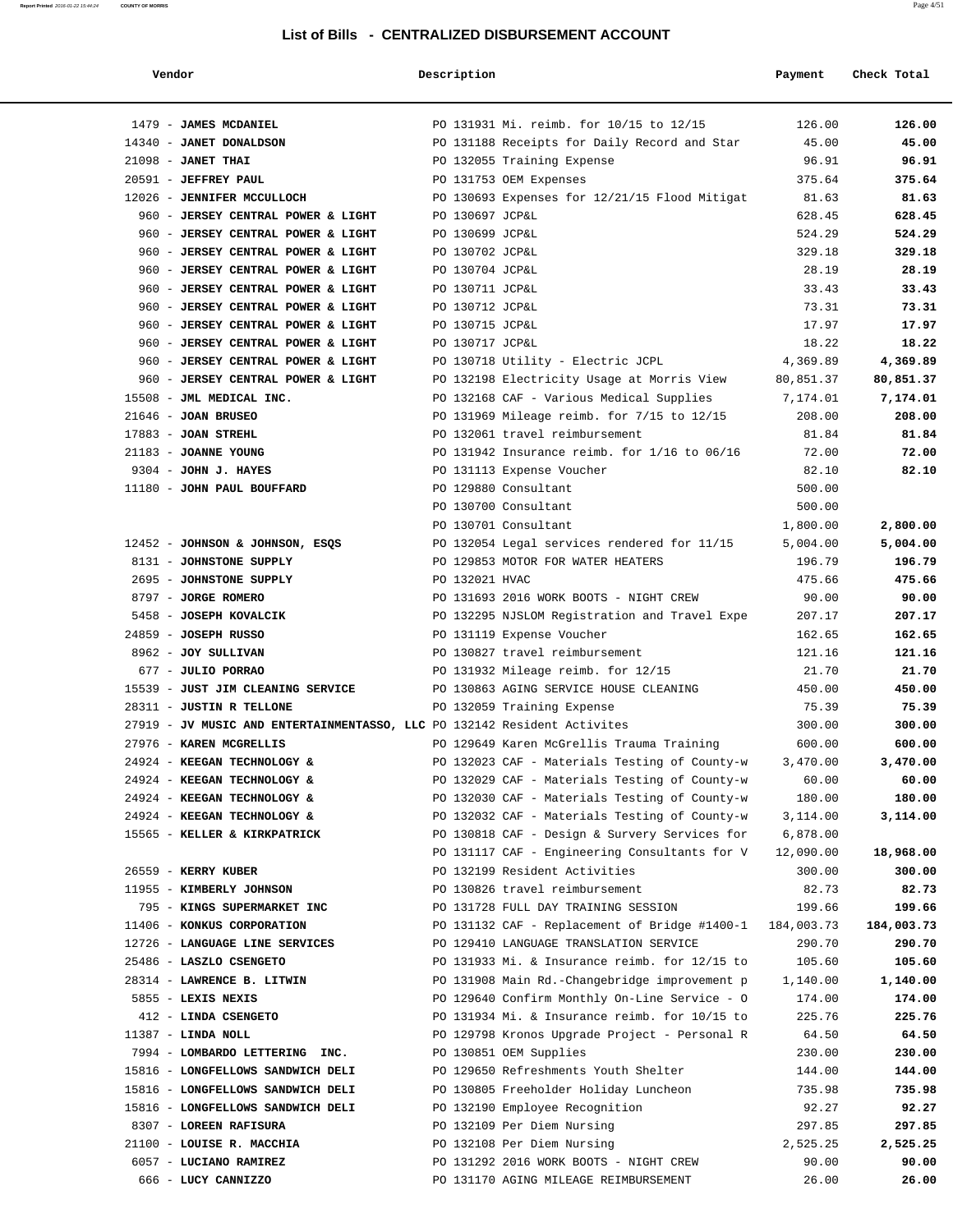| Vendor | Description | Payment Check Total |
|--------|-------------|---------------------|
|--------|-------------|---------------------|

| 1479 - JAMES MCDANIEL                                                    |                 | PO 131931 Mi. reimb. for 10/15 to 12/15                                                 | 126.00                | 126.00                |
|--------------------------------------------------------------------------|-----------------|-----------------------------------------------------------------------------------------|-----------------------|-----------------------|
| 14340 - JANET DONALDSON                                                  |                 | PO 131188 Receipts for Daily Record and Star                                            | 45.00                 | 45.00                 |
| $21098$ - JANET THAI                                                     |                 | PO 132055 Training Expense                                                              | 96.91                 | 96.91                 |
| 20591 - JEFFREY PAUL                                                     |                 | PO 131753 OEM Expenses                                                                  | 375.64                | 375.64                |
| 12026 - JENNIFER MCCULLOCH                                               |                 | PO 130693 Expenses for 12/21/15 Flood Mitigat                                           | 81.63                 | 81.63                 |
| 960 - JERSEY CENTRAL POWER & LIGHT                                       | PO 130697 JCP&L |                                                                                         | 628.45                | 628.45                |
| 960 - JERSEY CENTRAL POWER & LIGHT                                       | PO 130699 JCP&L |                                                                                         | 524.29                | 524.29                |
| 960 - JERSEY CENTRAL POWER & LIGHT                                       | PO 130702 JCP&L |                                                                                         | 329.18                | 329.18                |
| 960 - JERSEY CENTRAL POWER & LIGHT                                       | PO 130704 JCP&L |                                                                                         | 28.19                 | 28.19                 |
| 960 - JERSEY CENTRAL POWER & LIGHT                                       | PO 130711 JCP&L |                                                                                         | 33.43                 | 33.43                 |
| 960 - JERSEY CENTRAL POWER & LIGHT                                       | PO 130712 JCP&L |                                                                                         | 73.31                 | 73.31                 |
| 960 - JERSEY CENTRAL POWER & LIGHT                                       | PO 130715 JCP&L |                                                                                         | 17.97                 | 17.97                 |
| 960 - JERSEY CENTRAL POWER & LIGHT                                       | PO 130717 JCP&L |                                                                                         | 18.22                 | 18.22                 |
| 960 - JERSEY CENTRAL POWER & LIGHT<br>960 - JERSEY CENTRAL POWER & LIGHT |                 | PO 130718 Utility - Electric JCPL<br>PO 132198 Electricity Usage at Morris View         | 4,369.89<br>80,851.37 | 4,369.89<br>80,851.37 |
| 15508 - JML MEDICAL INC.                                                 |                 | PO 132168 CAF - Various Medical Supplies                                                | 7,174.01              | 7,174.01              |
| $21646$ - JOAN BRUSEO                                                    |                 | PO 131969 Mileage reimb. for 7/15 to 12/15                                              | 208.00                | 208.00                |
| $17883$ - JOAN STREHL                                                    |                 | PO 132061 travel reimbursement                                                          | 81.84                 | 81.84                 |
| 21183 - JOANNE YOUNG                                                     |                 | PO 131942 Insurance reimb. for 1/16 to 06/16                                            | 72.00                 | 72.00                 |
| 9304 - JOHN J. HAYES                                                     |                 | PO 131113 Expense Voucher                                                               | 82.10                 | 82.10                 |
| 11180 - JOHN PAUL BOUFFARD                                               |                 | PO 129880 Consultant                                                                    | 500.00                |                       |
|                                                                          |                 | PO 130700 Consultant                                                                    | 500.00                |                       |
|                                                                          |                 | PO 130701 Consultant                                                                    | 1,800.00              | 2,800.00              |
| 12452 - JOHNSON & JOHNSON, ESOS                                          |                 | PO 132054 Legal services rendered for 11/15                                             | 5,004.00              | 5,004.00              |
| 8131 - JOHNSTONE SUPPLY                                                  |                 | PO 129853 MOTOR FOR WATER HEATERS                                                       | 196.79                | 196.79                |
| 2695 - JOHNSTONE SUPPLY                                                  | PO 132021 HVAC  |                                                                                         | 475.66                | 475.66                |
| 8797 - JORGE ROMERO                                                      |                 | PO 131693 2016 WORK BOOTS - NIGHT CREW                                                  | 90.00                 | 90.00                 |
| 5458 - JOSEPH KOVALCIK                                                   |                 | PO 132295 NJSLOM Registration and Travel Expe                                           | 207.17                | 207.17                |
| 24859 - JOSEPH RUSSO                                                     |                 | PO 131119 Expense Voucher                                                               | 162.65                | 162.65                |
| 8962 - JOY SULLIVAN                                                      |                 | PO 130827 travel reimbursement                                                          | 121.16                | 121.16                |
| 677 - JULIO PORRAO                                                       |                 | PO 131932 Mileage reimb. for 12/15                                                      | 21.70                 | 21.70                 |
| 15539 - JUST JIM CLEANING SERVICE<br>28311 - JUSTIN R TELLONE            |                 | PO 130863 AGING SERVICE HOUSE CLEANING<br>PO 132059 Training Expense                    | 450.00<br>75.39       | 450.00<br>75.39       |
| 27919 - JV MUSIC AND ENTERTAINMENTASSO, LLC PO 132142 Resident Activites |                 |                                                                                         | 300.00                | 300.00                |
| 27976 - KAREN MCGRELLIS                                                  |                 | PO 129649 Karen McGrellis Trauma Training                                               | 600.00                | 600.00                |
| 24924 - KEEGAN TECHNOLOGY &                                              |                 | PO 132023 CAF - Materials Testing of County-w                                           | 3,470.00              | 3,470.00              |
| 24924 - KEEGAN TECHNOLOGY &                                              |                 | PO 132029 CAF - Materials Testing of County-w                                           | 60.00                 | 60.00                 |
| 24924 - KEEGAN TECHNOLOGY &                                              |                 | PO 132030 CAF - Materials Testing of County-w                                           | 180.00                | 180.00                |
| 24924 - KEEGAN TECHNOLOGY &                                              |                 | PO 132032 CAF - Materials Testing of County-w                                           | 3,114.00              | 3,114.00              |
| 15565 - KELLER & KIRKPATRICK                                             |                 | PO 130818 CAF - Design & Survery Services for                                           | 6,878.00              |                       |
|                                                                          |                 | PO 131117 CAF - Engineering Consultants for V                                           | 12,090.00             | 18,968.00             |
| 26559 - KERRY KUBER                                                      |                 | PO 132199 Resident Activities                                                           | 300.00                | 300.00                |
| 11955 - KIMBERLY JOHNSON                                                 |                 | PO 130826 travel reimbursement                                                          | 82.73                 | 82.73                 |
| 795 - KINGS SUPERMARKET INC                                              |                 | PO 131728 FULL DAY TRAINING SESSION                                                     | 199.66                | 199.66                |
| 11406 - KONKUS CORPORATION                                               |                 | PO 131132 CAF - Replacement of Bridge #1400-1                                           | 184,003.73<br>290.70  | 184,003.73            |
| 12726 - LANGUAGE LINE SERVICES<br>25486 - LASZLO CSENGETO                |                 | PO 129410 LANGUAGE TRANSLATION SERVICE<br>PO 131933 Mi. & Insurance reimb. for 12/15 to | 105.60                | 290.70<br>105.60      |
| 28314 - LAWRENCE B. LITWIN                                               |                 | PO 131908 Main Rd.-Changebridge improvement p                                           | 1,140.00              | 1,140.00              |
| 5855 - LEXIS NEXIS                                                       |                 | PO 129640 Confirm Monthly On-Line Service - O                                           | 174.00                | 174.00                |
| 412 - LINDA CSENGETO                                                     |                 | PO 131934 Mi. & Insurance reimb. for 10/15 to                                           | 225.76                | 225.76                |
| $11387$ - LINDA NOLL                                                     |                 | PO 129798 Kronos Upgrade Project - Personal R                                           | 64.50                 | 64.50                 |
| 7994 - LOMBARDO LETTERING INC.                                           |                 | PO 130851 OEM Supplies                                                                  | 230.00                | 230.00                |
| 15816 - LONGFELLOWS SANDWICH DELI                                        |                 | PO 129650 Refreshments Youth Shelter                                                    | 144.00                | 144.00                |
| 15816 - LONGFELLOWS SANDWICH DELI                                        |                 | PO 130805 Freeholder Holiday Luncheon                                                   | 735.98                | 735.98                |
| 15816 - LONGFELLOWS SANDWICH DELI                                        |                 | PO 132190 Employee Recognition                                                          | 92.27                 | 92.27                 |
| 8307 - LOREEN RAFISURA                                                   |                 | PO 132109 Per Diem Nursing                                                              | 297.85                | 297.85                |
| 21100 - LOUISE R. MACCHIA                                                |                 | PO 132108 Per Diem Nursing                                                              | 2,525.25              | 2,525.25              |
| 6057 - LUCIANO RAMIREZ                                                   |                 | PO 131292 2016 WORK BOOTS - NIGHT CREW                                                  | 90.00                 | 90.00                 |
| 666 - LUCY CANNIZZO                                                      |                 | PO 131170 AGING MILEAGE REIMBURSEMENT                                                   | 26.00                 | 26.00                 |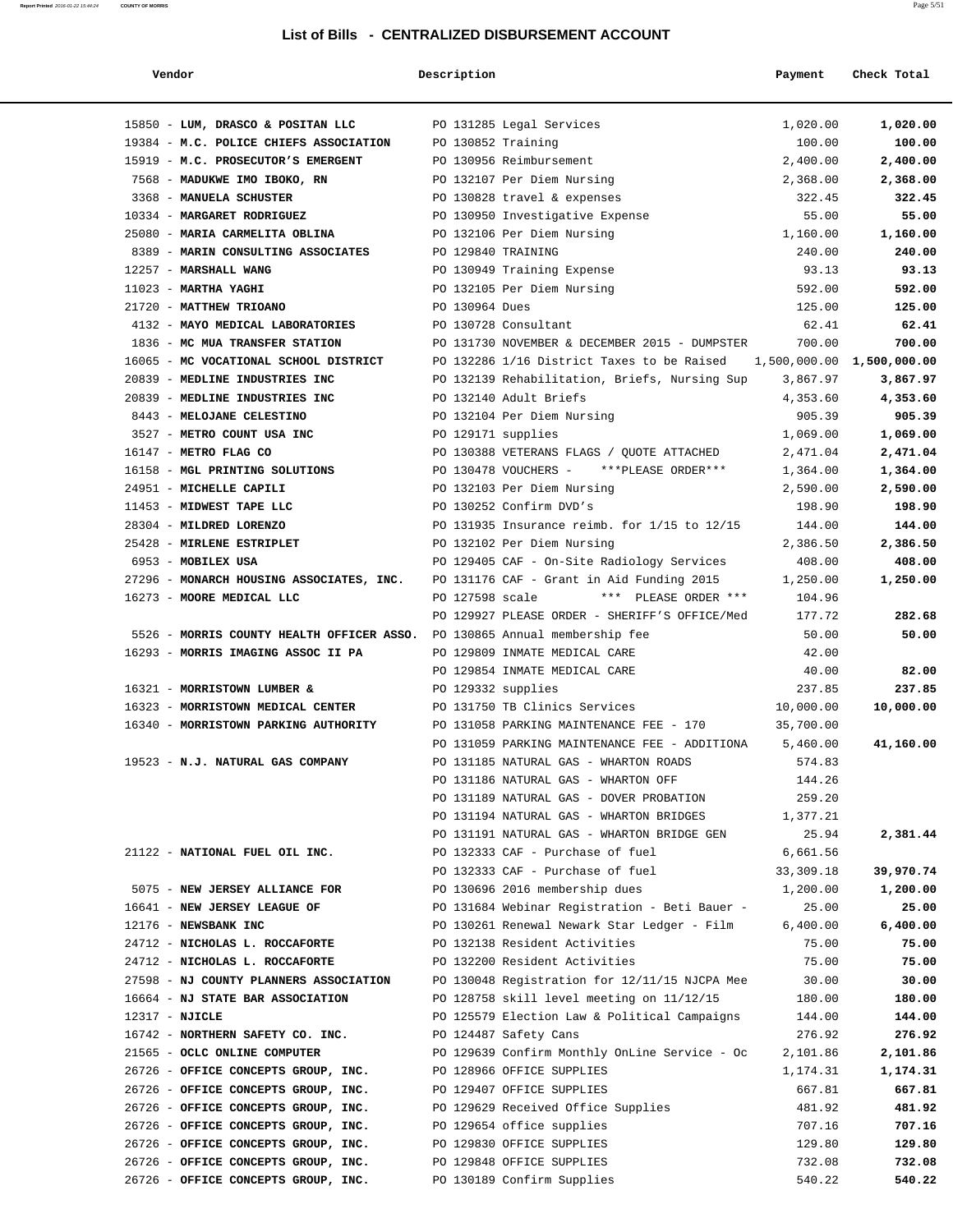| Vendor                                                                    | Description        |                                                                      | Payment               | Check Total               |
|---------------------------------------------------------------------------|--------------------|----------------------------------------------------------------------|-----------------------|---------------------------|
| 15850 - LUM, DRASCO & POSITAN LLC                                         |                    | PO 131285 Legal Services                                             | 1,020.00              | 1,020.00                  |
| 19384 - M.C. POLICE CHIEFS ASSOCIATION                                    | PO 130852 Training |                                                                      | 100.00                | 100.00                    |
| 15919 - M.C. PROSECUTOR'S EMERGENT                                        |                    | PO 130956 Reimbursement                                              | 2,400.00              | 2,400.00                  |
| 7568 - MADUKWE IMO IBOKO, RN                                              |                    | PO 132107 Per Diem Nursing                                           | 2,368.00              | 2,368.00                  |
| 3368 - MANUELA SCHUSTER                                                   |                    | PO 130828 travel & expenses                                          | 322.45                | 322.45                    |
| 10334 - MARGARET RODRIGUEZ                                                |                    | PO 130950 Investigative Expense                                      | 55.00                 | 55.00                     |
| 25080 - MARIA CARMELITA OBLINA                                            |                    | PO 132106 Per Diem Nursing                                           | 1,160.00              | 1,160.00                  |
| 8389 - MARIN CONSULTING ASSOCIATES                                        | PO 129840 TRAINING |                                                                      | 240.00                | 240.00                    |
| 12257 - MARSHALL WANG                                                     |                    | PO 130949 Training Expense                                           | 93.13                 | 93.13                     |
| $11023$ - MARTHA YAGHI                                                    |                    | PO 132105 Per Diem Nursing                                           | 592.00                | 592.00                    |
| 21720 - MATTHEW TRIOANO                                                   | PO 130964 Dues     |                                                                      | 125.00                | 125.00                    |
| 4132 - MAYO MEDICAL LABORATORIES                                          |                    | PO 130728 Consultant                                                 | 62.41                 | 62.41                     |
| 1836 - MC MUA TRANSFER STATION                                            |                    | PO 131730 NOVEMBER & DECEMBER 2015 - DUMPSTER                        | 700.00                | 700.00                    |
| 16065 - MC VOCATIONAL SCHOOL DISTRICT                                     |                    | PO 132286 1/16 District Taxes to be Raised                           |                       | 1,500,000.00 1,500,000.00 |
| 20839 - MEDLINE INDUSTRIES INC                                            |                    | PO 132139 Rehabilitation, Briefs, Nursing Sup                        | 3,867.97              | 3,867.97                  |
| 20839 - MEDLINE INDUSTRIES INC                                            |                    | PO 132140 Adult Briefs                                               | 4,353.60              | 4,353.60                  |
| 8443 - MELOJANE CELESTINO                                                 |                    | PO 132104 Per Diem Nursing                                           | 905.39                | 905.39                    |
| 3527 - METRO COUNT USA INC                                                | PO 129171 supplies |                                                                      | 1,069.00              | 1,069.00                  |
| 16147 - METRO FLAG CO                                                     |                    | PO 130388 VETERANS FLAGS / QUOTE ATTACHED                            | 2,471.04              | 2,471.04                  |
| 16158 - MGL PRINTING SOLUTIONS                                            |                    | PO 130478 VOUCHERS - ***PLEASE ORDER***                              | 1,364.00              | 1,364.00                  |
| 24951 - MICHELLE CAPILI                                                   |                    | PO 132103 Per Diem Nursing                                           | 2,590.00              | 2,590.00                  |
| 11453 - MIDWEST TAPE LLC                                                  |                    | PO 130252 Confirm DVD's                                              | 198.90                | 198.90                    |
| 28304 - MILDRED LORENZO                                                   |                    | PO 131935 Insurance reimb. for 1/15 to 12/15                         | 144.00                | 144.00                    |
| 25428 - MIRLENE ESTRIPLET                                                 |                    | PO 132102 Per Diem Nursing                                           | 2,386.50              | 2,386.50                  |
| 6953 - MOBILEX USA                                                        |                    | PO 129405 CAF - On-Site Radiology Services                           | 408.00                | 408.00                    |
| 27296 - MONARCH HOUSING ASSOCIATES, INC.                                  |                    | PO 131176 CAF - Grant in Aid Funding 2015                            | 1,250.00              | 1,250.00                  |
| 16273 - MOORE MEDICAL LLC                                                 | PO 127598 scale    | *** PLEASE ORDER ***                                                 | 104.96                |                           |
|                                                                           |                    | PO 129927 PLEASE ORDER - SHERIFF'S OFFICE/Med                        | 177.72                | 282.68                    |
| 5526 - MORRIS COUNTY HEALTH OFFICER ASSO. PO 130865 Annual membership fee |                    |                                                                      | 50.00                 | 50.00                     |
| 16293 - MORRIS IMAGING ASSOC II PA                                        |                    | PO 129809 INMATE MEDICAL CARE                                        | 42.00                 |                           |
|                                                                           |                    | PO 129854 INMATE MEDICAL CARE                                        | 40.00                 | 82.00                     |
| 16321 - MORRISTOWN LUMBER &                                               | PO 129332 supplies |                                                                      | 237.85                | 237.85                    |
| 16323 - MORRISTOWN MEDICAL CENTER                                         |                    | PO 131750 TB Clinics Services                                        | 10,000.00             | 10,000.00                 |
| 16340 - MORRISTOWN PARKING AUTHORITY                                      |                    | PO 131058 PARKING MAINTENANCE FEE - 170                              | 35,700.00             |                           |
|                                                                           |                    | PO 131059 PARKING MAINTENANCE FEE - ADDITIONA                        | 5,460.00              | 41,160.00                 |
|                                                                           |                    | PO 131185 NATURAL GAS - WHARTON ROADS                                | 574.83                |                           |
| 19523 - N.J. NATURAL GAS COMPANY                                          |                    | PO 131186 NATURAL GAS - WHARTON OFF                                  | 144.26                |                           |
|                                                                           |                    | PO 131189 NATURAL GAS - DOVER PROBATION                              |                       |                           |
|                                                                           |                    | PO 131194 NATURAL GAS - WHARTON BRIDGES                              | 259.20<br>1,377.21    |                           |
|                                                                           |                    | PO 131191 NATURAL GAS - WHARTON BRIDGE GEN                           | 25.94                 | 2,381.44                  |
|                                                                           |                    |                                                                      |                       |                           |
| 21122 - NATIONAL FUEL OIL INC.                                            |                    | PO 132333 CAF - Purchase of fuel<br>PO 132333 CAF - Purchase of fuel | 6,661.56<br>33,309.18 | 39,970.74                 |
| 5075 - NEW JERSEY ALLIANCE FOR                                            |                    | PO 130696 2016 membership dues                                       | 1,200.00              | 1,200.00                  |
| 16641 - NEW JERSEY LEAGUE OF                                              |                    | PO 131684 Webinar Registration - Beti Bauer -                        | 25.00                 | 25.00                     |
| 12176 - NEWSBANK INC                                                      |                    | PO 130261 Renewal Newark Star Ledger - Film                          | 6,400.00              | 6,400.00                  |
|                                                                           |                    |                                                                      |                       |                           |
| 24712 - NICHOLAS L. ROCCAFORTE                                            |                    | PO 132138 Resident Activities                                        | 75.00                 | 75.00                     |
| 24712 - NICHOLAS L. ROCCAFORTE                                            |                    | PO 132200 Resident Activities                                        | 75.00                 | 75.00                     |
| 27598 - NJ COUNTY PLANNERS ASSOCIATION                                    |                    | PO 130048 Registration for 12/11/15 NJCPA Mee                        | 30.00                 | 30.00                     |
| 16664 - NJ STATE BAR ASSOCIATION                                          |                    | PO 128758 skill level meeting on 11/12/15                            | 180.00                | 180.00                    |
| $12317 - NJICLE$                                                          |                    | PO 125579 Election Law & Political Campaigns                         | 144.00                | 144.00                    |
| 16742 - NORTHERN SAFETY CO. INC.                                          |                    | PO 124487 Safety Cans                                                | 276.92                | 276.92                    |
| 21565 - OCLC ONLINE COMPUTER                                              |                    | PO 129639 Confirm Monthly OnLine Service - Oc                        | 2,101.86              | 2,101.86                  |
| 26726 - OFFICE CONCEPTS GROUP, INC.                                       |                    | PO 128966 OFFICE SUPPLIES                                            | 1,174.31              | 1,174.31                  |
| 26726 - OFFICE CONCEPTS GROUP, INC.                                       |                    | PO 129407 OFFICE SUPPLIES                                            | 667.81                | 667.81                    |
| 26726 - OFFICE CONCEPTS GROUP, INC.                                       |                    | PO 129629 Received Office Supplies                                   | 481.92                | 481.92                    |
| 26726 - OFFICE CONCEPTS GROUP, INC.                                       |                    | PO 129654 office supplies                                            | 707.16                | 707.16                    |
| 26726 - OFFICE CONCEPTS GROUP, INC.                                       |                    | PO 129830 OFFICE SUPPLIES                                            | 129.80                | 129.80                    |
| 26726 - OFFICE CONCEPTS GROUP, INC.                                       |                    | PO 129848 OFFICE SUPPLIES                                            | 732.08                | 732.08                    |
| 26726 - OFFICE CONCEPTS GROUP, INC.                                       |                    | PO 130189 Confirm Supplies                                           | 540.22                | 540.22                    |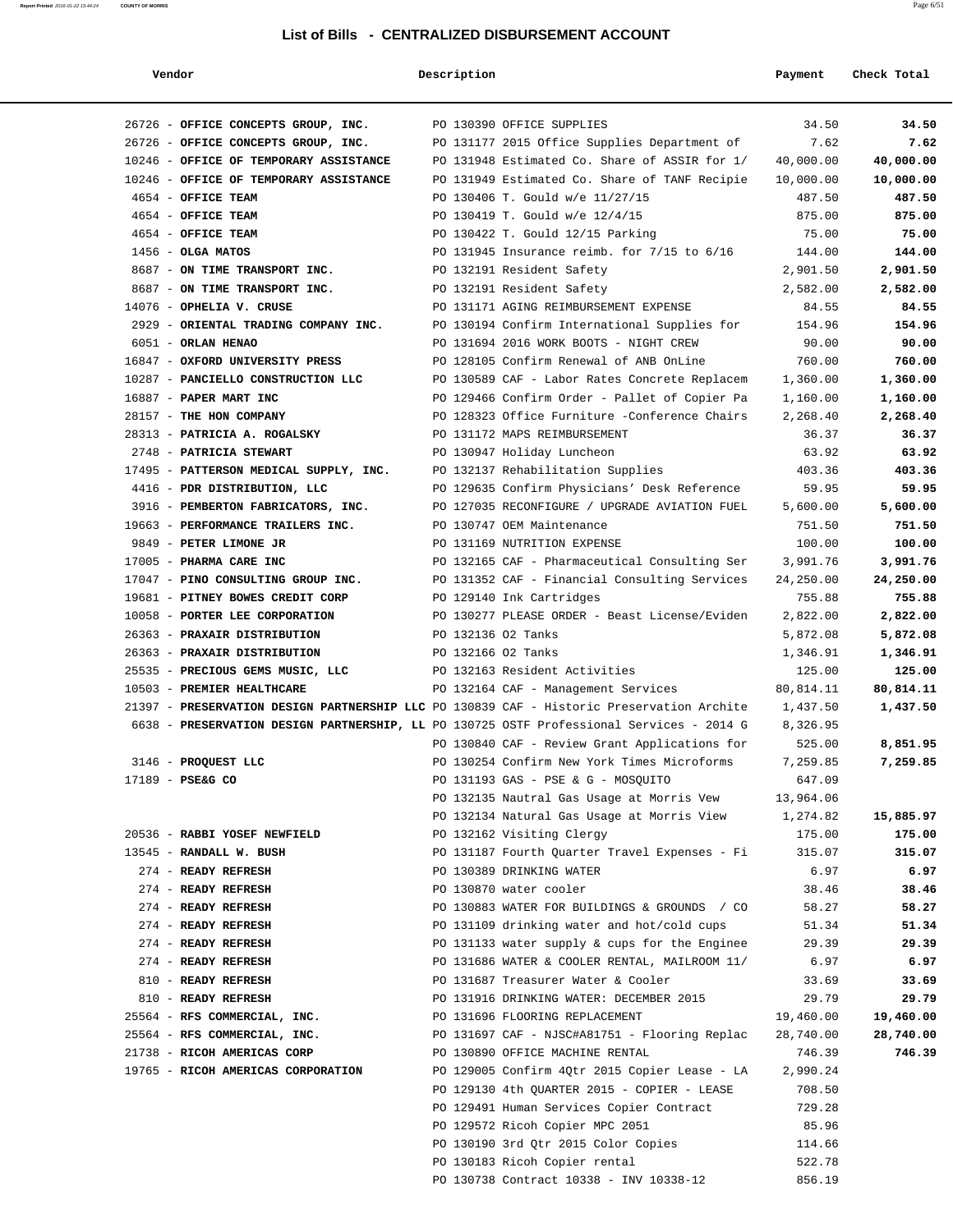| Vendor                                                                                    | Description        |                                                 | Payment   | Check Total |
|-------------------------------------------------------------------------------------------|--------------------|-------------------------------------------------|-----------|-------------|
| 26726 - OFFICE CONCEPTS GROUP, INC.                                                       |                    | PO 130390 OFFICE SUPPLIES                       | 34.50     | 34.50       |
| 26726 - OFFICE CONCEPTS GROUP, INC.                                                       |                    | PO 131177 2015 Office Supplies Department of    | 7.62      | 7.62        |
| 10246 - OFFICE OF TEMPORARY ASSISTANCE                                                    |                    | PO 131948 Estimated Co. Share of ASSIR for 1/   | 40,000.00 | 40,000.00   |
| 10246 - OFFICE OF TEMPORARY ASSISTANCE                                                    |                    | PO 131949 Estimated Co. Share of TANF Recipie   | 10,000.00 | 10,000.00   |
| 4654 - OFFICE TEAM                                                                        |                    | PO 130406 T. Gould w/e 11/27/15                 | 487.50    | 487.50      |
| 4654 - OFFICE TEAM                                                                        |                    | PO 130419 T. Gould w/e 12/4/15                  | 875.00    | 875.00      |
| 4654 - OFFICE TEAM                                                                        |                    | PO 130422 T. Gould 12/15 Parking                | 75.00     | 75.00       |
| $1456 - OLGA$ MATOS                                                                       |                    | PO 131945 Insurance reimb. for $7/15$ to $6/16$ | 144.00    | 144.00      |
| 8687 - ON TIME TRANSPORT INC.                                                             |                    | PO 132191 Resident Safety                       | 2,901.50  | 2,901.50    |
| 8687 - ON TIME TRANSPORT INC.                                                             |                    | PO 132191 Resident Safety                       | 2,582.00  | 2,582.00    |
| 14076 - OPHELIA V. CRUSE                                                                  |                    | PO 131171 AGING REIMBURSEMENT EXPENSE           | 84.55     | 84.55       |
| 2929 - ORIENTAL TRADING COMPANY INC.                                                      |                    | PO 130194 Confirm International Supplies for    | 154.96    | 154.96      |
| 6051 - ORLAN HENAO                                                                        |                    | PO 131694 2016 WORK BOOTS - NIGHT CREW          | 90.00     | 90.00       |
| 16847 - OXFORD UNIVERSITY PRESS                                                           |                    | PO 128105 Confirm Renewal of ANB OnLine         | 760.00    | 760.00      |
| 10287 - PANCIELLO CONSTRUCTION LLC                                                        |                    | PO 130589 CAF - Labor Rates Concrete Replacem   | 1,360.00  | 1,360.00    |
| 16887 - PAPER MART INC                                                                    |                    | PO 129466 Confirm Order - Pallet of Copier Pa   | 1,160.00  | 1,160.00    |
| 28157 - THE HON COMPANY                                                                   |                    |                                                 |           |             |
|                                                                                           |                    | PO 128323 Office Furniture -Conference Chairs   | 2,268.40  | 2,268.40    |
| 28313 - PATRICIA A. ROGALSKY                                                              |                    | PO 131172 MAPS REIMBURSEMENT                    | 36.37     | 36.37       |
| 2748 - PATRICIA STEWART                                                                   |                    | PO 130947 Holiday Luncheon                      | 63.92     | 63.92       |
| 17495 - PATTERSON MEDICAL SUPPLY, INC.                                                    |                    | PO 132137 Rehabilitation Supplies               | 403.36    | 403.36      |
| 4416 - PDR DISTRIBUTION, LLC                                                              |                    | PO 129635 Confirm Physicians' Desk Reference    | 59.95     | 59.95       |
| 3916 - PEMBERTON FABRICATORS, INC.                                                        |                    | PO 127035 RECONFIGURE / UPGRADE AVIATION FUEL   | 5,600.00  | 5,600.00    |
| 19663 - PERFORMANCE TRAILERS INC.                                                         |                    | PO 130747 OEM Maintenance                       | 751.50    | 751.50      |
| 9849 - PETER LIMONE JR                                                                    |                    | PO 131169 NUTRITION EXPENSE                     | 100.00    | 100.00      |
| 17005 - PHARMA CARE INC                                                                   |                    | PO 132165 CAF - Pharmaceutical Consulting Ser   | 3,991.76  | 3,991.76    |
| 17047 - PINO CONSULTING GROUP INC.                                                        |                    | PO 131352 CAF - Financial Consulting Services   | 24,250.00 | 24,250.00   |
| 19681 - PITNEY BOWES CREDIT CORP                                                          |                    | PO 129140 Ink Cartridges                        | 755.88    | 755.88      |
| 10058 - PORTER LEE CORPORATION                                                            |                    | PO 130277 PLEASE ORDER - Beast License/Eviden   | 2,822.00  | 2,822.00    |
| 26363 - PRAXAIR DISTRIBUTION                                                              | PO 132136 02 Tanks |                                                 | 5,872.08  | 5,872.08    |
| 26363 - PRAXAIR DISTRIBUTION                                                              | PO 132166 O2 Tanks |                                                 | 1,346.91  | 1,346.91    |
| 25535 - PRECIOUS GEMS MUSIC, LLC                                                          |                    | PO 132163 Resident Activities                   | 125.00    | 125.00      |
| 10503 - PREMIER HEALTHCARE                                                                |                    | PO 132164 CAF - Management Services             | 80,814.11 | 80,814.11   |
| 21397 - PRESERVATION DESIGN PARTNERSHIP LLC PO 130839 CAF - Historic Preservation Archite |                    |                                                 | 1,437.50  | 1,437.50    |
| 6638 - PRESERVATION DESIGN PARTNERSHIP, LL PO 130725 OSTF Professional Services - 2014 G  |                    |                                                 | 8,326.95  |             |
|                                                                                           |                    | PO 130840 CAF - Review Grant Applications for   | 525.00    | 8,851.95    |
| 3146 - PROQUEST LLC                                                                       |                    | PO 130254 Confirm New York Times Microforms     | 7,259.85  | 7,259.85    |
| 17189 - PSE&G CO                                                                          |                    | PO 131193 GAS - PSE & G - MOSQUITO              | 647.09    |             |
|                                                                                           |                    | PO 132135 Nautral Gas Usage at Morris Vew       | 13,964.06 |             |
|                                                                                           |                    | PO 132134 Natural Gas Usage at Morris View      | 1,274.82  | 15,885.97   |
| 20536 - RABBI YOSEF NEWFIELD                                                              |                    | PO 132162 Visiting Clergy                       | 175.00    | 175.00      |
| 13545 - RANDALL W. BUSH                                                                   |                    | PO 131187 Fourth Quarter Travel Expenses - Fi   | 315.07    | 315.07      |
| 274 - READY REFRESH                                                                       |                    | PO 130389 DRINKING WATER                        | 6.97      | 6.97        |
| 274 - READY REFRESH                                                                       |                    | PO 130870 water cooler                          | 38.46     | 38.46       |
| 274 - READY REFRESH                                                                       |                    | PO 130883 WATER FOR BUILDINGS & GROUNDS / CO    | 58.27     | 58.27       |
| 274 - READY REFRESH                                                                       |                    | PO 131109 drinking water and hot/cold cups      | 51.34     | 51.34       |
| 274 - READY REFRESH                                                                       |                    | PO 131133 water supply & cups for the Enginee   | 29.39     | 29.39       |
| 274 - READY REFRESH                                                                       |                    | PO 131686 WATER & COOLER RENTAL, MAILROOM 11/   | 6.97      | 6.97        |
| 810 - READY REFRESH                                                                       |                    | PO 131687 Treasurer Water & Cooler              | 33.69     | 33.69       |
| 810 - READY REFRESH                                                                       |                    | PO 131916 DRINKING WATER: DECEMBER 2015         | 29.79     | 29.79       |
| 25564 - RFS COMMERCIAL, INC.                                                              |                    | PO 131696 FLOORING REPLACEMENT                  | 19,460.00 | 19,460.00   |
| 25564 - RFS COMMERCIAL, INC.                                                              |                    |                                                 | 28,740.00 | 28,740.00   |
|                                                                                           |                    | PO 131697 CAF - NJSC#A81751 - Flooring Replac   |           |             |
| 21738 - RICOH AMERICAS CORP                                                               |                    | PO 130890 OFFICE MACHINE RENTAL                 | 746.39    | 746.39      |
| 19765 - RICOH AMERICAS CORPORATION                                                        |                    | PO 129005 Confirm 4Qtr 2015 Copier Lease - LA   | 2,990.24  |             |
|                                                                                           |                    | PO 129130 4th QUARTER 2015 - COPIER - LEASE     | 708.50    |             |
|                                                                                           |                    | PO 129491 Human Services Copier Contract        | 729.28    |             |
|                                                                                           |                    | PO 129572 Ricoh Copier MPC 2051                 | 85.96     |             |
|                                                                                           |                    | PO 130190 3rd Qtr 2015 Color Copies             | 114.66    |             |
|                                                                                           |                    | PO 130183 Ricoh Copier rental                   | 522.78    |             |
|                                                                                           |                    | PO 130738 Contract 10338 - INV 10338-12         | 856.19    |             |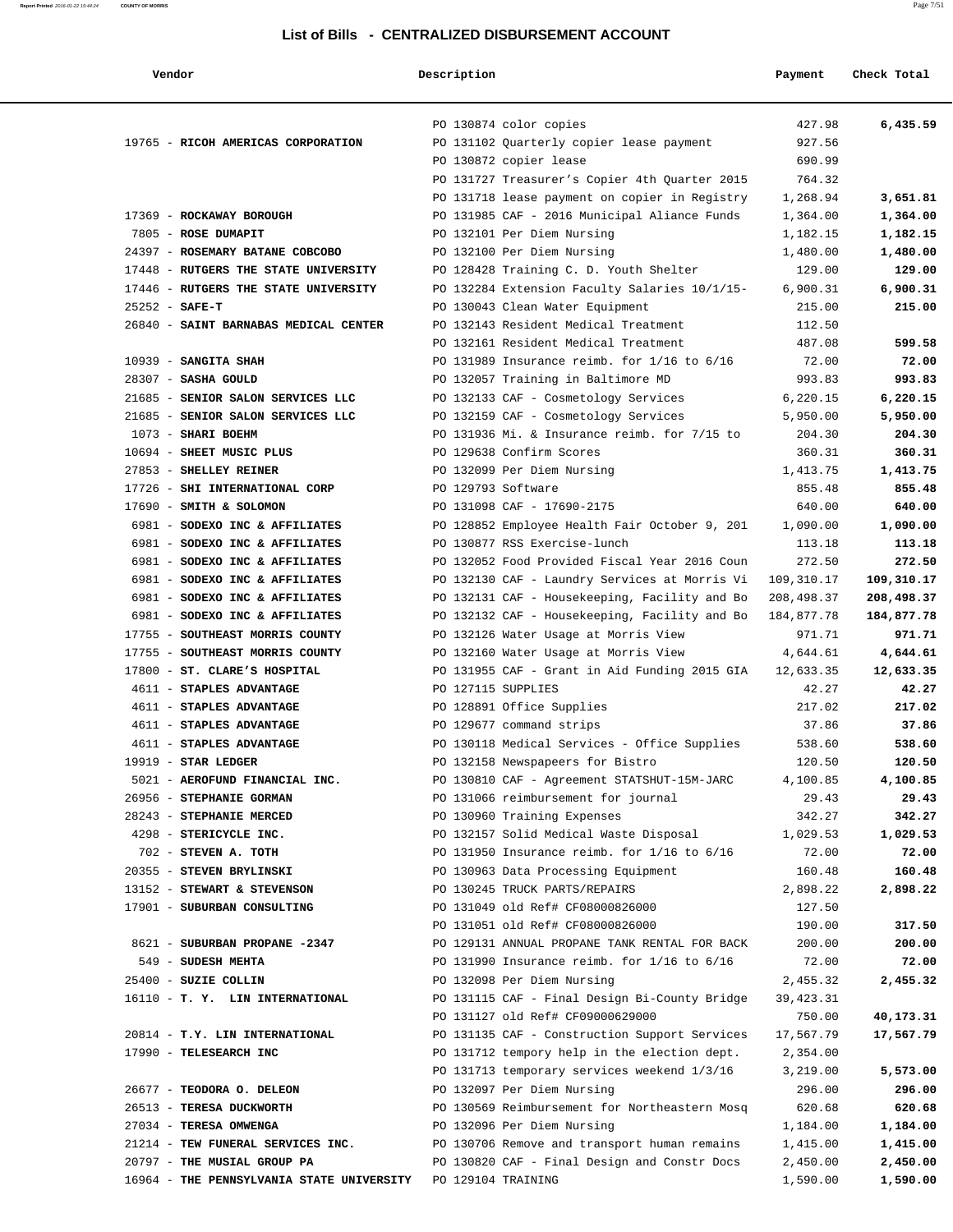| l | r |  |
|---|---|--|

| Vendor | Description | Payment | Check Total |
|--------|-------------|---------|-------------|
|        |             |         |             |

|                                                           | PO 130874 color copies                                                                        | 427.98               | 6,435.59           |
|-----------------------------------------------------------|-----------------------------------------------------------------------------------------------|----------------------|--------------------|
| 19765 - RICOH AMERICAS CORPORATION                        | PO 131102 Quarterly copier lease payment                                                      | 927.56               |                    |
|                                                           | PO 130872 copier lease                                                                        | 690.99               |                    |
|                                                           | PO 131727 Treasurer's Copier 4th Quarter 2015                                                 | 764.32               |                    |
|                                                           | PO 131718 lease payment on copier in Registry                                                 | 1,268.94             | 3,651.81           |
| 17369 - ROCKAWAY BOROUGH                                  | PO 131985 CAF - 2016 Municipal Aliance Funds                                                  | 1,364.00             | 1,364.00           |
| 7805 - ROSE DUMAPIT                                       | PO 132101 Per Diem Nursing                                                                    | 1,182.15             | 1,182.15           |
| 24397 - ROSEMARY BATANE COBCOBO                           | PO 132100 Per Diem Nursing                                                                    | 1,480.00             | 1,480.00           |
| 17448 - RUTGERS THE STATE UNIVERSITY                      | PO 128428 Training C. D. Youth Shelter                                                        | 129.00               | 129.00             |
| 17446 - RUTGERS THE STATE UNIVERSITY                      | PO 132284 Extension Faculty Salaries 10/1/15-                                                 | 6,900.31             | 6,900.31           |
| $25252 - SAFE-T$                                          | PO 130043 Clean Water Equipment                                                               | 215.00               | 215.00             |
| 26840 - SAINT BARNABAS MEDICAL CENTER                     | PO 132143 Resident Medical Treatment                                                          | 112.50               |                    |
|                                                           | PO 132161 Resident Medical Treatment                                                          | 487.08               | 599.58             |
| $10939$ - SANGITA SHAH                                    | PO 131989 Insurance reimb. for $1/16$ to $6/16$                                               | 72.00                | 72.00              |
| 28307 - SASHA GOULD                                       | PO 132057 Training in Baltimore MD                                                            | 993.83               | 993.83             |
| 21685 - SENIOR SALON SERVICES LLC                         | PO 132133 CAF - Cosmetology Services                                                          | 6,220.15             | 6,220.15           |
| 21685 - SENIOR SALON SERVICES LLC                         | PO 132159 CAF - Cosmetology Services                                                          | 5,950.00             | 5,950.00           |
| 1073 - SHARI BOEHM                                        | PO 131936 Mi. & Insurance reimb. for 7/15 to                                                  | 204.30               | 204.30             |
| 10694 - SHEET MUSIC PLUS                                  | PO 129638 Confirm Scores                                                                      | 360.31               | 360.31             |
| 27853 - SHELLEY REINER                                    | PO 132099 Per Diem Nursing                                                                    | 1,413.75             | 1,413.75           |
| 17726 - SHI INTERNATIONAL CORP                            | PO 129793 Software                                                                            | 855.48               | 855.48             |
| 17690 - SMITH & SOLOMON<br>6981 - SODEXO INC & AFFILIATES | PO 131098 CAF - 17690-2175                                                                    | 640.00               | 640.00             |
| 6981 - SODEXO INC & AFFILIATES                            | PO 128852 Employee Health Fair October 9, 201<br>PO 130877 RSS Exercise-lunch                 | 1,090.00<br>113.18   | 1,090.00<br>113.18 |
| 6981 - SODEXO INC & AFFILIATES                            | PO 132052 Food Provided Fiscal Year 2016 Coun                                                 | 272.50               | 272.50             |
| 6981 - SODEXO INC & AFFILIATES                            | PO 132130 CAF - Laundry Services at Morris Vi                                                 | 109,310.17           | 109,310.17         |
| 6981 - SODEXO INC & AFFILIATES                            | PO 132131 CAF - Housekeeping, Facility and Bo                                                 | 208,498.37           | 208,498.37         |
| 6981 - SODEXO INC & AFFILIATES                            | PO 132132 CAF - Housekeeping, Facility and Bo                                                 | 184,877.78           | 184,877.78         |
| 17755 - SOUTHEAST MORRIS COUNTY                           | PO 132126 Water Usage at Morris View                                                          | 971.71               | 971.71             |
| 17755 - SOUTHEAST MORRIS COUNTY                           | PO 132160 Water Usage at Morris View                                                          | 4,644.61             | 4,644.61           |
| 17800 - ST. CLARE'S HOSPITAL                              | PO 131955 CAF - Grant in Aid Funding 2015 GIA                                                 | 12,633.35            | 12,633.35          |
| 4611 - STAPLES ADVANTAGE                                  | PO 127115 SUPPLIES                                                                            | 42.27                | 42.27              |
| 4611 - STAPLES ADVANTAGE                                  | PO 128891 Office Supplies                                                                     | 217.02               | 217.02             |
| 4611 - STAPLES ADVANTAGE                                  | PO 129677 command strips                                                                      | 37.86                | 37.86              |
| 4611 - STAPLES ADVANTAGE                                  | PO 130118 Medical Services - Office Supplies                                                  | 538.60               | 538.60             |
| $19919$ - STAR LEDGER                                     | PO 132158 Newspapeers for Bistro                                                              | 120.50               | 120.50             |
| 5021 - AEROFUND FINANCIAL INC.                            | PO 130810 CAF - Agreement STATSHUT-15M-JARC                                                   | 4,100.85             | 4,100.85           |
| 26956 - STEPHANIE GORMAN                                  | PO 131066 reimbursement for journal                                                           | 29.43                | 29.43              |
| 28243 - STEPHANIE MERCED                                  | PO 130960 Training Expenses                                                                   | 342.27               | 342.27             |
| 4298 - STERICYCLE INC.                                    | PO 132157 Solid Medical Waste Disposal                                                        | 1,029.53             | 1,029.53           |
| 702 - STEVEN A. TOTH                                      | PO 131950 Insurance reimb. for $1/16$ to $6/16$                                               | 72.00                | 72.00              |
| 20355 - STEVEN BRYLINSKI                                  | PO 130963 Data Processing Equipment                                                           | 160.48               | 160.48             |
| 13152 - STEWART & STEVENSON                               | PO 130245 TRUCK PARTS/REPAIRS                                                                 | 2,898.22             | 2,898.22           |
| 17901 - SUBURBAN CONSULTING                               | PO 131049 old Ref# CF08000826000                                                              | 127.50               |                    |
|                                                           | PO 131051 old Ref# CF08000826000                                                              | 190.00               | 317.50             |
| 8621 - SUBURBAN PROPANE -2347                             | PO 129131 ANNUAL PROPANE TANK RENTAL FOR BACK                                                 | 200.00               | 200.00             |
| 549 - SUDESH MEHTA                                        | PO 131990 Insurance reimb. for $1/16$ to $6/16$                                               | 72.00                | 72.00              |
| 25400 - SUZIE COLLIN                                      | PO 132098 Per Diem Nursing                                                                    | 2,455.32             | 2,455.32           |
| 16110 - T. Y. LIN INTERNATIONAL                           | PO 131115 CAF - Final Design Bi-County Bridge                                                 | 39,423.31            |                    |
|                                                           | PO 131127 old Ref# CF09000629000                                                              | 750.00               | 40,173.31          |
| 20814 - T.Y. LIN INTERNATIONAL<br>17990 - TELESEARCH INC  | PO 131135 CAF - Construction Support Services<br>PO 131712 tempory help in the election dept. | 17,567.79            | 17,567.79          |
|                                                           | PO 131713 temporary services weekend 1/3/16                                                   | 2,354.00<br>3,219.00 | 5,573.00           |
| 26677 - TEODORA O. DELEON                                 | PO 132097 Per Diem Nursing                                                                    | 296.00               | 296.00             |
| 26513 - TERESA DUCKWORTH                                  | PO 130569 Reimbursement for Northeastern Mosq                                                 | 620.68               | 620.68             |
| 27034 - TERESA OMWENGA                                    | PO 132096 Per Diem Nursing                                                                    | 1,184.00             | 1,184.00           |
| 21214 - TEW FUNERAL SERVICES INC.                         | PO 130706 Remove and transport human remains                                                  | 1,415.00             | 1,415.00           |
| 20797 - THE MUSIAL GROUP PA                               | PO 130820 CAF - Final Design and Constr Docs                                                  | 2,450.00             | 2,450.00           |
| 16964 - THE PENNSYLVANIA STATE UNIVERSITY                 | PO 129104 TRAINING                                                                            | 1,590.00             | 1,590.00           |
|                                                           |                                                                                               |                      |                    |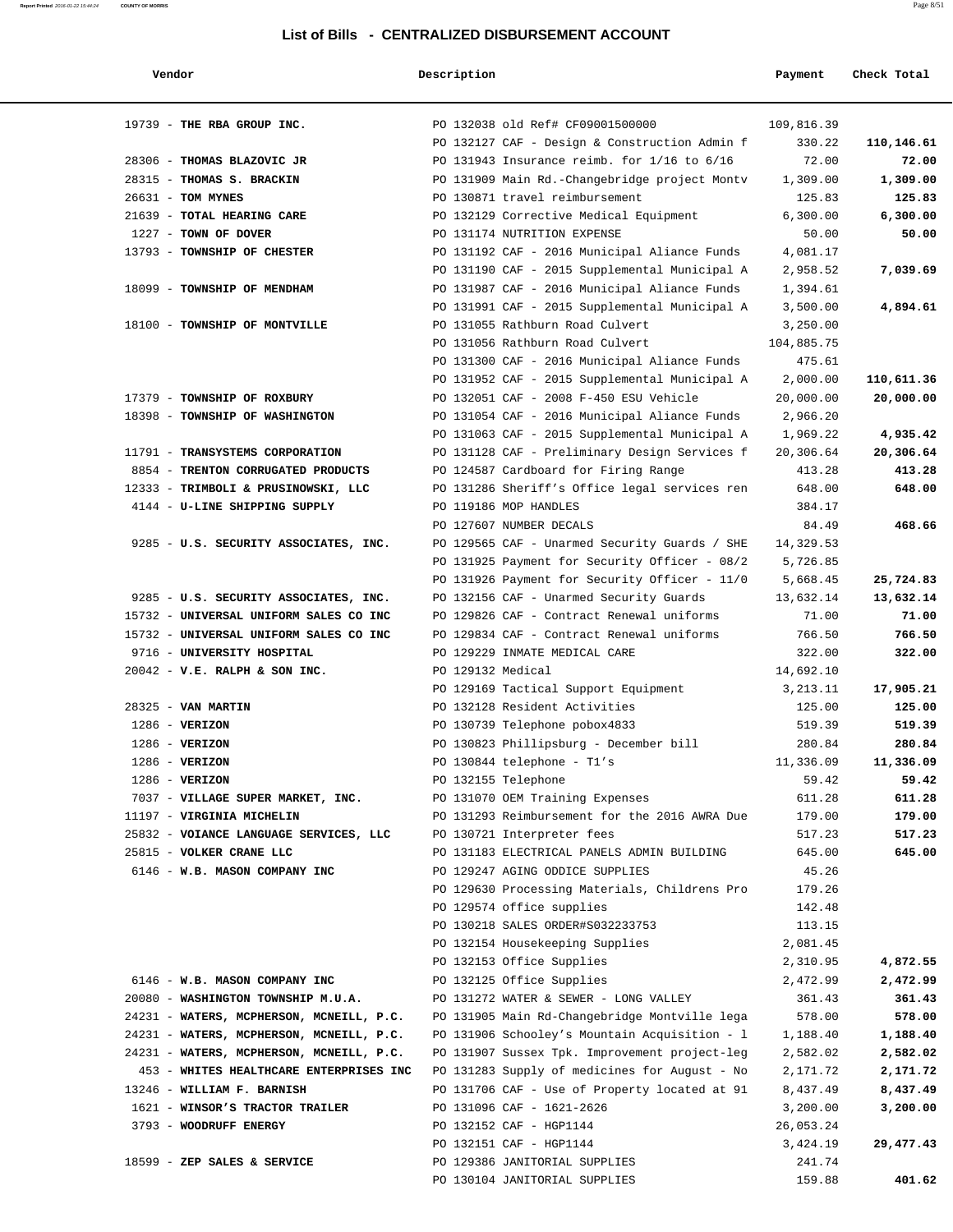#### **Report Printed** 2016-01-22 15:44:24 **COUNTY OF MORRIS** Page 8/51

#### **List of Bills - CENTRALIZED DISBURSEMENT ACCOUNT**

| Vendor                                                                           | Description       |                                                                            | Payment          | Check Total     |
|----------------------------------------------------------------------------------|-------------------|----------------------------------------------------------------------------|------------------|-----------------|
|                                                                                  |                   |                                                                            |                  |                 |
| 19739 - THE RBA GROUP INC.                                                       |                   | PO 132038 old Ref# CF09001500000                                           | 109,816.39       |                 |
|                                                                                  |                   | PO 132127 CAF - Design & Construction Admin f                              | 330.22           | 110,146.61      |
| 28306 - THOMAS BLAZOVIC JR                                                       |                   | PO 131943 Insurance reimb. for $1/16$ to $6/16$                            | 72.00            | 72.00           |
| 28315 - THOMAS S. BRACKIN                                                        |                   | PO 131909 Main Rd.-Changebridge project Montv                              | 1,309.00         | 1,309.00        |
| 26631 - TOM MYNES                                                                |                   | PO 130871 travel reimbursement                                             | 125.83           | 125.83          |
| 21639 - TOTAL HEARING CARE                                                       |                   | PO 132129 Corrective Medical Equipment                                     | 6,300.00         | 6,300.00        |
| 1227 - TOWN OF DOVER                                                             |                   | PO 131174 NUTRITION EXPENSE                                                | 50.00            | 50.00           |
| 13793 - TOWNSHIP OF CHESTER                                                      |                   | PO 131192 CAF - 2016 Municipal Aliance Funds                               | 4,081.17         |                 |
|                                                                                  |                   | PO 131190 CAF - 2015 Supplemental Municipal A                              | 2,958.52         | 7,039.69        |
| 18099 - TOWNSHIP OF MENDHAM                                                      |                   | PO 131987 CAF - 2016 Municipal Aliance Funds                               | 1,394.61         |                 |
|                                                                                  |                   | PO 131991 CAF - 2015 Supplemental Municipal A                              | 3,500.00         | 4,894.61        |
| 18100 - TOWNSHIP OF MONTVILLE                                                    |                   | PO 131055 Rathburn Road Culvert                                            | 3,250.00         |                 |
|                                                                                  |                   | PO 131056 Rathburn Road Culvert                                            | 104,885.75       |                 |
|                                                                                  |                   | PO 131300 CAF - 2016 Municipal Aliance Funds                               | 475.61           |                 |
|                                                                                  |                   | PO 131952 CAF - 2015 Supplemental Municipal A                              | 2,000.00         | 110,611.36      |
| 17379 - TOWNSHIP OF ROXBURY                                                      |                   | PO 132051 CAF - 2008 F-450 ESU Vehicle                                     | 20,000.00        | 20,000.00       |
| 18398 - TOWNSHIP OF WASHINGTON                                                   |                   | PO 131054 CAF - 2016 Municipal Aliance Funds                               | 2,966.20         |                 |
|                                                                                  |                   | PO 131063 CAF - 2015 Supplemental Municipal A                              | 1,969.22         | 4,935.42        |
| 11791 - TRANSYSTEMS CORPORATION                                                  |                   | PO 131128 CAF - Preliminary Design Services f                              | 20,306.64        | 20,306.64       |
| 8854 - TRENTON CORRUGATED PRODUCTS                                               |                   | PO 124587 Cardboard for Firing Range                                       | 413.28           | 413.28          |
| 12333 - TRIMBOLI & PRUSINOWSKI, LLC                                              |                   | PO 131286 Sheriff's Office legal services ren                              | 648.00           | 648.00          |
| 4144 - U-LINE SHIPPING SUPPLY                                                    |                   | PO 119186 MOP HANDLES                                                      | 384.17           |                 |
|                                                                                  |                   | PO 127607 NUMBER DECALS                                                    | 84.49            | 468.66          |
| 9285 - U.S. SECURITY ASSOCIATES, INC.                                            |                   | PO 129565 CAF - Unarmed Security Guards / SHE                              | 14,329.53        |                 |
|                                                                                  |                   | PO 131925 Payment for Security Officer - 08/2                              | 5,726.85         |                 |
|                                                                                  |                   | PO 131926 Payment for Security Officer - 11/0                              | 5,668.45         | 25,724.83       |
| 9285 - U.S. SECURITY ASSOCIATES, INC.                                            |                   | PO 132156 CAF - Unarmed Security Guards                                    | 13,632.14        | 13,632.14       |
| 15732 - UNIVERSAL UNIFORM SALES CO INC<br>15732 - UNIVERSAL UNIFORM SALES CO INC |                   | PO 129826 CAF - Contract Renewal uniforms                                  | 71.00            | 71.00<br>766.50 |
| 9716 - UNIVERSITY HOSPITAL                                                       |                   | PO 129834 CAF - Contract Renewal uniforms<br>PO 129229 INMATE MEDICAL CARE | 766.50<br>322.00 | 322.00          |
| $20042$ - V.E. RALPH & SON INC.                                                  | PO 129132 Medical |                                                                            | 14,692.10        |                 |
|                                                                                  |                   | PO 129169 Tactical Support Equipment                                       | 3, 213. 11       | 17,905.21       |
| 28325 - VAN MARTIN                                                               |                   | PO 132128 Resident Activities                                              | 125.00           | 125.00          |
| $1286$ - VERIZON                                                                 |                   | PO 130739 Telephone pobox4833                                              | 519.39           | 519.39          |
| $1286$ - VERIZON                                                                 |                   | PO 130823 Phillipsburg - December bill                                     | 280.84           | 280.84          |
| 1286 - VERIZON                                                                   |                   | PO 130844 telephone - T1's                                                 | 11,336.09        | 11,336.09       |
| $1286$ - VERIZON                                                                 |                   | PO 132155 Telephone                                                        | 59.42            | 59.42           |
| 7037 - VILLAGE SUPER MARKET, INC.                                                |                   | PO 131070 OEM Training Expenses                                            | 611.28           | 611.28          |
| 11197 - VIRGINIA MICHELIN                                                        |                   | PO 131293 Reimbursement for the 2016 AWRA Due                              | 179.00           | 179.00          |
| 25832 - VOIANCE LANGUAGE SERVICES, LLC                                           |                   | PO 130721 Interpreter fees                                                 | 517.23           | 517.23          |
| 25815 - VOLKER CRANE LLC                                                         |                   | PO 131183 ELECTRICAL PANELS ADMIN BUILDING                                 | 645.00           | 645.00          |
| 6146 - W.B. MASON COMPANY INC                                                    |                   | PO 129247 AGING ODDICE SUPPLIES                                            | 45.26            |                 |
|                                                                                  |                   | PO 129630 Processing Materials, Childrens Pro                              | 179.26           |                 |
|                                                                                  |                   | PO 129574 office supplies                                                  | 142.48           |                 |
|                                                                                  |                   | PO 130218 SALES ORDER#S032233753                                           | 113.15           |                 |
|                                                                                  |                   | PO 132154 Housekeeping Supplies                                            | 2,081.45         |                 |
|                                                                                  |                   | PO 132153 Office Supplies                                                  | 2,310.95         | 4,872.55        |
| 6146 - W.B. MASON COMPANY INC                                                    |                   | PO 132125 Office Supplies                                                  | 2,472.99         | 2,472.99        |
| 20080 - WASHINGTON TOWNSHIP M.U.A.                                               |                   | PO 131272 WATER & SEWER - LONG VALLEY                                      | 361.43           | 361.43          |
| 24231 - WATERS, MCPHERSON, MCNEILL, P.C.                                         |                   | PO 131905 Main Rd-Changebridge Montville lega                              | 578.00           | 578.00          |
| 24231 - WATERS, MCPHERSON, MCNEILL, P.C.                                         |                   | PO 131906 Schooley's Mountain Acquisition - 1                              | 1,188.40         | 1,188.40        |
| 24231 - WATERS, MCPHERSON, MCNEILL, P.C.                                         |                   | PO 131907 Sussex Tpk. Improvement project-leg                              | 2,582.02         | 2,582.02        |
| 453 - WHITES HEALTHCARE ENTERPRISES INC                                          |                   | PO 131283 Supply of medicines for August - No                              | 2,171.72         | 2,171.72        |
| 13246 - WILLIAM F. BARNISH                                                       |                   | PO 131706 CAF - Use of Property located at 91                              | 8,437.49         | 8,437.49        |
| 1621 - WINSOR'S TRACTOR TRAILER                                                  |                   | PO 131096 CAF - 1621-2626                                                  | 3,200.00         | 3,200.00        |
| 3793 - WOODRUFF ENERGY                                                           |                   | PO 132152 CAF - HGP1144                                                    | 26,053.24        |                 |
|                                                                                  |                   | PO 132151 CAF - HGP1144                                                    | 3,424.19         | 29,477.43       |
| 18599 - ZEP SALES & SERVICE                                                      |                   | PO 129386 JANITORIAL SUPPLIES                                              | 241.74           |                 |
|                                                                                  |                   | PO 130104 JANITORIAL SUPPLIES                                              | 159.88           | 401.62          |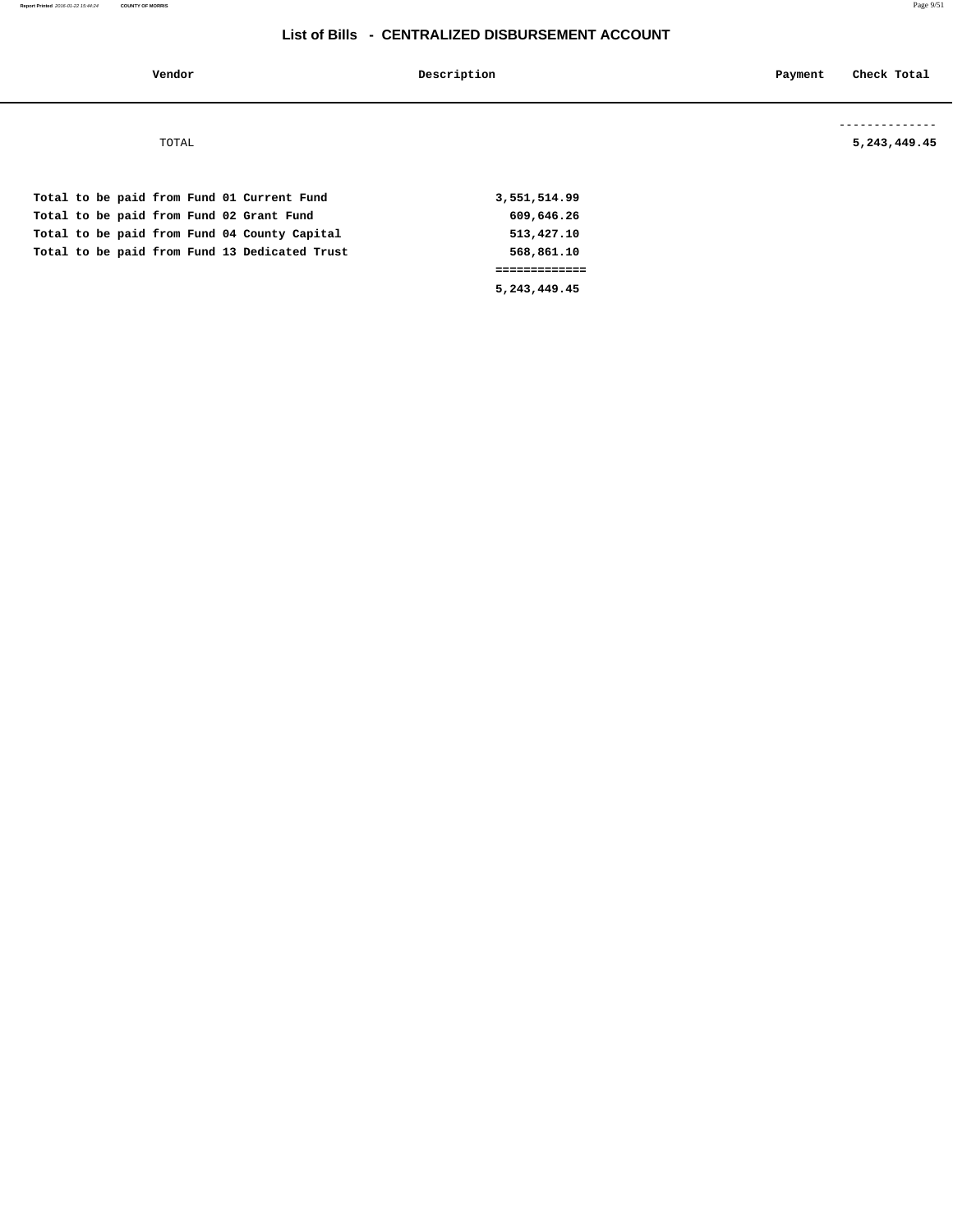| Vendor                                                                                                                                                                                  | Description                                                                             | Check Total<br>Payment      |
|-----------------------------------------------------------------------------------------------------------------------------------------------------------------------------------------|-----------------------------------------------------------------------------------------|-----------------------------|
| TOTAL                                                                                                                                                                                   |                                                                                         | --------<br>5, 243, 449. 45 |
| Total to be paid from Fund 01 Current Fund<br>Total to be paid from Fund 02 Grant Fund<br>Total to be paid from Fund 04 County Capital<br>Total to be paid from Fund 13 Dedicated Trust | 3,551,514.99<br>609,646.26<br>513,427.10<br>568,861.10<br>=============<br>5,243,449.45 |                             |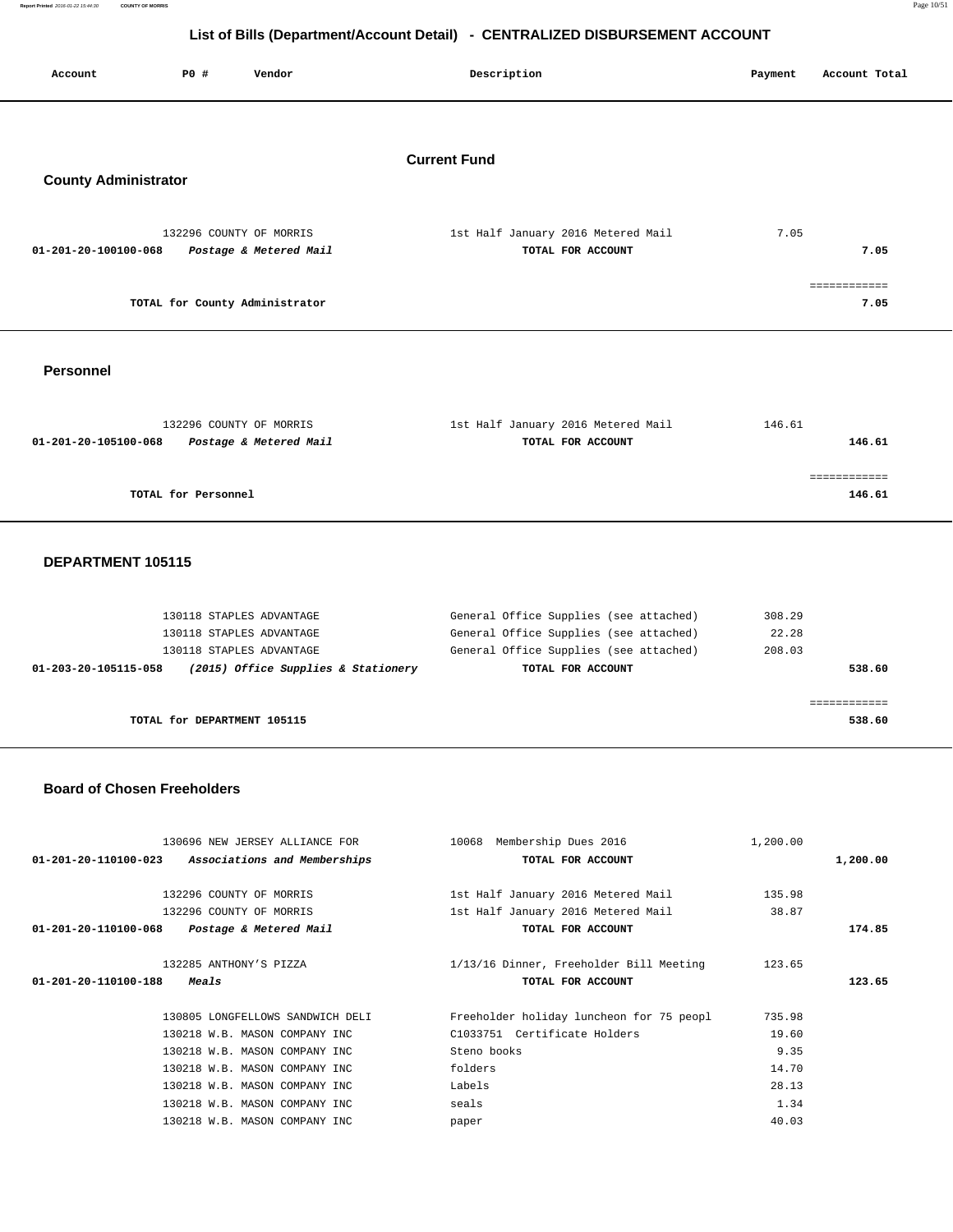**Report Printed** 2016-01-22 15:44:30 **COUNTY OF MORRIS** Page 10/51  **List of Bills (Department/Account Detail) - CENTRALIZED DISBURSEMENT ACCOUNT**

| Account                     | P0 #                | Vendor                                            | Description                                             | Payment | Account Total          |
|-----------------------------|---------------------|---------------------------------------------------|---------------------------------------------------------|---------|------------------------|
| <b>County Administrator</b> |                     |                                                   | <b>Current Fund</b>                                     |         |                        |
| 01-201-20-100100-068        |                     | 132296 COUNTY OF MORRIS<br>Postage & Metered Mail | 1st Half January 2016 Metered Mail<br>TOTAL FOR ACCOUNT | 7.05    | 7.05                   |
|                             |                     | TOTAL for County Administrator                    |                                                         |         | ============<br>7.05   |
| <b>Personnel</b>            |                     |                                                   |                                                         |         |                        |
| 01-201-20-105100-068        |                     | 132296 COUNTY OF MORRIS<br>Postage & Metered Mail | 1st Half January 2016 Metered Mail<br>TOTAL FOR ACCOUNT | 146.61  | 146.61                 |
|                             | TOTAL for Personnel |                                                   |                                                         |         | ============<br>146.61 |
| <b>DEDADTMENT JOSIAS</b>    |                     |                                                   |                                                         |         |                        |

#### **DEPARTMENT 105115**

| 130118 STAPLES ADVANTAGE                                    | General Office Supplies (see attached) | 308.29 |
|-------------------------------------------------------------|----------------------------------------|--------|
| 130118 STAPLES ADVANTAGE                                    | General Office Supplies (see attached) | 22.28  |
| 130118 STAPLES ADVANTAGE                                    | General Office Supplies (see attached) | 208.03 |
| (2015) Office Supplies & Stationery<br>01-203-20-105115-058 | TOTAL FOR ACCOUNT                      | 538.60 |
|                                                             |                                        |        |
|                                                             |                                        |        |
| TOTAL for DEPARTMENT 105115                                 |                                        | 538.60 |
|                                                             |                                        |        |

#### **Board of Chosen Freeholders**

|                      | 130696 NEW JERSEY ALLIANCE FOR                    | 10068 Membership Dues 2016               | 1,200.00 |          |
|----------------------|---------------------------------------------------|------------------------------------------|----------|----------|
|                      | 01-201-20-110100-023 Associations and Memberships | TOTAL FOR ACCOUNT                        |          | 1,200.00 |
|                      |                                                   |                                          |          |          |
|                      | 132296 COUNTY OF MORRIS                           | 1st Half January 2016 Metered Mail       | 135.98   |          |
|                      | 132296 COUNTY OF MORRIS                           | 1st Half January 2016 Metered Mail       | 38.87    |          |
| 01-201-20-110100-068 | Postage & Metered Mail                            | TOTAL FOR ACCOUNT                        |          | 174.85   |
|                      |                                                   |                                          |          |          |
|                      | 132285 ANTHONY'S PIZZA                            | 1/13/16 Dinner, Freeholder Bill Meeting  | 123.65   |          |
| 01-201-20-110100-188 | <i>Meals</i>                                      | TOTAL FOR ACCOUNT                        |          | 123.65   |
|                      |                                                   |                                          |          |          |
|                      |                                                   |                                          |          |          |
|                      | 130805 LONGFELLOWS SANDWICH DELI                  | Freeholder holiday luncheon for 75 peopl | 735.98   |          |
|                      | 130218 W.B. MASON COMPANY INC                     | C1033751 Certificate Holders             | 19.60    |          |
|                      | 130218 W.B. MASON COMPANY INC                     | Steno books                              | 9.35     |          |
|                      | 130218 W.B. MASON COMPANY INC                     | folders                                  | 14.70    |          |
|                      | 130218 W.B. MASON COMPANY INC                     | Labels                                   | 28.13    |          |
|                      | 130218 W.B. MASON COMPANY INC.                    | seals                                    | 1.34     |          |
|                      | 130218 W.B. MASON COMPANY INC                     | paper                                    | 40.03    |          |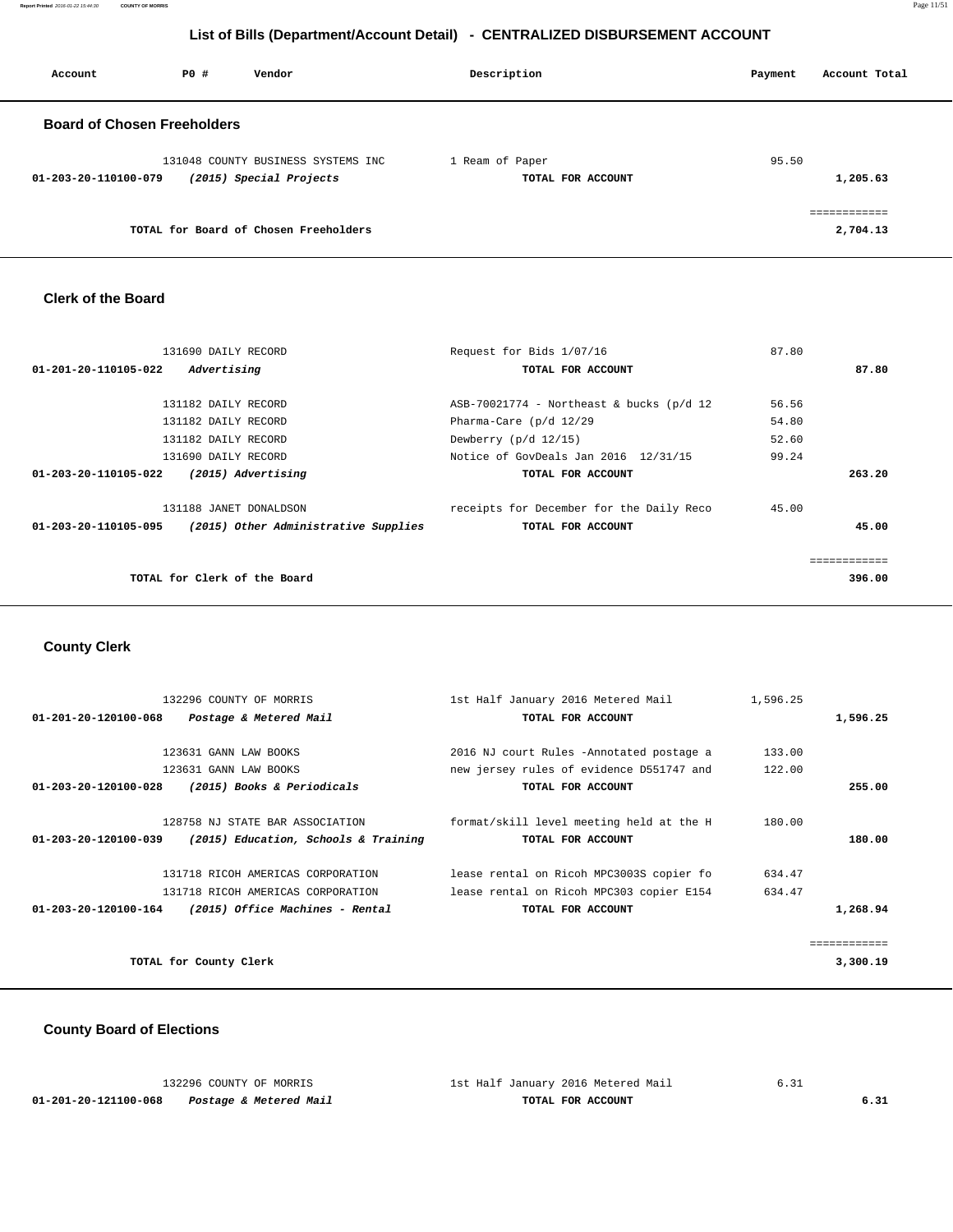**Report Printed** 2016-01-22 15:44:30 **COUNTY OF MORRIS** Page 11/51

# **List of Bills (Department/Account Detail) - CENTRALIZED DISBURSEMENT ACCOUNT**

| Account                            | PO# | Vendor                                                        | Description                          | Account Total<br>Payment              |
|------------------------------------|-----|---------------------------------------------------------------|--------------------------------------|---------------------------------------|
| <b>Board of Chosen Freeholders</b> |     |                                                               |                                      |                                       |
| 01-203-20-110100-079               |     | 131048 COUNTY BUSINESS SYSTEMS INC<br>(2015) Special Projects | 1 Ream of Paper<br>TOTAL FOR ACCOUNT | 95.50<br>1,205.63                     |
|                                    |     | TOTAL for Board of Chosen Freeholders                         |                                      | . _ _ _ _ _ _ _ _ _ _ _ _<br>2,704.13 |

## **Clerk of the Board**

| 131690 DAILY RECORD                                          | Request for Bids 1/07/16                   | 87.80  |
|--------------------------------------------------------------|--------------------------------------------|--------|
| Advertising<br>01-201-20-110105-022                          | TOTAL FOR ACCOUNT                          | 87.80  |
|                                                              |                                            |        |
| 131182 DAILY RECORD                                          | $ASB-70021774$ - Northeast & bucks (p/d 12 | 56.56  |
| 131182 DAILY RECORD                                          | Pharma-Care (p/d 12/29                     | 54.80  |
| 131182 DAILY RECORD                                          | Dewberry (p/d 12/15)                       | 52.60  |
| 131690 DAILY RECORD                                          | Notice of GovDeals Jan 2016 12/31/15       | 99.24  |
| (2015) Advertising<br>01-203-20-110105-022                   | TOTAL FOR ACCOUNT                          | 263.20 |
|                                                              |                                            |        |
| 131188 JANET DONALDSON                                       | receipts for December for the Daily Reco   | 45.00  |
| (2015) Other Administrative Supplies<br>01-203-20-110105-095 | TOTAL FOR ACCOUNT                          | 45.00  |
|                                                              |                                            |        |
|                                                              |                                            |        |
| TOTAL for Clerk of the Board                                 |                                            | 396.00 |
|                                                              |                                            |        |

# **County Clerk**

| 1st Half January 2016 Metered Mail       | 1,596.25 |          |
|------------------------------------------|----------|----------|
| TOTAL FOR ACCOUNT                        |          | 1,596.25 |
|                                          |          |          |
| 2016 NJ court Rules -Annotated postage a | 133.00   |          |
| new jersey rules of evidence D551747 and | 122.00   |          |
| TOTAL FOR ACCOUNT                        |          | 255.00   |
|                                          |          |          |
| format/skill level meeting held at the H | 180.00   |          |
| TOTAL FOR ACCOUNT                        |          | 180.00   |
|                                          |          |          |
| lease rental on Ricoh MPC3003S copier fo | 634.47   |          |
| lease rental on Ricoh MPC303 copier E154 | 634.47   |          |
| TOTAL FOR ACCOUNT                        |          | 1,268.94 |
|                                          |          |          |
|                                          |          |          |
|                                          |          | 3,300.19 |
|                                          |          |          |

# **County Board of Elections**

|                      | 132296 COUNTY OF MORRIS | 1st Half January 2016 Metered Mail |  |
|----------------------|-------------------------|------------------------------------|--|
| 01-201-20-121100-068 | Postage & Metered Mail  | TOTAL FOR ACCOUNT                  |  |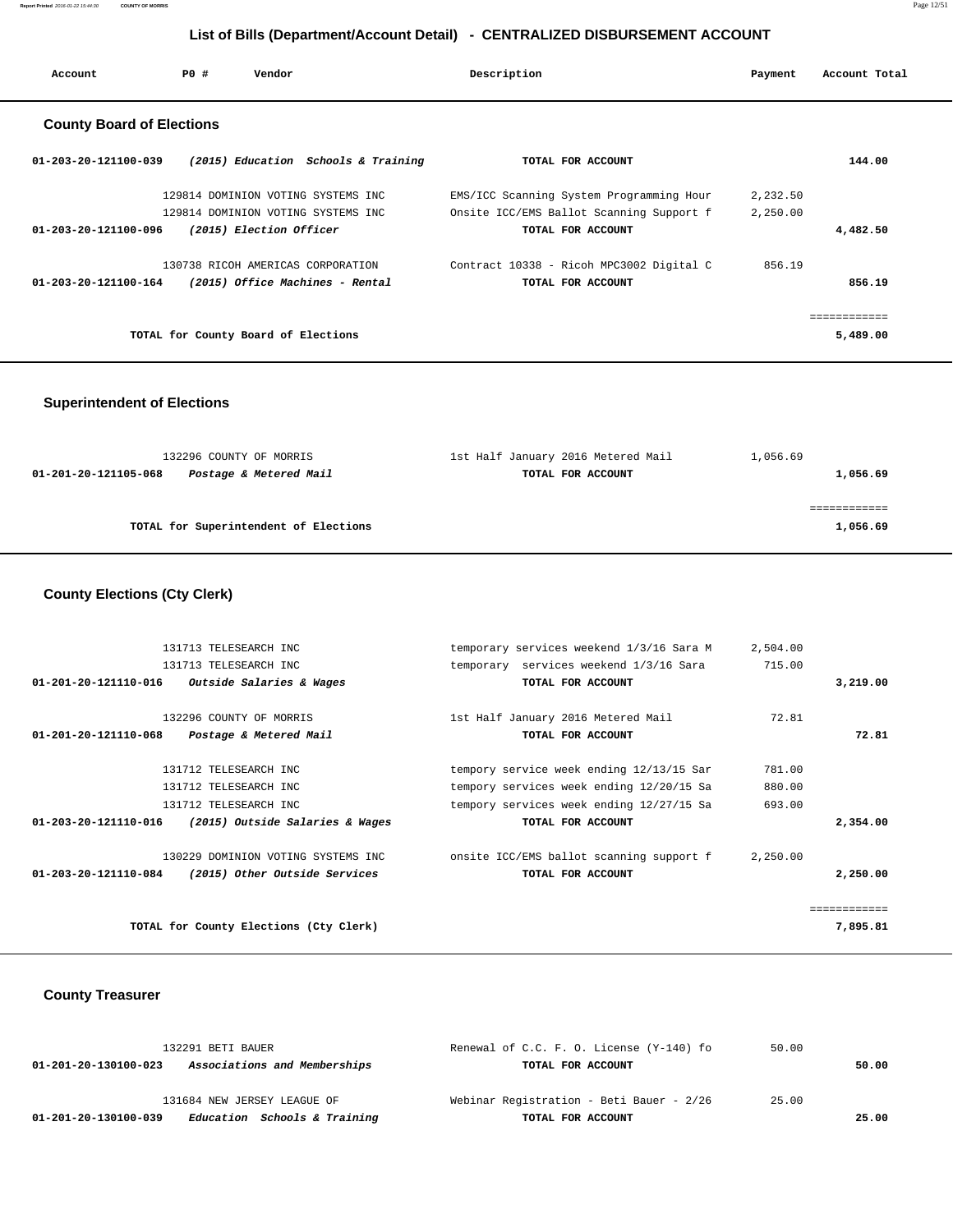**Report Printed** 2016-01-22 15:44:30 **COUNTY OF MORRIS** Page 12/51

# **List of Bills (Department/Account Detail) - CENTRALIZED DISBURSEMENT ACCOUNT**

| Account                          | PO#                                 | Vendor                  |                                     | Description                              | Payment  | Account Total |
|----------------------------------|-------------------------------------|-------------------------|-------------------------------------|------------------------------------------|----------|---------------|
| <b>County Board of Elections</b> |                                     |                         |                                     |                                          |          |               |
| 01-203-20-121100-039             |                                     |                         | (2015) Education Schools & Training | TOTAL FOR ACCOUNT                        |          | 144.00        |
|                                  |                                     |                         | 129814 DOMINION VOTING SYSTEMS INC  | EMS/ICC Scanning System Programming Hour | 2,232.50 |               |
|                                  |                                     |                         | 129814 DOMINION VOTING SYSTEMS INC  | Onsite ICC/EMS Ballot Scanning Support f | 2,250.00 |               |
| 01-203-20-121100-096             |                                     | (2015) Election Officer |                                     | TOTAL FOR ACCOUNT                        |          | 4,482.50      |
|                                  |                                     |                         | 130738 RICOH AMERICAS CORPORATION   | Contract 10338 - Ricoh MPC3002 Digital C | 856.19   |               |
| $01 - 203 - 20 - 121100 - 164$   |                                     |                         | (2015) Office Machines - Rental     | TOTAL FOR ACCOUNT                        |          | 856.19        |
|                                  |                                     |                         |                                     |                                          |          | ============  |
|                                  | TOTAL for County Board of Elections |                         |                                     |                                          |          | 5,489.00      |

# **Superintendent of Elections**

| 132296 COUNTY OF MORRIS                        | 1st Half January 2016 Metered Mail | 1,056.69 |
|------------------------------------------------|------------------------------------|----------|
| Postage & Metered Mail<br>01-201-20-121105-068 | TOTAL FOR ACCOUNT                  | 1,056.69 |
|                                                |                                    |          |
|                                                |                                    |          |
| TOTAL for Superintendent of Elections          |                                    | 1,056.69 |
|                                                |                                    |          |

# **County Elections (Cty Clerk)**

| 131713 TELESEARCH INC                                   | temporary services weekend 1/3/16 Sara M | 2,504.00     |
|---------------------------------------------------------|------------------------------------------|--------------|
| 131713 TELESEARCH INC                                   | temporary services weekend 1/3/16 Sara   | 715.00       |
| 01-201-20-121110-016<br>Outside Salaries & Wages        | TOTAL FOR ACCOUNT                        | 3,219.00     |
| 132296 COUNTY OF MORRIS                                 | 1st Half January 2016 Metered Mail       | 72.81        |
| 01-201-20-121110-068<br>Postage & Metered Mail          | TOTAL FOR ACCOUNT                        | 72.81        |
| 131712 TELESEARCH INC                                   | tempory service week ending 12/13/15 Sar | 781.00       |
| 131712 TELESEARCH INC                                   | tempory services week ending 12/20/15 Sa | 880.00       |
| 131712 TELESEARCH INC                                   | tempory services week ending 12/27/15 Sa | 693.00       |
| 01-203-20-121110-016<br>(2015) Outside Salaries & Wages | TOTAL FOR ACCOUNT                        | 2,354.00     |
| 130229 DOMINION VOTING SYSTEMS INC                      | onsite ICC/EMS ballot scanning support f | 2,250.00     |
| (2015) Other Outside Services<br>01-203-20-121110-084   | TOTAL FOR ACCOUNT                        | 2,250.00     |
|                                                         |                                          | ============ |
| TOTAL for County Elections (Cty Clerk)                  |                                          | 7,895.81     |

# **County Treasurer**

| 132291 BETI BAUER                                    | Renewal of C.C. F. O. License (Y-140) fo | 50.00 |       |
|------------------------------------------------------|------------------------------------------|-------|-------|
| Associations and Memberships<br>01-201-20-130100-023 | TOTAL FOR ACCOUNT                        |       | 50.00 |
| 131684 NEW JERSEY LEAGUE OF                          | Webinar Registration - Beti Bauer - 2/26 | 25.00 |       |
| Education Schools & Training<br>01-201-20-130100-039 | TOTAL FOR ACCOUNT                        |       | 25.00 |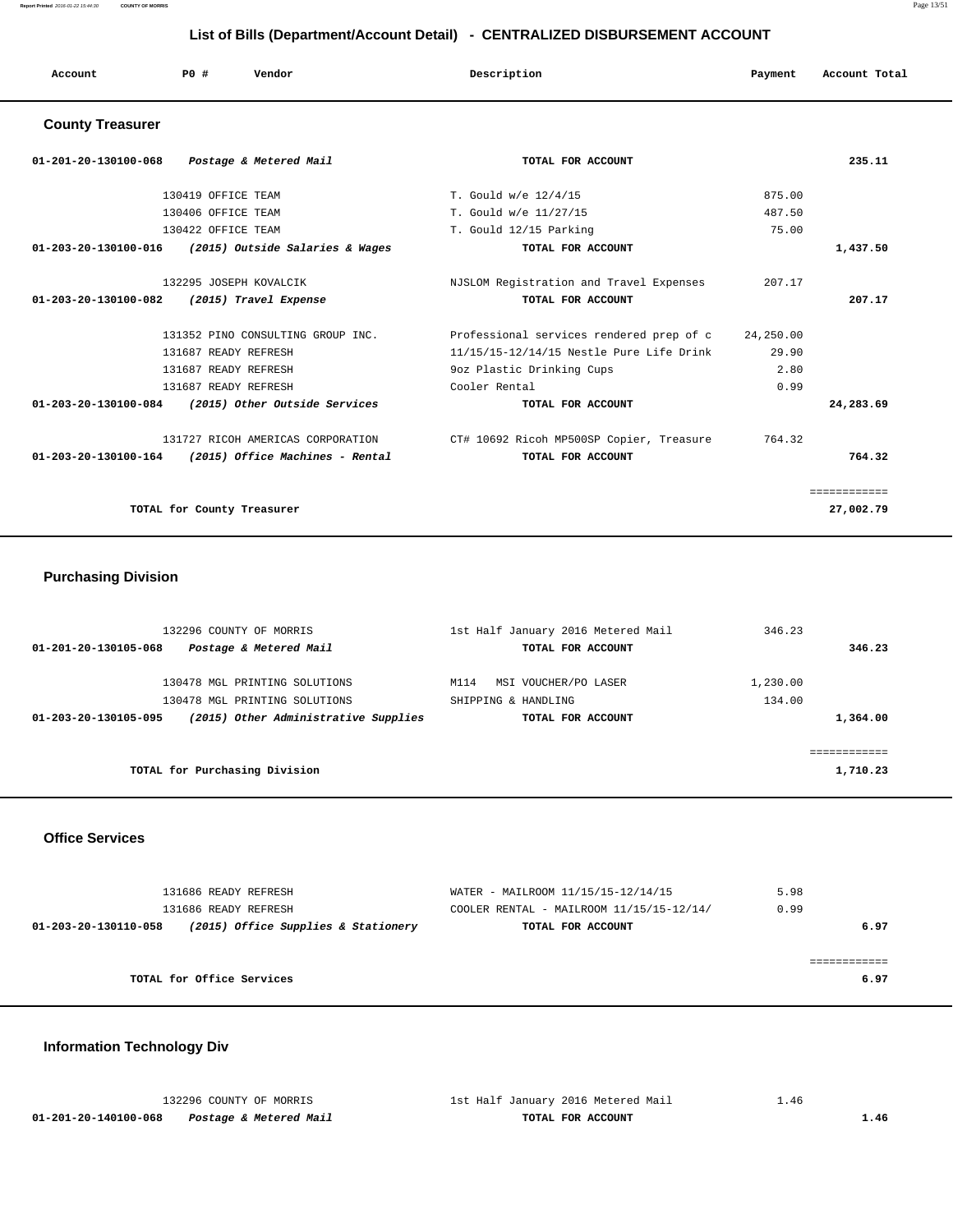**Report Printed** 2016-01-22 15:44:30 **COUNTY OF MORRIS** Page 13/51

# **List of Bills (Department/Account Detail) - CENTRALIZED DISBURSEMENT ACCOUNT**

| Account | P0 # | Vendor<br>. | Description | Payment<br>$\sim$ $\sim$ | Account Total |
|---------|------|-------------|-------------|--------------------------|---------------|
|         |      |             |             |                          |               |

# **County Treasurer**

| 01-201-20-130100-068<br>Postage & Metered Mail          | TOTAL FOR ACCOUNT                                  |        | 235.11       |
|---------------------------------------------------------|----------------------------------------------------|--------|--------------|
| 130419 OFFICE TEAM                                      | T. Gould w/e 12/4/15                               | 875.00 |              |
| 130406 OFFICE TEAM                                      | T. Gould w/e 11/27/15                              | 487.50 |              |
| 130422 OFFICE TEAM                                      | T. Gould 12/15 Parking                             | 75.00  |              |
| 01-203-20-130100-016<br>(2015) Outside Salaries & Wages | TOTAL FOR ACCOUNT                                  |        | 1,437.50     |
| 132295 JOSEPH KOVALCIK                                  | NJSLOM Registration and Travel Expenses            | 207.17 |              |
| $01 - 203 - 20 - 130100 - 082$<br>(2015) Travel Expense | TOTAL FOR ACCOUNT                                  |        | 207.17       |
| 131352 PINO CONSULTING GROUP INC.                       | Professional services rendered prep of c 24,250.00 |        |              |
| 131687 READY REFRESH                                    | 11/15/15-12/14/15 Nestle Pure Life Drink           | 29.90  |              |
| 131687 READY REFRESH                                    | 9oz Plastic Drinking Cups                          | 2.80   |              |
| 131687 READY REFRESH                                    | Cooler Rental                                      | 0.99   |              |
| 01-203-20-130100-084<br>(2015) Other Outside Services   | TOTAL FOR ACCOUNT                                  |        | 24,283.69    |
| 131727 RICOH AMERICAS CORPORATION                       | CT# 10692 Ricoh MP500SP Copier, Treasure           | 764.32 |              |
| $01-203-20-130100-164$ (2015) Office Machines - Rental  | TOTAL FOR ACCOUNT                                  |        | 764.32       |
|                                                         |                                                    |        | ============ |
| TOTAL for County Treasurer                              |                                                    |        | 27,002.79    |

# **Purchasing Division**

| 132296 COUNTY OF MORRIS                                      | 1st Half January 2016 Metered Mail | 346.23   |
|--------------------------------------------------------------|------------------------------------|----------|
| Postage & Metered Mail<br>01-201-20-130105-068               | TOTAL FOR ACCOUNT                  | 346.23   |
| 130478 MGL PRINTING SOLUTIONS                                | MSI VOUCHER/PO LASER<br>M114       | 1,230.00 |
|                                                              |                                    |          |
| 130478 MGL PRINTING SOLUTIONS                                | SHIPPING & HANDLING                | 134.00   |
| (2015) Other Administrative Supplies<br>01-203-20-130105-095 | TOTAL FOR ACCOUNT                  | 1,364.00 |
|                                                              |                                    |          |
|                                                              |                                    |          |
| TOTAL for Purchasing Division                                |                                    | 1,710.23 |
|                                                              |                                    |          |

#### **Office Services**

| 131686 READY REFRESH<br>131686 READY REFRESH                | WATER - MAILROOM 11/15/15-12/14/15<br>COOLER RENTAL - MAILROOM $11/15/15-12/14/$ | 5.98<br>0.99 |
|-------------------------------------------------------------|----------------------------------------------------------------------------------|--------------|
| (2015) Office Supplies & Stationery<br>01-203-20-130110-058 | TOTAL FOR ACCOUNT                                                                | 6.97         |
| TOTAL for Office Services                                   |                                                                                  | 6.97         |

# **Information Technology Div**

|                      | 132296 COUNTY OF MORRIS | 1st Half January 2016 Metered Mail | - 46 |
|----------------------|-------------------------|------------------------------------|------|
| 01-201-20-140100-068 | Postage & Metered Mail  | TOTAL FOR ACCOUNT                  |      |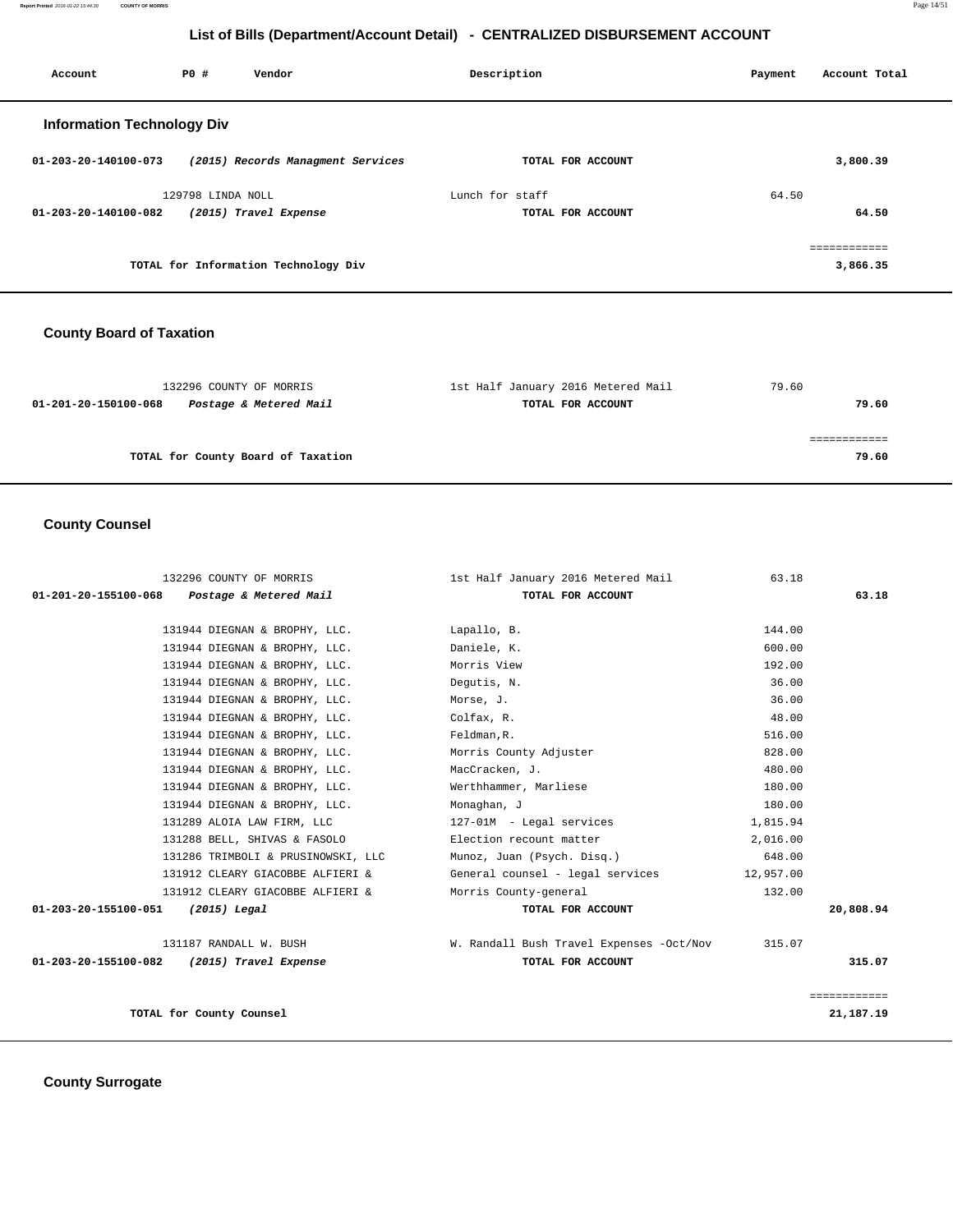**Report Printed** 2016-01-22 15:44:30 **COUNTY OF MORRIS** Page 14/51

# **List of Bills (Department/Account Detail) - CENTRALIZED DISBURSEMENT ACCOUNT**

| Account                           | PO#               | Vendor                               | Description     |                   | Payment | Account Total            |
|-----------------------------------|-------------------|--------------------------------------|-----------------|-------------------|---------|--------------------------|
| <b>Information Technology Div</b> |                   |                                      |                 |                   |         |                          |
| 01-203-20-140100-073              |                   | (2015) Records Managment Services    |                 | TOTAL FOR ACCOUNT |         | 3,800.39                 |
|                                   | 129798 LINDA NOLL |                                      | Lunch for staff |                   | 64.50   |                          |
| $01 - 203 - 20 - 140100 - 082$    |                   | (2015) Travel Expense                |                 | TOTAL FOR ACCOUNT |         | 64.50                    |
|                                   |                   | TOTAL for Information Technology Div |                 |                   |         | eessessesses<br>3,866.35 |

# **County Board of Taxation**

| 1st Half January 2016 Metered Mail | 79.60 |
|------------------------------------|-------|
| TOTAL FOR ACCOUNT                  | 79.60 |
|                                    |       |
|                                    |       |
|                                    | 79.60 |
|                                    |       |

# **County Counsel**

| 132296 COUNTY OF MORRIS                        | 1st Half January 2016 Metered Mail       | 63.18     |              |
|------------------------------------------------|------------------------------------------|-----------|--------------|
| 01-201-20-155100-068<br>Postage & Metered Mail | TOTAL FOR ACCOUNT                        |           | 63.18        |
|                                                |                                          |           |              |
| 131944 DIEGNAN & BROPHY, LLC.                  | Lapallo, B.                              | 144.00    |              |
| 131944 DIEGNAN & BROPHY, LLC.                  | Daniele, K.                              | 600.00    |              |
| 131944 DIEGNAN & BROPHY, LLC.                  | Morris View                              | 192.00    |              |
| 131944 DIEGNAN & BROPHY, LLC.                  | Dequtis, N.                              | 36.00     |              |
| 131944 DIEGNAN & BROPHY, LLC.                  | Morse, J.                                | 36.00     |              |
| 131944 DIEGNAN & BROPHY, LLC.                  | Colfax, R.                               | 48.00     |              |
| 131944 DIEGNAN & BROPHY, LLC.                  | Feldman, R.                              | 516.00    |              |
| 131944 DIEGNAN & BROPHY, LLC.                  | Morris County Adjuster                   | 828.00    |              |
| 131944 DIEGNAN & BROPHY, LLC.                  | MacCracken, J.                           | 480.00    |              |
| 131944 DIEGNAN & BROPHY, LLC.                  | Werthhammer, Marliese                    | 180.00    |              |
| 131944 DIEGNAN & BROPHY, LLC.                  | Monaghan, J                              | 180.00    |              |
| 131289 ALOIA LAW FIRM, LLC                     | 127-01M - Legal services                 | 1,815.94  |              |
| 131288 BELL, SHIVAS & FASOLO                   | Election recount matter                  | 2,016.00  |              |
| 131286 TRIMBOLI & PRUSINOWSKI, LLC             | Munoz, Juan (Psych. Disq.)               | 648.00    |              |
| 131912 CLEARY GIACOBBE ALFIERI &               | General counsel - legal services         | 12,957.00 |              |
| 131912 CLEARY GIACOBBE ALFIERI &               | Morris County-general                    | 132.00    |              |
| 01-203-20-155100-051<br>(2015) Legal           | TOTAL FOR ACCOUNT                        |           | 20,808.94    |
| 131187 RANDALL W. BUSH                         | W. Randall Bush Travel Expenses -Oct/Nov | 315.07    |              |
| 01-203-20-155100-082 (2015) Travel Expense     | TOTAL FOR ACCOUNT                        |           | 315.07       |
|                                                |                                          |           |              |
|                                                |                                          |           | ============ |
| TOTAL for County Counsel                       |                                          |           | 21,187.19    |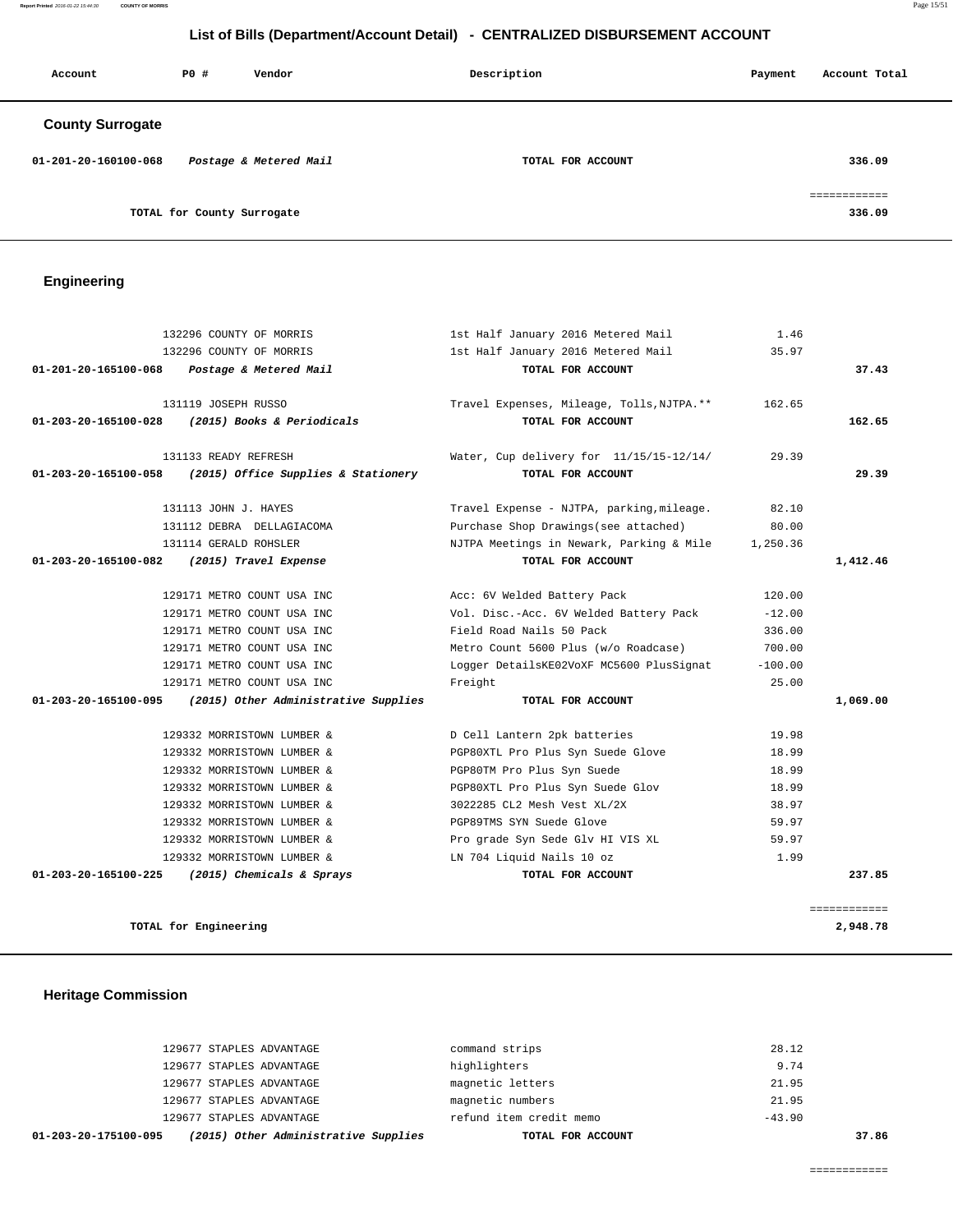**Report Printed** 2016-01-22 15:44:30 **COUNTY OF MORRIS** Page 15/51

# **List of Bills (Department/Account Detail) - CENTRALIZED DISBURSEMENT ACCOUNT**

| Account                 | PO#                        | Vendor                 | Description       | Payment | Account Total          |
|-------------------------|----------------------------|------------------------|-------------------|---------|------------------------|
| <b>County Surrogate</b> |                            |                        |                   |         |                        |
| 01-201-20-160100-068    |                            | Postage & Metered Mail | TOTAL FOR ACCOUNT |         | 336.09                 |
|                         | TOTAL for County Surrogate |                        |                   |         | ------------<br>336.09 |

# **Engineering**

| 132296 COUNTY OF MORRIS<br>1st Half January 2016 Metered Mail                     | 35.97     |              |
|-----------------------------------------------------------------------------------|-----------|--------------|
|                                                                                   |           |              |
| 01-201-20-165100-068<br>TOTAL FOR ACCOUNT<br>Postage & Metered Mail               |           | 37.43        |
| 131119 JOSEPH RUSSO<br>Travel Expenses, Mileage, Tolls, NJTPA.**                  | 162.65    |              |
| (2015) Books & Periodicals<br>TOTAL FOR ACCOUNT<br>01-203-20-165100-028           |           | 162.65       |
| 131133 READY REFRESH<br>Water, Cup delivery for 11/15/15-12/14/                   | 29.39     |              |
| (2015) Office Supplies & Stationery<br>TOTAL FOR ACCOUNT<br>01-203-20-165100-058  |           | 29.39        |
| 131113 JOHN J. HAYES<br>Travel Expense - NJTPA, parking, mileage.                 | 82.10     |              |
| Purchase Shop Drawings (see attached)<br>131112 DEBRA DELLAGIACOMA                | 80.00     |              |
| 131114 GERALD ROHSLER<br>NJTPA Meetings in Newark, Parking & Mile                 | 1,250.36  |              |
| TOTAL FOR ACCOUNT<br>01-203-20-165100-082<br>(2015) Travel Expense                |           | 1,412.46     |
| 129171 METRO COUNT USA INC<br>Acc: 6V Welded Battery Pack                         | 120.00    |              |
| 129171 METRO COUNT USA INC<br>Vol. Disc.-Acc. 6V Welded Battery Pack              | $-12.00$  |              |
| Field Road Nails 50 Pack<br>129171 METRO COUNT USA INC                            | 336.00    |              |
| 129171 METRO COUNT USA INC<br>Metro Count 5600 Plus (w/o Roadcase)                | 700.00    |              |
| 129171 METRO COUNT USA INC<br>Logger DetailsKE02VoXF MC5600 PlusSignat            | $-100.00$ |              |
| 129171 METRO COUNT USA INC<br>Freight                                             | 25.00     |              |
| (2015) Other Administrative Supplies<br>01-203-20-165100-095<br>TOTAL FOR ACCOUNT |           | 1,069.00     |
| 129332 MORRISTOWN LUMBER &<br>D Cell Lantern 2pk batteries                        | 19.98     |              |
| 129332 MORRISTOWN LUMBER &<br>PGP80XTL Pro Plus Syn Suede Glove                   | 18.99     |              |
| 129332 MORRISTOWN LUMBER &<br>PGP80TM Pro Plus Syn Suede                          | 18.99     |              |
| 129332 MORRISTOWN LUMBER &<br>PGP80XTL Pro Plus Syn Suede Glov                    | 18.99     |              |
| 129332 MORRISTOWN LUMBER &<br>3022285 CL2 Mesh Vest XL/2X                         | 38.97     |              |
| PGP89TMS SYN Suede Glove<br>129332 MORRISTOWN LUMBER &                            | 59.97     |              |
| Pro grade Syn Sede Glv HI VIS XL<br>129332 MORRISTOWN LUMBER &                    | 59.97     |              |
| LN 704 Liquid Nails 10 oz<br>129332 MORRISTOWN LUMBER &                           | 1.99      |              |
| 01-203-20-165100-225<br>(2015) Chemicals & Sprays<br>TOTAL FOR ACCOUNT            |           | 237.85       |
|                                                                                   |           | ============ |
| TOTAL for Engineering                                                             |           | 2,948.78     |

# **Heritage Commission**

| (2015) Other Administrative Supplies<br>01-203-20-175100-095 | TOTAL FOR ACCOUNT       | 37.86    |
|--------------------------------------------------------------|-------------------------|----------|
| 129677 STAPLES ADVANTAGE                                     | refund item credit memo | $-43.90$ |
| 129677 STAPLES ADVANTAGE                                     | magnetic numbers        | 21.95    |
| 129677 STAPLES ADVANTAGE                                     | magnetic letters        | 21.95    |
| 129677 STAPLES ADVANTAGE                                     | highlighters            | 9.74     |
| 129677 STAPLES ADVANTAGE                                     | command strips          | 28.12    |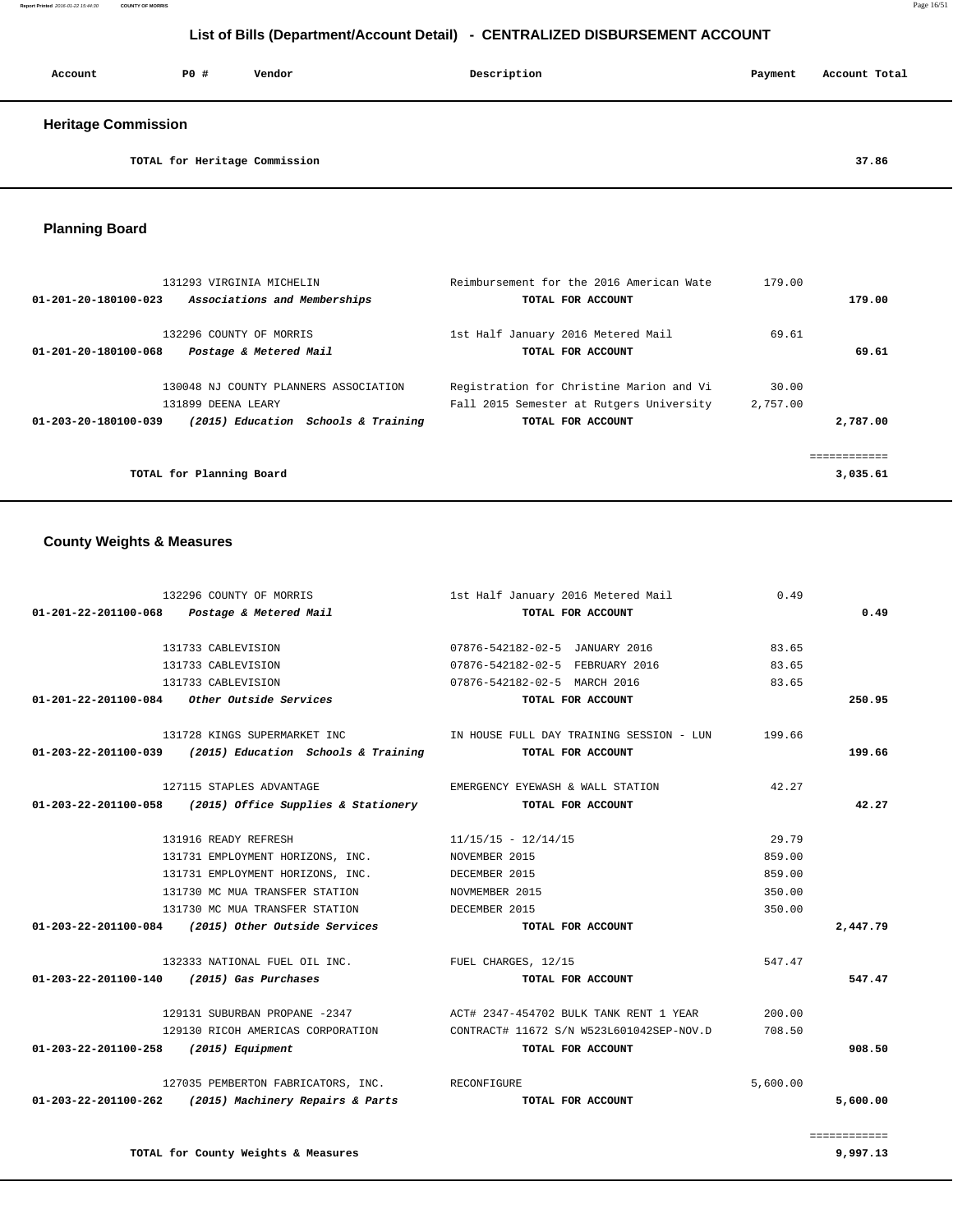| Account                    | PO#                           | Vendor | Description | Payment | Account Total |
|----------------------------|-------------------------------|--------|-------------|---------|---------------|
| <b>Heritage Commission</b> |                               |        |             |         |               |
|                            | TOTAL for Heritage Commission |        |             |         | 37.86         |

 **Planning Board** 

| 131293 VIRGINIA MICHELIN                                    | Reimbursement for the 2016 American Wate | 179.00   |          |
|-------------------------------------------------------------|------------------------------------------|----------|----------|
| Associations and Memberships<br>01-201-20-180100-023        | TOTAL FOR ACCOUNT                        |          | 179.00   |
|                                                             |                                          |          |          |
| 132296 COUNTY OF MORRIS                                     | 1st Half January 2016 Metered Mail       | 69.61    |          |
| 01-201-20-180100-068<br>Postage & Metered Mail              | TOTAL FOR ACCOUNT                        |          | 69.61    |
|                                                             |                                          |          |          |
| 130048 NJ COUNTY PLANNERS ASSOCIATION                       | Registration for Christine Marion and Vi | 30.00    |          |
| 131899 DEENA LEARY                                          | Fall 2015 Semester at Rutgers University | 2,757.00 |          |
| (2015) Education Schools & Training<br>01-203-20-180100-039 | TOTAL FOR ACCOUNT                        |          | 2,787.00 |
|                                                             |                                          |          |          |
|                                                             |                                          |          |          |
| TOTAL for Planning Board                                    |                                          |          | 3,035.61 |

# **County Weights & Measures**

|                                       | 132296 COUNTY OF MORRIS                                    | 1st Half January 2016 Metered Mail                                         | 0.49     |          |
|---------------------------------------|------------------------------------------------------------|----------------------------------------------------------------------------|----------|----------|
|                                       | $01 - 201 - 22 - 201100 - 068$ Postage & Metered Mail      | TOTAL FOR ACCOUNT                                                          |          | 0.49     |
|                                       | 131733 CABLEVISION                                         | 07876-542182-02-5 JANUARY 2016                                             | 83.65    |          |
|                                       | 131733 CABLEVISION                                         | 07876-542182-02-5 FEBRUARY 2016                                            | 83.65    |          |
|                                       | 131733 CABLEVISION                                         | 07876-542182-02-5 MARCH 2016                                               | 83.65    |          |
|                                       | 01-201-22-201100-084 Other Outside Services                | TOTAL FOR ACCOUNT                                                          |          | 250.95   |
|                                       | 131728 KINGS SUPERMARKET INC                               | IN HOUSE FULL DAY TRAINING SESSION - LUN                                   | 199.66   |          |
|                                       | $01-203-22-201100-039$ (2015) Education Schools & Training | TOTAL FOR ACCOUNT                                                          |          | 199.66   |
|                                       | 127115 STAPLES ADVANTAGE                                   | EMERGENCY EYEWASH & WALL STATION                                           | 42.27    |          |
|                                       | $01-203-22-201100-058$ (2015) Office Supplies & Stationery | TOTAL FOR ACCOUNT                                                          |          | 42.27    |
|                                       | 131916 READY REFRESH                                       | $11/15/15 - 12/14/15$                                                      | 29.79    |          |
|                                       | 131731 EMPLOYMENT HORIZONS, INC. NOVEMBER 2015             |                                                                            | 859.00   |          |
|                                       | 131731 EMPLOYMENT HORIZONS, INC.                           | DECEMBER 2015                                                              | 859.00   |          |
|                                       | 131730 MC MUA TRANSFER STATION                             | NOVMEMBER 2015                                                             | 350.00   |          |
|                                       | 131730 MC MUA TRANSFER STATION THE DECEMBER 2015           |                                                                            | 350.00   |          |
|                                       | $01-203-22-201100-084$ (2015) Other Outside Services       | TOTAL FOR ACCOUNT                                                          |          | 2,447.79 |
|                                       | 132333 NATIONAL FUEL OIL INC. TUEL CHARGES, 12/15          |                                                                            | 547.47   |          |
|                                       | 01-203-22-201100-140 (2015) Gas Purchases                  | TOTAL FOR ACCOUNT                                                          |          | 547.47   |
|                                       |                                                            | 129131 SUBURBAN PROPANE -2347 ACT# 2347-454702 BULK TANK RENT 1 YEAR       | 200.00   |          |
|                                       |                                                            | 129130 RICOH AMERICAS CORPORATION CONTRACT# 11672 S/N W523L601042SEP-NOV.D | 708.50   |          |
| 01-203-22-201100-258 (2015) Equipment |                                                            | TOTAL FOR ACCOUNT                                                          |          | 908.50   |
|                                       | 127035 PEMBERTON FABRICATORS, INC. RECONFIGURE             |                                                                            | 5,600.00 |          |
|                                       | 01-203-22-201100-262 (2015) Machinery Repairs & Parts      | TOTAL FOR ACCOUNT                                                          |          | 5,600.00 |
|                                       |                                                            |                                                                            |          |          |

 ============ **TOTAL for County Weights & Measures 9,997.13**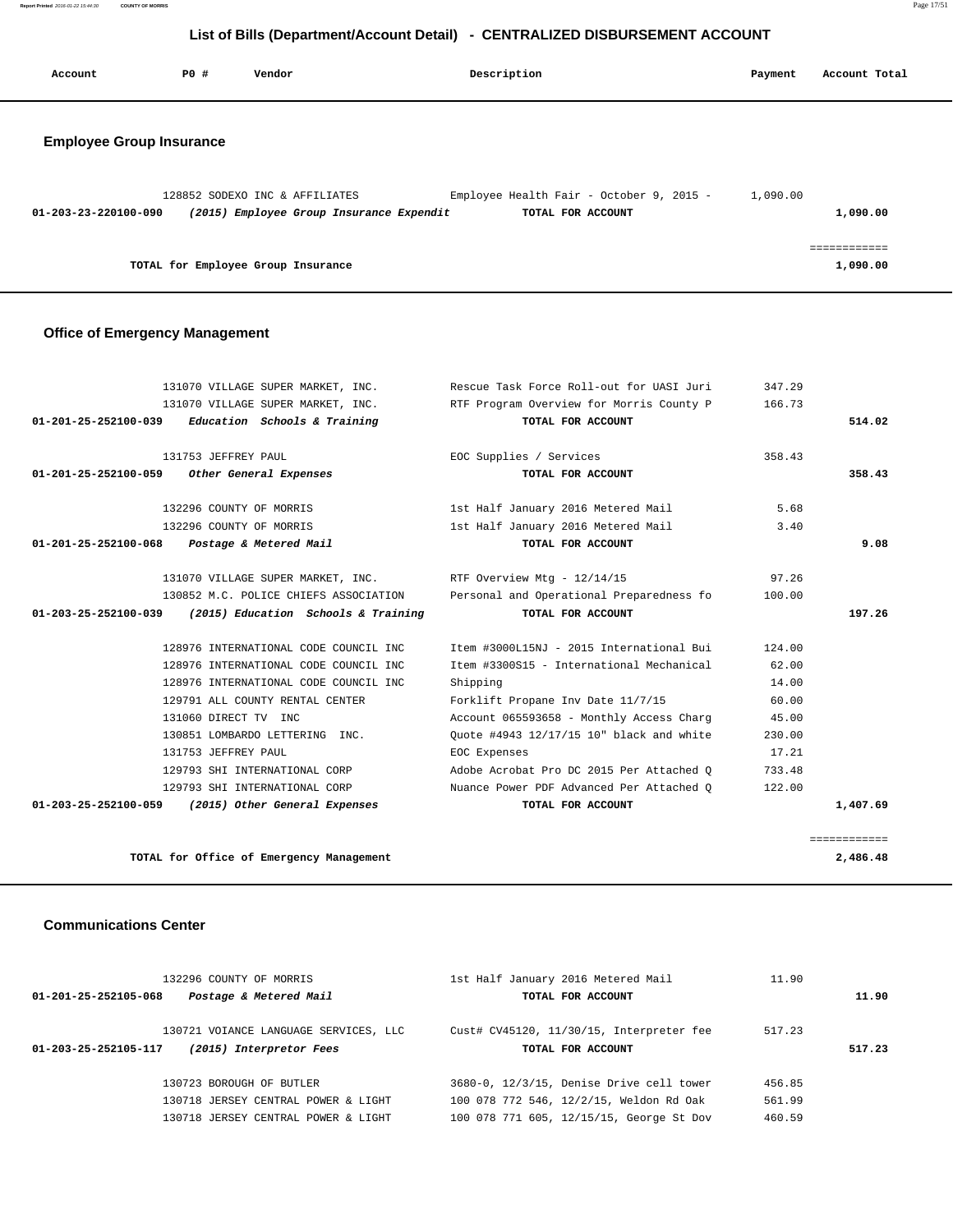**Report Printed** 2016-01-22 15:44:30 **COUNTY OF MORRIS** Page 17/51

# **List of Bills (Department/Account Detail) - CENTRALIZED DISBURSEMENT ACCOUNT**

| Account                         | <b>PO #</b> | Vendor                                                                     | Description                                                   | Payment  | Account Total            |
|---------------------------------|-------------|----------------------------------------------------------------------------|---------------------------------------------------------------|----------|--------------------------|
| <b>Employee Group Insurance</b> |             |                                                                            |                                                               |          |                          |
| 01-203-23-220100-090            |             | 128852 SODEXO INC & AFFILIATES<br>(2015) Employee Group Insurance Expendit | Employee Health Fair - October 9, 2015 -<br>TOTAL FOR ACCOUNT | 1,090.00 | 1,090.00                 |
|                                 |             | TOTAL for Employee Group Insurance                                         |                                                               |          | ============<br>1,090.00 |

# **Office of Emergency Management**

| 131070 VILLAGE SUPER MARKET, INC.                                  | Rescue Task Force Roll-out for UASI Juri | 347.29 |              |
|--------------------------------------------------------------------|------------------------------------------|--------|--------------|
| 131070 VILLAGE SUPER MARKET, INC.                                  | RTF Program Overview for Morris County P | 166.73 |              |
| $01-201-25-252100-039$ Education Schools & Training                | TOTAL FOR ACCOUNT                        |        | 514.02       |
| 131753 JEFFREY PAUL                                                | EOC Supplies / Services                  | 358.43 |              |
| 01-201-25-252100-059 Other General Expenses                        | TOTAL FOR ACCOUNT                        |        | 358.43       |
| 132296 COUNTY OF MORRIS                                            | 1st Half January 2016 Metered Mail       | 5.68   |              |
| 132296 COUNTY OF MORRIS                                            | 1st Half January 2016 Metered Mail       | 3.40   |              |
| Postage & Metered Mail<br>01-201-25-252100-068                     | TOTAL FOR ACCOUNT                        |        | 9.08         |
| 131070 VILLAGE SUPER MARKET, INC. RTF Overview Mtg - 12/14/15      |                                          | 97.26  |              |
| 130852 M.C. POLICE CHIEFS ASSOCIATION                              | Personal and Operational Preparedness fo | 100.00 |              |
| $01 - 203 - 25 - 252100 - 039$ (2015) Education Schools & Training | TOTAL FOR ACCOUNT                        |        | 197.26       |
| 128976 INTERNATIONAL CODE COUNCIL INC                              | Item #3000L15NJ - 2015 International Bui | 124.00 |              |
| 128976 INTERNATIONAL CODE COUNCIL INC                              | Item #3300S15 - International Mechanical | 62.00  |              |
| 128976 INTERNATIONAL CODE COUNCIL INC                              | Shipping                                 | 14.00  |              |
| 129791 ALL COUNTY RENTAL CENTER                                    | Forklift Propane Inv Date 11/7/15        | 60.00  |              |
| 131060 DIRECT TV INC                                               | Account 065593658 - Monthly Access Charg | 45.00  |              |
| 130851 LOMBARDO LETTERING INC.                                     | Ouote #4943 12/17/15 10" black and white | 230.00 |              |
| 131753 JEFFREY PAUL                                                | EOC Expenses                             | 17.21  |              |
| 129793 SHI INTERNATIONAL CORP                                      | Adobe Acrobat Pro DC 2015 Per Attached O | 733.48 |              |
| 129793 SHI INTERNATIONAL CORP                                      | Nuance Power PDF Advanced Per Attached O | 122.00 |              |
| 01-203-25-252100-059 (2015) Other General Expenses                 | TOTAL FOR ACCOUNT                        |        | 1,407.69     |
|                                                                    |                                          |        | ============ |
| TOTAL for Office of Emergency Management                           |                                          |        | 2,486.48     |

#### **Communications Center**

| 132296 COUNTY OF MORRIS<br>Postage & Metered Mail<br>01-201-25-252105-068 |                                                                  | 1st Half January 2016 Metered Mail<br>TOTAL FOR ACCOUNT                             | 11.90            | 11.90  |  |
|---------------------------------------------------------------------------|------------------------------------------------------------------|-------------------------------------------------------------------------------------|------------------|--------|--|
| 01-203-25-252105-117                                                      | 130721 VOIANCE LANGUAGE SERVICES, LLC<br>(2015) Interpretor Fees | Cust# CV45120, 11/30/15, Interpreter fee<br>TOTAL FOR ACCOUNT                       | 517.23           | 517.23 |  |
|                                                                           | 130723 BOROUGH OF BUTLER<br>130718 JERSEY CENTRAL POWER & LIGHT  | 3680-0, 12/3/15, Denise Drive cell tower<br>100 078 772 546, 12/2/15, Weldon Rd Oak | 456.85<br>561.99 |        |  |
|                                                                           | 130718 JERSEY CENTRAL POWER & LIGHT                              | 100 078 771 605, 12/15/15, George St Dov                                            | 460.59           |        |  |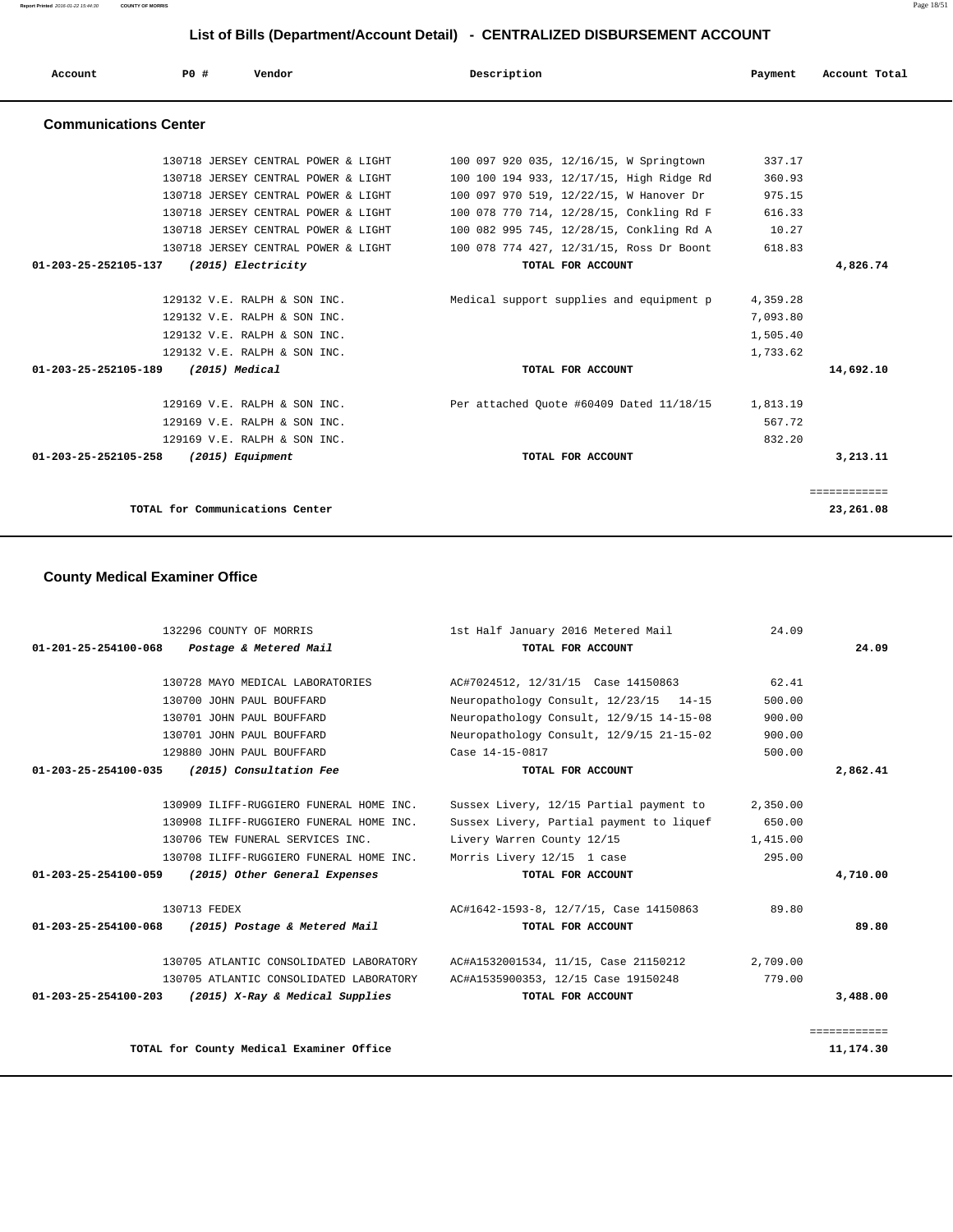**Report Printed** 2016-01-22 15:44:30 **COUNTY OF MORRIS** Page 18/51

# **List of Bills (Department/Account Detail) - CENTRALIZED DISBURSEMENT ACCOUNT**

| Account                        | PO#                             | Vendor                                                       | Description                              | Payment  | Account Total |
|--------------------------------|---------------------------------|--------------------------------------------------------------|------------------------------------------|----------|---------------|
| <b>Communications Center</b>   |                                 |                                                              |                                          |          |               |
|                                |                                 | 130718 JERSEY CENTRAL POWER & LIGHT                          | 100 097 920 035, 12/16/15, W Springtown  | 337.17   |               |
|                                |                                 | 130718 JERSEY CENTRAL POWER & LIGHT                          | 100 100 194 933, 12/17/15, High Ridge Rd | 360.93   |               |
|                                |                                 | 130718 JERSEY CENTRAL POWER & LIGHT                          | 100 097 970 519, 12/22/15, W Hanover Dr  | 975.15   |               |
|                                |                                 | 130718 JERSEY CENTRAL POWER & LIGHT                          | 100 078 770 714, 12/28/15, Conkling Rd F | 616.33   |               |
|                                |                                 | 130718 JERSEY CENTRAL POWER & LIGHT                          | 100 082 995 745, 12/28/15, Conkling Rd A | 10.27    |               |
|                                |                                 | 130718 JERSEY CENTRAL POWER & LIGHT                          | 100 078 774 427, 12/31/15, Ross Dr Boont | 618.83   |               |
| 01-203-25-252105-137           |                                 | (2015) Electricity                                           | TOTAL FOR ACCOUNT                        |          | 4,826.74      |
|                                |                                 |                                                              |                                          |          |               |
|                                |                                 | 129132 V.E. RALPH & SON INC.                                 | Medical support supplies and equipment p | 4,359.28 |               |
|                                |                                 | 129132 V.E. RALPH & SON INC.                                 |                                          | 7,093.80 |               |
|                                |                                 | 129132 V.E. RALPH & SON INC.                                 |                                          | 1,505.40 |               |
|                                |                                 | 129132 V.E. RALPH & SON INC.                                 |                                          | 1,733.62 |               |
| 01-203-25-252105-189           | (2015) Medical                  |                                                              | TOTAL FOR ACCOUNT                        |          | 14,692.10     |
|                                |                                 | 129169 V.E. RALPH & SON INC.                                 | Per attached Ouote #60409 Dated 11/18/15 | 1,813.19 |               |
|                                |                                 |                                                              |                                          | 567.72   |               |
|                                |                                 | 129169 V.E. RALPH & SON INC.<br>129169 V.E. RALPH & SON INC. |                                          | 832.20   |               |
|                                |                                 |                                                              |                                          |          |               |
| $01 - 203 - 25 - 252105 - 258$ |                                 | (2015) Equipment                                             | TOTAL FOR ACCOUNT                        |          | 3,213.11      |
|                                |                                 |                                                              |                                          |          | ============  |
|                                | TOTAL for Communications Center |                                                              |                                          |          | 23,261.08     |

# **County Medical Examiner Office**

|                      | 132296 COUNTY OF MORRIS                            | 1st Half January 2016 Metered Mail       | 24.09    |              |
|----------------------|----------------------------------------------------|------------------------------------------|----------|--------------|
| 01-201-25-254100-068 | Postage & Metered Mail                             | TOTAL FOR ACCOUNT                        |          | 24.09        |
|                      | 130728 MAYO MEDICAL LABORATORIES                   | AC#7024512, 12/31/15 Case 14150863       | 62.41    |              |
|                      | 130700 JOHN PAUL BOUFFARD                          | Neuropathology Consult, 12/23/15 14-15   | 500.00   |              |
|                      | 130701 JOHN PAUL BOUFFARD                          | Neuropathology Consult, 12/9/15 14-15-08 | 900.00   |              |
|                      | 130701 JOHN PAUL BOUFFARD                          | Neuropathology Consult, 12/9/15 21-15-02 | 900.00   |              |
|                      | 129880 JOHN PAUL BOUFFARD                          | Case 14-15-0817                          | 500.00   |              |
|                      | 01-203-25-254100-035 (2015) Consultation Fee       | TOTAL FOR ACCOUNT                        |          | 2,862.41     |
|                      | 130909 ILIFF-RUGGIERO FUNERAL HOME INC.            | Sussex Livery, 12/15 Partial payment to  | 2,350.00 |              |
|                      | 130908 ILIFF-RUGGIERO FUNERAL HOME INC.            | Sussex Livery, Partial payment to liquef | 650.00   |              |
|                      | 130706 TEW FUNERAL SERVICES INC.                   | Livery Warren County 12/15               | 1,415.00 |              |
|                      | 130708 ILIFF-RUGGIERO FUNERAL HOME INC.            | Morris Livery 12/15 1 case               | 295.00   |              |
| 01-203-25-254100-059 | (2015) Other General Expenses                      | TOTAL FOR ACCOUNT                        |          | 4,710.00     |
|                      | 130713 FEDEX                                       | AC#1642-1593-8, 12/7/15, Case 14150863   | 89.80    |              |
|                      | 01-203-25-254100-068 (2015) Postage & Metered Mail | TOTAL FOR ACCOUNT                        |          | 89.80        |
|                      | 130705 ATLANTIC CONSOLIDATED LABORATORY            | AC#A1532001534, 11/15, Case 21150212     | 2,709.00 |              |
|                      | 130705 ATLANTIC CONSOLIDATED LABORATORY            | AC#A1535900353, 12/15 Case 19150248      | 779.00   |              |
| 01-203-25-254100-203 | (2015) X-Ray & Medical Supplies                    | TOTAL FOR ACCOUNT                        |          | 3,488.00     |
|                      |                                                    |                                          |          | ============ |

TOTAL for County Medical Examiner Office 11,174.30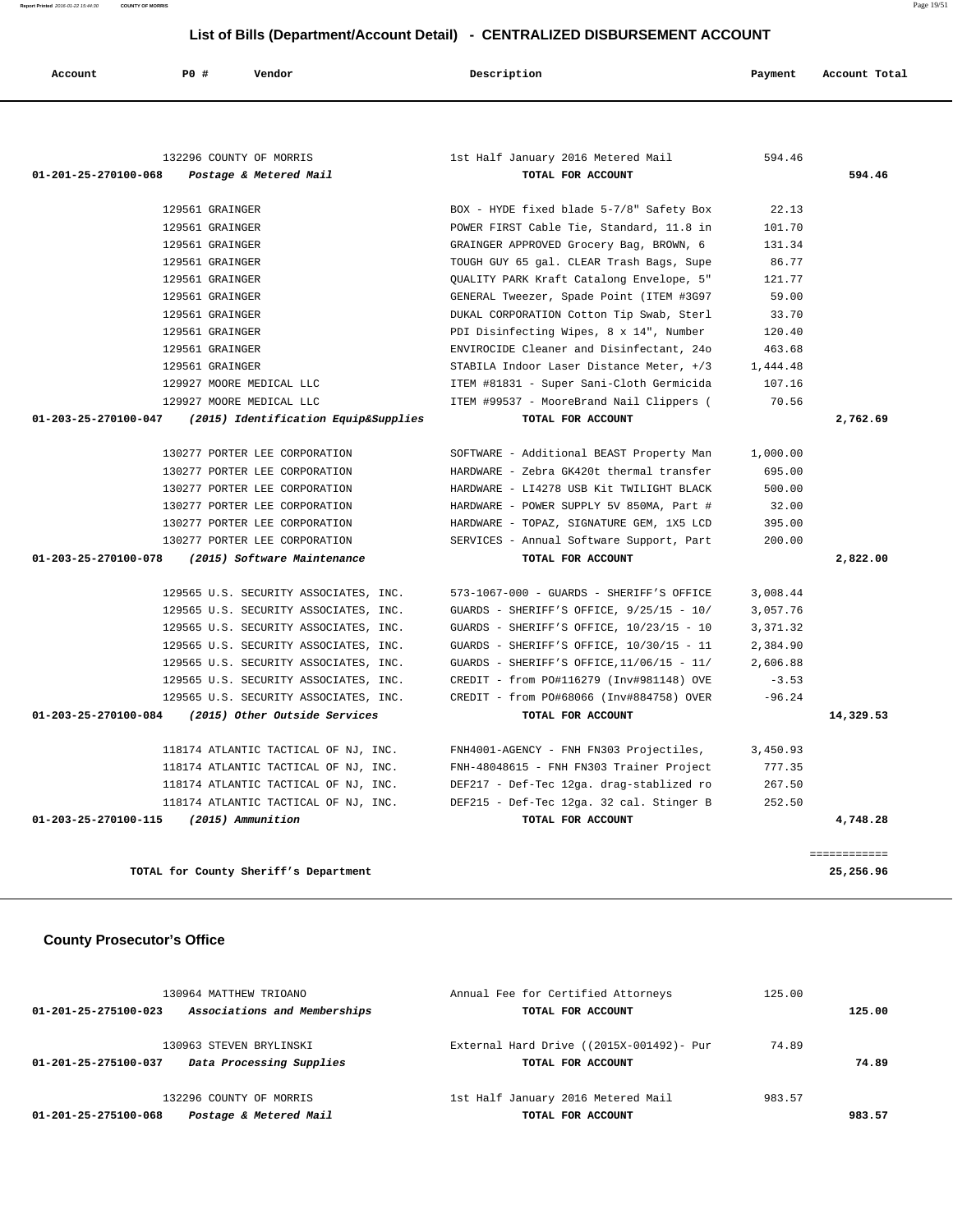**Report Printed** 2016-01-22 15:44:30 **COUNTY OF MORRIS** Page 19/51

# **List of Bills (Department/Account Detail) - CENTRALIZED DISBURSEMENT ACCOUNT**

| Account              | P0 #<br>Vendor                                            | Description                                             | Payment  | Account Total |
|----------------------|-----------------------------------------------------------|---------------------------------------------------------|----------|---------------|
| 01-201-25-270100-068 | 132296 COUNTY OF MORRIS<br>Postage & Metered Mail         | 1st Half January 2016 Metered Mail<br>TOTAL FOR ACCOUNT | 594.46   | 594.46        |
|                      |                                                           |                                                         |          |               |
|                      | 129561 GRAINGER                                           | BOX - HYDE fixed blade 5-7/8" Safety Box                | 22.13    |               |
|                      | 129561 GRAINGER                                           | POWER FIRST Cable Tie, Standard, 11.8 in                | 101.70   |               |
|                      | 129561 GRAINGER                                           | GRAINGER APPROVED Grocery Bag, BROWN, 6                 | 131.34   |               |
|                      | 129561 GRAINGER                                           | TOUGH GUY 65 gal. CLEAR Trash Bags, Supe                | 86.77    |               |
|                      | 129561 GRAINGER                                           | QUALITY PARK Kraft Catalong Envelope, 5"                | 121.77   |               |
|                      | 129561 GRAINGER                                           | GENERAL Tweezer, Spade Point (ITEM #3G97                | 59.00    |               |
|                      | 129561 GRAINGER                                           | DUKAL CORPORATION Cotton Tip Swab, Sterl                | 33.70    |               |
|                      | 129561 GRAINGER                                           | PDI Disinfecting Wipes, 8 x 14", Number                 | 120.40   |               |
|                      | 129561 GRAINGER                                           | ENVIROCIDE Cleaner and Disinfectant, 24o                | 463.68   |               |
|                      | 129561 GRAINGER                                           | STABILA Indoor Laser Distance Meter, +/3                | 1,444.48 |               |
|                      | 129927 MOORE MEDICAL LLC                                  | ITEM #81831 - Super Sani-Cloth Germicida                | 107.16   |               |
|                      | 129927 MOORE MEDICAL LLC                                  | ITEM #99537 - MooreBrand Nail Clippers (                | 70.56    |               |
|                      | 01-203-25-270100-047 (2015) Identification Equip&Supplies | TOTAL FOR ACCOUNT                                       |          | 2,762.69      |
|                      |                                                           |                                                         |          |               |
|                      | 130277 PORTER LEE CORPORATION                             | SOFTWARE - Additional BEAST Property Man                | 1,000.00 |               |
|                      | 130277 PORTER LEE CORPORATION                             | HARDWARE - Zebra GK420t thermal transfer                | 695.00   |               |
|                      | 130277 PORTER LEE CORPORATION                             | HARDWARE - LI4278 USB Kit TWILIGHT BLACK                | 500.00   |               |
|                      | 130277 PORTER LEE CORPORATION                             | HARDWARE - POWER SUPPLY 5V 850MA, Part #                | 32.00    |               |
|                      | 130277 PORTER LEE CORPORATION                             | HARDWARE - TOPAZ, SIGNATURE GEM, 1X5 LCD                | 395.00   |               |
|                      | 130277 PORTER LEE CORPORATION                             | SERVICES - Annual Software Support, Part                | 200.00   |               |
| 01-203-25-270100-078 | (2015) Software Maintenance                               | TOTAL FOR ACCOUNT                                       |          | 2,822.00      |
|                      | 129565 U.S. SECURITY ASSOCIATES, INC.                     | 573-1067-000 - GUARDS - SHERIFF'S OFFICE                | 3,008.44 |               |
|                      | 129565 U.S. SECURITY ASSOCIATES, INC.                     | GUARDS - SHERIFF'S OFFICE, 9/25/15 - 10/                | 3,057.76 |               |
|                      | 129565 U.S. SECURITY ASSOCIATES, INC.                     | GUARDS - SHERIFF'S OFFICE, 10/23/15 - 10                | 3,371.32 |               |
|                      | 129565 U.S. SECURITY ASSOCIATES, INC.                     | GUARDS - SHERIFF'S OFFICE, 10/30/15 - 11                | 2,384.90 |               |
|                      | 129565 U.S. SECURITY ASSOCIATES, INC.                     | GUARDS - SHERIFF'S OFFICE, $11/06/15$ - $11/$           | 2,606.88 |               |
|                      | 129565 U.S. SECURITY ASSOCIATES, INC.                     | CREDIT - from PO#116279 (Inv#981148) OVE                | $-3.53$  |               |
|                      | 129565 U.S. SECURITY ASSOCIATES, INC.                     | CREDIT - from PO#68066 (Inv#884758) OVER                | $-96.24$ |               |
|                      | (2015) Other Outside Services                             | TOTAL FOR ACCOUNT                                       |          | 14,329.53     |
|                      |                                                           |                                                         |          |               |
|                      |                                                           |                                                         |          |               |
|                      | 118174 ATLANTIC TACTICAL OF NJ, INC.                      | FNH4001-AGENCY - FNH FN303 Projectiles,                 | 3,450.93 |               |
| 01-203-25-270100-084 | 118174 ATLANTIC TACTICAL OF NJ, INC.                      | FNH-48048615 - FNH FN303 Trainer Project                | 777.35   |               |
|                      | 118174 ATLANTIC TACTICAL OF NJ, INC.                      | DEF217 - Def-Tec 12ga. drag-stablized ro                | 267.50   |               |
|                      | 118174 ATLANTIC TACTICAL OF NJ, INC.                      | DEF215 - Def-Tec 12ga. 32 cal. Stinger B                | 252.50   |               |

**TOTAL for County Sheriff's Department 25,256.96**

# **County Prosecutor's Office**

| 130964 MATTHEW TRIOANO                               | Annual Fee for Certified Attorneys       | 125.00 |        |  |
|------------------------------------------------------|------------------------------------------|--------|--------|--|
| Associations and Memberships<br>01-201-25-275100-023 | TOTAL FOR ACCOUNT                        |        | 125.00 |  |
|                                                      |                                          |        |        |  |
| 130963 STEVEN BRYLINSKI                              | External Hard Drive ((2015X-001492)- Pur | 74.89  |        |  |
| Data Processing Supplies<br>01-201-25-275100-037     | TOTAL FOR ACCOUNT                        |        | 74.89  |  |
|                                                      |                                          |        |        |  |
| 132296 COUNTY OF MORRIS                              | 1st Half January 2016 Metered Mail       | 983.57 |        |  |
| Postage & Metered Mail<br>01-201-25-275100-068       | TOTAL FOR ACCOUNT                        |        | 983.57 |  |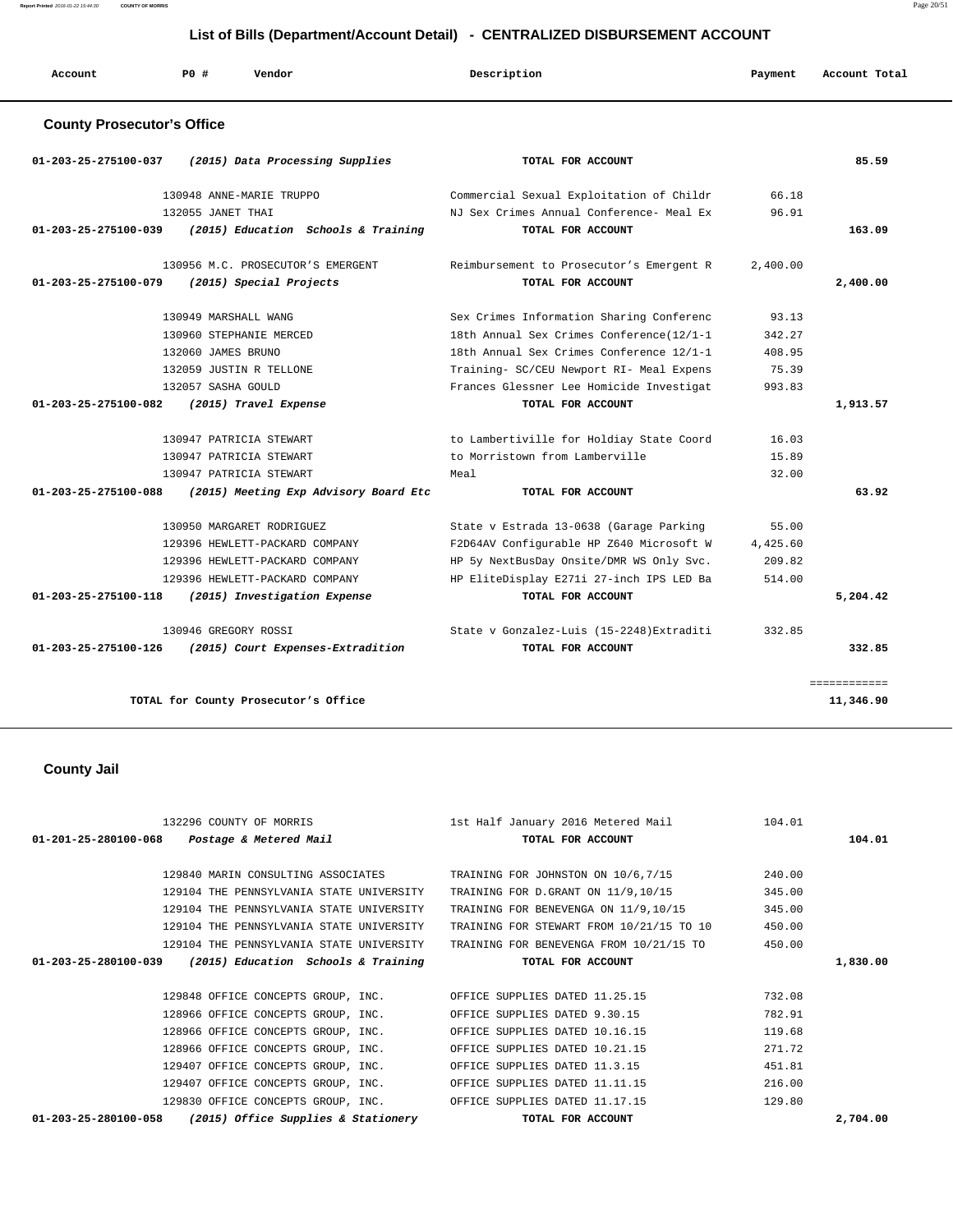**Report Printed** 2016-01-22 15:44:30 **COUNTY OF MORRIS** Page 20/51

# **List of Bills (Department/Account Detail) - CENTRALIZED DISBURSEMENT ACCOUNT**

| Account                           | PO#                | Vendor                                | Description                               | Payment  | Account Total |
|-----------------------------------|--------------------|---------------------------------------|-------------------------------------------|----------|---------------|
| <b>County Prosecutor's Office</b> |                    |                                       |                                           |          |               |
| 01-203-25-275100-037              |                    | (2015) Data Processing Supplies       | TOTAL FOR ACCOUNT                         |          | 85.59         |
|                                   |                    | 130948 ANNE-MARIE TRUPPO              | Commercial Sexual Exploitation of Childr  | 66.18    |               |
|                                   | 132055 JANET THAI  |                                       | NJ Sex Crimes Annual Conference- Meal Ex  | 96.91    |               |
| 01-203-25-275100-039              |                    | (2015) Education Schools & Training   | TOTAL FOR ACCOUNT                         |          | 163.09        |
|                                   |                    | 130956 M.C. PROSECUTOR'S EMERGENT     | Reimbursement to Prosecutor's Emergent R  | 2,400.00 |               |
| 01-203-25-275100-079              |                    | (2015) Special Projects               | TOTAL FOR ACCOUNT                         |          | 2,400.00      |
|                                   |                    | 130949 MARSHALL WANG                  | Sex Crimes Information Sharing Conferenc  | 93.13    |               |
|                                   |                    | 130960 STEPHANIE MERCED               | 18th Annual Sex Crimes Conference(12/1-1  | 342.27   |               |
|                                   | 132060 JAMES BRUNO |                                       | 18th Annual Sex Crimes Conference 12/1-1  | 408.95   |               |
|                                   |                    | 132059 JUSTIN R TELLONE               | Training- SC/CEU Newport RI- Meal Expens  | 75.39    |               |
|                                   | 132057 SASHA GOULD |                                       | Frances Glessner Lee Homicide Investigat  | 993.83   |               |
| 01-203-25-275100-082              |                    | (2015) Travel Expense                 | TOTAL FOR ACCOUNT                         |          | 1,913.57      |
|                                   |                    | 130947 PATRICIA STEWART               | to Lambertiville for Holdiay State Coord  | 16.03    |               |
|                                   |                    | 130947 PATRICIA STEWART               | to Morristown from Lamberville            | 15.89    |               |
|                                   |                    | 130947 PATRICIA STEWART               | Meal                                      | 32.00    |               |
| 01-203-25-275100-088              |                    | (2015) Meeting Exp Advisory Board Etc | TOTAL FOR ACCOUNT                         |          | 63.92         |
|                                   |                    | 130950 MARGARET RODRIGUEZ             | State v Estrada 13-0638 (Garage Parking   | 55.00    |               |
|                                   |                    | 129396 HEWLETT-PACKARD COMPANY        | F2D64AV Configurable HP Z640 Microsoft W  | 4,425.60 |               |
|                                   |                    | 129396 HEWLETT-PACKARD COMPANY        | HP 5y NextBusDay Onsite/DMR WS Only Svc.  | 209.82   |               |
|                                   |                    | 129396 HEWLETT-PACKARD COMPANY        | HP EliteDisplay E271i 27-inch IPS LED Ba  | 514.00   |               |
| 01-203-25-275100-118              |                    | (2015) Investigation Expense          | TOTAL FOR ACCOUNT                         |          | 5,204.42      |
|                                   |                    | 130946 GREGORY ROSSI                  | State v Gonzalez-Luis (15-2248) Extraditi | 332.85   |               |
| 01-203-25-275100-126              |                    | (2015) Court Expenses-Extradition     | TOTAL FOR ACCOUNT                         |          | 332.85        |
|                                   |                    |                                       |                                           |          | ============  |
|                                   |                    | TOTAL for County Prosecutor's Office  |                                           |          | 11,346.90     |
|                                   |                    |                                       |                                           |          |               |
|                                   |                    |                                       |                                           |          |               |
| <b>County Jail</b>                |                    |                                       |                                           |          |               |

| 132296 COUNTY OF MORRIS                                               | 1st Half January 2016 Metered Mail       | 104.01   |  |
|-----------------------------------------------------------------------|------------------------------------------|----------|--|
| $01 - 201 - 25 - 280100 - 068$<br>Postage & Metered Mail              | TOTAL FOR ACCOUNT                        | 104.01   |  |
|                                                                       |                                          |          |  |
| 129840 MARIN CONSULTING ASSOCIATES                                    | TRAINING FOR JOHNSTON ON 10/6,7/15       | 240.00   |  |
| 129104 THE PENNSYLVANIA STATE UNIVERSITY                              | TRAINING FOR D. GRANT ON 11/9,10/15      | 345.00   |  |
| 129104 THE PENNSYLVANIA STATE UNIVERSITY                              | TRAINING FOR BENEVENGA ON 11/9,10/15     | 345.00   |  |
| 129104 THE PENNSYLVANIA STATE UNIVERSITY                              | TRAINING FOR STEWART FROM 10/21/15 TO 10 | 450.00   |  |
| 129104 THE PENNSYLVANIA STATE UNIVERSITY                              | TRAINING FOR BENEVENGA FROM 10/21/15 TO  | 450.00   |  |
| (2015) Education Schools & Training<br>$01 - 203 - 25 - 280100 - 039$ | TOTAL FOR ACCOUNT                        | 1,830.00 |  |
|                                                                       |                                          |          |  |
| 129848 OFFICE CONCEPTS GROUP, INC.                                    | OFFICE SUPPLIES DATED 11.25.15           | 732.08   |  |
| 128966 OFFICE CONCEPTS GROUP, INC.                                    | OFFICE SUPPLIES DATED 9.30.15            | 782.91   |  |
| 128966 OFFICE CONCEPTS GROUP, INC.                                    | OFFICE SUPPLIES DATED 10.16.15           | 119.68   |  |
| 128966 OFFICE CONCEPTS GROUP, INC.                                    | OFFICE SUPPLIES DATED 10.21.15           | 271.72   |  |
| 129407 OFFICE CONCEPTS GROUP, INC.                                    | OFFICE SUPPLIES DATED 11.3.15            | 451.81   |  |
| 129407 OFFICE CONCEPTS GROUP, INC.                                    | OFFICE SUPPLIES DATED 11.11.15           | 216.00   |  |
| 129830 OFFICE CONCEPTS GROUP, INC.                                    | OFFICE SUPPLIES DATED 11.17.15           | 129.80   |  |
| 01-203-25-280100-058<br>(2015) Office Supplies & Stationery           | TOTAL FOR ACCOUNT                        | 2,704.00 |  |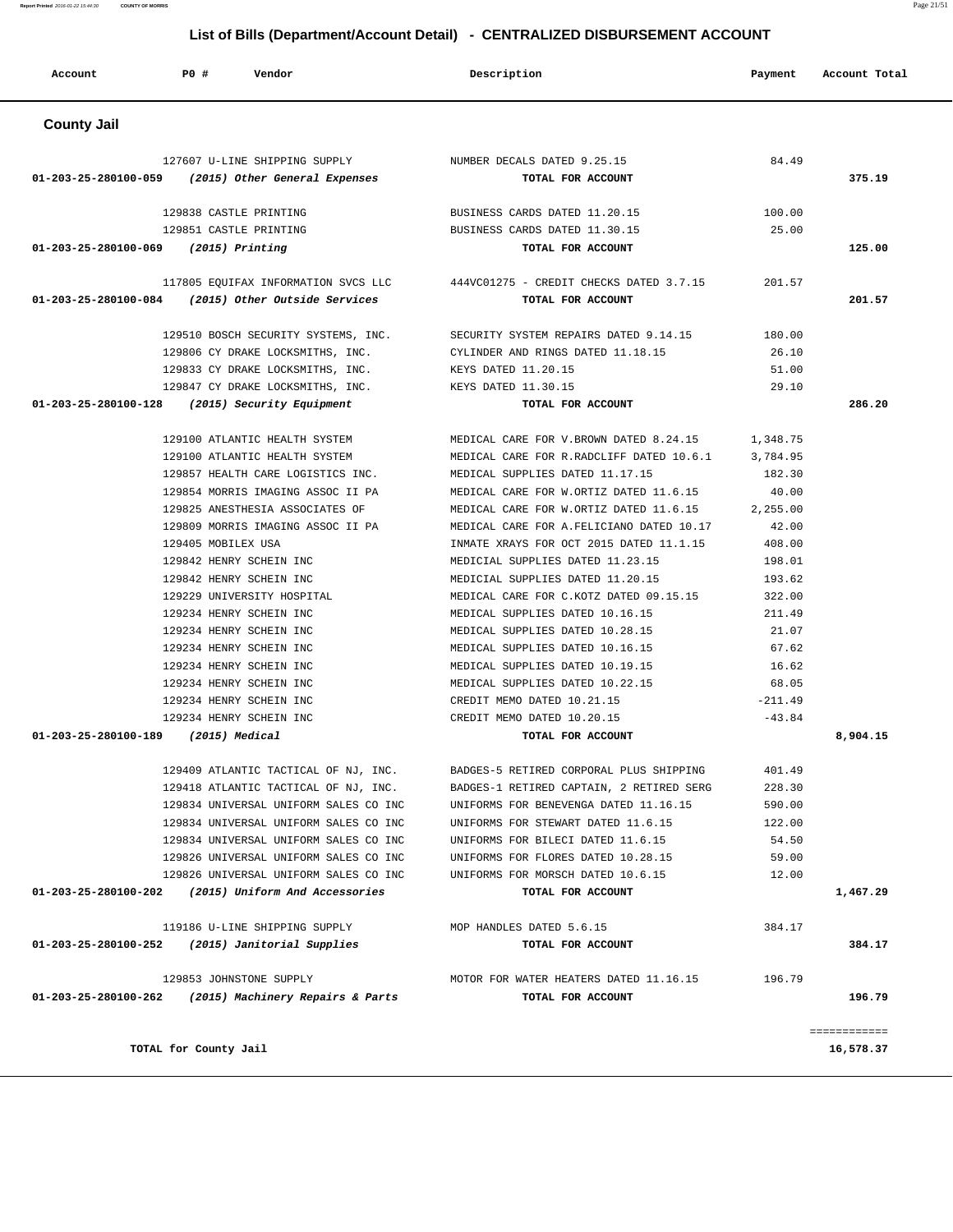| Account              | P0 #<br>Vendor                                            | Description                                                                 | Payment               | Account Total             |
|----------------------|-----------------------------------------------------------|-----------------------------------------------------------------------------|-----------------------|---------------------------|
| <b>County Jail</b>   |                                                           |                                                                             |                       |                           |
|                      |                                                           |                                                                             |                       |                           |
|                      | 127607 U-LINE SHIPPING SUPPLY NUMBER DECALS DATED 9.25.15 |                                                                             | 84.49                 |                           |
|                      | 01-203-25-280100-059 (2015) Other General Expenses        | TOTAL FOR ACCOUNT                                                           |                       | 375.19                    |
|                      | 129838 CASTLE PRINTING                                    | BUSINESS CARDS DATED 11.20.15                                               | 100.00                |                           |
|                      | 129851 CASTLE PRINTING                                    | BUSINESS CARDS DATED 11.30.15                                               | 25.00                 |                           |
|                      | $01-203-25-280100-069$ (2015) Printing                    | TOTAL FOR ACCOUNT                                                           |                       | 125.00                    |
|                      |                                                           | 117805 EQUIFAX INFORMATION SVCS LLC 444VC01275 - CREDIT CHECKS DATED 3.7.15 | 201.57                |                           |
|                      | 01-203-25-280100-084 (2015) Other Outside Services        | TOTAL FOR ACCOUNT                                                           |                       | 201.57                    |
|                      |                                                           | 129510 BOSCH SECURITY SYSTEMS, INC. SECURITY SYSTEM REPAIRS DATED 9.14.15   | 180.00                |                           |
|                      | 129806 CY DRAKE LOCKSMITHS, INC.                          | CYLINDER AND RINGS DATED 11.18.15                                           | 26.10                 |                           |
|                      | 129833 CY DRAKE LOCKSMITHS, INC.                          | KEYS DATED 11.20.15                                                         | 51.00                 |                           |
|                      | 129847 CY DRAKE LOCKSMITHS, INC.                          | KEYS DATED 11.30.15                                                         | 29.10                 |                           |
| 01-203-25-280100-128 | (2015) Security Equipment                                 | TOTAL FOR ACCOUNT                                                           |                       | 286.20                    |
|                      | 129100 ATLANTIC HEALTH SYSTEM                             | MEDICAL CARE FOR V.BROWN DATED 8.24.15                                      | 1,348.75              |                           |
|                      | 129100 ATLANTIC HEALTH SYSTEM                             | MEDICAL CARE FOR R.RADCLIFF DATED 10.6.1                                    | 3,784.95              |                           |
|                      | 129857 HEALTH CARE LOGISTICS INC.                         | MEDICAL SUPPLIES DATED 11.17.15                                             | 182.30                |                           |
|                      | 129854 MORRIS IMAGING ASSOC II PA                         | MEDICAL CARE FOR W.ORTIZ DATED 11.6.15                                      | 40.00                 |                           |
|                      | 129825 ANESTHESIA ASSOCIATES OF                           | MEDICAL CARE FOR W.ORTIZ DATED 11.6.15                                      | 2,255.00              |                           |
|                      | 129809 MORRIS IMAGING ASSOC II PA                         | MEDICAL CARE FOR A. FELICIANO DATED 10.17                                   | 42.00                 |                           |
|                      | 129405 MOBILEX USA                                        | INMATE XRAYS FOR OCT 2015 DATED 11.1.15                                     | 408.00                |                           |
|                      | 129842 HENRY SCHEIN INC                                   | MEDICIAL SUPPLIES DATED 11.23.15                                            | 198.01                |                           |
|                      | 129842 HENRY SCHEIN INC                                   | MEDICIAL SUPPLIES DATED 11.20.15                                            | 193.62                |                           |
|                      | 129229 UNIVERSITY HOSPITAL                                | MEDICAL CARE FOR C.KOTZ DATED 09.15.15                                      | 322.00                |                           |
|                      | 129234 HENRY SCHEIN INC                                   | MEDICAL SUPPLIES DATED 10.16.15                                             | 211.49                |                           |
|                      | 129234 HENRY SCHEIN INC                                   | MEDICAL SUPPLIES DATED 10.28.15                                             | 21.07                 |                           |
|                      | 129234 HENRY SCHEIN INC                                   | MEDICAL SUPPLIES DATED 10.16.15                                             | 67.62                 |                           |
|                      | 129234 HENRY SCHEIN INC                                   | MEDICAL SUPPLIES DATED 10.19.15                                             | 16.62                 |                           |
|                      | 129234 HENRY SCHEIN INC<br>129234 HENRY SCHEIN INC        | MEDICAL SUPPLIES DATED 10.22.15                                             | 68.05                 |                           |
|                      | 129234 HENRY SCHEIN INC                                   | CREDIT MEMO DATED 10.21.15<br>CREDIT MEMO DATED 10.20.15                    | $-211.49$<br>$-43.84$ |                           |
| 01-203-25-280100-189 | (2015) Medical                                            | TOTAL FOR ACCOUNT                                                           |                       | 8,904.15                  |
|                      | 129409 ATLANTIC TACTICAL OF NJ, INC.                      | BADGES-5 RETIRED CORPORAL PLUS SHIPPING                                     | 401.49                |                           |
|                      | 129418 ATLANTIC TACTICAL OF NJ, INC.                      | BADGES-1 RETIRED CAPTAIN, 2 RETIRED SERG                                    | 228.30                |                           |
|                      | 129834 UNIVERSAL UNIFORM SALES CO INC                     | UNIFORMS FOR BENEVENGA DATED 11.16.15                                       | 590.00                |                           |
|                      | 129834 UNIVERSAL UNIFORM SALES CO INC                     | UNIFORMS FOR STEWART DATED 11.6.15                                          | 122.00                |                           |
|                      | 129834 UNIVERSAL UNIFORM SALES CO INC                     | UNIFORMS FOR BILECI DATED 11.6.15                                           | 54.50                 |                           |
|                      | 129826 UNIVERSAL UNIFORM SALES CO INC                     | UNIFORMS FOR FLORES DATED 10.28.15                                          | 59.00                 |                           |
|                      | 129826 UNIVERSAL UNIFORM SALES CO INC                     | UNIFORMS FOR MORSCH DATED 10.6.15                                           | 12.00                 |                           |
|                      | 01-203-25-280100-202 (2015) Uniform And Accessories       | TOTAL FOR ACCOUNT                                                           |                       | 1,467.29                  |
|                      | 119186 U-LINE SHIPPING SUPPLY                             | MOP HANDLES DATED 5.6.15                                                    | 384.17                |                           |
|                      | 01-203-25-280100-252 (2015) Janitorial Supplies           | TOTAL FOR ACCOUNT                                                           |                       | 384.17                    |
|                      | 129853 JOHNSTONE SUPPLY                                   | MOTOR FOR WATER HEATERS DATED 11.16.15                                      | 196.79                |                           |
| 01-203-25-280100-262 | (2015) Machinery Repairs & Parts                          | TOTAL FOR ACCOUNT                                                           |                       | 196.79                    |
|                      | TOTAL for County Jail                                     |                                                                             |                       | ============<br>16,578.37 |
|                      |                                                           |                                                                             |                       |                           |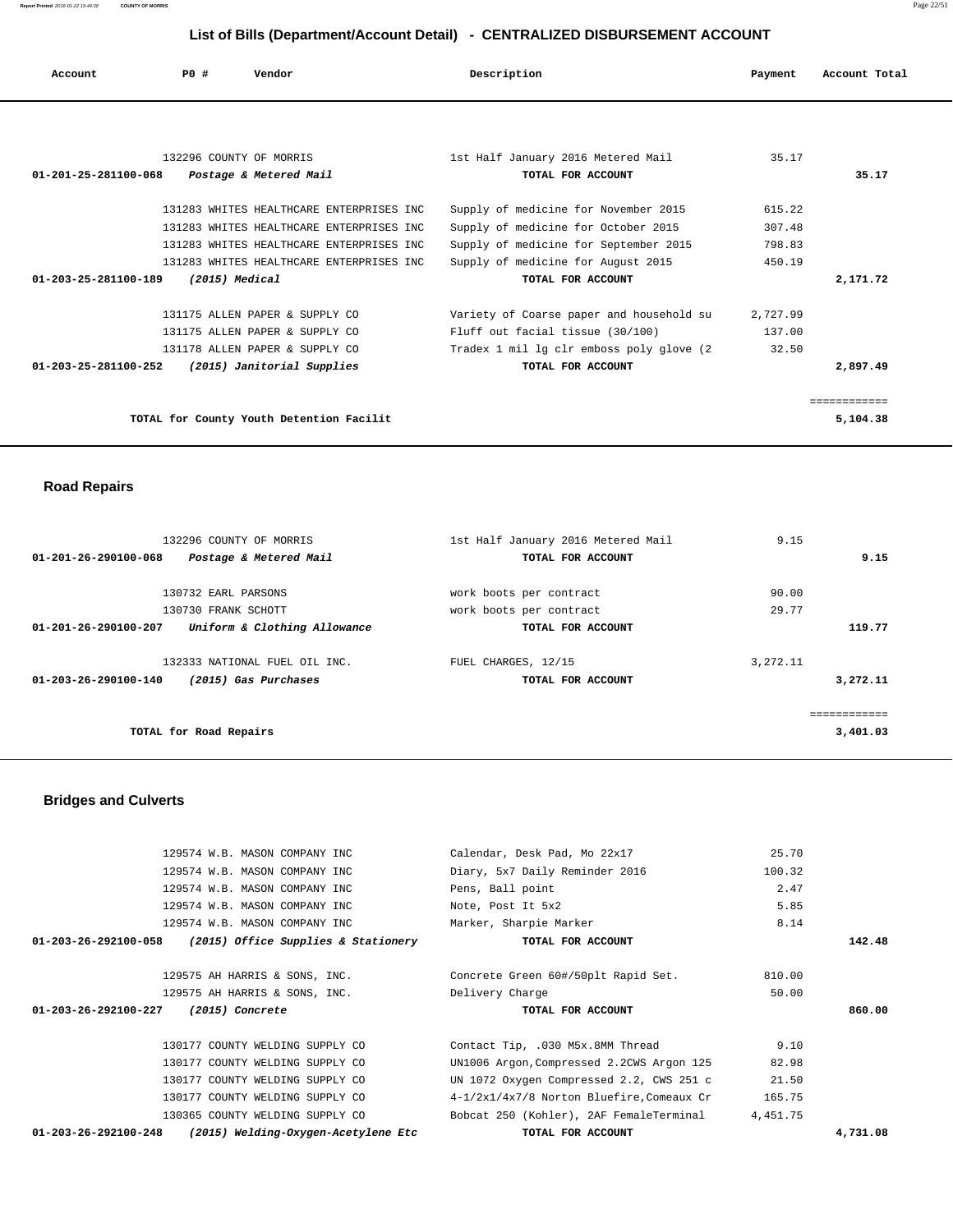**Report Printed** 2016-01-22 15:44:30 **COUNTY OF MORRIS** Page 22/51

# **List of Bills (Department/Account Detail) - CENTRALIZED DISBURSEMENT ACCOUNT**

| Account              | PO#                     | Vendor                                   | Description                               | Payment  | Account Total |
|----------------------|-------------------------|------------------------------------------|-------------------------------------------|----------|---------------|
|                      |                         |                                          |                                           |          |               |
|                      | 132296 COUNTY OF MORRIS |                                          | 1st Half January 2016 Metered Mail        | 35.17    |               |
| 01-201-25-281100-068 |                         | Postage & Metered Mail                   | TOTAL FOR ACCOUNT                         |          | 35.17         |
|                      |                         | 131283 WHITES HEALTHCARE ENTERPRISES INC | Supply of medicine for November 2015      | 615.22   |               |
|                      |                         | 131283 WHITES HEALTHCARE ENTERPRISES INC | Supply of medicine for October 2015       | 307.48   |               |
|                      |                         | 131283 WHITES HEALTHCARE ENTERPRISES INC | Supply of medicine for September 2015     | 798.83   |               |
|                      |                         | 131283 WHITES HEALTHCARE ENTERPRISES INC | Supply of medicine for August 2015        | 450.19   |               |
| 01-203-25-281100-189 | (2015) Medical          |                                          | TOTAL FOR ACCOUNT                         |          | 2,171.72      |
|                      |                         |                                          |                                           |          |               |
|                      |                         | 131175 ALLEN PAPER & SUPPLY CO           | Variety of Coarse paper and household su  | 2,727.99 |               |
|                      |                         | 131175 ALLEN PAPER & SUPPLY CO           | Fluff out facial tissue (30/100)          | 137.00   |               |
|                      |                         | 131178 ALLEN PAPER & SUPPLY CO           | Tradex 1 mil lg clr emboss poly glove (2) | 32.50    |               |
| 01-203-25-281100-252 |                         | (2015) Janitorial Supplies               | TOTAL FOR ACCOUNT                         |          | 2,897.49      |
|                      |                         |                                          |                                           |          |               |
|                      |                         |                                          |                                           |          | ============  |
|                      |                         | TOTAL for County Youth Detention Facilit |                                           |          | 5,104.38      |

 **Road Repairs** 

| 132296 COUNTY OF MORRIS                                        | 1st Half January 2016 Metered Mail | 9.15     |
|----------------------------------------------------------------|------------------------------------|----------|
| $01 - 201 - 26 - 290100 - 068$<br>Postage & Metered Mail       | TOTAL FOR ACCOUNT                  | 9.15     |
|                                                                |                                    |          |
| 130732 EARL PARSONS                                            | work boots per contract            | 90.00    |
| 130730 FRANK SCHOTT                                            | work boots per contract            | 29.77    |
| Uniform & Clothing Allowance<br>$01 - 201 - 26 - 290100 - 207$ | TOTAL FOR ACCOUNT                  | 119.77   |
| 132333 NATIONAL FUEL OIL INC.                                  | FUEL CHARGES, 12/15                | 3,272.11 |
|                                                                |                                    |          |
| $01 - 203 - 26 - 290100 - 140$<br>(2015) Gas Purchases         | TOTAL FOR ACCOUNT                  | 3,272.11 |
|                                                                |                                    |          |
| TOTAL for Road Repairs                                         |                                    | 3,401.03 |
|                                                                |                                    |          |

 **Bridges and Culverts** 

|                                | 129574 W.B. MASON COMPANY INC        | Calendar, Desk Pad, Mo 22x17              | 25.70    |          |
|--------------------------------|--------------------------------------|-------------------------------------------|----------|----------|
|                                | 129574 W.B. MASON COMPANY INC        | Diary, 5x7 Daily Reminder 2016            | 100.32   |          |
|                                | 129574 W.B. MASON COMPANY INC        | Pens, Ball point                          | 2.47     |          |
|                                | 129574 W.B. MASON COMPANY INC        | Note, Post It 5x2                         | 5.85     |          |
|                                | 129574 W.B. MASON COMPANY INC        | Marker, Sharpie Marker                    | 8.14     |          |
| 01-203-26-292100-058           | (2015) Office Supplies & Stationery  | TOTAL FOR ACCOUNT                         |          | 142.48   |
|                                | 129575 AH HARRIS & SONS, INC.        | Concrete Green 60#/50plt Rapid Set.       | 810.00   |          |
|                                | 129575 AH HARRIS & SONS, INC.        | Delivery Charge                           | 50.00    |          |
|                                | 01-203-26-292100-227 (2015) Concrete | TOTAL FOR ACCOUNT                         |          | 860.00   |
|                                | 130177 COUNTY WELDING SUPPLY CO      | Contact Tip, .030 M5x.8MM Thread          | 9.10     |          |
|                                | 130177 COUNTY WELDING SUPPLY CO      | UN1006 Argon, Compressed 2.2CWS Argon 125 | 82.98    |          |
|                                | 130177 COUNTY WELDING SUPPLY CO      | UN 1072 Oxygen Compressed 2.2, CWS 251 c  | 21.50    |          |
|                                | 130177 COUNTY WELDING SUPPLY CO      | 4-1/2x1/4x7/8 Norton Bluefire.Comeaux Cr  | 165.75   |          |
|                                | 130365 COUNTY WELDING SUPPLY CO      | Bobcat 250 (Kohler), 2AF FemaleTerminal   | 4,451.75 |          |
| $01 - 203 - 26 - 292100 - 248$ | (2015) Welding-Oxygen-Acetylene Etc  | TOTAL FOR ACCOUNT                         |          | 4,731.08 |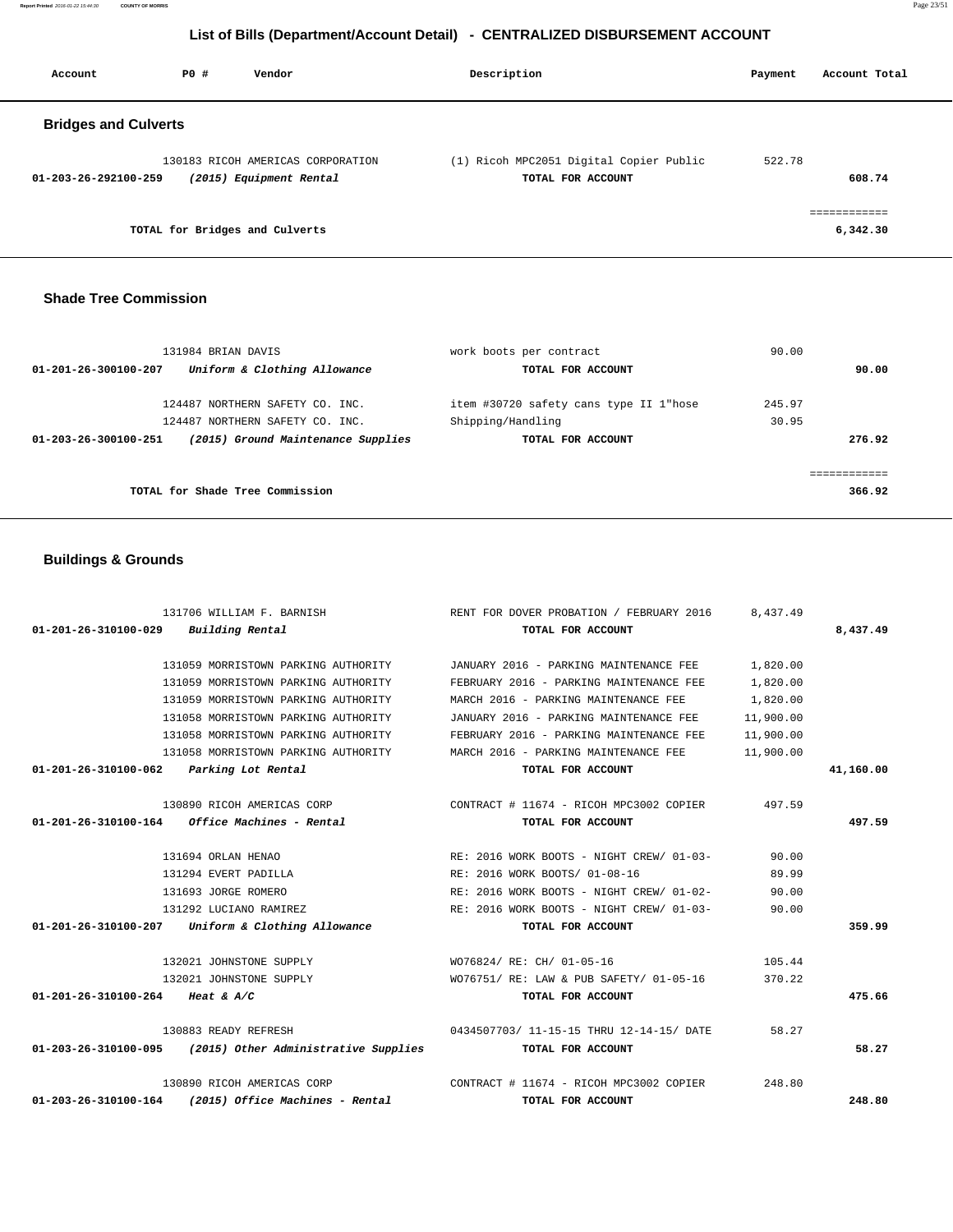131059 MORRISTOWN PARKING AUTHORITY MARCH 2016 - PARKING MAINTENANCE FEE 1,820.00 131058 MORRISTOWN PARKING AUTHORITY JANUARY 2016 - PARKING MAINTENANCE FEE 11,900.00 131058 MORRISTOWN PARKING AUTHORITY FEBRUARY 2016 - PARKING MAINTENANCE FEE 11,900.00 131058 MORRISTOWN PARKING AUTHORITY MARCH 2016 - PARKING MAINTENANCE FEE 11,900.00  **01-201-26-310100-062 Parking Lot Rental TOTAL FOR ACCOUNT 41,160.00** 130890 RICOH AMERICAS CORP CONTRACT # 11674 - RICOH MPC3002 COPIER 497.59  **01-201-26-310100-164 Office Machines - Rental TOTAL FOR ACCOUNT 497.59** 131694 ORLAN HENAO RE: 2016 WORK BOOTS - NIGHT CREW/ 01-03- 90.00 131294 EVERT PADILLA RE: 2016 WORK BOOTS/ 01-08-16 89.99 131693 JORGE ROMERO RE: 2016 WORK BOOTS - NIGHT CREW/ 01-02- 90.00 131292 LUCIANO RAMIREZ RE: 2016 WORK BOOTS - NIGHT CREW/ 01-03- 90.00  **01-201-26-310100-207 Uniform & Clothing Allowance TOTAL FOR ACCOUNT 359.99** 132021 JOHNSTONE SUPPLY WO76824/ RE: CH/ 01-05-16 105.44 132021 JOHNSTONE SUPPLY WO76751/ RE: LAW & PUB SAFETY/ 01-05-16 370.22  **01-201-26-310100-264 Heat & A/C TOTAL FOR ACCOUNT 475.66** 130883 READY REFRESH 0434507703/ 11-15-15 THRU 12-14-15/ DATE 58.27  **01-203-26-310100-095 (2015) Other Administrative Supplies TOTAL FOR ACCOUNT 58.27** 130890 RICOH AMERICAS CORP CONTRACT # 11674 - RICOH MPC3002 COPIER 248.80  **01-203-26-310100-164 (2015) Office Machines - Rental TOTAL FOR ACCOUNT 248.80**

#### **Buildings & Grounds**

|                      | 131984 BRIAN DAVIS                 | work boots per contract                | 90.00  |              |
|----------------------|------------------------------------|----------------------------------------|--------|--------------|
| 01-201-26-300100-207 | Uniform & Clothing Allowance       | TOTAL FOR ACCOUNT                      |        | 90.00        |
|                      | 124487 NORTHERN SAFETY CO. INC.    | item #30720 safety cans type II 1"hose | 245.97 |              |
|                      | 124487 NORTHERN SAFETY CO. INC.    | Shipping/Handling                      | 30.95  |              |
| 01-203-26-300100-251 | (2015) Ground Maintenance Supplies | TOTAL FOR ACCOUNT                      |        | 276.92       |
|                      |                                    |                                        |        | ------------ |
|                      | TOTAL for Shade Tree Commission    |                                        |        | 366.92       |

131706 WILLIAM F. BARNISH RENT FOR DOVER PROBATION / FEBRUARY 2016 8,437.49  **01-201-26-310100-029 Building Rental TOTAL FOR ACCOUNT 8,437.49**

> 131059 MORRISTOWN PARKING AUTHORITY JANUARY 2016 - PARKING MAINTENANCE FEE 1,820.00 131059 MORRISTOWN PARKING AUTHORITY FEBRUARY 2016 - PARKING MAINTENANCE FEE 1,820.00

## **Shade Tree Commission**

| <b>Bridges and Culverts</b>                                                          |                                                              |                  |
|--------------------------------------------------------------------------------------|--------------------------------------------------------------|------------------|
| 130183 RICOH AMERICAS CORPORATION<br>(2015) Equipment Rental<br>01-203-26-292100-259 | (1) Ricoh MPC2051 Digital Copier Public<br>TOTAL FOR ACCOUNT | 522.78<br>608.74 |
| TOTAL for Bridges and Culverts                                                       |                                                              | 6,342.30         |

# **List of Bills (Department/Account Detail) - CENTRALIZED DISBURSEMENT ACCOUNT**

 **Account P0 # Vendor Description Payment Account Total**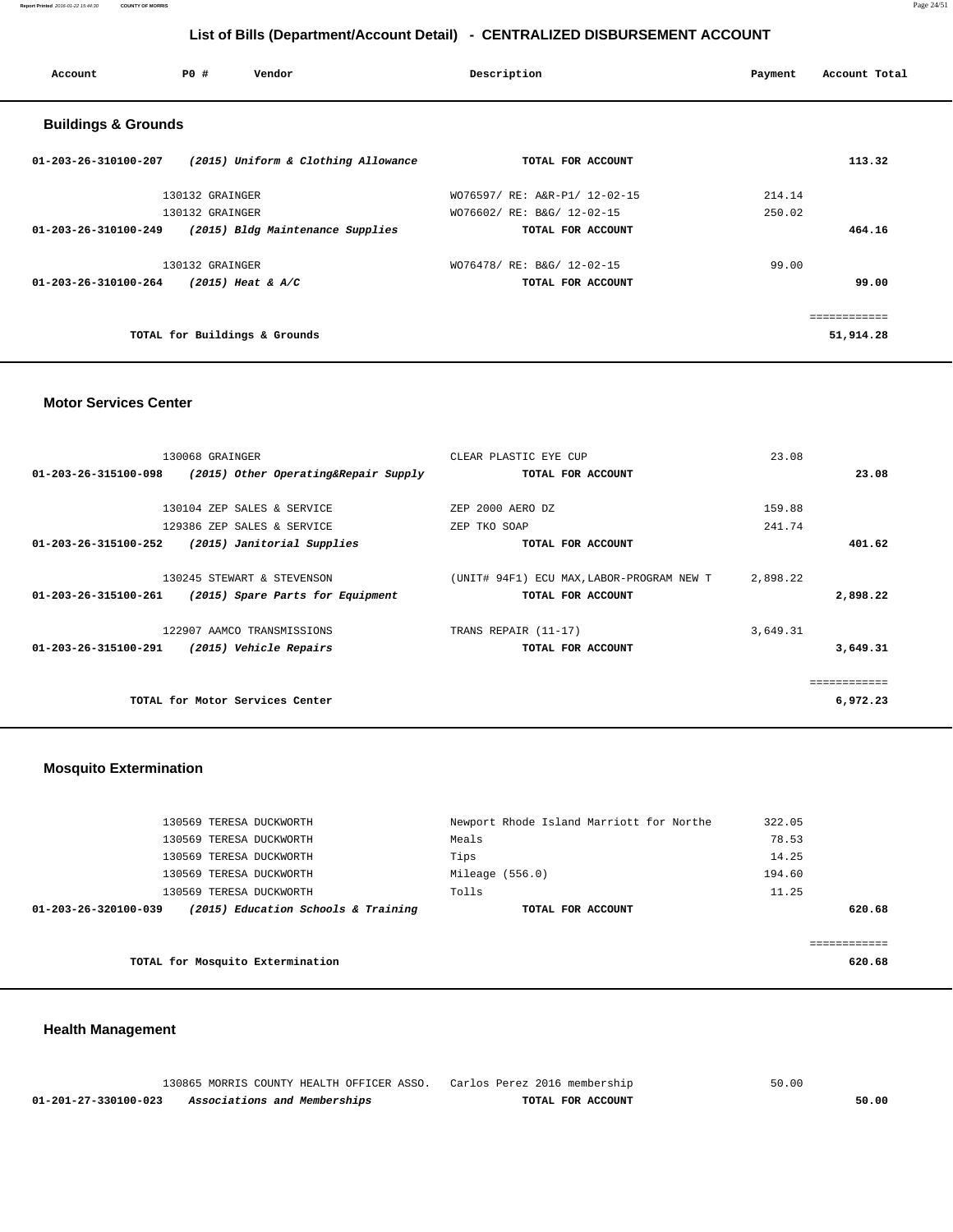**Report Printed** 2016-01-22 15:44:30 **COUNTY OF MORRIS** Page 24/51

# **List of Bills (Department/Account Detail) - CENTRALIZED DISBURSEMENT ACCOUNT**

| Account                        | PO#<br>Vendor                       | Description                   | Account Total<br>Payment |
|--------------------------------|-------------------------------------|-------------------------------|--------------------------|
| <b>Buildings &amp; Grounds</b> |                                     |                               |                          |
| 01-203-26-310100-207           | (2015) Uniform & Clothing Allowance | TOTAL FOR ACCOUNT             | 113.32                   |
|                                | 130132 GRAINGER                     | WO76597/ RE: A&R-P1/ 12-02-15 | 214.14                   |
|                                | 130132 GRAINGER                     | WO76602/ RE: B&G/ 12-02-15    | 250.02                   |
| 01-203-26-310100-249           | (2015) Bldg Maintenance Supplies    | TOTAL FOR ACCOUNT             | 464.16                   |
|                                | 130132 GRAINGER                     | WO76478/ RE: B&G/ 12-02-15    | 99.00                    |
| 01-203-26-310100-264           | $(2015)$ Heat & A/C                 | TOTAL FOR ACCOUNT             | 99.00                    |
|                                |                                     |                               | ------------             |
|                                | TOTAL for Buildings & Grounds       |                               | 51,914.28                |

## **Motor Services Center**

|                      | 130068 GRAINGER                      | CLEAR PLASTIC EYE CUP                     | 23.08    |
|----------------------|--------------------------------------|-------------------------------------------|----------|
| 01-203-26-315100-098 | (2015) Other Operating&Repair Supply | TOTAL FOR ACCOUNT                         | 23.08    |
|                      |                                      |                                           |          |
|                      | 130104 ZEP SALES & SERVICE           | ZEP 2000 AERO DZ                          | 159.88   |
|                      | 129386 ZEP SALES & SERVICE           | ZEP TKO SOAP                              | 241.74   |
| 01-203-26-315100-252 | (2015) Janitorial Supplies           | TOTAL FOR ACCOUNT                         | 401.62   |
|                      |                                      |                                           |          |
|                      | 130245 STEWART & STEVENSON           | (UNIT# 94F1) ECU MAX, LABOR-PROGRAM NEW T | 2,898.22 |
| 01-203-26-315100-261 | (2015) Spare Parts for Equipment     | TOTAL FOR ACCOUNT                         | 2,898.22 |
|                      |                                      |                                           |          |
|                      | 122907 AAMCO TRANSMISSIONS           | TRANS REPAIR (11-17)                      | 3,649.31 |
| 01-203-26-315100-291 | (2015) Vehicle Repairs               | TOTAL FOR ACCOUNT                         | 3,649.31 |
|                      |                                      |                                           |          |
|                      |                                      |                                           |          |
|                      | TOTAL for Motor Services Center      |                                           | 6,972.23 |
|                      |                                      |                                           |          |

# **Mosquito Extermination**

| 01-203-26-320100-039 | (2015) Education Schools & Training | TOTAL FOR ACCOUNT                        | 620.68 |
|----------------------|-------------------------------------|------------------------------------------|--------|
|                      | 130569 TERESA DUCKWORTH             | Tolls                                    | 11.25  |
|                      | 130569 TERESA DUCKWORTH             | Mileage $(556.0)$                        | 194.60 |
|                      | 130569 TERESA DUCKWORTH             | Tips                                     | 14.25  |
|                      | 130569 TERESA DUCKWORTH             | Meals                                    | 78.53  |
|                      | 130569 TERESA DUCKWORTH             | Newport Rhode Island Marriott for Northe | 322.05 |
|                      |                                     |                                          |        |

**TOTAL for Mosquito Extermination 620.68**

# **Health Management**

|                      | 130865 MORRIS COUNTY HEALTH OFFICER ASSO. Carlos Perez 2016 membership |                   | 50.00 |
|----------------------|------------------------------------------------------------------------|-------------------|-------|
| 01-201-27-330100-023 | Associations and Memberships                                           | TOTAL FOR ACCOUNT | 50.00 |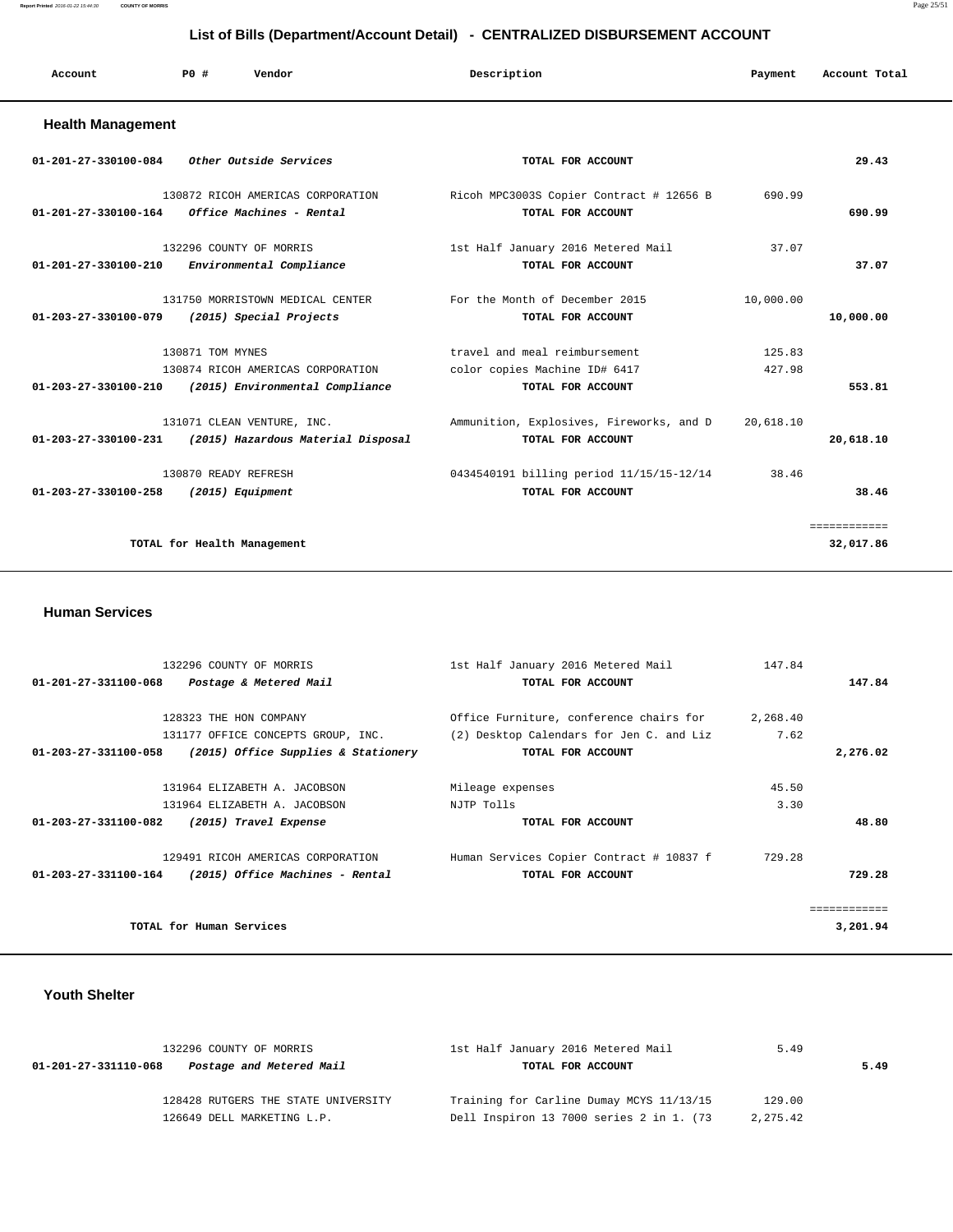**Report Printed** 2016-01-22 15:44:30 **COUNTY OF MORRIS** Page 25/51

# **List of Bills (Department/Account Detail) - CENTRALIZED DISBURSEMENT ACCOUNT**

| Account | PO# | Vendor | Description | Payment | Account Total |
|---------|-----|--------|-------------|---------|---------------|
|         |     |        |             |         |               |

# **Health Management**

| $01 - 201 - 27 - 330100 - 084$           | <i>Other Outside Services</i>                                        | TOTAL FOR ACCOUNT                                                                   |                  | 29.43                     |
|------------------------------------------|----------------------------------------------------------------------|-------------------------------------------------------------------------------------|------------------|---------------------------|
| 01-201-27-330100-164                     | 130872 RICOH AMERICAS CORPORATION<br>Office Machines - Rental        | Ricoh MPC3003S Copier Contract # 12656 B<br>TOTAL FOR ACCOUNT                       | 690.99           | 690.99                    |
| $01 - 201 - 27 - 330100 - 210$           | 132296 COUNTY OF MORRIS<br>Environmental Compliance                  | 1st Half January 2016 Metered Mail<br>TOTAL FOR ACCOUNT                             | 37.07            | 37.07                     |
| 01-203-27-330100-079                     | 131750 MORRISTOWN MEDICAL CENTER<br>(2015) Special Projects          | For the Month of December 2015<br>TOTAL FOR ACCOUNT                                 | 10,000.00        | 10,000.00                 |
| 130871 TOM MYNES<br>01-203-27-330100-210 | 130874 RICOH AMERICAS CORPORATION<br>(2015) Environmental Compliance | travel and meal reimbursement<br>color copies Machine ID# 6417<br>TOTAL FOR ACCOUNT | 125.83<br>427.98 | 553.81                    |
| 01-203-27-330100-231                     | 131071 CLEAN VENTURE, INC.<br>(2015) Hazardous Material Disposal     | Ammunition, Explosives, Fireworks, and D<br>TOTAL FOR ACCOUNT                       | 20,618.10        | 20,618.10                 |
| $01 - 203 - 27 - 330100 - 258$           | 130870 READY REFRESH<br>(2015) Equipment                             | 0434540191 billing period 11/15/15-12/14<br>TOTAL FOR ACCOUNT                       | 38.46            | 38.46                     |
| TOTAL for Health Management              |                                                                      |                                                                                     |                  | ============<br>32,017.86 |

#### **Human Services**

| 147.84   |
|----------|
| 147.84   |
|          |
| 2,268.40 |
| 7.62     |
| 2,276.02 |
|          |
| 45.50    |
| 3.30     |
| 48.80    |
| 729.28   |
| 729.28   |
|          |
| 3,201.94 |
|          |

# **Youth Shelter**

| 132296 COUNTY OF MORRIS                          | 1st Half January 2016 Metered Mail       | 5.49     |      |  |
|--------------------------------------------------|------------------------------------------|----------|------|--|
| Postage and Metered Mail<br>01-201-27-331110-068 | TOTAL FOR ACCOUNT                        |          | 5.49 |  |
| 128428 RUTGERS THE STATE UNIVERSITY              | Training for Carline Dumay MCYS 11/13/15 | 129.00   |      |  |
| 126649 DELL MARKETING L.P.                       | Dell Inspiron 13 7000 series 2 in 1. (73 | 2,275.42 |      |  |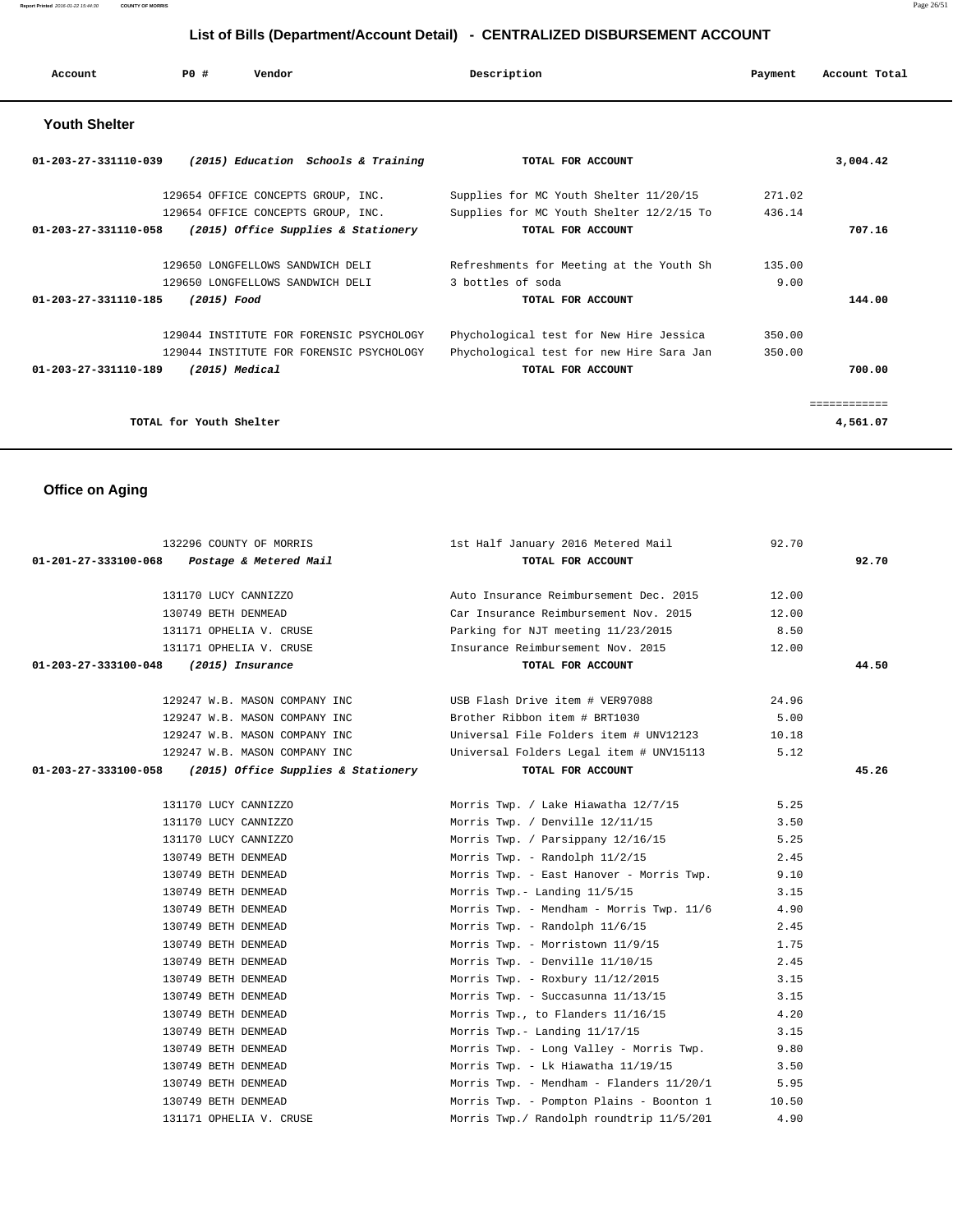| Account              | PO#                     | Vendor                                   | Description                              | Payment | Account Total |
|----------------------|-------------------------|------------------------------------------|------------------------------------------|---------|---------------|
| <b>Youth Shelter</b> |                         |                                          |                                          |         |               |
| 01-203-27-331110-039 |                         | (2015) Education Schools & Training      | TOTAL FOR ACCOUNT                        |         | 3,004.42      |
|                      |                         | 129654 OFFICE CONCEPTS GROUP, INC.       | Supplies for MC Youth Shelter 11/20/15   | 271.02  |               |
|                      |                         | 129654 OFFICE CONCEPTS GROUP, INC.       | Supplies for MC Youth Shelter 12/2/15 To | 436.14  |               |
| 01-203-27-331110-058 |                         | (2015) Office Supplies & Stationery      | TOTAL FOR ACCOUNT                        |         | 707.16        |
|                      |                         | 129650 LONGFELLOWS SANDWICH DELI         | Refreshments for Meeting at the Youth Sh | 135.00  |               |
|                      |                         | 129650 LONGFELLOWS SANDWICH DELI         | 3 bottles of soda                        | 9.00    |               |
| 01-203-27-331110-185 | (2015) Food             |                                          | TOTAL FOR ACCOUNT                        |         | 144.00        |
|                      |                         | 129044 INSTITUTE FOR FORENSIC PSYCHOLOGY | Phychological test for New Hire Jessica  | 350.00  |               |
|                      |                         | 129044 INSTITUTE FOR FORENSIC PSYCHOLOGY | Phychological test for new Hire Sara Jan | 350.00  |               |
| 01-203-27-331110-189 | (2015) Medical          |                                          | TOTAL FOR ACCOUNT                        |         | 700.00        |
|                      |                         |                                          |                                          |         | eessessesses  |
|                      | TOTAL for Youth Shelter |                                          |                                          |         | 4,561.07      |

 **Office on Aging** 

| 132296 COUNTY OF MORRIS                                    | 1st Half January 2016 Metered Mail                                   | 92.70 |       |
|------------------------------------------------------------|----------------------------------------------------------------------|-------|-------|
| 01-201-27-333100-068  Postage & Metered Mail               | TOTAL FOR ACCOUNT                                                    |       | 92.70 |
| 131170 LUCY CANNIZZO                                       | Auto Insurance Reimbursement Dec. 2015 12.00                         |       |       |
| 130749 BETH DENMEAD                                        | Car Insurance Reimbursement Nov. 2015                                | 12.00 |       |
| 131171 OPHELIA V. CRUSE                                    | Parking for NJT meeting 11/23/2015                                   | 8.50  |       |
|                                                            | 131171 OPHELIA V. CRUSE THE SERIES Insurance Reimbursement Nov. 2015 | 12.00 |       |
| 01-203-27-333100-048 (2015) Insurance                      | TOTAL FOR ACCOUNT                                                    |       | 44.50 |
|                                                            |                                                                      |       |       |
| 129247 W.B. MASON COMPANY INC                              | USB Flash Drive item # VER97088 24.96                                |       |       |
| 129247 W.B. MASON COMPANY INC                              | Brother Ribbon item # BRT1030                                        | 5.00  |       |
| 129247 W.B. MASON COMPANY INC                              | Universal File Folders item # UNV12123 10.18                         |       |       |
| 129247 W.B. MASON COMPANY INC                              | Universal Folders Legal item # UNV15113 5.12                         |       |       |
| $01-203-27-333100-058$ (2015) Office Supplies & Stationery | TOTAL FOR ACCOUNT                                                    |       | 45.26 |
|                                                            |                                                                      |       |       |
| 131170 LUCY CANNIZZO                                       | Morris Twp. / Lake Hiawatha 12/7/15 5.25                             |       |       |
| 131170 LUCY CANNIZZO                                       | Morris Twp. / Denville 12/11/15<br>3.50                              |       |       |
| 131170 LUCY CANNIZZO                                       | Morris Twp. / Parsippany 12/16/15                                    | 5.25  |       |
| 130749 BETH DENMEAD                                        | Morris Twp. - Randolph 11/2/15                                       | 2.45  |       |
| 130749 BETH DENMEAD                                        | Morris Twp. - East Hanover - Morris Twp.                             | 9.10  |       |
| 130749 BETH DENMEAD                                        | Morris Twp.- Landing 11/5/15                                         | 3.15  |       |
| 130749 BETH DENMEAD                                        | Morris Twp. - Mendham - Morris Twp. 11/6                             | 4.90  |       |
| 130749 BETH DENMEAD                                        | Morris Twp. - Randolph 11/6/15                                       | 2.45  |       |
| 130749 BETH DENMEAD                                        | Morris Twp. - Morristown 11/9/15                                     | 1.75  |       |
| 130749 BETH DENMEAD                                        | Morris Twp. - Denville 11/10/15                                      | 2.45  |       |
| 130749 BETH DENMEAD                                        | Morris Twp. - Roxbury 11/12/2015                                     | 3.15  |       |
| 130749 BETH DENMEAD                                        | Morris Twp. - Succasunna $11/13/15$ 3.15                             |       |       |
| 130749 BETH DENMEAD                                        | Morris Twp., to Flanders 11/16/15                                    | 4.20  |       |
| 130749 BETH DENMEAD                                        | Morris Twp.- Landing 11/17/15                                        | 3.15  |       |
| 130749 BETH DENMEAD                                        | Morris Twp. - Long Valley - Morris Twp.                              | 9.80  |       |
| 130749 BETH DENMEAD                                        | Morris Twp. - Lk Hiawatha 11/19/15                                   | 3.50  |       |
| 130749 BETH DENMEAD                                        | Morris Twp. - Mendham - Flanders 11/20/1 5.95                        |       |       |
| 130749 BETH DENMEAD                                        | Morris Twp. - Pompton Plains - Boonton 1                             | 10.50 |       |
| 131171 OPHELIA V. CRUSE                                    | Morris Twp./ Randolph roundtrip 11/5/201                             | 4.90  |       |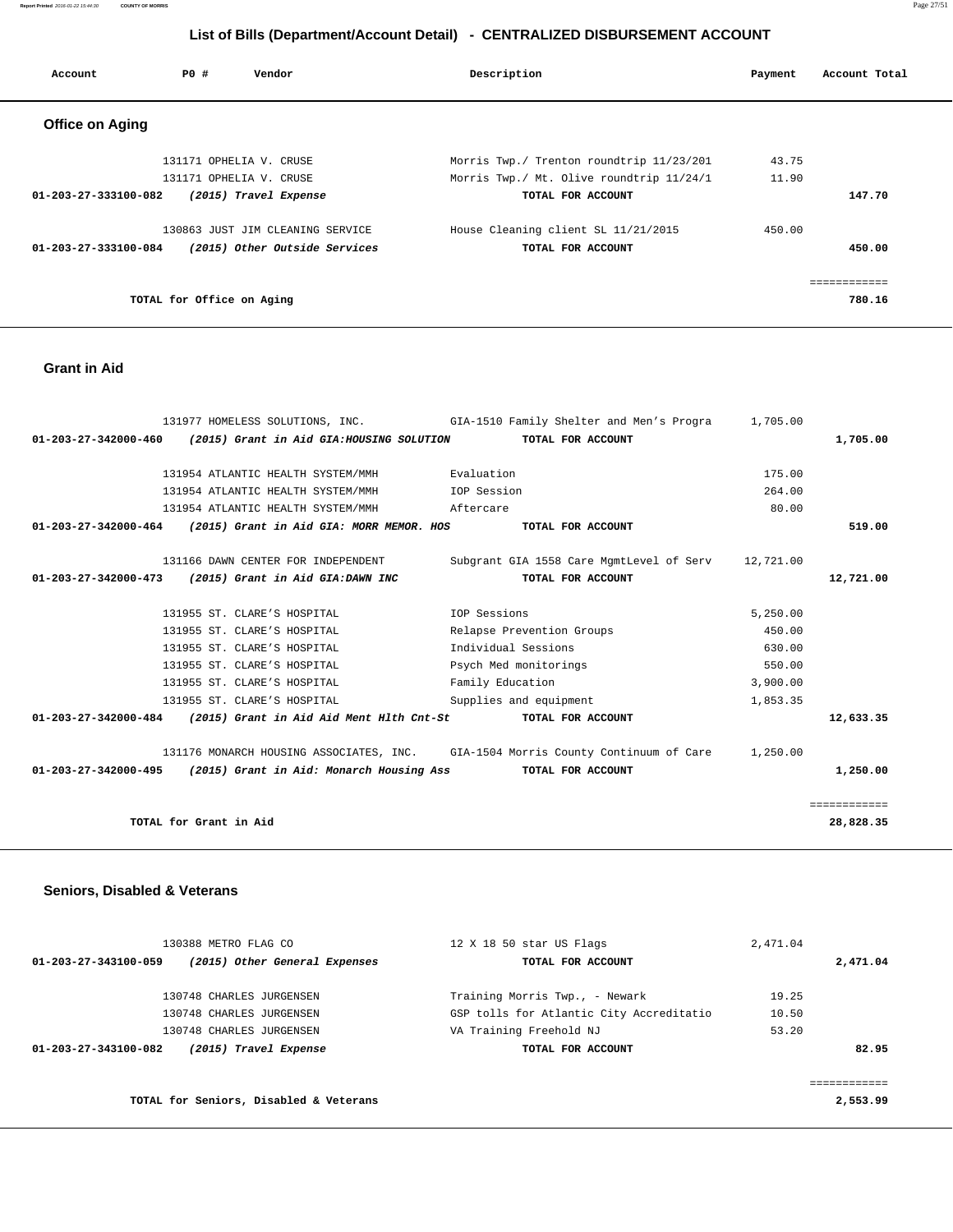**Report Printed** 2016-01-22 15:44:30 **COUNTY OF MORRIS** Page 27/51

# **List of Bills (Department/Account Detail) - CENTRALIZED DISBURSEMENT ACCOUNT**

| Account                        | PO#                       | Vendor                           | Description                              | Payment | Account Total |
|--------------------------------|---------------------------|----------------------------------|------------------------------------------|---------|---------------|
| <b>Office on Aging</b>         |                           |                                  |                                          |         |               |
|                                |                           | 131171 OPHELIA V. CRUSE          | Morris Twp./ Trenton roundtrip 11/23/201 | 43.75   |               |
|                                |                           | 131171 OPHELIA V. CRUSE          | Morris Twp./ Mt. Olive roundtrip 11/24/1 | 11.90   |               |
| 01-203-27-333100-082           |                           | (2015) Travel Expense            | TOTAL FOR ACCOUNT                        |         | 147.70        |
|                                |                           | 130863 JUST JIM CLEANING SERVICE | House Cleaning client SL 11/21/2015      | 450.00  |               |
| $01 - 203 - 27 - 333100 - 084$ |                           | (2015) Other Outside Services    | TOTAL FOR ACCOUNT                        |         | 450.00        |
|                                |                           |                                  |                                          |         |               |
|                                | TOTAL for Office on Aging |                                  |                                          |         | 780.16        |

## **Grant in Aid**

|                                |                                                                 | 131977 HOMELESS SOLUTIONS, INC. GIA-1510 Family Shelter and Men's Progra                  | 1,705.00 |              |
|--------------------------------|-----------------------------------------------------------------|-------------------------------------------------------------------------------------------|----------|--------------|
| $01 - 203 - 27 - 342000 - 460$ | (2015) Grant in Aid GIA:HOUSING SOLUTION                        | TOTAL FOR ACCOUNT                                                                         |          | 1,705.00     |
|                                | 131954 ATLANTIC HEALTH SYSTEM/MMH Fraluation                    |                                                                                           | 175.00   |              |
|                                | 131954 ATLANTIC HEALTH SYSTEM/MMH    UDP Session                |                                                                                           | 264.00   |              |
|                                | 131954 ATLANTIC HEALTH SYSTEM/MMH                               | Aftercare                                                                                 | 80.00    |              |
| 01-203-27-342000-464           | (2015) Grant in Aid GIA: MORR MEMOR. HOS                        | TOTAL FOR ACCOUNT                                                                         |          | 519.00       |
|                                | 131166 DAWN CENTER FOR INDEPENDENT                              | Subgrant GIA 1558 Care MgmtLevel of Serv 12,721.00                                        |          |              |
|                                | 01-203-27-342000-473 (2015) Grant in Aid GIA:DAWN INC           | TOTAL FOR ACCOUNT                                                                         |          | 12,721.00    |
|                                |                                                                 |                                                                                           |          |              |
|                                | 131955 ST. CLARE'S HOSPITAL                                     | IOP Sessions                                                                              | 5,250.00 |              |
|                                | 131955 ST. CLARE'S HOSPITAL                                     | Relapse Prevention Groups                                                                 | 450.00   |              |
|                                | 131955 ST. CLARE'S HOSPITAL                                     | Individual Sessions                                                                       | 630.00   |              |
|                                | 131955 ST. CLARE'S HOSPITAL                                     | Psych Med monitorings                                                                     | 550.00   |              |
|                                | 131955 ST. CLARE'S HOSPITAL                                     | Family Education                                                                          | 3,900.00 |              |
|                                | 131955 ST. CLARE'S HOSPITAL                                     | Supplies and equipment                                                                    | 1,853.35 |              |
|                                | $01-203-27-342000-484$ (2015) Grant in Aid Aid Ment Hlth Cnt-St | TOTAL FOR ACCOUNT                                                                         |          | 12,633.35    |
|                                |                                                                 | 131176 MONARCH HOUSING ASSOCIATES, INC. GIA-1504 Morris County Continuum of Care 1,250.00 |          |              |
|                                | 01-203-27-342000-495 (2015) Grant in Aid: Monarch Housing Ass   | TOTAL FOR ACCOUNT                                                                         |          | 1,250.00     |
|                                |                                                                 |                                                                                           |          | ============ |
|                                | TOTAL for Grant in Aid                                          |                                                                                           |          | 28,828.35    |
|                                |                                                                 |                                                                                           |          |              |

# **Seniors, Disabled & Veterans**

| 130388 METRO FLAG CO                                  | 12 X 18 50 star US Flags                 | 2,471.04 |          |
|-------------------------------------------------------|------------------------------------------|----------|----------|
| 01-203-27-343100-059<br>(2015) Other General Expenses | TOTAL FOR ACCOUNT                        |          | 2,471.04 |
| 130748 CHARLES JURGENSEN                              | Training Morris Twp., - Newark           | 19.25    |          |
| 130748 CHARLES JURGENSEN                              | GSP tolls for Atlantic City Accreditatio | 10.50    |          |
| 130748 CHARLES JURGENSEN                              | VA Training Freehold NJ                  | 53.20    |          |
| 01-203-27-343100-082<br>(2015) Travel Expense         | TOTAL FOR ACCOUNT                        |          | 82.95    |
|                                                       |                                          |          |          |
|                                                       |                                          |          |          |
| TOTAL for Seniors, Disabled & Veterans                |                                          |          | 2,553.99 |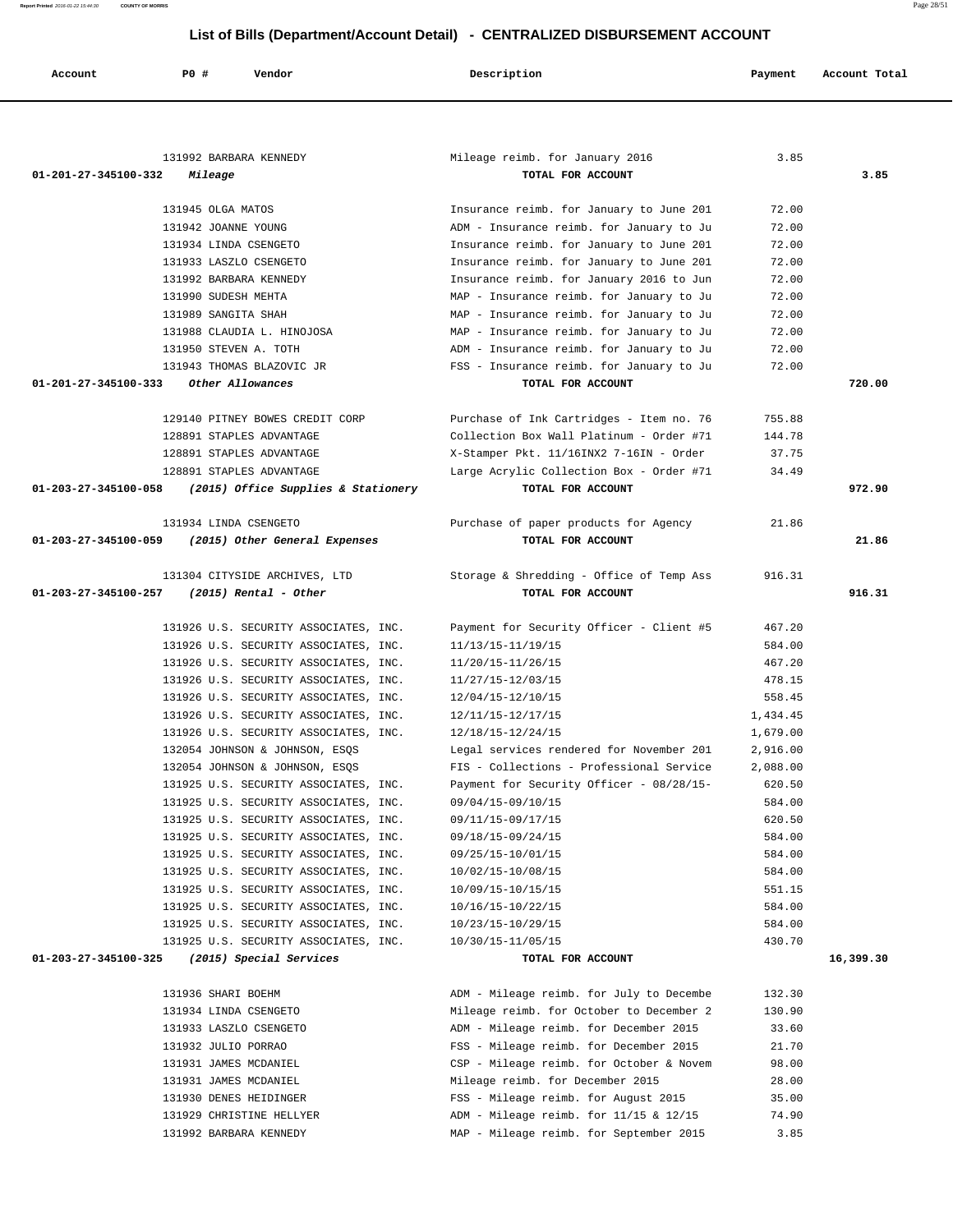**Report Printed** 2016-01-22 15:44:30 **COUNTY OF MORRIS** Page 28/51

# **List of Bills (Department/Account Detail) - CENTRALIZED DISBURSEMENT ACCOUNT**

| Account              | <b>PO #</b>            | Vendor                                                                         | Description                                  | Payment          | Account Total |
|----------------------|------------------------|--------------------------------------------------------------------------------|----------------------------------------------|------------------|---------------|
|                      |                        |                                                                                |                                              |                  |               |
|                      |                        |                                                                                |                                              |                  |               |
|                      |                        |                                                                                |                                              |                  |               |
|                      | 131992 BARBARA KENNEDY |                                                                                | Mileage reimb. for January 2016              | 3.85             |               |
| 01-201-27-345100-332 | Mileage                |                                                                                | TOTAL FOR ACCOUNT                            |                  | 3.85          |
|                      |                        |                                                                                |                                              |                  |               |
|                      | 131945 OLGA MATOS      |                                                                                | Insurance reimb. for January to June 201     | 72.00            |               |
|                      | 131942 JOANNE YOUNG    |                                                                                | ADM - Insurance reimb. for January to Ju     | 72.00            |               |
|                      | 131934 LINDA CSENGETO  |                                                                                | Insurance reimb. for January to June 201     | 72.00            |               |
|                      | 131933 LASZLO CSENGETO |                                                                                | Insurance reimb. for January to June 201     | 72.00            |               |
|                      | 131992 BARBARA KENNEDY |                                                                                | Insurance reimb. for January 2016 to Jun     | 72.00            |               |
|                      | 131990 SUDESH MEHTA    |                                                                                | MAP - Insurance reimb. for January to Ju     | 72.00            |               |
|                      | 131989 SANGITA SHAH    |                                                                                | MAP - Insurance reimb. for January to Ju     | 72.00            |               |
|                      |                        | 131988 CLAUDIA L. HINOJOSA                                                     | MAP - Insurance reimb. for January to Ju     | 72.00            |               |
|                      | 131950 STEVEN A. TOTH  |                                                                                | ADM - Insurance reimb. for January to Ju     | 72.00            |               |
|                      |                        | 131943 THOMAS BLAZOVIC JR                                                      | FSS - Insurance reimb. for January to Ju     | 72.00            |               |
| 01-201-27-345100-333 |                        | Other Allowances                                                               | TOTAL FOR ACCOUNT                            |                  | 720.00        |
|                      |                        | 129140 PITNEY BOWES CREDIT CORP                                                | Purchase of Ink Cartridges - Item no. 76     | 755.88           |               |
|                      |                        | 128891 STAPLES ADVANTAGE                                                       | Collection Box Wall Platinum - Order #71     | 144.78           |               |
|                      |                        | 128891 STAPLES ADVANTAGE                                                       | X-Stamper Pkt. 11/16INX2 7-16IN - Order      | 37.75            |               |
|                      |                        | 128891 STAPLES ADVANTAGE                                                       | Large Acrylic Collection Box - Order #71     | 34.49            |               |
| 01-203-27-345100-058 |                        | (2015) Office Supplies & Stationery                                            | TOTAL FOR ACCOUNT                            |                  | 972.90        |
|                      |                        |                                                                                |                                              |                  |               |
|                      | 131934 LINDA CSENGETO  |                                                                                | Purchase of paper products for Agency        | 21.86            |               |
| 01-203-27-345100-059 |                        | (2015) Other General Expenses                                                  | TOTAL FOR ACCOUNT                            |                  | 21.86         |
|                      |                        |                                                                                |                                              |                  |               |
|                      |                        | 131304 CITYSIDE ARCHIVES, LTD                                                  | Storage & Shredding - Office of Temp Ass     | 916.31           |               |
| 01-203-27-345100-257 |                        | $(2015)$ Rental - Other                                                        | TOTAL FOR ACCOUNT                            |                  | 916.31        |
|                      |                        |                                                                                |                                              |                  |               |
|                      |                        | 131926 U.S. SECURITY ASSOCIATES, INC.                                          | Payment for Security Officer - Client #5     | 467.20           |               |
|                      |                        | 131926 U.S. SECURITY ASSOCIATES, INC.                                          | 11/13/15-11/19/15                            | 584.00           |               |
|                      |                        | 131926 U.S. SECURITY ASSOCIATES, INC.                                          | 11/20/15-11/26/15                            | 467.20           |               |
|                      |                        | 131926 U.S. SECURITY ASSOCIATES, INC.<br>131926 U.S. SECURITY ASSOCIATES, INC. | 11/27/15-12/03/15<br>12/04/15-12/10/15       | 478.15<br>558.45 |               |
|                      |                        | 131926 U.S. SECURITY ASSOCIATES, INC.                                          | 12/11/15-12/17/15                            | 1,434.45         |               |
|                      |                        | 131926 U.S. SECURITY ASSOCIATES, INC.                                          | 12/18/15-12/24/15                            | 1,679.00         |               |
|                      |                        | 132054 JOHNSON & JOHNSON, ESOS                                                 | Legal services rendered for November 201     | 2,916.00         |               |
|                      |                        | 132054 JOHNSON & JOHNSON, ESQS                                                 | FIS - Collections - Professional Service     | 2,088.00         |               |
|                      |                        | 131925 U.S. SECURITY ASSOCIATES, INC.                                          | Payment for Security Officer - 08/28/15-     | 620.50           |               |
|                      |                        | 131925 U.S. SECURITY ASSOCIATES, INC.                                          | 09/04/15-09/10/15                            | 584.00           |               |
|                      |                        | 131925 U.S. SECURITY ASSOCIATES, INC.                                          | 09/11/15-09/17/15                            | 620.50           |               |
|                      |                        | 131925 U.S. SECURITY ASSOCIATES, INC.                                          | 09/18/15-09/24/15                            | 584.00           |               |
|                      |                        | 131925 U.S. SECURITY ASSOCIATES, INC.                                          | 09/25/15-10/01/15                            | 584.00           |               |
|                      |                        | 131925 U.S. SECURITY ASSOCIATES, INC.                                          | 10/02/15-10/08/15                            | 584.00           |               |
|                      |                        | 131925 U.S. SECURITY ASSOCIATES, INC.                                          | 10/09/15-10/15/15                            | 551.15           |               |
|                      |                        | 131925 U.S. SECURITY ASSOCIATES, INC.                                          | 10/16/15-10/22/15                            | 584.00           |               |
|                      |                        | 131925 U.S. SECURITY ASSOCIATES, INC.                                          | 10/23/15-10/29/15                            | 584.00           |               |
|                      |                        | 131925 U.S. SECURITY ASSOCIATES, INC.                                          | 10/30/15-11/05/15                            | 430.70           |               |
| 01-203-27-345100-325 |                        | (2015) Special Services                                                        | TOTAL FOR ACCOUNT                            |                  | 16,399.30     |
|                      |                        |                                                                                |                                              |                  |               |
|                      | 131936 SHARI BOEHM     |                                                                                | ADM - Mileage reimb. for July to Decembe     | 132.30           |               |
|                      | 131934 LINDA CSENGETO  |                                                                                | Mileage reimb. for October to December 2     | 130.90           |               |
|                      | 131933 LASZLO CSENGETO |                                                                                | ADM - Mileage reimb. for December 2015       | 33.60            |               |
|                      | 131932 JULIO PORRAO    |                                                                                | FSS - Mileage reimb. for December 2015       | 21.70            |               |
|                      | 131931 JAMES MCDANIEL  |                                                                                | CSP - Mileage reimb. for October & Novem     | 98.00            |               |
|                      | 131931 JAMES MCDANIEL  |                                                                                | Mileage reimb. for December 2015             | 28.00            |               |
|                      | 131930 DENES HEIDINGER |                                                                                | FSS - Mileage reimb. for August 2015         | 35.00            |               |
|                      |                        | 131929 CHRISTINE HELLYER                                                       | $ADM - Mileage$ reimb. for $11/15$ & $12/15$ | 74.90            |               |
|                      | 131992 BARBARA KENNEDY |                                                                                | MAP - Mileage reimb. for September 2015      | 3.85             |               |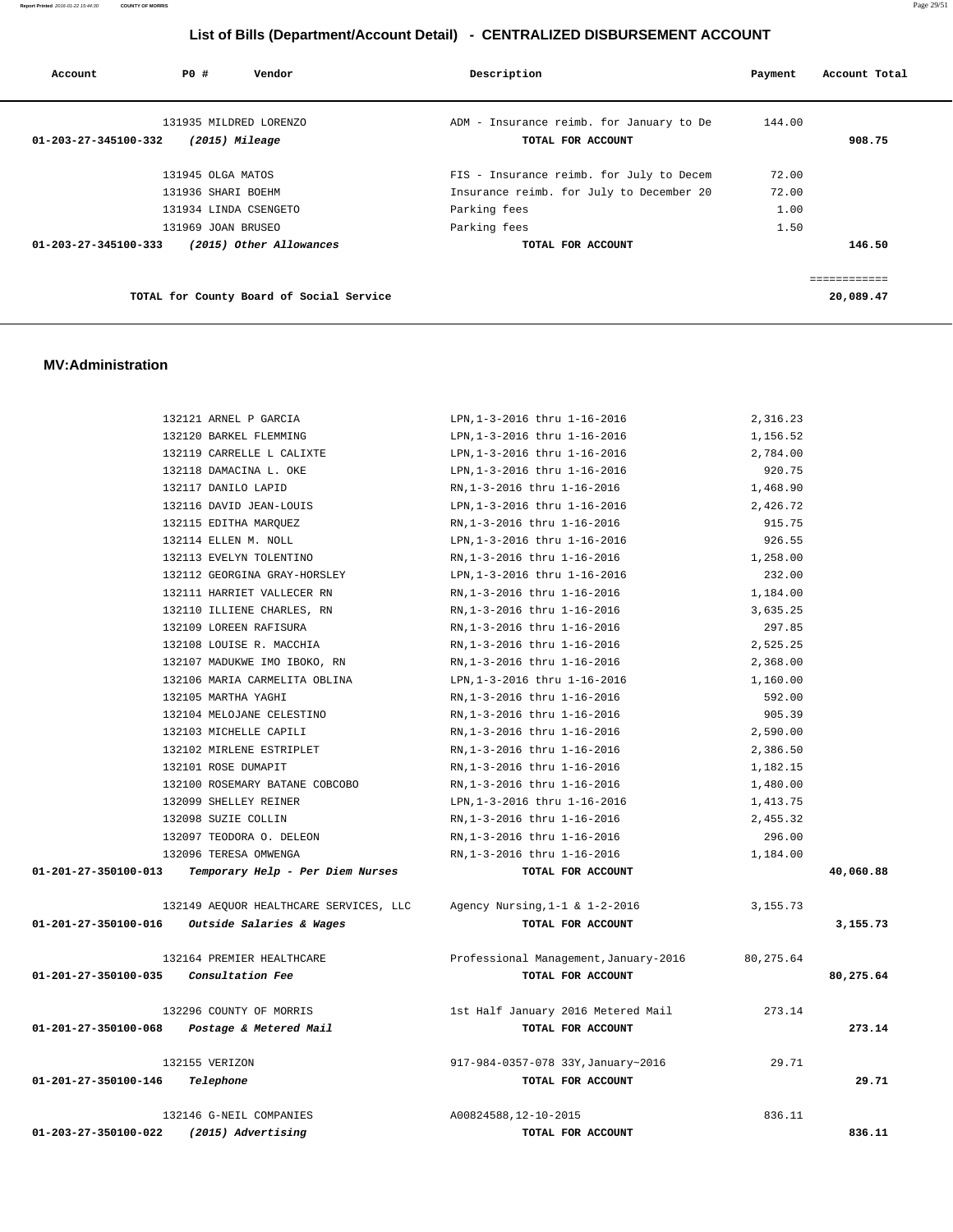**Report Printed** 2016-01-22 15:44:30 **COUNTY OF MORRIS** Page 29/51

# **List of Bills (Department/Account Detail) - CENTRALIZED DISBURSEMENT ACCOUNT**

| Account              | PO# |                    | Vendor                  |                                          | Description                                                   |  | Payment | Account Total |  |
|----------------------|-----|--------------------|-------------------------|------------------------------------------|---------------------------------------------------------------|--|---------|---------------|--|
| 01-203-27-345100-332 |     | (2015) Mileage     | 131935 MILDRED LORENZO  |                                          | ADM - Insurance reimb. for January to De<br>TOTAL FOR ACCOUNT |  | 144.00  | 908.75        |  |
|                      |     | 131945 OLGA MATOS  |                         |                                          | FIS - Insurance reimb. for July to Decem                      |  | 72.00   |               |  |
|                      |     | 131936 SHARI BOEHM |                         |                                          | Insurance reimb. for July to December 20                      |  | 72.00   |               |  |
|                      |     |                    | 131934 LINDA CSENGETO   |                                          | Parking fees                                                  |  | 1.00    |               |  |
|                      |     | 131969 JOAN BRUSEO |                         |                                          | Parking fees                                                  |  | 1.50    |               |  |
| 01-203-27-345100-333 |     |                    | (2015) Other Allowances |                                          | TOTAL FOR ACCOUNT                                             |  |         | 146.50        |  |
|                      |     |                    |                         |                                          |                                                               |  |         | ============  |  |
|                      |     |                    |                         | TOTAL for County Board of Social Service |                                                               |  |         | 20,089.47     |  |

#### **MV:Administration**

|                                       | 132121 ARNEL P GARCIA                           | LPN, 1-3-2016 thru 1-16-2016          | 2,316.23   |           |
|---------------------------------------|-------------------------------------------------|---------------------------------------|------------|-----------|
|                                       | 132120 BARKEL FLEMMING                          | LPN, 1-3-2016 thru 1-16-2016          | 1,156.52   |           |
|                                       | 132119 CARRELLE L CALIXTE                       | LPN, 1-3-2016 thru 1-16-2016          | 2,784.00   |           |
|                                       | 132118 DAMACINA L. OKE                          | LPN, 1-3-2016 thru 1-16-2016          | 920.75     |           |
|                                       | 132117 DANILO LAPID                             | RN, 1-3-2016 thru 1-16-2016           | 1,468.90   |           |
|                                       | 132116 DAVID JEAN-LOUIS                         | LPN, 1-3-2016 thru 1-16-2016          | 2,426.72   |           |
|                                       | 132115 EDITHA MARQUEZ                           | RN, 1-3-2016 thru 1-16-2016           | 915.75     |           |
|                                       | 132114 ELLEN M. NOLL                            | LPN, 1-3-2016 thru 1-16-2016          | 926.55     |           |
|                                       | 132113 EVELYN TOLENTINO                         | RN, 1-3-2016 thru 1-16-2016           | 1,258.00   |           |
|                                       | 132112 GEORGINA GRAY-HORSLEY                    | LPN, 1-3-2016 thru 1-16-2016          | 232.00     |           |
|                                       | 132111 HARRIET VALLECER RN                      | RN, 1-3-2016 thru 1-16-2016           | 1,184.00   |           |
|                                       | 132110 ILLIENE CHARLES, RN                      | RN, 1-3-2016 thru 1-16-2016           | 3,635.25   |           |
|                                       | 132109 LOREEN RAFISURA                          | RN, 1-3-2016 thru 1-16-2016           | 297.85     |           |
|                                       | 132108 LOUISE R. MACCHIA                        | RN, 1-3-2016 thru 1-16-2016           | 2,525.25   |           |
|                                       | 132107 MADUKWE IMO IBOKO, RN                    | RN, 1-3-2016 thru 1-16-2016           | 2,368.00   |           |
|                                       | 132106 MARIA CARMELITA OBLINA                   | LPN, 1-3-2016 thru 1-16-2016          | 1,160.00   |           |
|                                       | 132105 MARTHA YAGHI                             | RN, 1-3-2016 thru 1-16-2016           | 592.00     |           |
|                                       | 132104 MELOJANE CELESTINO                       | RN, 1-3-2016 thru 1-16-2016           | 905.39     |           |
|                                       | 132103 MICHELLE CAPILI                          | RN, 1-3-2016 thru 1-16-2016           | 2,590.00   |           |
|                                       | 132102 MIRLENE ESTRIPLET                        | RN, 1-3-2016 thru 1-16-2016           | 2,386.50   |           |
|                                       | 132101 ROSE DUMAPIT                             | RN, 1-3-2016 thru 1-16-2016           | 1,182.15   |           |
|                                       | 132100 ROSEMARY BATANE COBCOBO                  | RN, 1-3-2016 thru 1-16-2016           | 1,480.00   |           |
|                                       | 132099 SHELLEY REINER                           | LPN, 1-3-2016 thru 1-16-2016          | 1,413.75   |           |
|                                       | 132098 SUZIE COLLIN                             | RN, 1-3-2016 thru 1-16-2016           | 2,455.32   |           |
|                                       | 132097 TEODORA O. DELEON                        | RN, 1-3-2016 thru 1-16-2016           | 296.00     |           |
|                                       | 132096 TERESA OMWENGA                           | RN, 1-3-2016 thru 1-16-2016           | 1,184.00   |           |
| 01-201-27-350100-013                  | Temporary Help - Per Diem Nurses                | TOTAL FOR ACCOUNT                     |            | 40,060.88 |
|                                       | 132149 AEQUOR HEALTHCARE SERVICES, LLC          | Agency Nursing, $1-1$ & $1-2-2016$    | 3, 155. 73 |           |
|                                       | $01-201-27-350100-016$ Outside Salaries & Wages | TOTAL FOR ACCOUNT                     |            | 3,155.73  |
|                                       | 132164 PREMIER HEALTHCARE                       | Professional Management, January-2016 | 80, 275.64 |           |
| 01-201-27-350100-035 Consultation Fee |                                                 | TOTAL FOR ACCOUNT                     |            | 80,275.64 |
|                                       | 132296 COUNTY OF MORRIS                         | 1st Half January 2016 Metered Mail    | 273.14     |           |
|                                       | 01-201-27-350100-068 Postage & Metered Mail     | TOTAL FOR ACCOUNT                     |            | 273.14    |
|                                       | 132155 VERIZON                                  | 917-984-0357-078 33Y, January~2016    | 29.71      |           |
| 01-201-27-350100-146                  | Telephone                                       | TOTAL FOR ACCOUNT                     |            | 29.71     |
|                                       | 132146 G-NEIL COMPANIES                         | A00824588,12-10-2015                  | 836.11     |           |
| 01-203-27-350100-022                  | (2015) Advertising                              | TOTAL FOR ACCOUNT                     |            | 836.11    |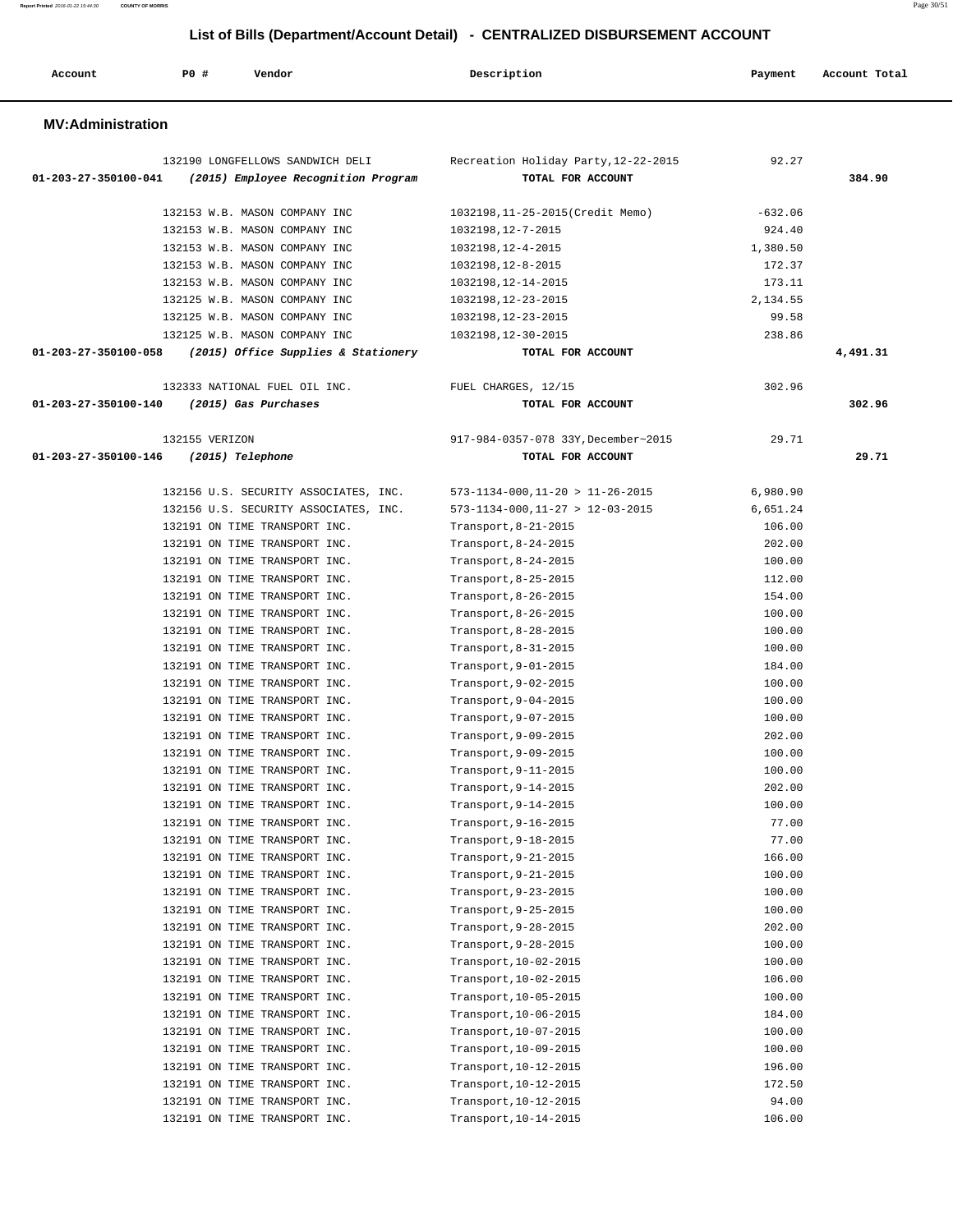| Account                  | PO#            | Vendor                                                                  | Description                                               | Payment          | Account Total |
|--------------------------|----------------|-------------------------------------------------------------------------|-----------------------------------------------------------|------------------|---------------|
| <b>MV:Administration</b> |                |                                                                         |                                                           |                  |               |
| 01-203-27-350100-041     |                | 132190 LONGFELLOWS SANDWICH DELI<br>(2015) Employee Recognition Program | Recreation Holiday Party, 12-22-2015<br>TOTAL FOR ACCOUNT | 92.27            | 384.90        |
|                          |                | 132153 W.B. MASON COMPANY INC                                           | 1032198,11-25-2015(Credit Memo)                           | $-632.06$        |               |
|                          |                | 132153 W.B. MASON COMPANY INC                                           | 1032198, 12-7-2015                                        | 924.40           |               |
|                          |                | 132153 W.B. MASON COMPANY INC                                           | 1032198, 12-4-2015                                        | 1,380.50         |               |
|                          |                | 132153 W.B. MASON COMPANY INC                                           | 1032198, 12-8-2015                                        | 172.37           |               |
|                          |                | 132153 W.B. MASON COMPANY INC                                           | 1032198, 12-14-2015                                       | 173.11           |               |
|                          |                | 132125 W.B. MASON COMPANY INC                                           | 1032198, 12-23-2015                                       | 2,134.55         |               |
|                          |                | 132125 W.B. MASON COMPANY INC                                           | 1032198,12-23-2015                                        | 99.58            |               |
|                          |                | 132125 W.B. MASON COMPANY INC                                           | 1032198,12-30-2015                                        | 238.86           |               |
| 01-203-27-350100-058     |                | (2015) Office Supplies & Stationery                                     | TOTAL FOR ACCOUNT                                         |                  | 4,491.31      |
|                          |                | 132333 NATIONAL FUEL OIL INC.                                           | FUEL CHARGES, 12/15                                       | 302.96           |               |
| 01-203-27-350100-140     |                | (2015) Gas Purchases                                                    | TOTAL FOR ACCOUNT                                         |                  | 302.96        |
|                          | 132155 VERIZON |                                                                         | 917-984-0357-078 33Y, December~2015                       | 29.71            |               |
| 01-203-27-350100-146     |                | (2015) Telephone                                                        | TOTAL FOR ACCOUNT                                         |                  | 29.71         |
|                          |                |                                                                         |                                                           |                  |               |
|                          |                | 132156 U.S. SECURITY ASSOCIATES, INC.                                   | $573 - 1134 - 000, 11 - 20 > 11 - 26 - 2015$              | 6,980.90         |               |
|                          |                | 132156 U.S. SECURITY ASSOCIATES, INC.                                   | $573 - 1134 - 000, 11 - 27 > 12 - 03 - 2015$              | 6,651.24         |               |
|                          |                | 132191 ON TIME TRANSPORT INC.<br>132191 ON TIME TRANSPORT INC.          | Transport, 8-21-2015                                      | 106.00<br>202.00 |               |
|                          |                | 132191 ON TIME TRANSPORT INC.                                           | Transport, 8-24-2015<br>Transport, 8-24-2015              | 100.00           |               |
|                          |                | 132191 ON TIME TRANSPORT INC.                                           | Transport, 8-25-2015                                      | 112.00           |               |
|                          |                | 132191 ON TIME TRANSPORT INC.                                           | Transport, 8-26-2015                                      | 154.00           |               |
|                          |                | 132191 ON TIME TRANSPORT INC.                                           | Transport, 8-26-2015                                      | 100.00           |               |
|                          |                | 132191 ON TIME TRANSPORT INC.                                           | Transport, 8-28-2015                                      | 100.00           |               |
|                          |                | 132191 ON TIME TRANSPORT INC.                                           | Transport, 8-31-2015                                      | 100.00           |               |
|                          |                | 132191 ON TIME TRANSPORT INC.                                           | Transport, 9-01-2015                                      | 184.00           |               |
|                          |                | 132191 ON TIME TRANSPORT INC.                                           | Transport, 9-02-2015                                      | 100.00           |               |
|                          |                | 132191 ON TIME TRANSPORT INC.                                           | Transport, 9-04-2015                                      | 100.00           |               |
|                          |                | 132191 ON TIME TRANSPORT INC.                                           | Transport, 9-07-2015                                      | 100.00           |               |
|                          |                | 132191 ON TIME TRANSPORT INC.                                           | Transport, 9-09-2015                                      | 202.00           |               |
|                          |                | 132191 ON TIME TRANSPORT INC.                                           | Transport, 9-09-2015                                      | 100.00           |               |
|                          |                | 132191 ON TIME TRANSPORT INC.                                           | Transport, 9-11-2015                                      | 100.00           |               |
|                          |                | 132191 ON TIME TRANSPORT INC.                                           | Transport, 9-14-2015                                      | 202.00           |               |
|                          |                | 132191 ON TIME TRANSPORT INC.                                           | Transport, 9-14-2015                                      | 100.00           |               |
|                          |                | 132191 ON TIME TRANSPORT INC.                                           | Transport, 9-16-2015                                      | 77.00            |               |
|                          |                | 132191 ON TIME TRANSPORT INC.                                           | Transport, 9-18-2015                                      | 77.00            |               |
|                          |                | 132191 ON TIME TRANSPORT INC.                                           | Transport, 9-21-2015                                      | 166.00           |               |
|                          |                | 132191 ON TIME TRANSPORT INC.                                           | Transport, 9-21-2015                                      | 100.00           |               |
|                          |                | 132191 ON TIME TRANSPORT INC.                                           | Transport, 9-23-2015                                      | 100.00           |               |
|                          |                | 132191 ON TIME TRANSPORT INC.                                           | Transport, 9-25-2015                                      | 100.00           |               |
|                          |                | 132191 ON TIME TRANSPORT INC.                                           | Transport, 9-28-2015                                      | 202.00<br>100.00 |               |
|                          |                | 132191 ON TIME TRANSPORT INC.                                           | Transport, 9-28-2015                                      | 100.00           |               |
|                          |                | 132191 ON TIME TRANSPORT INC.<br>132191 ON TIME TRANSPORT INC.          | Transport, 10-02-2015<br>Transport, 10-02-2015            | 106.00           |               |
|                          |                | 132191 ON TIME TRANSPORT INC.                                           | Transport, 10-05-2015                                     | 100.00           |               |
|                          |                | 132191 ON TIME TRANSPORT INC.                                           | Transport, 10-06-2015                                     | 184.00           |               |
|                          |                | 132191 ON TIME TRANSPORT INC.                                           | Transport, 10-07-2015                                     | 100.00           |               |
|                          |                | 132191 ON TIME TRANSPORT INC.                                           | Transport, 10-09-2015                                     | 100.00           |               |
|                          |                | 132191 ON TIME TRANSPORT INC.                                           | Transport, 10-12-2015                                     | 196.00           |               |
|                          |                | 132191 ON TIME TRANSPORT INC.                                           | Transport, 10-12-2015                                     | 172.50           |               |
|                          |                | 132191 ON TIME TRANSPORT INC.                                           | Transport, 10-12-2015                                     | 94.00            |               |
|                          |                | 132191 ON TIME TRANSPORT INC.                                           | Transport, 10-14-2015                                     | 106.00           |               |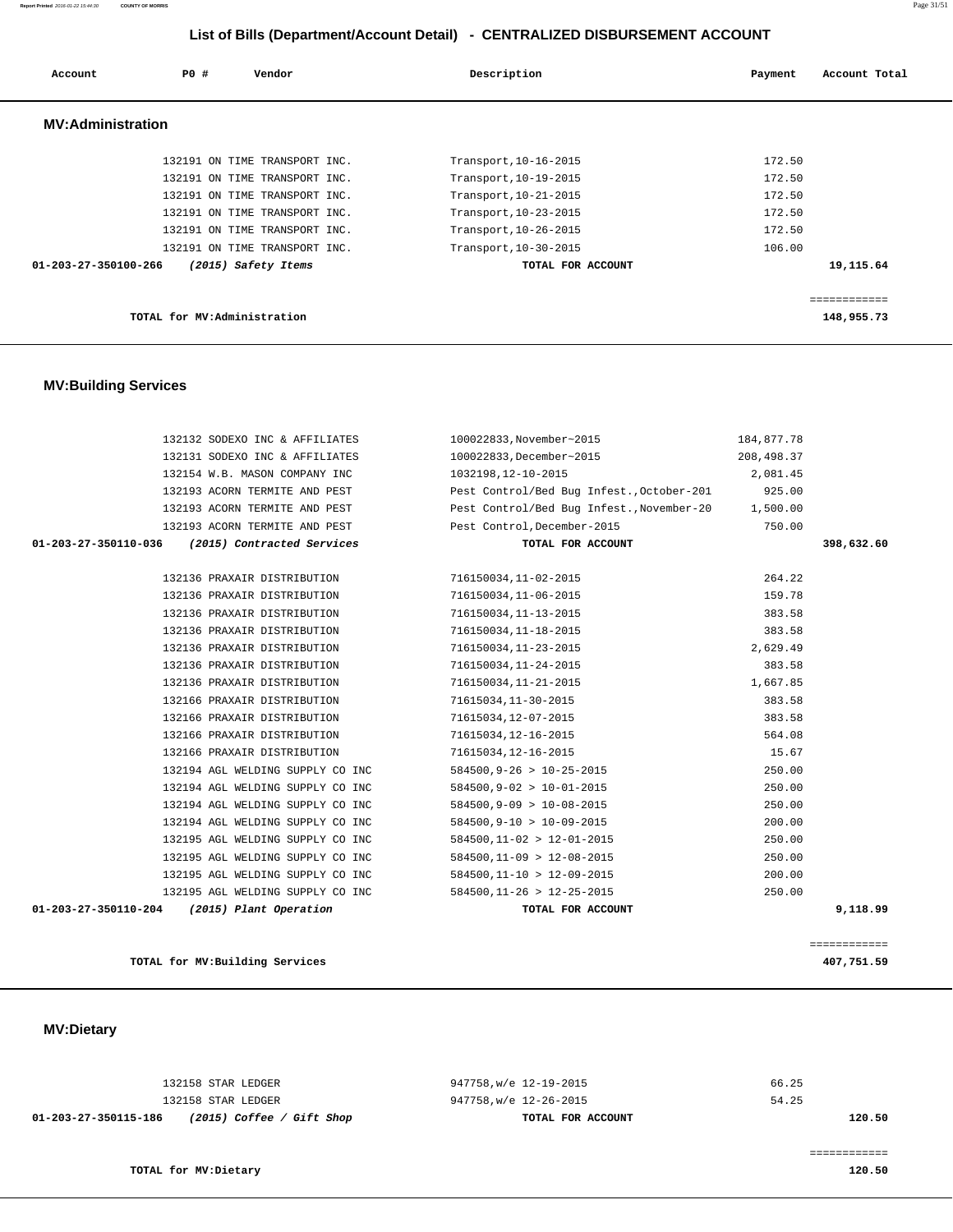132158 STAR LEDGER 947758,w/e 12-19-2015 66.25

**TOTAL for MV:Dietary 120.50**

 **MV:Dietary** 

| 01-203-27-350110-204 | 132195 AGL WELDING SUPPLY CO INC<br>(2015) Plant Operation | $584500, 11-26 > 12-25-2015$<br>TOTAL FOR ACCOUNT | 250.00<br>9,118.99 |
|----------------------|------------------------------------------------------------|---------------------------------------------------|--------------------|
|                      | 132195 AGL WELDING SUPPLY CO INC                           | $584500.11 - 10 > 12 - 09 - 2015$                 | 200.00             |
|                      | 132195 AGL WELDING SUPPLY CO INC                           | $584500, 11-09 > 12-08-2015$                      | 250.00             |
|                      | 132195 AGL WELDING SUPPLY CO INC                           | $584500, 11-02 > 12-01-2015$                      | 250.00             |
|                      | 132194 AGL WELDING SUPPLY CO INC                           | $584500, 9 - 10 > 10 - 09 - 2015$                 | 200.00             |
|                      | 132194 AGL WELDING SUPPLY CO INC                           | $584500, 9-09 > 10-08-2015$                       | 250.00             |
|                      | 132194 AGL WELDING SUPPLY CO INC                           | $584500, 9-02 > 10-01-2015$                       | 250.00             |
|                      | 132194 AGL WELDING SUPPLY CO INC                           | $584500, 9-26 > 10-25-2015$                       | 250.00             |
|                      | 132166 PRAXAIR DISTRIBUTION                                | 71615034,12-16-2015                               | 15.67              |
|                      | 132166 PRAXAIR DISTRIBUTION                                | 71615034,12-16-2015                               | 564.08             |
|                      | 132166 PRAXAIR DISTRIBUTION                                | 71615034,12-07-2015                               | 383.58             |
|                      | 132166 PRAXAIR DISTRIBUTION                                | 71615034,11-30-2015                               | 383.58             |
|                      | 132136 PRAXAIR DISTRIBUTION                                | 716150034,11-21-2015                              | 1,667.85           |
|                      | 132136 PRAXAIR DISTRIBUTION                                | 716150034,11-24-2015                              | 383.58             |
|                      | 132136 PRAXAIR DISTRIBUTION                                | 716150034,11-23-2015                              | 2,629.49           |
|                      | 132136 PRAXAIR DISTRIBUTION                                | 716150034,11-18-2015                              | 383.58             |
|                      | 132136 PRAXAIR DISTRIBUTION                                | 716150034, 11-13-2015                             | 383.58             |
|                      | 132136 PRAXAIR DISTRIBUTION                                | 716150034,11-06-2015                              | 159.78             |
|                      | 132136 PRAXAIR DISTRIBUTION                                | 716150034,11-02-2015                              | 264.22             |

#### **MV:Building Services**

| LIST OF DIIIS (Department/Account Detail) - CENTRALIZED DISBURSEMENT ACCOUNT |                             |                               |                       |                          |  |  |
|------------------------------------------------------------------------------|-----------------------------|-------------------------------|-----------------------|--------------------------|--|--|
| Account                                                                      | PO#                         | Vendor                        | Description           | Account Total<br>Payment |  |  |
| <b>MV:Administration</b>                                                     |                             |                               |                       |                          |  |  |
|                                                                              |                             | 132191 ON TIME TRANSPORT INC. | Transport, 10-16-2015 | 172.50                   |  |  |
|                                                                              |                             | 132191 ON TIME TRANSPORT INC. | Transport, 10-19-2015 | 172.50                   |  |  |
|                                                                              |                             | 132191 ON TIME TRANSPORT INC. | Transport, 10-21-2015 | 172.50                   |  |  |
|                                                                              |                             | 132191 ON TIME TRANSPORT INC. | Transport, 10-23-2015 | 172.50                   |  |  |
|                                                                              |                             | 132191 ON TIME TRANSPORT INC. | Transport, 10-26-2015 | 172.50                   |  |  |
|                                                                              |                             | 132191 ON TIME TRANSPORT INC. | Transport, 10-30-2015 | 106.00                   |  |  |
| 01-203-27-350100-266                                                         |                             | (2015) Safety Items           | TOTAL FOR ACCOUNT     | 19,115.64                |  |  |
|                                                                              |                             |                               |                       |                          |  |  |
|                                                                              |                             |                               |                       | ============             |  |  |
|                                                                              | TOTAL for MV:Administration |                               |                       | 148,955.73               |  |  |

 132132 SODEXO INC & AFFILIATES 100022833,November~2015 184,877.78 132131 SODEXO INC & AFFILIATES 100022833,December~2015 208,498.37 132154 W.B. MASON COMPANY INC 1032198,12-10-2015 2,081.45 132193 ACORN TERMITE AND PEST Pest Control/Bed Bug Infest.,October-201 925.00 132193 ACORN TERMITE AND PEST Pest Control/Bed Bug Infest.,November-20 1,500.00 132193 ACORN TERMITE AND PEST Pest Control,December-2015 750.00  **01-203-27-350110-036 (2015) Contracted Services TOTAL FOR ACCOUNT 398,632.60**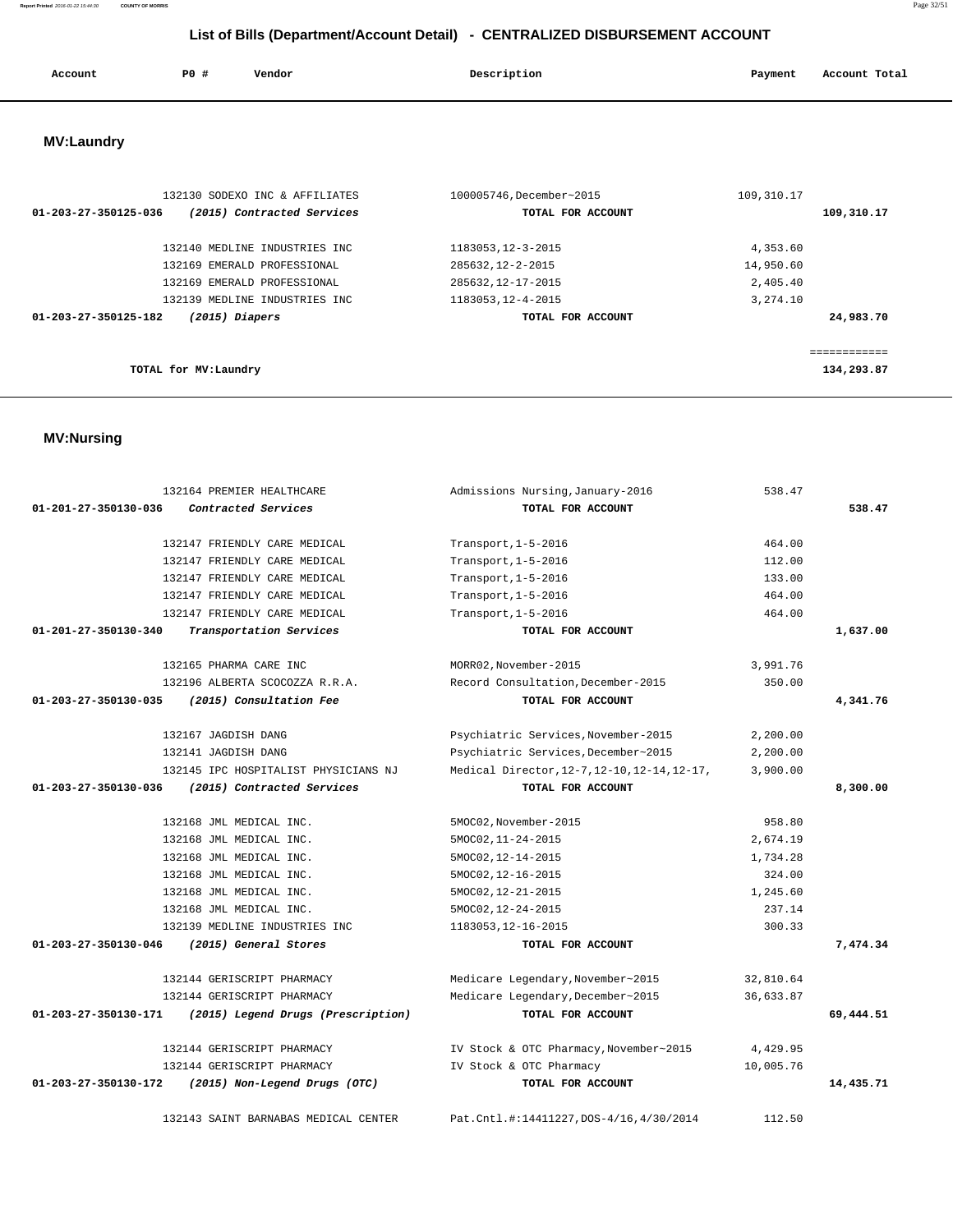| Account | <b>PO #</b> | Vendor | Description | Payment | Account Total |
|---------|-------------|--------|-------------|---------|---------------|
|         |             |        |             |         |               |

# **MV:Laundry**

| 132130 SODEXO INC & AFFILIATES                     | 100005746, December~2015 | 109, 310.17  |
|----------------------------------------------------|--------------------------|--------------|
| (2015) Contracted Services<br>01-203-27-350125-036 | TOTAL FOR ACCOUNT        | 109,310.17   |
| 132140 MEDLINE INDUSTRIES INC.                     | 1183053, 12-3-2015       | 4,353.60     |
| 132169 EMERALD PROFESSIONAL                        | 285632, 12-2-2015        | 14,950.60    |
| 132169 EMERALD PROFESSIONAL                        | 285632, 12-17-2015       | 2,405.40     |
| 132139 MEDLINE INDUSTRIES INC                      | 1183053, 12-4-2015       | 3,274.10     |
| $(2015)$ Diapers<br>01-203-27-350125-182           | TOTAL FOR ACCOUNT        | 24,983.70    |
|                                                    |                          |              |
|                                                    |                          | ============ |
| TOTAL for MV: Laundry                              |                          | 134,293.87   |
|                                                    |                          |              |

# **MV:Nursing**

|                      | 132164 PREMIER HEALTHCARE            | Admissions Nursing, January-2016             | 538.47    |           |
|----------------------|--------------------------------------|----------------------------------------------|-----------|-----------|
| 01-201-27-350130-036 | Contracted Services                  | TOTAL FOR ACCOUNT                            |           | 538.47    |
|                      |                                      |                                              |           |           |
|                      | 132147 FRIENDLY CARE MEDICAL         | Transport, $1-5-2016$                        | 464.00    |           |
|                      | 132147 FRIENDLY CARE MEDICAL         | Transport, 1-5-2016                          | 112.00    |           |
|                      | 132147 FRIENDLY CARE MEDICAL         | Transport, 1-5-2016                          | 133.00    |           |
|                      | 132147 FRIENDLY CARE MEDICAL         | Transport, 1-5-2016                          | 464.00    |           |
|                      | 132147 FRIENDLY CARE MEDICAL         | Transport, 1-5-2016                          | 464.00    |           |
| 01-201-27-350130-340 | Transportation Services              | TOTAL FOR ACCOUNT                            |           | 1,637.00  |
|                      |                                      |                                              |           |           |
|                      | 132165 PHARMA CARE INC               | MORR02, November-2015                        | 3,991.76  |           |
|                      | 132196 ALBERTA SCOCOZZA R.R.A.       | Record Consultation, December-2015           | 350.00    |           |
| 01-203-27-350130-035 | (2015) Consultation Fee              | TOTAL FOR ACCOUNT                            |           | 4,341.76  |
|                      |                                      |                                              |           |           |
|                      | 132167 JAGDISH DANG                  | Psychiatric Services, November-2015          | 2,200.00  |           |
|                      | 132141 JAGDISH DANG                  | Psychiatric Services, December~2015          | 2,200.00  |           |
|                      | 132145 IPC HOSPITALIST PHYSICIANS NJ | Medical Director, 12-7, 12-10, 12-14, 12-17, | 3,900.00  |           |
| 01-203-27-350130-036 | (2015) Contracted Services           | TOTAL FOR ACCOUNT                            |           | 8,300.00  |
|                      | 132168 JML MEDICAL INC.              | 5MOC02, November-2015                        | 958.80    |           |
|                      | 132168 JML MEDICAL INC.              | 5MOC02, 11-24-2015                           | 2,674.19  |           |
|                      | 132168 JML MEDICAL INC.              | 5MOC02, 12-14-2015                           | 1,734.28  |           |
|                      | 132168 JML MEDICAL INC.              | 5MOC02, 12-16-2015                           | 324.00    |           |
|                      | 132168 JML MEDICAL INC.              | 5MOC02, 12-21-2015                           | 1,245.60  |           |
|                      | 132168 JML MEDICAL INC.              | 5MOC02, 12-24-2015                           | 237.14    |           |
|                      | 132139 MEDLINE INDUSTRIES INC        | 1183053, 12-16-2015                          | 300.33    |           |
| 01-203-27-350130-046 | (2015) General Stores                | TOTAL FOR ACCOUNT                            |           | 7,474.34  |
|                      |                                      |                                              |           |           |
|                      | 132144 GERISCRIPT PHARMACY           | Medicare Legendary, November~2015            | 32,810.64 |           |
|                      | 132144 GERISCRIPT PHARMACY           | Medicare Legendary, December~2015            | 36,633.87 |           |
| 01-203-27-350130-171 | (2015) Legend Drugs (Prescription)   | TOTAL FOR ACCOUNT                            |           | 69,444.51 |
|                      |                                      |                                              |           |           |
|                      | 132144 GERISCRIPT PHARMACY           | IV Stock & OTC Pharmacy, November~2015       | 4,429.95  |           |
|                      | 132144 GERISCRIPT PHARMACY           | IV Stock & OTC Pharmacy                      | 10,005.76 |           |
| 01-203-27-350130-172 | (2015) Non-Legend Drugs (OTC)        | TOTAL FOR ACCOUNT                            |           | 14,435.71 |
|                      |                                      |                                              |           |           |
|                      | 132143 SAINT BARNABAS MEDICAL CENTER | Pat.Cntl.#:14411227, DOS-4/16, 4/30/2014     | 112.50    |           |

**Report Printed** 2016-01-22 15:44:30 **COUNTY OF MORRIS** Page 32/51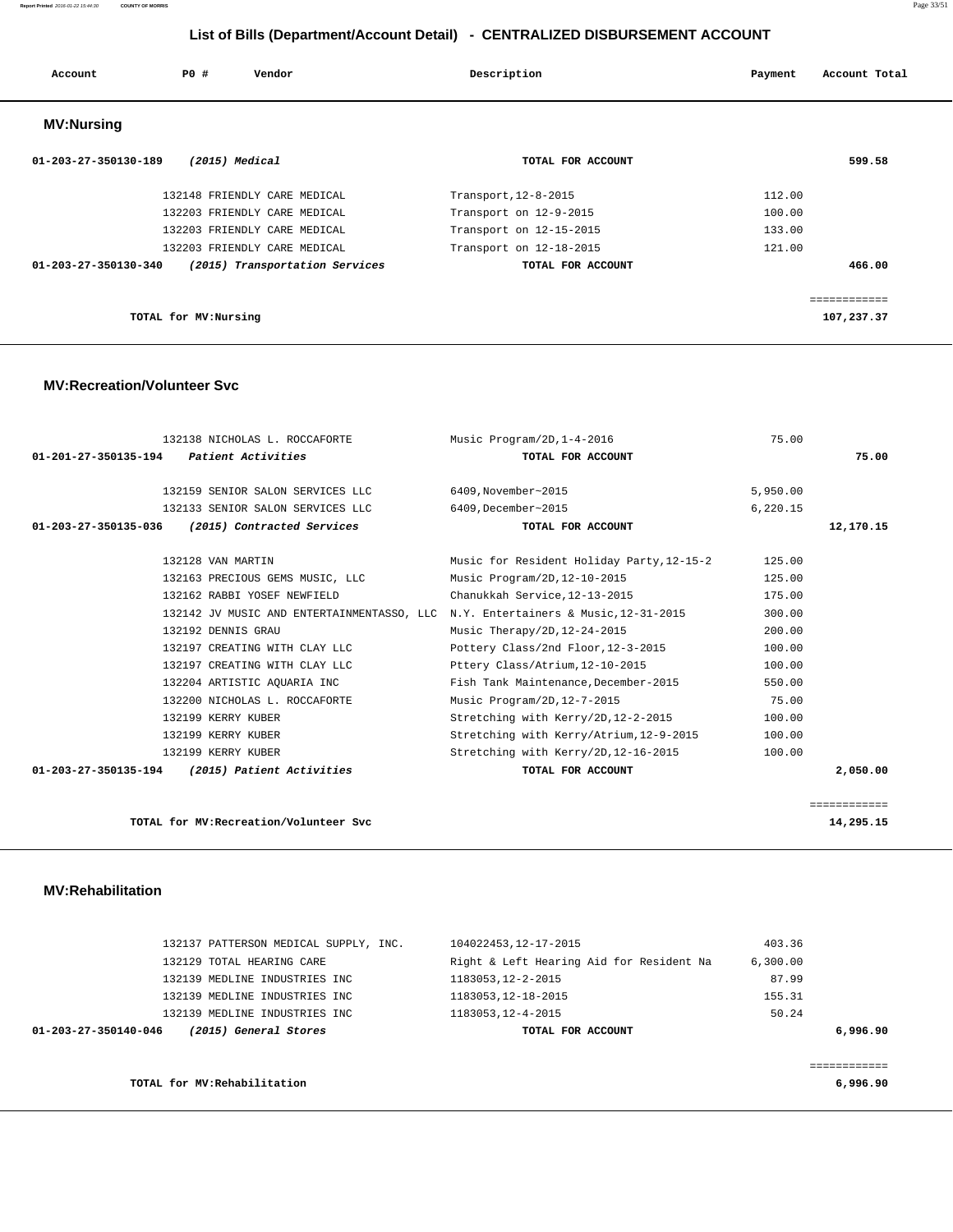#### **Report Printed** 2016-01-22 15:44:30 **COUNTY OF MORRIS** Page 33/51

# **List of Bills (Department/Account Detail) - CENTRALIZED DISBURSEMENT ACCOUNT**

| Account                        | PO#                   | Vendor                         | Description             | Payment | Account Total |
|--------------------------------|-----------------------|--------------------------------|-------------------------|---------|---------------|
| <b>MV:Nursing</b>              |                       |                                |                         |         |               |
| $01 - 203 - 27 - 350130 - 189$ |                       | (2015) Medical                 | TOTAL FOR ACCOUNT       |         | 599.58        |
|                                |                       | 132148 FRIENDLY CARE MEDICAL   | Transport, 12-8-2015    | 112.00  |               |
|                                |                       | 132203 FRIENDLY CARE MEDICAL   | Transport on 12-9-2015  | 100.00  |               |
|                                |                       | 132203 FRIENDLY CARE MEDICAL   | Transport on 12-15-2015 | 133.00  |               |
|                                |                       | 132203 FRIENDLY CARE MEDICAL   | Transport on 12-18-2015 | 121.00  |               |
| $01 - 203 - 27 - 350130 - 340$ |                       | (2015) Transportation Services | TOTAL FOR ACCOUNT       |         | 466.00        |
|                                |                       |                                |                         |         |               |
|                                |                       |                                |                         |         | ============  |
|                                | TOTAL for MV: Nursing |                                |                         |         | 107,237.37    |

#### **MV:Recreation/Volunteer Svc**

|                      | 132138 NICHOLAS L. ROCCAFORTE                                                    | Music Program/2D, 1-4-2016                | 75.00    |              |
|----------------------|----------------------------------------------------------------------------------|-------------------------------------------|----------|--------------|
| 01-201-27-350135-194 | Patient Activities                                                               | TOTAL FOR ACCOUNT                         |          | 75.00        |
|                      | 132159 SENIOR SALON SERVICES LLC                                                 | 6409, November~2015                       | 5,950.00 |              |
|                      | 132133 SENIOR SALON SERVICES LLC                                                 | 6409, December~2015                       | 6,220.15 |              |
| 01-203-27-350135-036 | (2015) Contracted Services                                                       | TOTAL FOR ACCOUNT                         |          | 12,170.15    |
|                      | 132128 VAN MARTIN                                                                | Music for Resident Holiday Party, 12-15-2 | 125.00   |              |
|                      | 132163 PRECIOUS GEMS MUSIC, LLC                                                  | Music Program/2D, 12-10-2015              | 125.00   |              |
|                      | 132162 RABBI YOSEF NEWFIELD                                                      | Chanukkah Service, 12-13-2015             | 175.00   |              |
|                      | 132142 JV MUSIC AND ENTERTAINMENTASSO, LLC N.Y. Entertainers & Music, 12-31-2015 |                                           | 300.00   |              |
|                      | 132192 DENNIS GRAU                                                               | Music Therapy/2D, 12-24-2015              | 200.00   |              |
|                      | 132197 CREATING WITH CLAY LLC                                                    | Pottery Class/2nd Floor, 12-3-2015        | 100.00   |              |
|                      | 132197 CREATING WITH CLAY LLC                                                    | Pttery Class/Atrium, 12-10-2015           | 100.00   |              |
|                      | 132204 ARTISTIC AQUARIA INC                                                      | Fish Tank Maintenance, December-2015      | 550.00   |              |
|                      | 132200 NICHOLAS L. ROCCAFORTE                                                    | Music Program/2D, 12-7-2015               | 75.00    |              |
|                      | 132199 KERRY KUBER                                                               | Stretching with Kerry/2D, 12-2-2015       | 100.00   |              |
|                      | 132199 KERRY KUBER                                                               | Stretching with Kerry/Atrium, 12-9-2015   | 100.00   |              |
|                      | 132199 KERRY KUBER                                                               | Stretching with Kerry/2D, 12-16-2015      | 100.00   |              |
| 01-203-27-350135-194 | (2015) Patient Activities                                                        | TOTAL FOR ACCOUNT                         |          | 2,050.00     |
|                      |                                                                                  |                                           |          |              |
|                      |                                                                                  |                                           |          | ============ |
|                      | TOTAL for MV: Recreation/Volunteer Svc                                           |                                           |          | 14,295.15    |

#### **MV:Rehabilitation**

| TOTAL for MV: Rehabilitation                  |                                          | 6,996.90 |
|-----------------------------------------------|------------------------------------------|----------|
| (2015) General Stores<br>01-203-27-350140-046 | TOTAL FOR ACCOUNT                        | 6,996.90 |
| 132139 MEDLINE INDUSTRIES INC                 | 1183053, 12-4-2015                       | 50.24    |
| 132139 MEDLINE INDUSTRIES INC                 | 1183053, 12-18-2015                      | 155.31   |
| 132139 MEDLINE INDUSTRIES INC                 | 1183053, 12-2-2015                       | 87.99    |
| 132129 TOTAL HEARING CARE                     | Right & Left Hearing Aid for Resident Na | 6,300.00 |
| 132137 PATTERSON MEDICAL SUPPLY, INC.         | 104022453, 12-17-2015                    | 403.36   |
|                                               |                                          |          |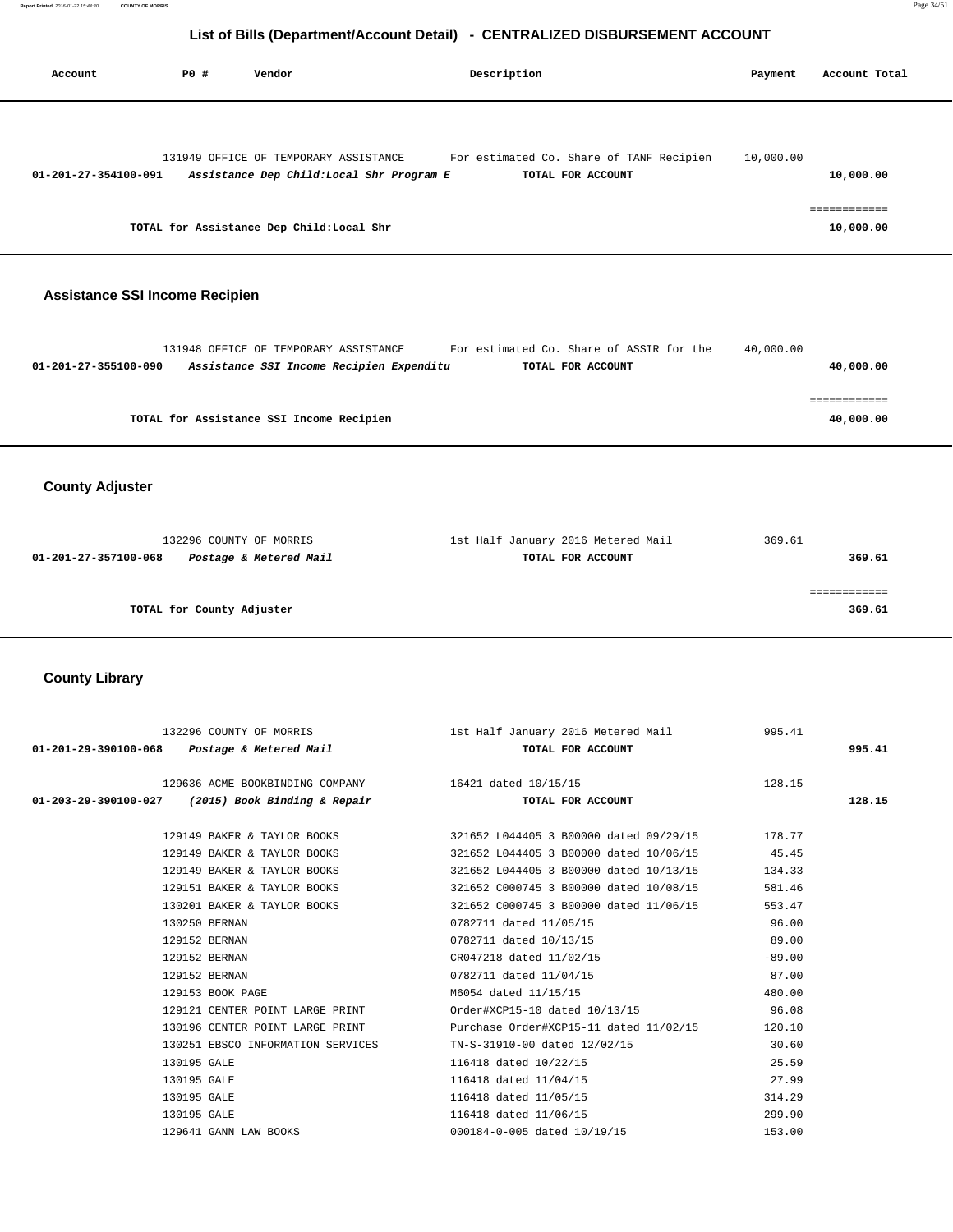| Account              | PO# | Vendor                                                                             | Description                                                   | Payment   | Account Total             |
|----------------------|-----|------------------------------------------------------------------------------------|---------------------------------------------------------------|-----------|---------------------------|
| 01-201-27-354100-091 |     | 131949 OFFICE OF TEMPORARY ASSISTANCE<br>Assistance Dep Child: Local Shr Program E | For estimated Co. Share of TANF Recipien<br>TOTAL FOR ACCOUNT | 10,000.00 | 10,000.00                 |
|                      |     | TOTAL for Assistance Dep Child: Local Shr                                          |                                                               |           | ============<br>10,000.00 |

# **Assistance SSI Income Recipien**

| 40,000.00 |
|-----------|
|           |
|           |
| 40,000.00 |
|           |

 **County Adjuster** 

| 132296 COUNTY OF MORRIS                        | 1st Half January 2016 Metered Mail | 369.61 |
|------------------------------------------------|------------------------------------|--------|
| Postage & Metered Mail<br>01-201-27-357100-068 | TOTAL FOR ACCOUNT                  | 369.61 |
|                                                |                                    |        |
|                                                |                                    |        |
| TOTAL for County Adjuster                      |                                    | 369.61 |
|                                                |                                    |        |

# **County Library**

|                                                     | 132296 COUNTY OF MORRIS 195.41 18t Half January 2016 Metered Mail 995.41          |          |        |
|-----------------------------------------------------|-----------------------------------------------------------------------------------|----------|--------|
| $01-201-29-390100-068$ Postage & Metered Mail       | TOTAL FOR ACCOUNT                                                                 |          | 995.41 |
|                                                     | 129636 ACME BOOKBINDING COMPANY 16421 dated 10/15/15 128.15                       |          |        |
| $01-203-29-390100-027$ (2015) Book Binding & Repair | TOTAL FOR ACCOUNT                                                                 |          | 128.15 |
|                                                     |                                                                                   |          |        |
|                                                     | 178.77 19149 BAKER & TAYLOR BOOKS 321652 L044405 3 B00000 dated $09/29/15$ 178.77 |          |        |
|                                                     | 129149 BAKER & TAYLOR BOOKS 321652 L044405 3 B00000 dated 10/06/15 45.45          |          |        |
|                                                     | 129149 BAKER & TAYLOR BOOKS 321652 L044405 3 B00000 dated 10/13/15                | 134.33   |        |
|                                                     | 129151 BAKER & TAYLOR BOOKS 321652 C000745 3 B00000 dated 10/08/15                | 581.46   |        |
|                                                     | 130201 BAKER & TAYLOR BOOKS 321652 C000745 3 B00000 dated 11/06/15                | 553.47   |        |
| 130250 BERNAN                                       | 0782711 dated 11/05/15                                                            | 96.00    |        |
| 129152 BERNAN                                       | 0782711 dated 10/13/15                                                            | 89.00    |        |
| 129152 BERNAN                                       | CR047218 dated 11/02/15                                                           | $-89.00$ |        |
| 129152 BERNAN                                       | 0782711 dated 11/04/15 37.00                                                      |          |        |
| 129153 BOOK PAGE                                    | M6054 dated 11/15/15                                                              | 480.00   |        |
|                                                     | 129121 CENTER POINT LARGE PRINT 66.08                                             |          |        |
|                                                     | 130196 CENTER POINT LARGE PRINT Purchase Order#XCP15-11 dated 11/02/15            | 120.10   |        |
| 130251 EBSCO INFORMATION SERVICES                   | TN-S-31910-00 dated 12/02/15                                                      | 30.60    |        |
| 130195 GALE                                         | 116418 dated 10/22/15                                                             | 25.59    |        |
| 130195 GALE                                         | 116418 dated 11/04/15                                                             | 27.99    |        |
| 130195 GALE                                         | 116418 dated 11/05/15                                                             | 314.29   |        |
| 130195 GALE                                         | 116418 dated 11/06/15                                                             | 299.90   |        |
| 129641 GANN LAW BOOKS                               | 000184-0-005 dated 10/19/15                                                       | 153.00   |        |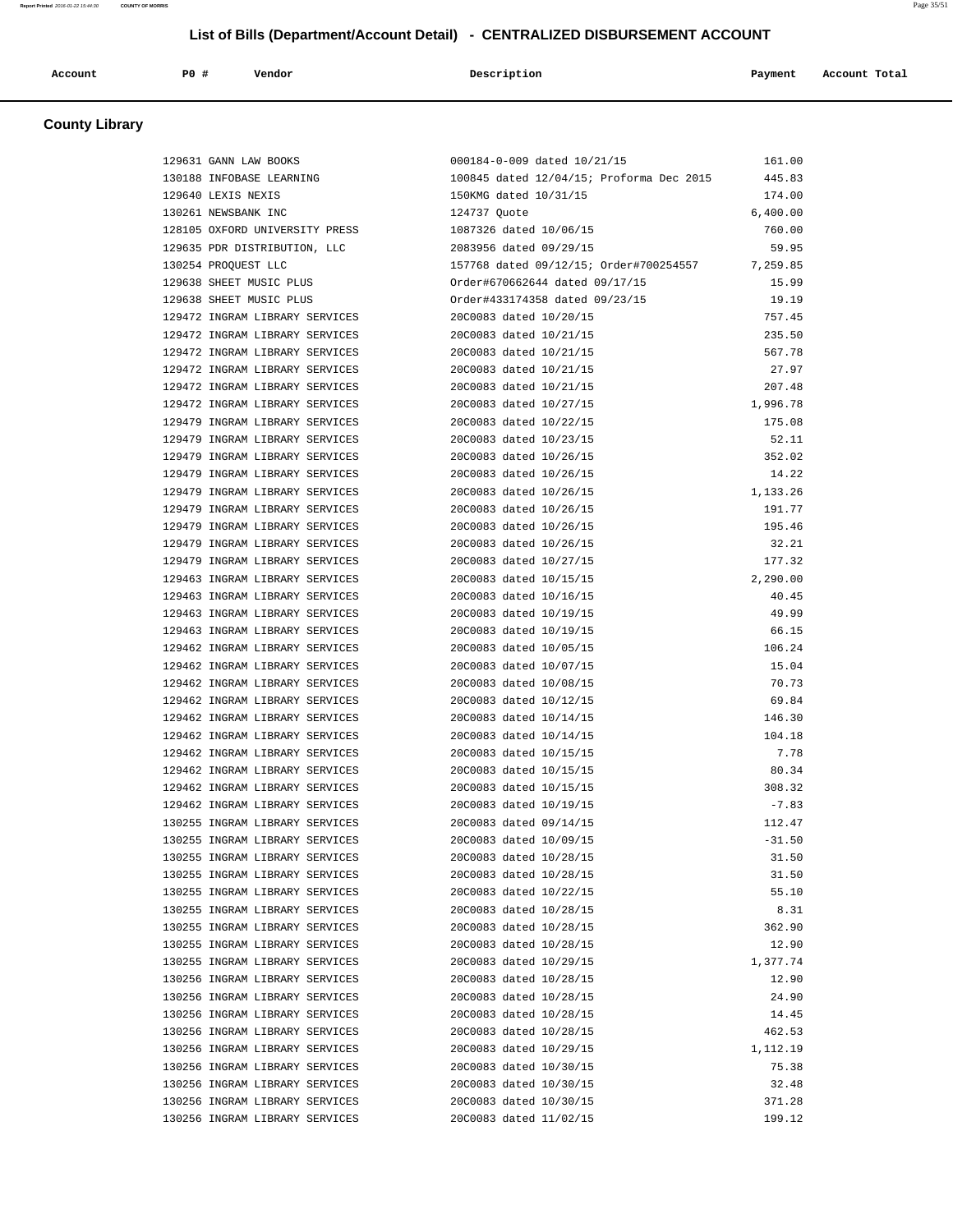| Account | PO# | Vendor | Description | Payment | Account Total |
|---------|-----|--------|-------------|---------|---------------|
|         |     |        |             |         |               |

# **County Library**

| 129631 GANN LAW BOOKS                                 | 000184-0-009 dated 10/21/15                     | 161.00   |
|-------------------------------------------------------|-------------------------------------------------|----------|
| 130188 INFOBASE LEARNING                              | 100845 dated 12/04/15; Proforma Dec 2015        | 445.83   |
| 129640 LEXIS NEXIS                                    | 150KMG dated 10/31/15                           | 174.00   |
| 130261 NEWSBANK INC                                   | 124737 Quote                                    | 6,400.00 |
| 128105 OXFORD UNIVERSITY PRESS 1087326 dated 10/06/15 |                                                 | 760.00   |
| 129635 PDR DISTRIBUTION, LLC 2083956 dated 09/29/15   |                                                 | 59.95    |
| 130254 PROQUEST LLC                                   | 157768 dated 09/12/15; Order#700254557 7,259.85 |          |
| 129638 SHEET MUSIC PLUS                               | Order#670662644 dated 09/17/15                  | 15.99    |
| 129638 SHEET MUSIC PLUS                               | Order#433174358 dated 09/23/15                  | 19.19    |
| 129472 INGRAM LIBRARY SERVICES                        | 20C0083 dated 10/20/15                          | 757.45   |
| 129472 INGRAM LIBRARY SERVICES                        | 20C0083 dated 10/21/15                          | 235.50   |
| 129472 INGRAM LIBRARY SERVICES                        | 20C0083 dated 10/21/15                          | 567.78   |
| 129472 INGRAM LIBRARY SERVICES 20C0083 dated 10/21/15 |                                                 | 27.97    |
| 129472 INGRAM LIBRARY SERVICES 20C0083 dated 10/21/15 |                                                 | 207.48   |
| 129472 INGRAM LIBRARY SERVICES                        | 20C0083 dated 10/27/15                          | 1,996.78 |
| 129479 INGRAM LIBRARY SERVICES                        | 20C0083 dated 10/22/15                          | 175.08   |
| 129479 INGRAM LIBRARY SERVICES                        | 20C0083 dated 10/23/15                          | 52.11    |
| 129479 INGRAM LIBRARY SERVICES                        | 20C0083 dated 10/26/15                          | 352.02   |
| 129479 INGRAM LIBRARY SERVICES                        | 20C0083 dated 10/26/15                          | 14.22    |
|                                                       |                                                 |          |
| 129479 INGRAM LIBRARY SERVICES                        | 20C0083 dated 10/26/15                          | 1,133.26 |
| 129479 INGRAM LIBRARY SERVICES 20C0083 dated 10/26/15 |                                                 | 191.77   |
| 129479 INGRAM LIBRARY SERVICES 20C0083 dated 10/26/15 |                                                 | 195.46   |
| 129479 INGRAM LIBRARY SERVICES                        | 20C0083 dated 10/26/15                          | 32.21    |
| 129479 INGRAM LIBRARY SERVICES                        | 20C0083 dated 10/27/15                          | 177.32   |
| 129463 INGRAM LIBRARY SERVICES                        | 20C0083 dated 10/15/15                          | 2,290.00 |
| 129463 INGRAM LIBRARY SERVICES                        | 20C0083 dated 10/16/15                          | 40.45    |
| 129463 INGRAM LIBRARY SERVICES                        | 20C0083 dated 10/19/15                          | 49.99    |
| 129463 INGRAM LIBRARY SERVICES 20C0083 dated 10/19/15 |                                                 | 66.15    |
| 129462 INGRAM LIBRARY SERVICES 20C0083 dated 10/05/15 |                                                 | 106.24   |
| 129462 INGRAM LIBRARY SERVICES                        | 20C0083 dated 10/07/15                          | 15.04    |
| 129462 INGRAM LIBRARY SERVICES                        | 20C0083 dated 10/08/15                          | 70.73    |
| 129462 INGRAM LIBRARY SERVICES                        | 20C0083 dated 10/12/15                          | 69.84    |
| 129462 INGRAM LIBRARY SERVICES                        | 20C0083 dated 10/14/15                          | 146.30   |
| 129462 INGRAM LIBRARY SERVICES                        | 20C0083 dated 10/14/15                          | 104.18   |
| 129462 INGRAM LIBRARY SERVICES                        | 20C0083 dated 10/15/15                          | 7.78     |
| 129462 INGRAM LIBRARY SERVICES                        | 20C0083 dated 10/15/15                          | 80.34    |
| 129462 INGRAM LIBRARY SERVICES                        | 20C0083 dated 10/15/15                          | 308.32   |
| 129462 INGRAM LIBRARY SERVICES                        | 20C0083 dated 10/19/15                          | $-7.83$  |
| 130255 INGRAM LIBRARY SERVICES                        | 20C0083 dated 09/14/15                          | 112.47   |
| 130255 INGRAM LIBRARY SERVICES                        | 20C0083 dated 10/09/15                          | $-31.50$ |
| 130255 INGRAM LIBRARY SERVICES                        | 20C0083 dated 10/28/15                          | 31.50    |
| 130255 INGRAM LIBRARY SERVICES                        | 20C0083 dated 10/28/15                          | 31.50    |
| 130255 INGRAM LIBRARY SERVICES                        | 20C0083 dated 10/22/15                          | 55.10    |
| 130255 INGRAM LIBRARY SERVICES                        | 20C0083 dated 10/28/15                          | 8.31     |
| 130255 INGRAM LIBRARY SERVICES                        | 20C0083 dated 10/28/15                          | 362.90   |
| 130255 INGRAM LIBRARY SERVICES                        | 20C0083 dated 10/28/15                          |          |
|                                                       | 20C0083 dated 10/29/15                          | 12.90    |
| 130255 INGRAM LIBRARY SERVICES                        |                                                 | 1,377.74 |
| 130256 INGRAM LIBRARY SERVICES                        | 20C0083 dated 10/28/15                          | 12.90    |
| 130256 INGRAM LIBRARY SERVICES                        | 20C0083 dated 10/28/15                          | 24.90    |
| 130256 INGRAM LIBRARY SERVICES                        | 20C0083 dated 10/28/15                          | 14.45    |
| 130256 INGRAM LIBRARY SERVICES                        | 20C0083 dated 10/28/15                          | 462.53   |
| 130256 INGRAM LIBRARY SERVICES                        | 20C0083 dated 10/29/15                          | 1,112.19 |
| 130256 INGRAM LIBRARY SERVICES                        | 20C0083 dated 10/30/15                          | 75.38    |
| 130256 INGRAM LIBRARY SERVICES                        | 20C0083 dated 10/30/15                          | 32.48    |
| 130256 INGRAM LIBRARY SERVICES                        | 20C0083 dated 10/30/15                          | 371.28   |
| 130256 INGRAM LIBRARY SERVICES                        | 20C0083 dated 11/02/15                          | 199.12   |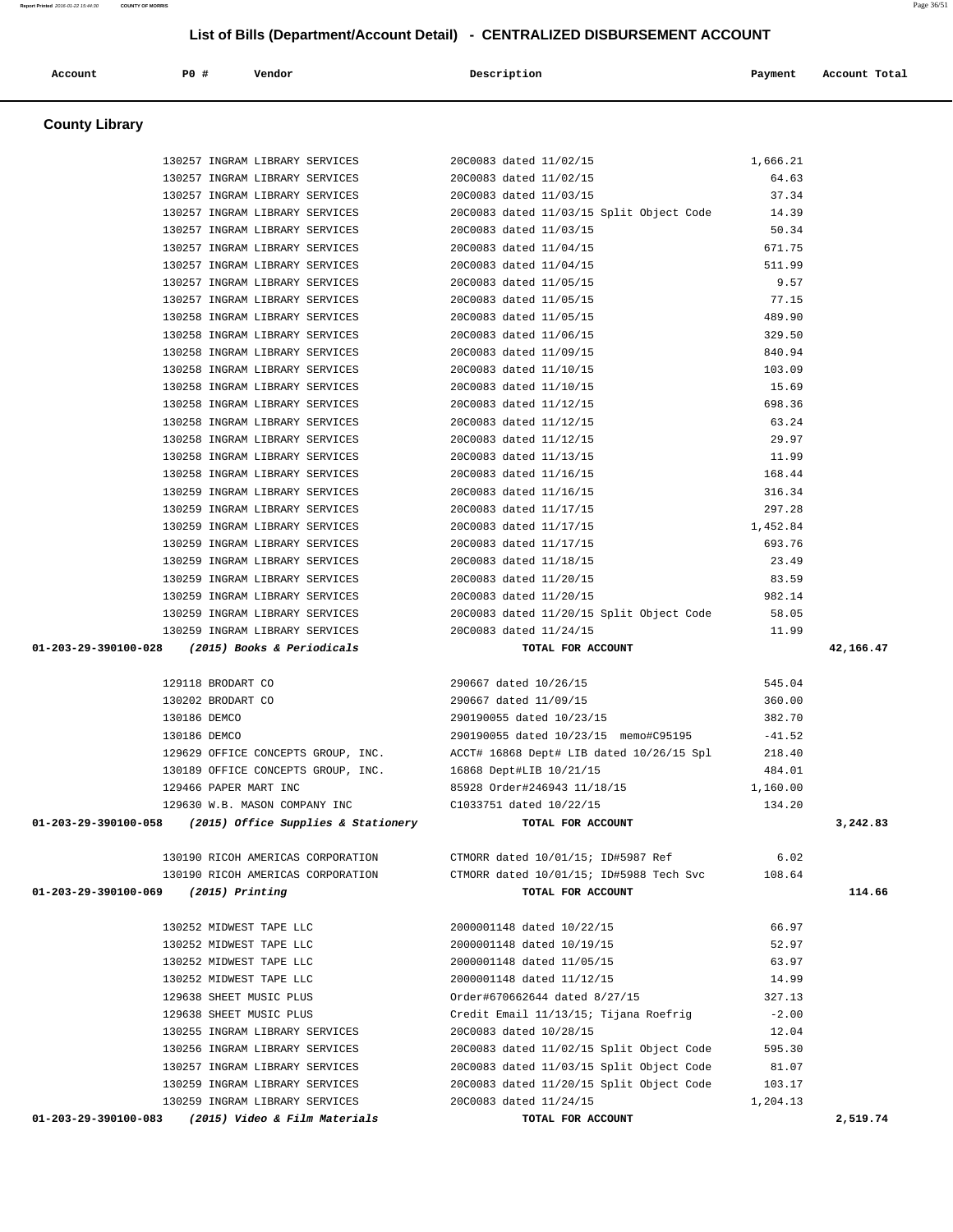# **List of Bills (Department/Account Detail) - CENTRALIZED DISBURSEMENT ACCOUNT Account P0 # Vendor Description Payment Account Total County Library**  130257 INGRAM LIBRARY SERVICES 20C0083 dated 11/02/15 1,666.21 130257 INGRAM LIBRARY SERVICES 20C0083 dated 11/02/15 64.63 130257 INGRAM LIBRARY SERVICES 20C0083 dated 11/03/15 37.34 130257 INGRAM LIBRARY SERVICES 20C0083 dated 11/03/15 Split Object Code 14.39 130257 INGRAM LIBRARY SERVICES 20C0083 dated 11/03/15 50.34 130257 INGRAM LIBRARY SERVICES 20C0083 dated 11/04/15 671.75 130257 INGRAM LIBRARY SERVICES 20C0083 dated 11/04/15 511.99 130257 INGRAM LIBRARY SERVICES 20C0083 dated 11/05/15 9.57 130257 INGRAM LIBRARY SERVICES 20C0083 dated 11/05/15 77.15 130258 INGRAM LIBRARY SERVICES 20C0083 dated 11/05/15 489.90 130258 INGRAM LIBRARY SERVICES 20C0083 dated 11/06/15 329.50 130258 INGRAM LIBRARY SERVICES 20C0083 dated 11/09/15 840.94 130258 INGRAM LIBRARY SERVICES 20C0083 dated 11/10/15 103.09 130258 INGRAM LIBRARY SERVICES 20C0083 dated 11/10/15 15.69 130258 INGRAM LIBRARY SERVICES 20C0083 dated 11/12/15 698.36 130258 INGRAM LIBRARY SERVICES 20C0083 dated 11/12/15 63.24 130258 INGRAM LIBRARY SERVICES 20C0083 dated 11/12/15 29.97 130258 INGRAM LIBRARY SERVICES 20C0083 dated 11/13/15 11.99 130258 INGRAM LIBRARY SERVICES 20C0083 dated 11/16/15 168.44 130259 INGRAM LIBRARY SERVICES 20C0083 dated 11/16/15 316.34<br>130259 INGRAM LIBRARY SERVICES 20C0083 dated 11/17/15 3297.28 130259 INGRAM LIBRARY SERVICES 20C0083 dated 11/17/15 297.28 130259 INGRAM LIBRARY SERVICES 20C0083 dated 11/17/15 1,452.84 130259 INGRAM LIBRARY SERVICES 20C0083 dated 11/17/15 693.76 130259 INGRAM LIBRARY SERVICES 20C0083 dated 11/18/15 23.49 130259 INGRAM LIBRARY SERVICES 20C0083 dated 11/20/15 83.59 130259 INGRAM LIBRARY SERVICES 20C0083 dated 11/20/15 982.14 130259 INGRAM LIBRARY SERVICES 20C0083 dated 11/20/15 Split Object Code 58.05 130259 INGRAM LIBRARY SERVICES 20C0083 dated 11/24/15 11.99  **01-203-29-390100-028 (2015) Books & Periodicals TOTAL FOR ACCOUNT 42,166.47** 129118 BRODART CO 290667 dated 10/26/15 545.04 130202 BRODART CO 290667 dated 11/09/15 360.00 130186 DEMCO 290190055 dated 10/23/15 382.70 130186 DEMCO 290190055 dated 10/23/15 memo#C95195 -41.52 129629 OFFICE CONCEPTS GROUP, INC. ACCT# 16868 Dept# LIB dated 10/26/15 Spl 218.40 130189 OFFICE CONCEPTS GROUP, INC. 16868 Dept#LIB 10/21/15 484.01 129466 PAPER MART INC 85928 Order#246943 11/18/15 1,160.00 129630 W.B. MASON COMPANY INC C1033751 dated 10/22/15 134.20  **01-203-29-390100-058 (2015) Office Supplies & Stationery TOTAL FOR ACCOUNT 3,242.83** 130190 RICOH AMERICAS CORPORATION CTMORR dated 10/01/15; ID#5987 Ref 6.02 130190 RICOH AMERICAS CORPORATION CTMORR dated 10/01/15; ID#5988 Tech Svc 108.64  **01-203-29-390100-069 (2015) Printing TOTAL FOR ACCOUNT 114.66** 130252 MIDWEST TAPE LLC 2000001148 dated 10/22/15 66.97 130252 MIDWEST TAPE LLC 2000001148 dated 10/19/15 52.97 130252 MIDWEST TAPE LLC 2000001148 dated 11/05/15 63.97 130252 MIDWEST TAPE LLC 2000001148 dated 11/12/15 14.99 129638 SHEET MUSIC PLUS Order#670662644 dated 8/27/15 327.13 129638 SHEET MUSIC PLUS Credit Email 11/13/15; Tijana Roefrig -2.00 130255 INGRAM LIBRARY SERVICES 20C0083 dated 10/28/15 12.04 130256 INGRAM LIBRARY SERVICES 20C0083 dated 11/02/15 Split Object Code 595.30 130257 INGRAM LIBRARY SERVICES 20C0083 dated 11/03/15 Split Object Code 81.07 130259 INGRAM LIBRARY SERVICES 20C0083 dated 11/20/15 Split Object Code 103.17 130259 INGRAM LIBRARY SERVICES 20C0083 dated 11/24/15 1,204.13

 **01-203-29-390100-083 (2015) Video & Film Materials TOTAL FOR ACCOUNT 2,519.74**

**Report Printed** 2016-01-22 15:44:30 **COUNTY OF MORRIS** Page 36/51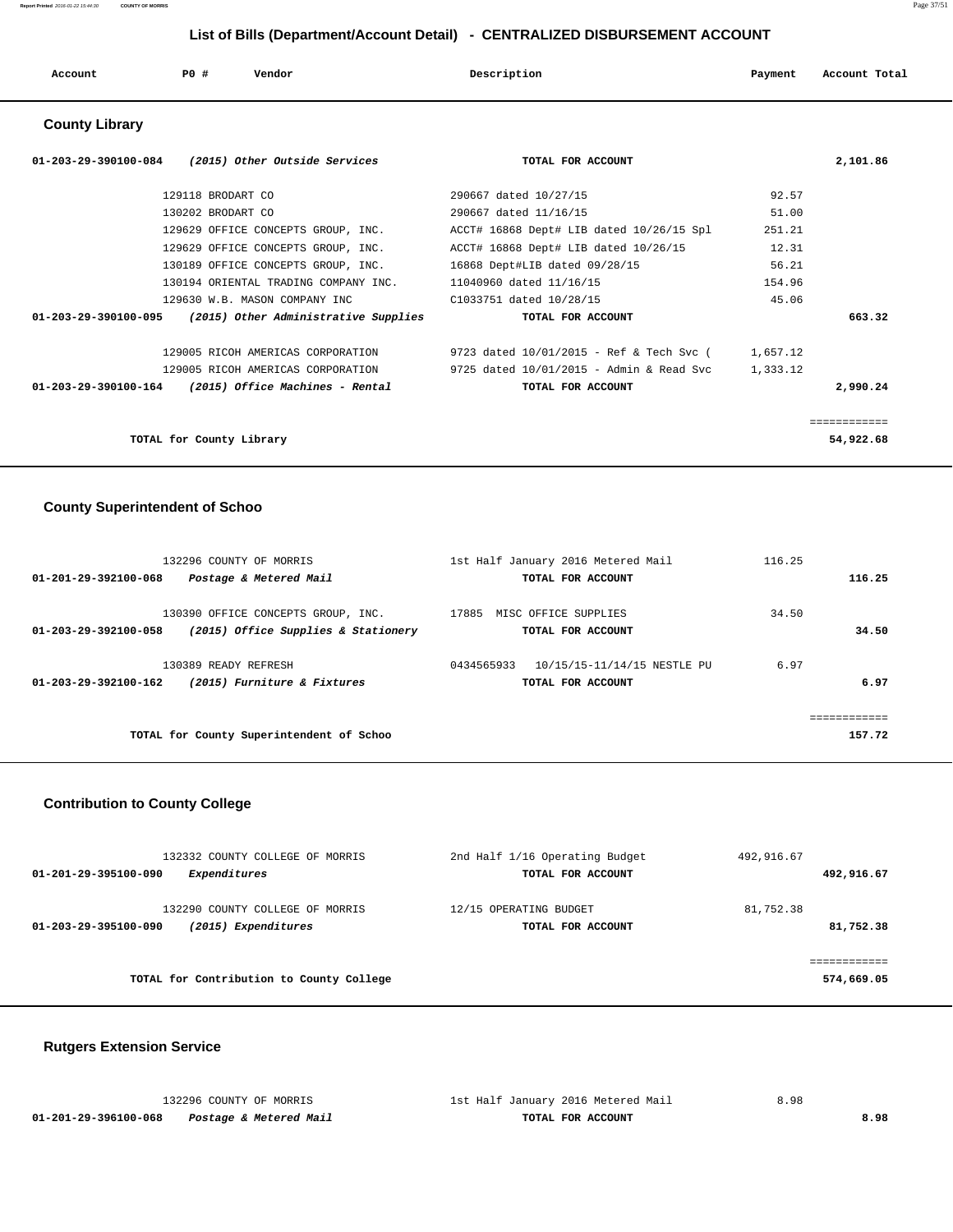| Account | P <sub>0</sub> | Vendor | Description | Payment | Account Total |
|---------|----------------|--------|-------------|---------|---------------|
|         |                |        |             |         |               |

# **County Library**

| 01-203-29-390100-084<br>(2015) Other Outside Services            | TOTAL FOR ACCOUNT                        | 2,101.86  |
|------------------------------------------------------------------|------------------------------------------|-----------|
| 129118 BRODART CO                                                | 290667 dated 10/27/15                    | 92.57     |
| 130202 BRODART CO                                                | 290667 dated 11/16/15                    | 51.00     |
| 129629 OFFICE CONCEPTS GROUP, INC.                               | ACCT# 16868 Dept# LIB dated 10/26/15 Spl | 251.21    |
| 129629 OFFICE CONCEPTS GROUP, INC.                               | ACCT# 16868 Dept# LIB dated 10/26/15     | 12.31     |
| 130189 OFFICE CONCEPTS GROUP, INC. 16868 Dept#LIB dated 09/28/15 |                                          | 56.21     |
| 130194 ORIENTAL TRADING COMPANY INC.                             | 11040960 dated 11/16/15                  | 154.96    |
| 129630 W.B. MASON COMPANY INC                                    | C1033751 dated 10/28/15                  | 45.06     |
| 01-203-29-390100-095<br>(2015) Other Administrative Supplies     | TOTAL FOR ACCOUNT                        | 663.32    |
| 129005 RICOH AMERICAS CORPORATION                                | 9723 dated 10/01/2015 - Ref & Tech Svc ( | 1,657.12  |
| 129005 RICOH AMERICAS CORPORATION                                | 9725 dated 10/01/2015 - Admin & Read Svc | 1,333.12  |
| 01-203-29-390100-164<br>(2015) Office Machines - Rental          | TOTAL FOR ACCOUNT                        | 2,990.24  |
|                                                                  |                                          |           |
| TOTAL for County Library                                         |                                          | 54,922.68 |

# **County Superintendent of Schoo**

|                      | 132296 COUNTY OF MORRIS                  | 1st Half January 2016 Metered Mail        | 116.25 |        |
|----------------------|------------------------------------------|-------------------------------------------|--------|--------|
| 01-201-29-392100-068 | Postage & Metered Mail                   | TOTAL FOR ACCOUNT                         |        | 116.25 |
|                      | 130390 OFFICE CONCEPTS GROUP, INC.       | 17885<br>MISC OFFICE SUPPLIES             | 34.50  |        |
| 01-203-29-392100-058 | (2015) Office Supplies & Stationery      | TOTAL FOR ACCOUNT                         |        | 34.50  |
|                      | 130389 READY REFRESH                     | 0434565933<br>10/15/15-11/14/15 NESTLE PU | 6.97   |        |
| 01-203-29-392100-162 | (2015) Furniture & Fixtures              | TOTAL FOR ACCOUNT                         |        | 6.97   |
|                      |                                          |                                           |        |        |
|                      | TOTAL for County Superintendent of Schoo |                                           |        | 157.72 |

# **Contribution to County College**

| 132332 COUNTY COLLEGE OF MORRIS<br>Expenditures<br>01-201-29-395100-090        | 2nd Half 1/16 Operating Budget<br>TOTAL FOR ACCOUNT | 492,916.67<br>492,916.67 |
|--------------------------------------------------------------------------------|-----------------------------------------------------|--------------------------|
| 132290 COUNTY COLLEGE OF MORRIS<br>(2015) Expenditures<br>01-203-29-395100-090 | 12/15 OPERATING BUDGET<br>TOTAL FOR ACCOUNT         | 81,752.38<br>81,752.38   |
| TOTAL for Contribution to County College                                       |                                                     | 574,669.05               |

# **Rutgers Extension Service**

|                      | 132296 COUNTY OF MORRIS | 1st Half January 2016 Metered Mail | 8.98 |
|----------------------|-------------------------|------------------------------------|------|
| 01-201-29-396100-068 | Postage & Metered Mail  | TOTAL FOR ACCOUNT                  | 8.98 |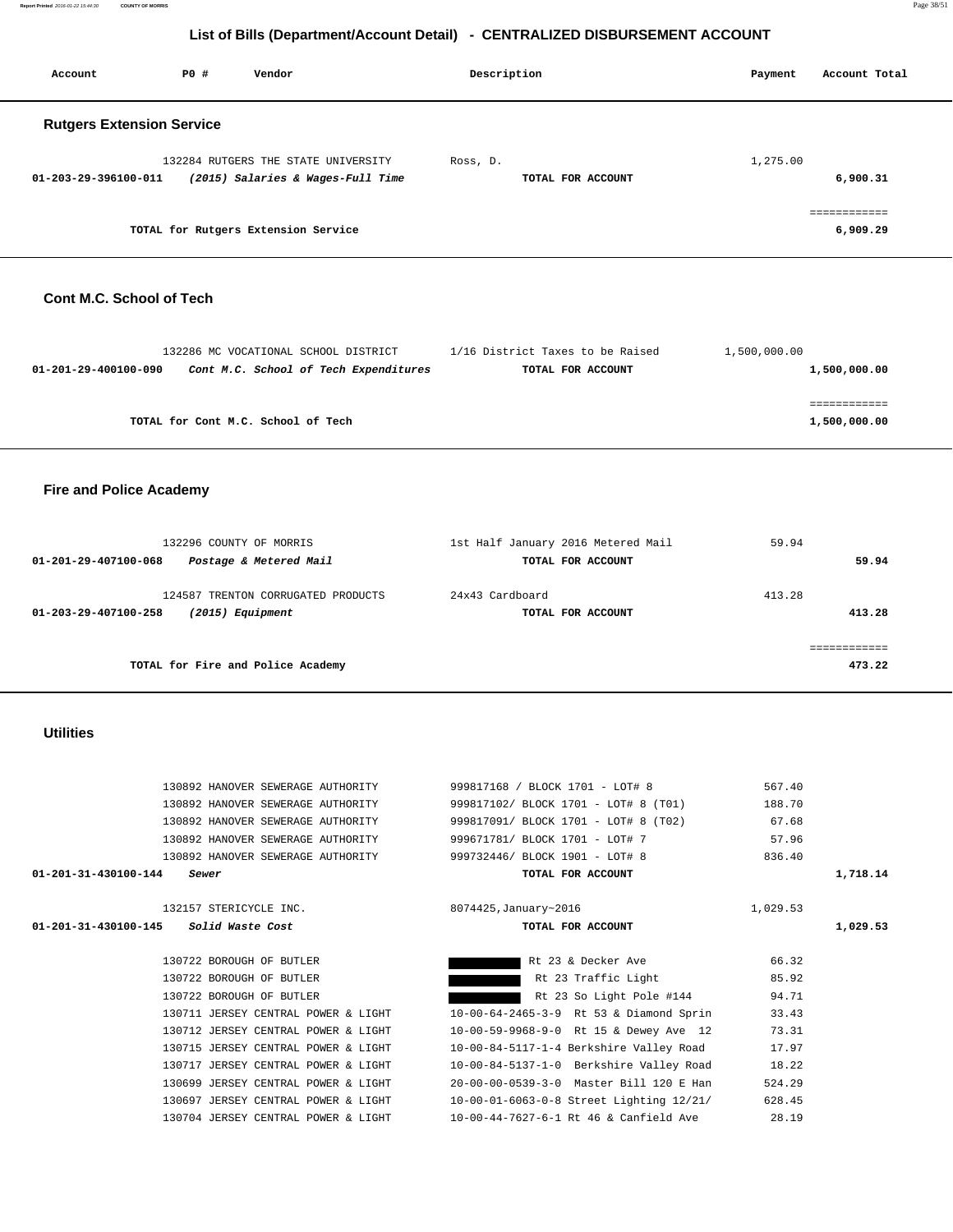| List of Bills (Department/Account Detail) - CENTRALIZED DISBURSEMENT ACCOUNT |      |                                                                                                             |                                                                                                                 |                           |                          |  |
|------------------------------------------------------------------------------|------|-------------------------------------------------------------------------------------------------------------|-----------------------------------------------------------------------------------------------------------------|---------------------------|--------------------------|--|
| Account                                                                      | P0 # | Vendor                                                                                                      | Description                                                                                                     | Payment                   | Account Total            |  |
| <b>Rutgers Extension Service</b>                                             |      |                                                                                                             |                                                                                                                 |                           |                          |  |
| 01-203-29-396100-011                                                         |      | 132284 RUTGERS THE STATE UNIVERSITY<br>(2015) Salaries & Wages-Full Time                                    | Ross, D.<br>TOTAL FOR ACCOUNT                                                                                   | 1,275.00                  | 6,900.31                 |  |
|                                                                              |      | TOTAL for Rutgers Extension Service                                                                         |                                                                                                                 |                           | ============<br>6,909.29 |  |
| Cont M.C. School of Tech                                                     |      |                                                                                                             |                                                                                                                 |                           |                          |  |
| 01-201-29-400100-090                                                         |      | 132286 MC VOCATIONAL SCHOOL DISTRICT<br>Cont M.C. School of Tech Expenditures                               | 1/16 District Taxes to be Raised<br>TOTAL FOR ACCOUNT                                                           | 1,500,000.00              | 1,500,000.00             |  |
|                                                                              |      | TOTAL for Cont M.C. School of Tech                                                                          |                                                                                                                 |                           | 1,500,000.00             |  |
| <b>Fire and Police Academy</b>                                               |      |                                                                                                             |                                                                                                                 |                           |                          |  |
| 01-201-29-407100-068                                                         |      | 132296 COUNTY OF MORRIS<br>Postage & Metered Mail                                                           | 1st Half January 2016 Metered Mail<br>TOTAL FOR ACCOUNT                                                         | 59.94                     | 59.94                    |  |
| 01-203-29-407100-258                                                         |      | 124587 TRENTON CORRUGATED PRODUCTS<br>(2015) Equipment                                                      | 24x43 Cardboard<br>TOTAL FOR ACCOUNT                                                                            | 413.28                    | 413.28                   |  |
|                                                                              |      | TOTAL for Fire and Police Academy                                                                           |                                                                                                                 |                           | ============<br>473.22   |  |
| <b>Utilities</b>                                                             |      |                                                                                                             |                                                                                                                 |                           |                          |  |
|                                                                              |      | 130892 HANOVER SEWERAGE AUTHORITY<br>130892 HANOVER SEWERAGE AUTHORITY<br>130892 HANOVER SEWERAGE AUTHORITY | 999817168 / BLOCK 1701 - LOT# 8<br>999817102/ BLOCK 1701 - LOT# 8 (T01)<br>999817091/ BLOCK 1701 - LOT# 8 (T02) | 567.40<br>188.70<br>67.68 |                          |  |

| $01 - 201 - 31 - 430100 - 144$<br>Sewer | TOTAL FOR ACCOUNT                    | 1,718.14 |  |
|-----------------------------------------|--------------------------------------|----------|--|
| 130892 HANOVER SEWERAGE AUTHORITY       | 999732446/ BLOCK 1901 - LOT# 8       | 836.40   |  |
| 130892 HANOVER SEWERAGE AUTHORITY       | 999671781/ BLOCK 1701 - LOT# 7       | 57.96    |  |
| 130892 HANOVER SEWERAGE AUTHORITY       | 999817091/ BLOCK 1701 - LOT# 8 (T02) | 67.68    |  |
| 130892 HANOVER SEWERAGE AUTHORITY       | 999817102/ BLOCK 1701 - LOT# 8 (T01) | 188.70   |  |
| 130892 HANOVER SEWERAGE AUTHORITY       | 999817168 / BLOCK 1701 - LOT# 8      | 567.40   |  |
|                                         |                                      |          |  |

 **01-201-31-430100-145 Solid Waste Cost TOTAL FOR ACCOUNT 1,029.53**

130722 BOROUGH OF BUTLER **Rt 23 & Decker Ave** 66.32 130722 BOROUGH OF BUTLER **Reduces 130722 BOROUGH OF BUTLER** Rt 23 Traffic Light 85.92 130722 BOROUGH OF BUTLER **Rt 23** So Light Pole #144 94.71 130711 JERSEY CENTRAL POWER & LIGHT 10-00-64-2465-3-9 Rt 53 & Diamond Sprin 33.43 130712 JERSEY CENTRAL POWER & LIGHT 10-00-59-9968-9-0 Rt 15 & Dewey Ave 12 73.31 130715 JERSEY CENTRAL POWER & LIGHT 10-00-84-5117-1-4 Berkshire Valley Road 17.97 130717 JERSEY CENTRAL POWER & LIGHT 10-00-84-5137-1-0 Berkshire Valley Road 18.22 130699 JERSEY CENTRAL POWER & LIGHT 20-00-00-0539-3-0 Master Bill 120 E Han 524.29 130697 JERSEY CENTRAL POWER & LIGHT 10-00-01-6063-0-8 Street Lighting 12/21/ 628.45 130704 JERSEY CENTRAL POWER & LIGHT 10-00-44-7627-6-1 Rt 46 & Canfield Ave 28.19

# **Utilities**

 132296 COUNTY OF MORRIS 1st Half January 2016 Metered Mail 59.94  **01-201-29-407100-068 Postage & Metered Mail TOTAL FOR ACCOUNT 59.94** 124587 TRENTON CORRUGATED PRODUCTS 24x43 Cardboard 413.28  **01-203-29-407100-258 (2015) Equipment TOTAL FOR ACCOUNT 413.28** ============ **TOTAL for Fire and Police Academy 473.22** 132157 STERICYCLE INC. 8074425,January~2016 1,029.53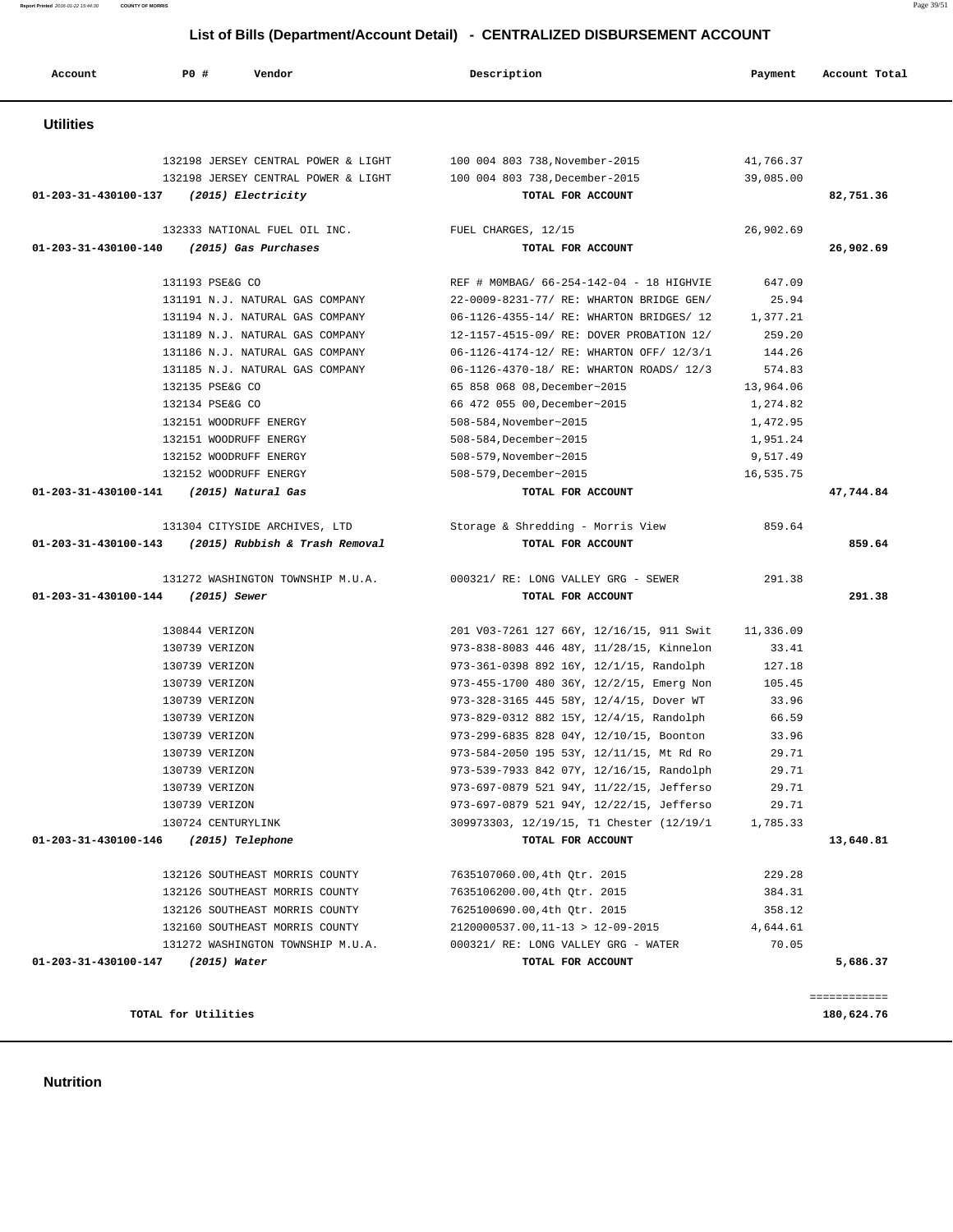**Nutrition** 

| Account              | P0 #<br>Vendor                                      | Description                              | Payment   | Account Total |
|----------------------|-----------------------------------------------------|------------------------------------------|-----------|---------------|
| <b>Utilities</b>     |                                                     |                                          |           |               |
|                      | 132198 JERSEY CENTRAL POWER & LIGHT                 | 100 004 803 738, November-2015           | 41,766.37 |               |
|                      | 132198 JERSEY CENTRAL POWER & LIGHT                 | 100 004 803 738, December-2015           | 39,085.00 |               |
|                      | 01-203-31-430100-137 (2015) Electricity             | TOTAL FOR ACCOUNT                        |           | 82,751.36     |
|                      | 132333 NATIONAL FUEL OIL INC.                       | FUEL CHARGES, 12/15                      | 26,902.69 |               |
| 01-203-31-430100-140 | (2015) Gas Purchases                                | TOTAL FOR ACCOUNT                        |           | 26,902.69     |
|                      | 131193 PSE&G CO                                     | REF # MOMBAG/ 66-254-142-04 - 18 HIGHVIE | 647.09    |               |
|                      | 131191 N.J. NATURAL GAS COMPANY                     | 22-0009-8231-77/ RE: WHARTON BRIDGE GEN/ | 25.94     |               |
|                      | 131194 N.J. NATURAL GAS COMPANY                     | 06-1126-4355-14/ RE: WHARTON BRIDGES/ 12 | 1,377.21  |               |
|                      | 131189 N.J. NATURAL GAS COMPANY                     | 12-1157-4515-09/ RE: DOVER PROBATION 12/ | 259.20    |               |
|                      | 131186 N.J. NATURAL GAS COMPANY                     | 06-1126-4174-12/ RE: WHARTON OFF/ 12/3/1 | 144.26    |               |
|                      | 131185 N.J. NATURAL GAS COMPANY                     | 06-1126-4370-18/ RE: WHARTON ROADS/ 12/3 | 574.83    |               |
|                      | 132135 PSE&G CO                                     | 65 858 068 08, December~2015             | 13,964.06 |               |
|                      | 132134 PSE&G CO                                     | 66 472 055 00, December~2015             | 1,274.82  |               |
|                      | 132151 WOODRUFF ENERGY                              | 508-584, November~2015                   | 1,472.95  |               |
|                      | 132151 WOODRUFF ENERGY                              | 508-584, December~2015                   | 1,951.24  |               |
|                      | 132152 WOODRUFF ENERGY                              | 508-579, November~2015                   | 9,517.49  |               |
|                      | 132152 WOODRUFF ENERGY                              | 508-579, December~2015                   | 16,535.75 |               |
| 01-203-31-430100-141 | (2015) Natural Gas                                  | TOTAL FOR ACCOUNT                        |           | 47,744.84     |
|                      | 131304 CITYSIDE ARCHIVES, LTD                       | Storage & Shredding - Morris View        | 859.64    |               |
|                      | 01-203-31-430100-143 (2015) Rubbish & Trash Removal | TOTAL FOR ACCOUNT                        |           | 859.64        |
|                      | 131272 WASHINGTON TOWNSHIP M.U.A.                   | 000321/ RE: LONG VALLEY GRG - SEWER      | 291.38    |               |
| 01-203-31-430100-144 | (2015) Sewer                                        | TOTAL FOR ACCOUNT                        |           | 291.38        |
|                      | 130844 VERIZON                                      | 201 V03-7261 127 66Y, 12/16/15, 911 Swit | 11,336.09 |               |
|                      | 130739 VERIZON                                      | 973-838-8083 446 48Y, 11/28/15, Kinnelon | 33.41     |               |
|                      | 130739 VERIZON                                      | 973-361-0398 892 16Y, 12/1/15, Randolph  | 127.18    |               |
|                      | 130739 VERIZON                                      | 973-455-1700 480 36Y, 12/2/15, Emerg Non | 105.45    |               |
|                      | 130739 VERIZON                                      | 973-328-3165 445 58Y, 12/4/15, Dover WT  | 33.96     |               |
|                      | 130739 VERIZON                                      | 973-829-0312 882 15Y, 12/4/15, Randolph  | 66.59     |               |
|                      | 130739 VERIZON                                      | 973-299-6835 828 04Y, 12/10/15, Boonton  | 33.96     |               |
|                      | 130739 VERIZON                                      | 973-584-2050 195 53Y, 12/11/15, Mt Rd Ro | 29.71     |               |
|                      | 130739 VERIZON                                      | 973-539-7933 842 07Y, 12/16/15, Randolph | 29.71     |               |
|                      | 130739 VERIZON                                      | 973-697-0879 521 94Y, 11/22/15, Jefferso | 29.71     |               |
|                      | 130739 VERIZON                                      | 973-697-0879 521 94Y, 12/22/15, Jefferso | 29.71     |               |
|                      | 130724 CENTURYLINK                                  | 309973303, 12/19/15, T1 Chester (12/19/1 | 1,785.33  |               |
| 01-203-31-430100-146 | (2015) Telephone                                    | TOTAL FOR ACCOUNT                        |           | 13,640.81     |
|                      | 132126 SOUTHEAST MORRIS COUNTY                      | 7635107060.00,4th Qtr. 2015              | 229.28    |               |
|                      | 132126 SOUTHEAST MORRIS COUNTY                      | 7635106200.00,4th Otr. 2015              | 384.31    |               |
|                      | 132126 SOUTHEAST MORRIS COUNTY                      | 7625100690.00,4th Qtr. 2015              | 358.12    |               |
|                      | 132160 SOUTHEAST MORRIS COUNTY                      | $2120000537.00, 11-13 > 12-09-2015$      | 4,644.61  |               |
|                      | 131272 WASHINGTON TOWNSHIP M.U.A.                   | 000321/ RE: LONG VALLEY GRG - WATER      | 70.05     |               |
|                      | 01-203-31-430100-147 (2015) Water                   | TOTAL FOR ACCOUNT                        |           | 5,686.37      |

============

**TOTAL for Utilities 180,624.76**

 **List of Bills (Department/Account Detail) - CENTRALIZED DISBURSEMENT ACCOUNT**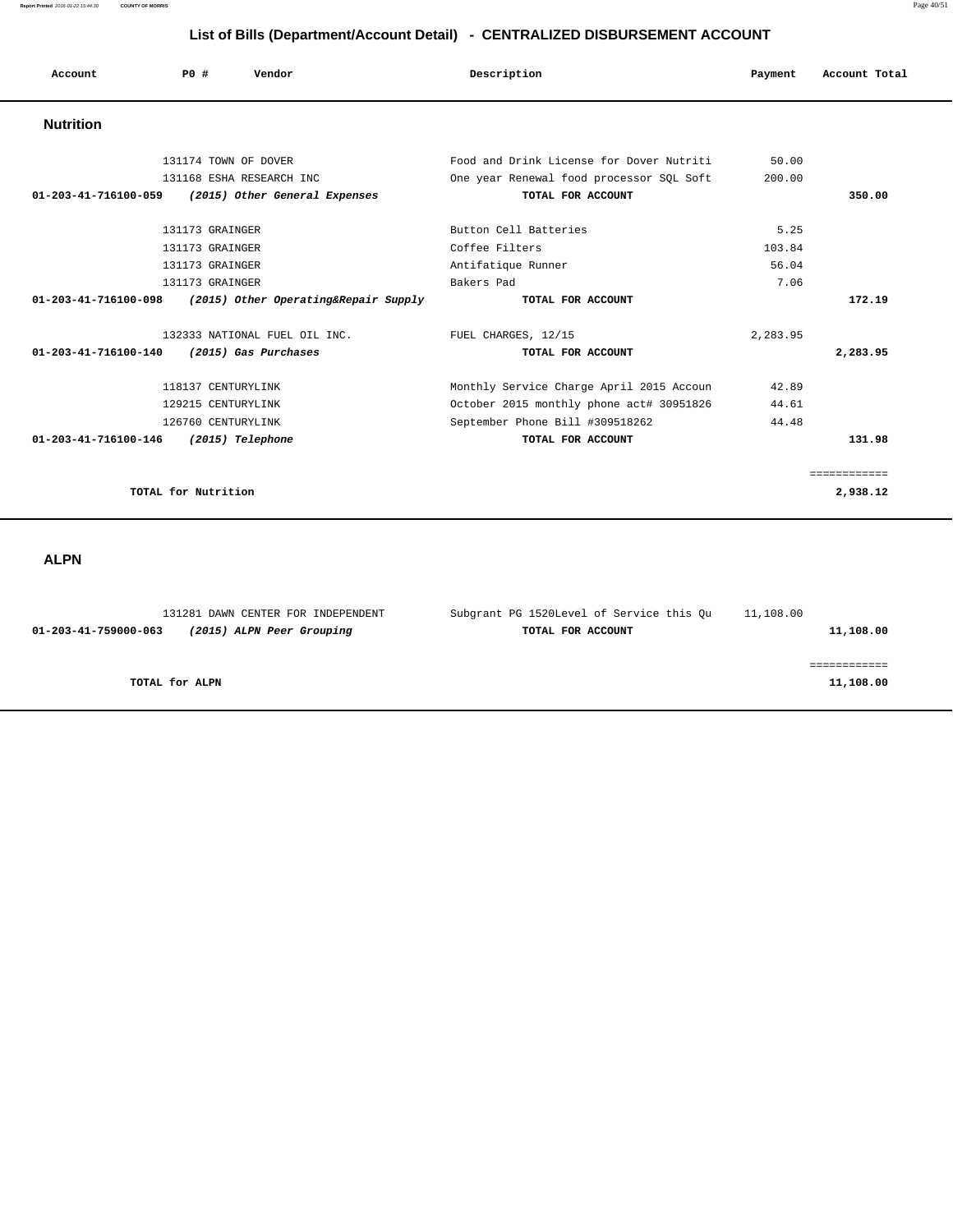| Account                        | PO#                  | Vendor                               | Description                              | Payment  | Account Total |
|--------------------------------|----------------------|--------------------------------------|------------------------------------------|----------|---------------|
| <b>Nutrition</b>               |                      |                                      |                                          |          |               |
|                                | 131174 TOWN OF DOVER |                                      | Food and Drink License for Dover Nutriti | 50.00    |               |
|                                |                      | 131168 ESHA RESEARCH INC             | One year Renewal food processor SQL Soft | 200.00   |               |
| $01 - 203 - 41 - 716100 - 059$ |                      | (2015) Other General Expenses        | TOTAL FOR ACCOUNT                        |          | 350.00        |
|                                | 131173 GRAINGER      |                                      | Button Cell Batteries                    | 5.25     |               |
|                                | 131173 GRAINGER      |                                      | Coffee Filters                           | 103.84   |               |
|                                | 131173 GRAINGER      |                                      | Antifatique Runner                       | 56.04    |               |
|                                | 131173 GRAINGER      |                                      | Bakers Pad                               | 7.06     |               |
| 01-203-41-716100-098           |                      | (2015) Other Operating&Repair Supply | TOTAL FOR ACCOUNT                        |          | 172.19        |
|                                |                      | 132333 NATIONAL FUEL OIL INC.        | FUEL CHARGES, 12/15                      | 2,283.95 |               |
| $01 - 203 - 41 - 716100 - 140$ |                      | (2015) Gas Purchases                 | TOTAL FOR ACCOUNT                        |          | 2,283.95      |
|                                | 118137 CENTURYLINK   |                                      | Monthly Service Charge April 2015 Accoun | 42.89    |               |
|                                | 129215 CENTURYLINK   |                                      | October 2015 monthly phone act# 30951826 | 44.61    |               |
|                                | 126760 CENTURYLINK   |                                      | September Phone Bill #309518262          | 44.48    |               |
| 01-203-41-716100-146           |                      | (2015) Telephone                     | TOTAL FOR ACCOUNT                        |          | 131.98        |
|                                |                      |                                      |                                          |          |               |
|                                |                      |                                      |                                          |          | ============= |
|                                | TOTAL for Nutrition  |                                      |                                          |          | 2,938.12      |

# **ALPN**

| 131281 DAWN CENTER FOR INDEPENDENT                | Subgrant PG 1520Level of Service this Ou | 11,108.00 |
|---------------------------------------------------|------------------------------------------|-----------|
| (2015) ALPN Peer Grouping<br>01-203-41-759000-063 | TOTAL FOR ACCOUNT                        | 11,108.00 |
|                                                   |                                          |           |
|                                                   |                                          |           |
| TOTAL for ALPN                                    |                                          | 11,108.00 |
|                                                   |                                          |           |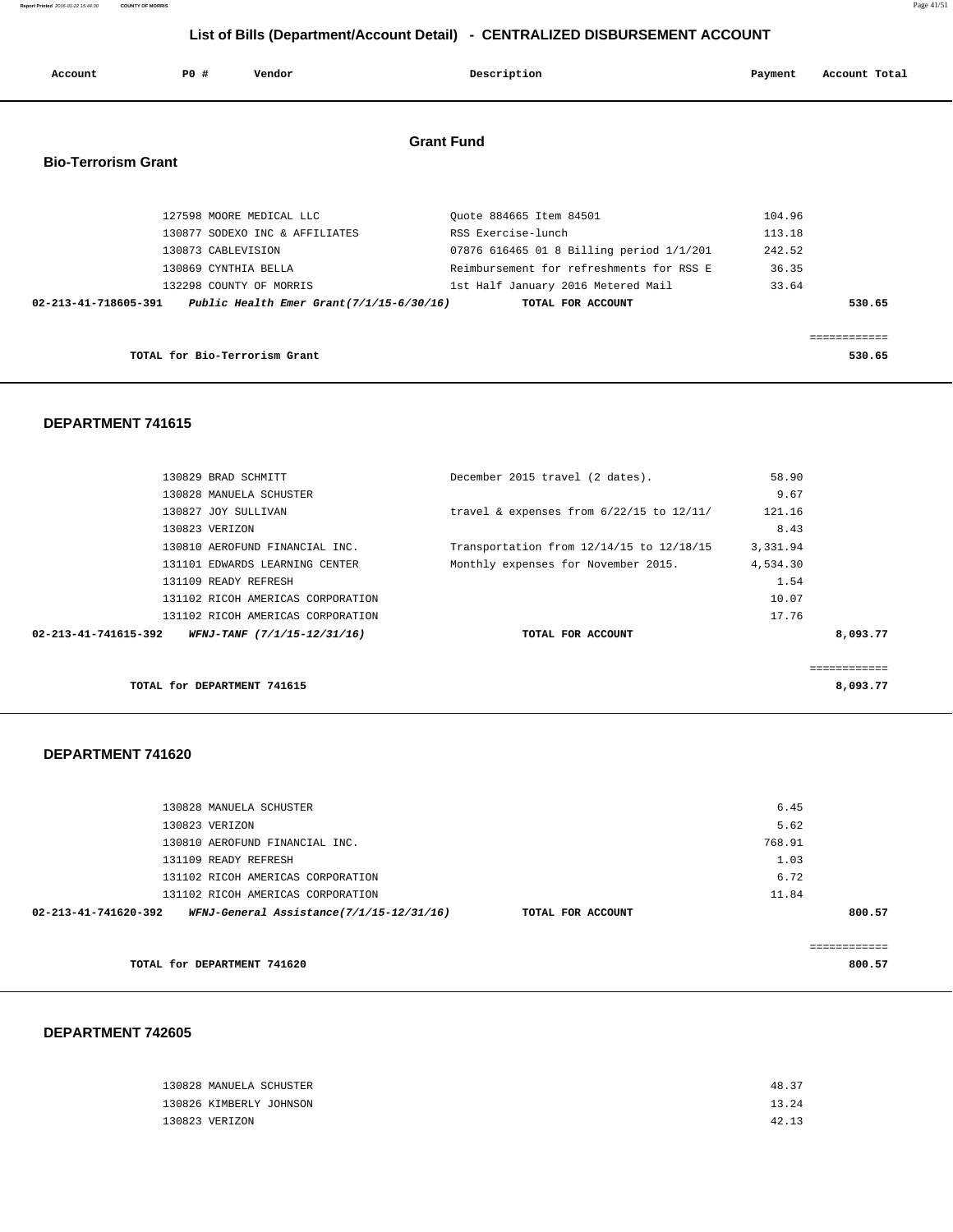**Report Printed** 2016-01-22 15:44:30 **COUNTY OF MORRIS** Page 41/51

# **List of Bills (Department/Account Detail) - CENTRALIZED DISBURSEMENT ACCOUNT**

| Account                    | P0 #                          | Vendor                         | Description                                                                    | Payment          | Account Total |
|----------------------------|-------------------------------|--------------------------------|--------------------------------------------------------------------------------|------------------|---------------|
| <b>Bio-Terrorism Grant</b> |                               |                                | <b>Grant Fund</b>                                                              |                  |               |
|                            |                               | 127598 MOORE MEDICAL LLC       | Ouote 884665 Item 84501                                                        | 104.96           |               |
|                            | 130873 CABLEVISION            | 130877 SODEXO INC & AFFILIATES | RSS Exercise-lunch<br>07876 616465 01 8 Billing period 1/1/201                 | 113.18<br>242.52 |               |
|                            | 130869 CYNTHIA BELLA          | 132298 COUNTY OF MORRIS        | Reimbursement for refreshments for RSS E<br>1st Half January 2016 Metered Mail | 36.35<br>33.64   |               |
| 02-213-41-718605-391       |                               |                                | Public Health Emer Grant $(7/1/15-6/30/16)$<br>TOTAL FOR ACCOUNT               |                  | 530.65        |
|                            |                               |                                |                                                                                |                  |               |
|                            | TOTAL for Bio-Terrorism Grant |                                |                                                                                |                  | 530.65        |

#### **DEPARTMENT 741615**

| 130829 BRAD SCHMITT                                 | December 2015 travel (2 dates).              | 58.90       |
|-----------------------------------------------------|----------------------------------------------|-------------|
| 130828 MANUELA SCHUSTER                             |                                              | 9.67        |
| 130827 JOY SULLIVAN                                 | travel & expenses from $6/22/15$ to $12/11/$ | 121.16      |
| 130823 VERIZON                                      |                                              | 8.43        |
| 130810 AEROFUND FINANCIAL INC.                      | Transportation from 12/14/15 to 12/18/15     | 3,331.94    |
| 131101 EDWARDS LEARNING CENTER                      | Monthly expenses for November 2015.          | 4,534.30    |
| 131109 READY REFRESH                                |                                              | 1.54        |
| 131102 RICOH AMERICAS CORPORATION                   |                                              | 10.07       |
| 131102 RICOH AMERICAS CORPORATION                   |                                              | 17.76       |
| 02-213-41-741615-392<br>WFNJ-TANF (7/1/15-12/31/16) | TOTAL FOR ACCOUNT                            | 8,093.77    |
|                                                     |                                              |             |
|                                                     |                                              | ----------- |
| TOTAL for DEPARTMENT 741615                         |                                              | 8,093.77    |

## **DEPARTMENT 741620**

|                   | 6.45   |        |
|-------------------|--------|--------|
|                   | 5.62   |        |
|                   | 768.91 |        |
|                   | 1.03   |        |
|                   | 6.72   |        |
|                   | 11.84  |        |
| TOTAL FOR ACCOUNT |        | 800.57 |
|                   |        |        |
|                   |        |        |
|                   |        | 800.57 |
|                   |        |        |

| 130828 MANUELA SCHUSTER | 48.37 |  |
|-------------------------|-------|--|
| 130826 KIMBERLY JOHNSON | 13.24 |  |
| 130823 VERIZON          | 42.13 |  |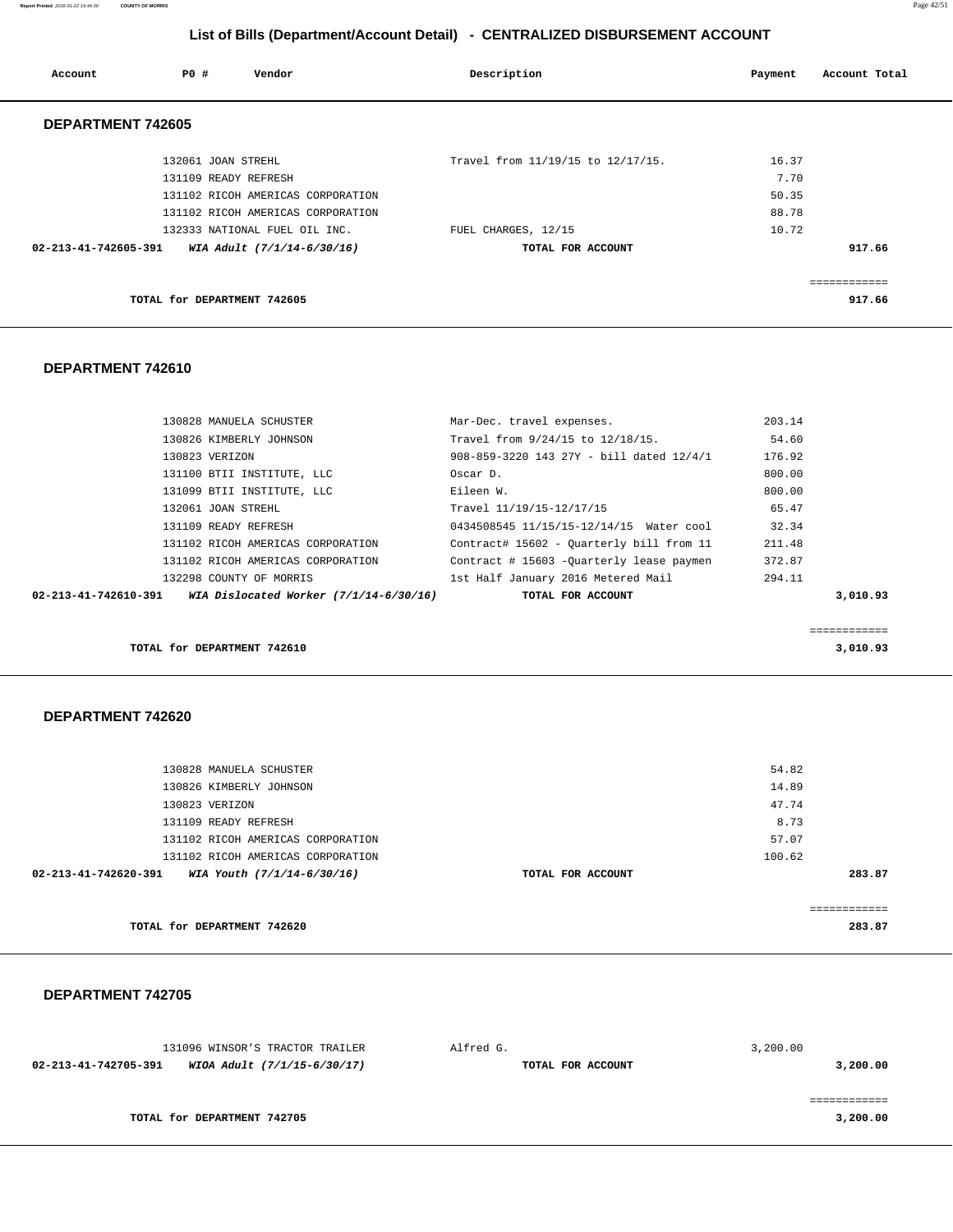**Report Printed** 2016-01-22 15:44:30 **COUNTY OF MORRIS** Page 42/51

# **List of Bills (Department/Account Detail) - CENTRALIZED DISBURSEMENT ACCOUNT**

| Account              | PO#                         | Vendor                            | Description                       | Payment | Account Total |
|----------------------|-----------------------------|-----------------------------------|-----------------------------------|---------|---------------|
| DEPARTMENT 742605    |                             |                                   |                                   |         |               |
|                      | 132061 JOAN STREHL          |                                   | Travel from 11/19/15 to 12/17/15. | 16.37   |               |
|                      | 131109 READY REFRESH        |                                   |                                   | 7.70    |               |
|                      |                             | 131102 RICOH AMERICAS CORPORATION |                                   | 50.35   |               |
|                      |                             | 131102 RICOH AMERICAS CORPORATION |                                   | 88.78   |               |
|                      |                             | 132333 NATIONAL FUEL OIL INC.     | FUEL CHARGES, 12/15               | 10.72   |               |
| 02-213-41-742605-391 |                             | WIA Adult (7/1/14-6/30/16)        | TOTAL FOR ACCOUNT                 |         | 917.66        |
|                      |                             |                                   |                                   |         |               |
|                      | TOTAL for DEPARTMENT 742605 |                                   |                                   |         | 917.66        |

## **DEPARTMENT 742610**

| 02-213-41-742610-391 | WIA Dislocated Worker (7/1/14-6/30/16) | TOTAL FOR ACCOUNT                        | 3,010.93 |
|----------------------|----------------------------------------|------------------------------------------|----------|
|                      | 132298 COUNTY OF MORRIS                | 1st Half January 2016 Metered Mail       | 294.11   |
|                      | 131102 RICOH AMERICAS CORPORATION      | Contract # 15603 -Ouarterly lease paymen | 372.87   |
|                      | 131102 RICOH AMERICAS CORPORATION      | Contract# 15602 - Quarterly bill from 11 | 211.48   |
|                      | 131109 READY REFRESH                   | 0434508545 11/15/15-12/14/15 Water cool  | 32.34    |
|                      | 132061 JOAN STREHL                     | Travel 11/19/15-12/17/15                 | 65.47    |
|                      | 131099 BTII INSTITUTE, LLC             | Eileen W.                                | 800.00   |
|                      | 131100 BTII INSTITUTE, LLC             | Oscar D.                                 | 800.00   |
|                      | 130823 VERIZON                         | 908-859-3220 143 27Y - bill dated 12/4/1 | 176.92   |
|                      | 130826 KIMBERLY JOHNSON                | Travel from 9/24/15 to 12/18/15.         | 54.60    |
|                      | 130828 MANUELA SCHUSTER                | Mar-Dec. travel expenses.                | 203.14   |

============

**TOTAL for DEPARTMENT 742610** 3,010.93

# **DEPARTMENT 742620**

|                      | TOTAL for DEPARTMENT 742620       |                   |        | 283.87 |
|----------------------|-----------------------------------|-------------------|--------|--------|
|                      |                                   |                   |        |        |
| 02-213-41-742620-391 | WIA Youth (7/1/14-6/30/16)        | TOTAL FOR ACCOUNT |        | 283.87 |
|                      | 131102 RICOH AMERICAS CORPORATION |                   | 100.62 |        |
|                      | 131102 RICOH AMERICAS CORPORATION |                   | 57.07  |        |
|                      | 131109 READY REFRESH              |                   | 8.73   |        |
|                      | 130823 VERIZON                    |                   | 47.74  |        |
|                      | 130826 KIMBERLY JOHNSON           |                   | 14.89  |        |
|                      | 130828 MANUELA SCHUSTER           |                   | 54.82  |        |
|                      |                                   |                   |        |        |

| 131096 WINSOR'S TRACTOR TRAILER                     | Alfred G.         | 3,200.00 |
|-----------------------------------------------------|-------------------|----------|
| WIOA Adult (7/1/15-6/30/17)<br>02-213-41-742705-391 | TOTAL FOR ACCOUNT | 3,200.00 |
|                                                     |                   |          |
|                                                     |                   |          |
| TOTAL for DEPARTMENT 742705                         |                   | 3,200.00 |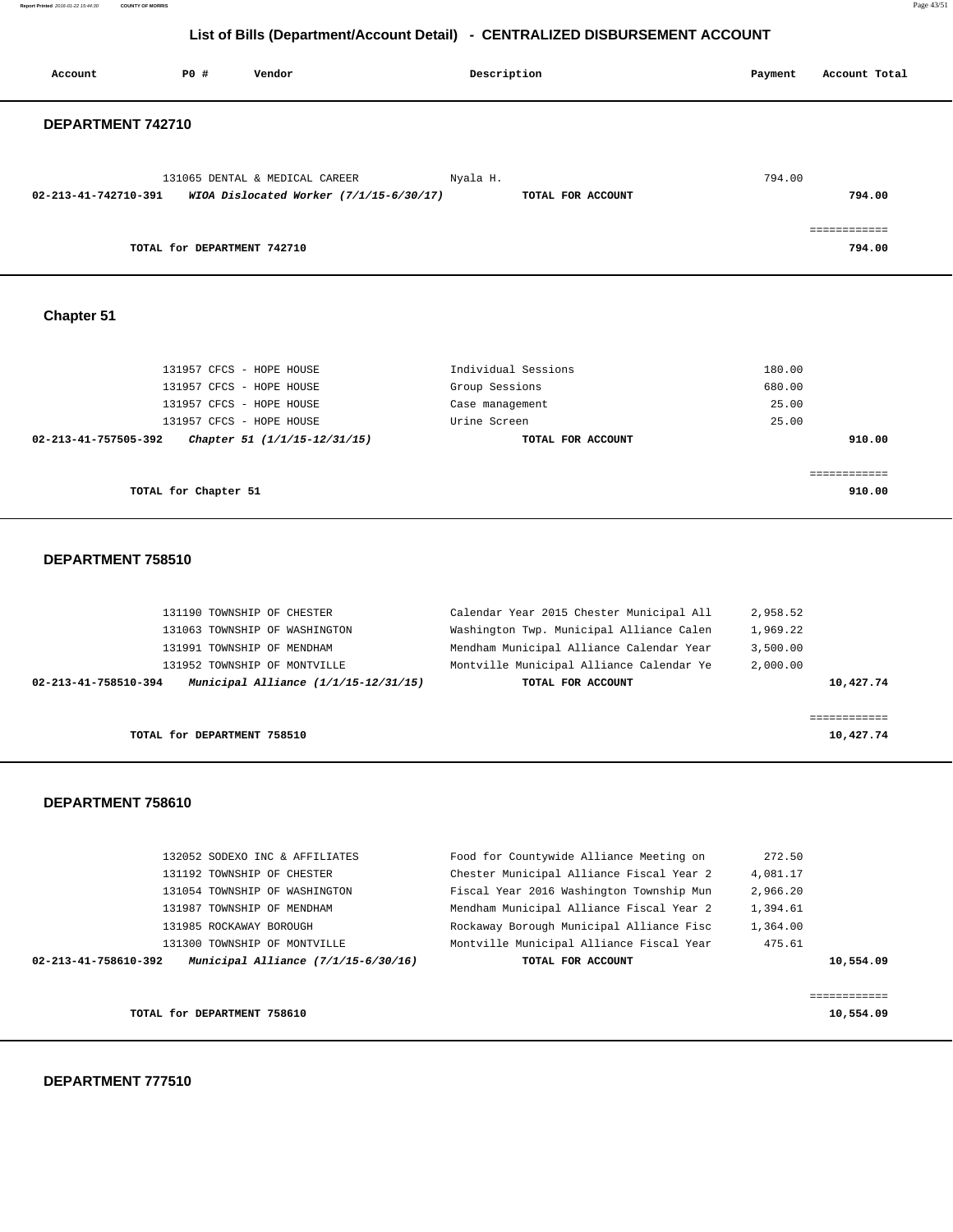**Report Printed** 2016-01-22 15:44:30 **COUNTY OF MORRIS** Page 43/51

# **List of Bills (Department/Account Detail) - CENTRALIZED DISBURSEMENT ACCOUNT**

| Account              | <b>PO #</b>                 | Vendor                                                                      | Description                   | Payment | Account Total          |
|----------------------|-----------------------------|-----------------------------------------------------------------------------|-------------------------------|---------|------------------------|
| DEPARTMENT 742710    |                             |                                                                             |                               |         |                        |
| 02-213-41-742710-391 |                             | 131065 DENTAL & MEDICAL CAREER<br>WIOA Dislocated Worker $(7/1/15-6/30/17)$ | Nyala H.<br>TOTAL FOR ACCOUNT | 794.00  | 794.00                 |
|                      | TOTAL for DEPARTMENT 742710 |                                                                             |                               |         | ------------<br>794.00 |

 **Chapter 51** 

| 131957 CFCS - HOPE HOUSE                             | Individual Sessions | 180.00 |
|------------------------------------------------------|---------------------|--------|
| 131957 CFCS - HOPE HOUSE                             | Group Sessions      | 680.00 |
| 131957 CFCS - HOPE HOUSE                             | Case management     | 25.00  |
| 131957 CFCS - HOPE HOUSE                             | Urine Screen        | 25.00  |
| Chapter 51 (1/1/15-12/31/15)<br>02-213-41-757505-392 | TOTAL FOR ACCOUNT   | 910.00 |
|                                                      |                     |        |
|                                                      |                     |        |
| TOTAL for Chapter 51                                 |                     | 910.00 |

#### **DEPARTMENT 758510**

| 02-213-41-758510-394 | Municipal Alliance $(1/1/15-12/31/15)$ | TOTAL FOR ACCOUNT                        | 10,427.74 |
|----------------------|----------------------------------------|------------------------------------------|-----------|
|                      | 131952 TOWNSHIP OF MONTVILLE           | Montville Municipal Alliance Calendar Ye | 2,000.00  |
|                      | 131991 TOWNSHIP OF MENDHAM             | Mendham Municipal Alliance Calendar Year | 3.500.00  |
|                      | 131063 TOWNSHIP OF WASHINGTON          | Washington Twp. Municipal Alliance Calen | 1,969.22  |
|                      | 131190 TOWNSHIP OF CHESTER             | Calendar Year 2015 Chester Municipal All | 2,958.52  |

 **DEPARTMENT 758610** 

|                      | TOTAL for DEPARTMENT 758610         |                                          | 10,554.09 |  |
|----------------------|-------------------------------------|------------------------------------------|-----------|--|
| 02-213-41-758610-392 | Municipal Alliance (7/1/15-6/30/16) | TOTAL FOR ACCOUNT                        | 10,554.09 |  |
|                      | 131300 TOWNSHIP OF MONTVILLE        | Montville Municipal Alliance Fiscal Year | 475.61    |  |
|                      | 131985 ROCKAWAY BOROUGH             | Rockaway Borough Municipal Alliance Fisc | 1,364.00  |  |
|                      | 131987 TOWNSHIP OF MENDHAM          | Mendham Municipal Alliance Fiscal Year 2 | 1,394.61  |  |
|                      | 131054 TOWNSHIP OF WASHINGTON       | Fiscal Year 2016 Washington Township Mun | 2,966.20  |  |
|                      | 131192 TOWNSHIP OF CHESTER          | Chester Municipal Alliance Fiscal Year 2 | 4,081.17  |  |
|                      | 132052 SODEXO INC & AFFILIATES      | Food for Countywide Alliance Meeting on  | 272.50    |  |
|                      |                                     |                                          |           |  |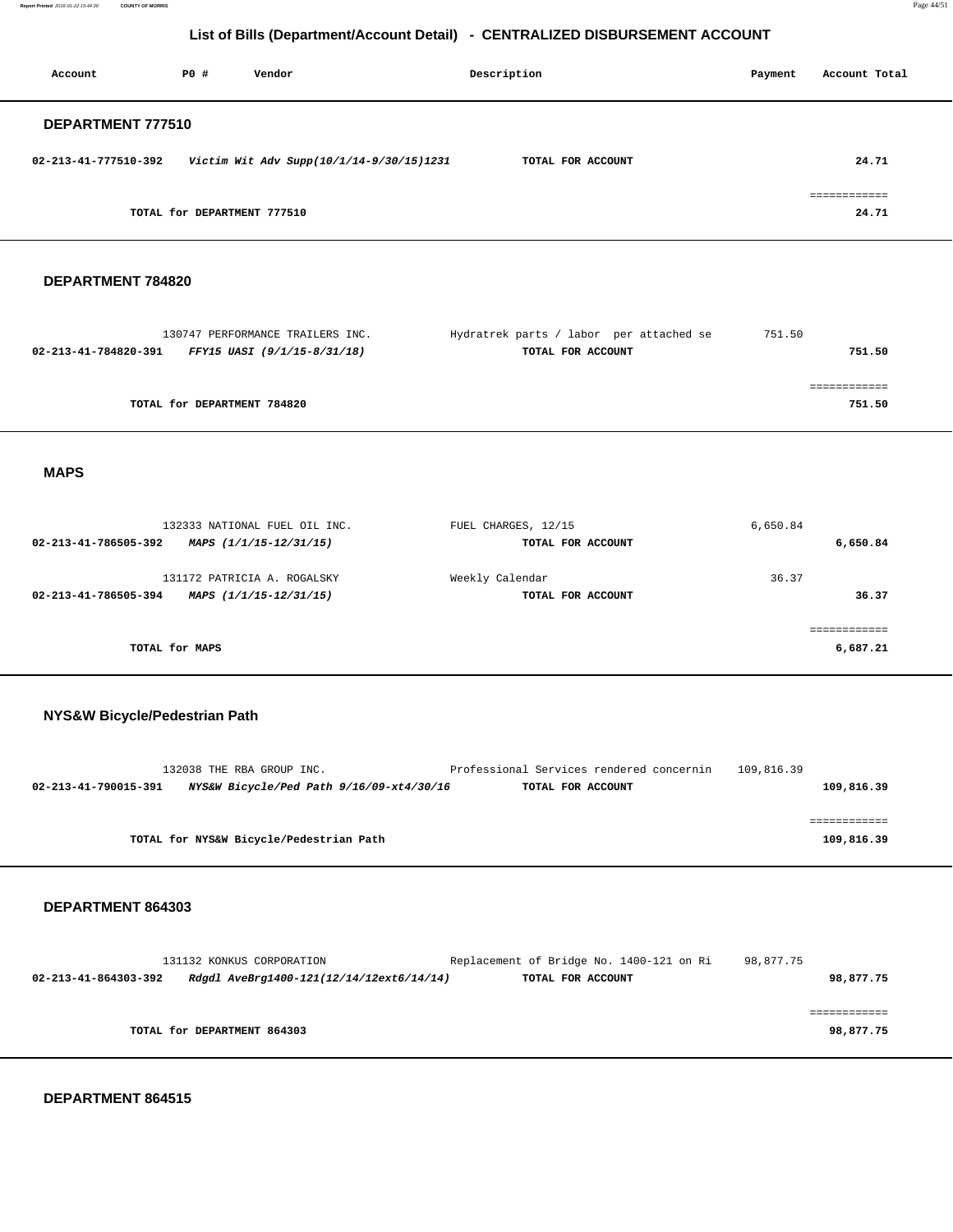**Report Printed** 2016-01-22 15:44:30 **COUNTY OF MORRIS** Page 44/51

# **List of Bills (Department/Account Detail) - CENTRALIZED DISBURSEMENT ACCOUNT**

| Account              | PO#                         | Vendor                                   | Description       | Payment | Account Total                         |
|----------------------|-----------------------------|------------------------------------------|-------------------|---------|---------------------------------------|
| DEPARTMENT 777510    |                             |                                          |                   |         |                                       |
| 02-213-41-777510-392 |                             | Victim Wit Adv Supp(10/1/14-9/30/15)1231 | TOTAL FOR ACCOUNT |         | 24.71                                 |
|                      | TOTAL for DEPARTMENT 777510 |                                          |                   |         | ------------<br>------------<br>24.71 |

#### **DEPARTMENT 784820**

| 130747 PERFORMANCE TRAILERS INC.                    | Hydratrek parts / labor per attached se | 751.50 |
|-----------------------------------------------------|-----------------------------------------|--------|
| FFY15 UASI (9/1/15-8/31/18)<br>02-213-41-784820-391 | TOTAL FOR ACCOUNT                       | 751.50 |
|                                                     |                                         |        |
|                                                     |                                         |        |
| TOTAL for DEPARTMENT 784820                         |                                         | 751.50 |
|                                                     |                                         |        |

#### **MAPS**

| 132333 NATIONAL FUEL OIL INC.<br>MAPS (1/1/15-12/31/15)<br>02-213-41-786505-392 | FUEL CHARGES, 12/15<br>TOTAL FOR ACCOUNT | 6,650.84<br>6,650.84 |
|---------------------------------------------------------------------------------|------------------------------------------|----------------------|
| 131172 PATRICIA A. ROGALSKY<br>MAPS (1/1/15-12/31/15)<br>02-213-41-786505-394   | Weekly Calendar<br>TOTAL FOR ACCOUNT     | 36.37<br>36.37       |
| TOTAL for MAPS                                                                  |                                          | 6,687.21             |

#### **NYS&W Bicycle/Pedestrian Path**

|                      | 132038 THE RBA GROUP INC.                | Professional Services rendered concernin | 109,816.39 |            |
|----------------------|------------------------------------------|------------------------------------------|------------|------------|
| 02-213-41-790015-391 | NYS&W Bicycle/Ped Path 9/16/09-xt4/30/16 | TOTAL FOR ACCOUNT                        |            | 109,816.39 |
|                      |                                          |                                          |            |            |
|                      |                                          |                                          |            |            |
|                      |                                          |                                          |            |            |
|                      | TOTAL for NYS&W Bicycle/Pedestrian Path  |                                          |            | 109,816.39 |

## **DEPARTMENT 864303**

|                      | 131132 KONKUS CORPORATION                | Replacement of Bridge No. 1400-121 on Ri | 98,877.75 |
|----------------------|------------------------------------------|------------------------------------------|-----------|
| 02-213-41-864303-392 | Rdgdl AveBrg1400-121(12/14/12ext6/14/14) | TOTAL FOR ACCOUNT                        | 98,877.75 |
|                      |                                          |                                          |           |
|                      |                                          |                                          |           |
|                      | TOTAL for DEPARTMENT 864303              |                                          | 98,877.75 |
|                      |                                          |                                          |           |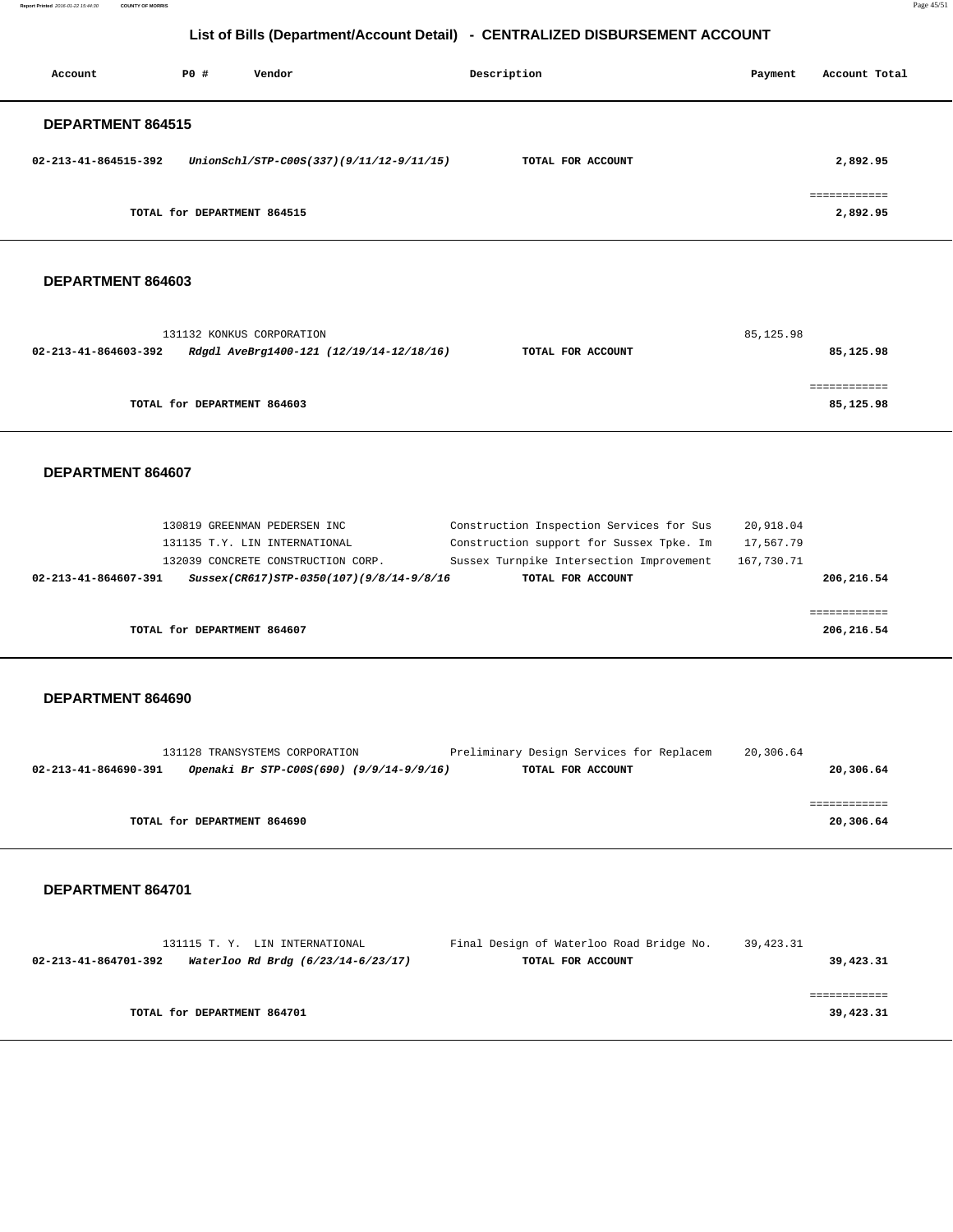**Report Printed** 2016-01-22 15:44:30 **COUNTY OF MORRIS** Page 45/51

# **List of Bills (Department/Account Detail) - CENTRALIZED DISBURSEMENT ACCOUNT**

| Account                  | PO# | Vendor                                   | Description       | Payment | Account Total            |
|--------------------------|-----|------------------------------------------|-------------------|---------|--------------------------|
| <b>DEPARTMENT 864515</b> |     |                                          |                   |         |                          |
| 02-213-41-864515-392     |     | UnionSchl/STP-C00S(337)(9/11/12-9/11/15) | TOTAL FOR ACCOUNT |         | 2,892.95                 |
|                          |     | TOTAL for DEPARTMENT 864515              |                   |         | ============<br>2,892.95 |

#### **DEPARTMENT 864603**

|                             | 131132 KONKUS CORPORATION                | 85,125.98         |           |  |
|-----------------------------|------------------------------------------|-------------------|-----------|--|
| 02-213-41-864603-392        | Rdgdl AveBrg1400-121 (12/19/14-12/18/16) | TOTAL FOR ACCOUNT | 85,125.98 |  |
|                             |                                          |                   |           |  |
|                             |                                          |                   |           |  |
| TOTAL for DEPARTMENT 864603 |                                          |                   | 85,125.98 |  |

#### **DEPARTMENT 864607**

|                      | 130819 GREENMAN PEDERSEN INC  |                                          | Construction Inspection Services for Sus | 20,918.04  |            |
|----------------------|-------------------------------|------------------------------------------|------------------------------------------|------------|------------|
|                      | 131135 T.Y. LIN INTERNATIONAL |                                          | Construction support for Sussex Tpke. Im | 17,567.79  |            |
|                      |                               | 132039 CONCRETE CONSTRUCTION CORP.       | Sussex Turnpike Intersection Improvement | 167,730.71 |            |
| 02-213-41-864607-391 |                               | Sussex(CR617)STP-0350(107)(9/8/14-9/8/16 | TOTAL FOR ACCOUNT                        |            | 206,216.54 |
|                      |                               |                                          |                                          |            |            |
|                      |                               |                                          |                                          |            |            |
|                      | TOTAL for DEPARTMENT 864607   |                                          |                                          |            | 206,216.54 |
|                      |                               |                                          |                                          |            |            |

#### **DEPARTMENT 864690**

|                      | 131128 TRANSYSTEMS CORPORATION           | Preliminary Design Services for Replacem | 20,306.64 |
|----------------------|------------------------------------------|------------------------------------------|-----------|
| 02-213-41-864690-391 | Openaki Br STP-C00S(690) (9/9/14-9/9/16) | TOTAL FOR ACCOUNT                        | 20,306.64 |
|                      |                                          |                                          |           |
|                      |                                          |                                          |           |
|                      | TOTAL for DEPARTMENT 864690              |                                          | 20,306.64 |
|                      |                                          |                                          |           |

|                      | 131115 T. Y. LIN INTERNATIONAL     | Final Design of Waterloo Road Bridge No. | 39,423.31 |
|----------------------|------------------------------------|------------------------------------------|-----------|
| 02-213-41-864701-392 | Waterloo Rd Brdg (6/23/14-6/23/17) | TOTAL FOR ACCOUNT                        | 39,423.31 |
|                      |                                    |                                          |           |
|                      |                                    |                                          |           |
|                      | TOTAL for DEPARTMENT 864701        |                                          | 39,423.31 |
|                      |                                    |                                          |           |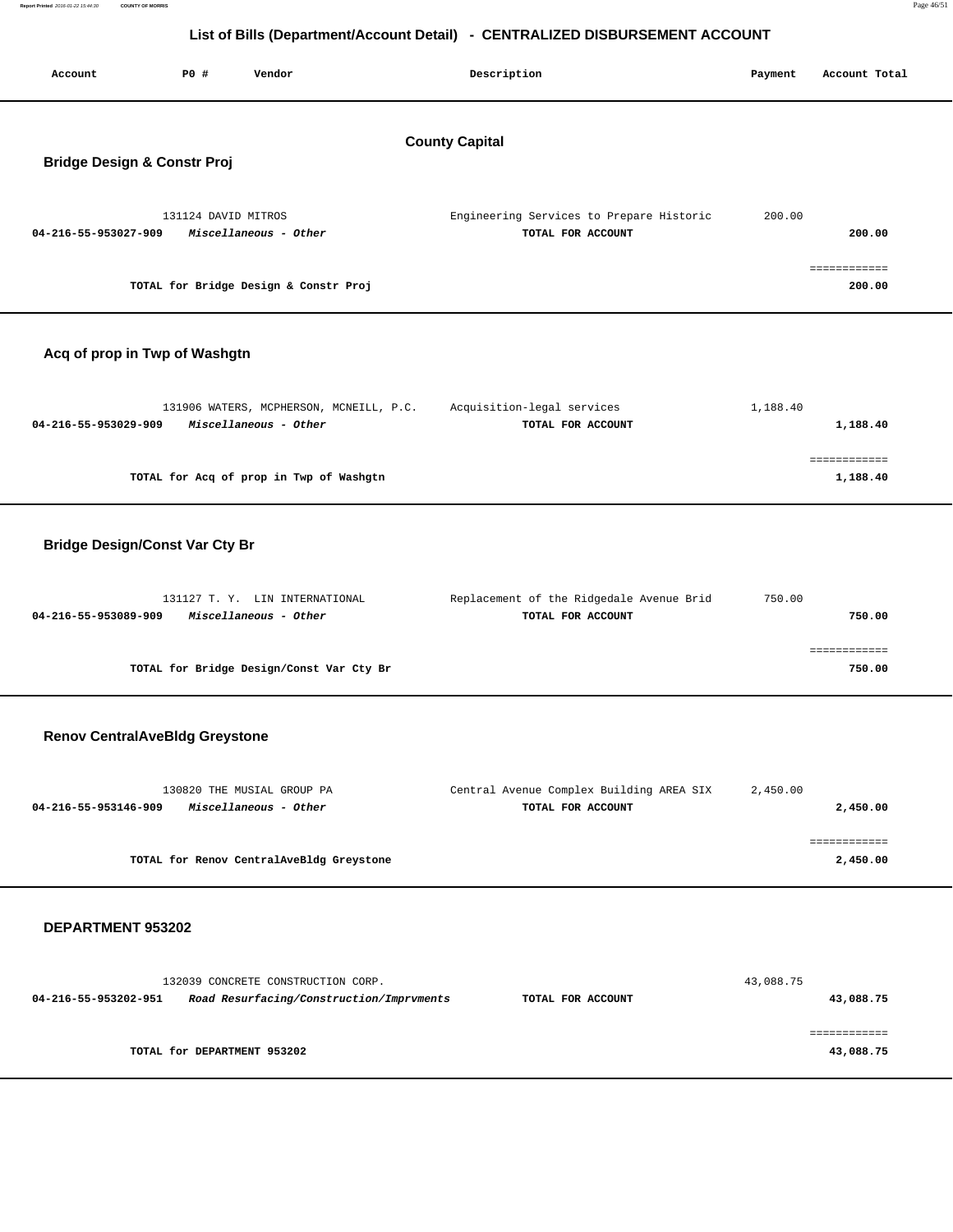| Report Printed 2016-01-22 15:44:30 COUNTY OF MORRIS |  | Page 46/51 |
|-----------------------------------------------------|--|------------|
|-----------------------------------------------------|--|------------|

| Account                                                         | P0 #                | Vendor                                                                         | Description                                                   | Payment   | Account Total            |  |  |  |
|-----------------------------------------------------------------|---------------------|--------------------------------------------------------------------------------|---------------------------------------------------------------|-----------|--------------------------|--|--|--|
| <b>County Capital</b><br><b>Bridge Design &amp; Constr Proj</b> |                     |                                                                                |                                                               |           |                          |  |  |  |
| 04-216-55-953027-909                                            | 131124 DAVID MITROS | Miscellaneous - Other                                                          | Engineering Services to Prepare Historic<br>TOTAL FOR ACCOUNT | 200.00    | 200.00                   |  |  |  |
|                                                                 |                     | TOTAL for Bridge Design & Constr Proj                                          |                                                               |           | ============<br>200.00   |  |  |  |
| Acq of prop in Twp of Washgtn                                   |                     |                                                                                |                                                               |           |                          |  |  |  |
| 04-216-55-953029-909                                            |                     | 131906 WATERS, MCPHERSON, MCNEILL, P.C.<br>Miscellaneous - Other               | Acquisition-legal services<br>TOTAL FOR ACCOUNT               | 1,188.40  | 1,188.40                 |  |  |  |
|                                                                 |                     | TOTAL for Acq of prop in Twp of Washgtn                                        |                                                               |           | ============<br>1,188.40 |  |  |  |
| <b>Bridge Design/Const Var Cty Br</b>                           |                     |                                                                                |                                                               |           |                          |  |  |  |
| 04-216-55-953089-909                                            |                     | 131127 T. Y. LIN INTERNATIONAL<br>Miscellaneous - Other                        | Replacement of the Ridgedale Avenue Brid<br>TOTAL FOR ACCOUNT | 750.00    | 750.00                   |  |  |  |
|                                                                 |                     | TOTAL for Bridge Design/Const Var Cty Br                                       |                                                               |           | ============<br>750.00   |  |  |  |
| <b>Renov CentralAveBldg Greystone</b>                           |                     |                                                                                |                                                               |           |                          |  |  |  |
| 04-216-55-953146-909                                            |                     | 130820 THE MUSIAL GROUP PA<br>Miscellaneous - Other                            | Central Avenue Complex Building AREA SIX<br>TOTAL FOR ACCOUNT | 2,450.00  | 2,450.00                 |  |  |  |
|                                                                 |                     | TOTAL for Renov CentralAveBldg Greystone                                       |                                                               |           | 2,450.00                 |  |  |  |
| DEPARTMENT 953202                                               |                     |                                                                                |                                                               |           |                          |  |  |  |
| 04-216-55-953202-951                                            |                     | 132039 CONCRETE CONSTRUCTION CORP.<br>Road Resurfacing/Construction/Imprvments | TOTAL FOR ACCOUNT                                             | 43,088.75 | 43,088.75                |  |  |  |

 ============ **TOTAL for DEPARTMENT 953202 43,088.75**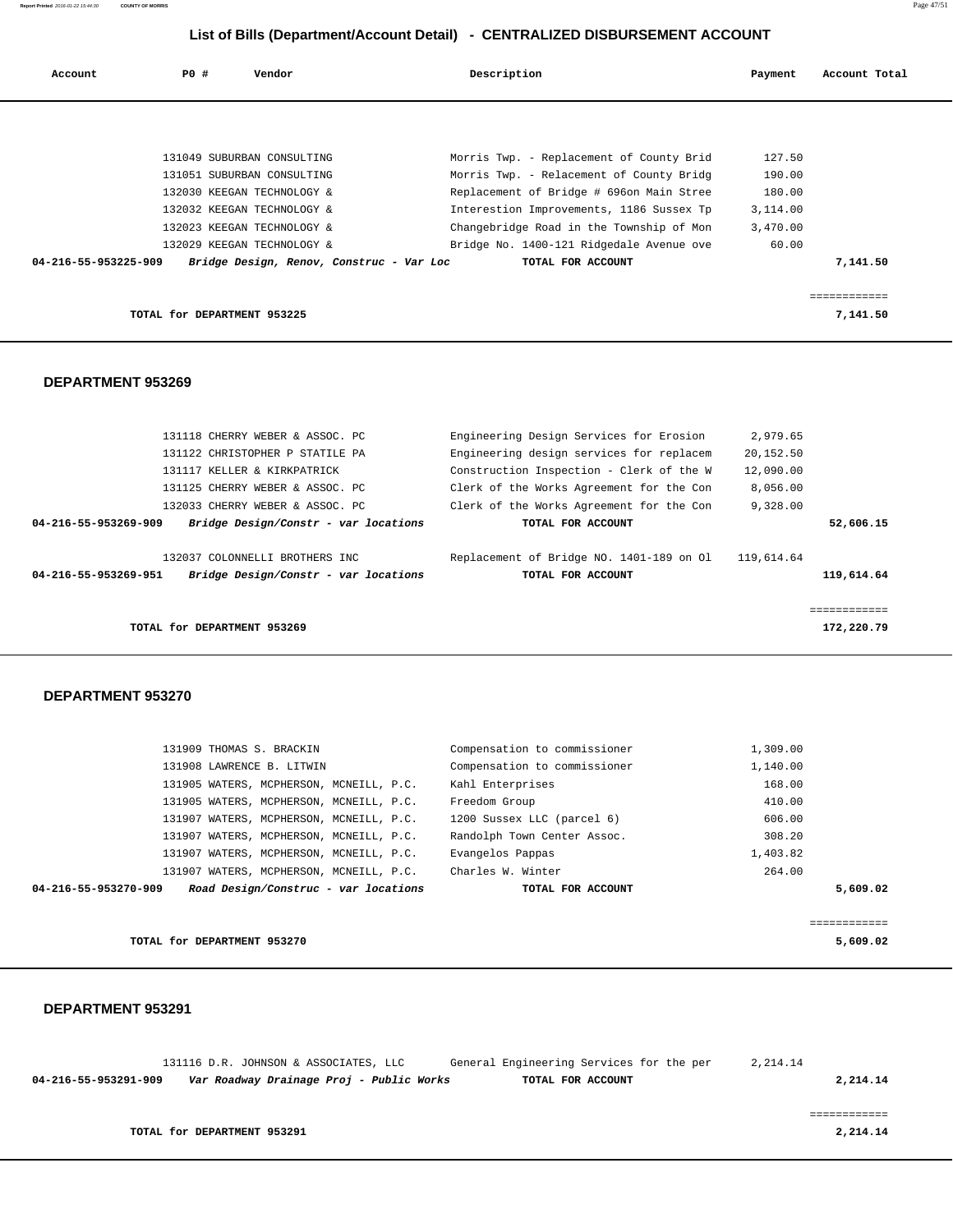| Account              | PO# | Vendor                                   | Description                              | Payment  | Account Total |
|----------------------|-----|------------------------------------------|------------------------------------------|----------|---------------|
|                      |     |                                          |                                          |          |               |
|                      |     |                                          |                                          |          |               |
|                      |     | 131049 SUBURBAN CONSULTING               | Morris Twp. - Replacement of County Brid | 127.50   |               |
|                      |     | 131051 SUBURBAN CONSULTING               | Morris Twp. - Relacement of County Bridg | 190.00   |               |
|                      |     | 132030 KEEGAN TECHNOLOGY &               | Replacement of Bridge # 696on Main Stree | 180.00   |               |
|                      |     | 132032 KEEGAN TECHNOLOGY &               | Interestion Improvements, 1186 Sussex Tp | 3,114.00 |               |
|                      |     | 132023 KEEGAN TECHNOLOGY &               | Changebridge Road in the Township of Mon | 3,470.00 |               |
|                      |     | 132029 KEEGAN TECHNOLOGY &               | Bridge No. 1400-121 Ridgedale Avenue ove | 60.00    |               |
| 04-216-55-953225-909 |     | Bridge Design, Renov, Construc - Var Loc | TOTAL FOR ACCOUNT                        |          | 7,141.50      |
|                      |     |                                          |                                          |          |               |
|                      |     |                                          |                                          |          |               |
|                      |     | TOTAL for DEPARTMENT 953225              |                                          |          | 7,141.50      |

#### **DEPARTMENT 953269**

| 131118 CHERRY WEBER & ASSOC. PC                              | Engineering Design Services for Erosion  | 2,979.65   |              |
|--------------------------------------------------------------|------------------------------------------|------------|--------------|
| 131122 CHRISTOPHER P STATILE PA                              | Engineering design services for replacem | 20,152.50  |              |
| 131117 KELLER & KIRKPATRICK                                  | Construction Inspection - Clerk of the W | 12,090.00  |              |
| 131125 CHERRY WEBER & ASSOC. PC                              | Clerk of the Works Agreement for the Con | 8,056.00   |              |
| 132033 CHERRY WEBER & ASSOC. PC                              | Clerk of the Works Agreement for the Con | 9,328.00   |              |
| Bridge Design/Constr - var locations<br>04-216-55-953269-909 | TOTAL FOR ACCOUNT                        |            | 52,606.15    |
|                                                              |                                          |            |              |
| 132037 COLONNELLI BROTHERS INC                               | Replacement of Bridge NO. 1401-189 on Ol | 119,614.64 |              |
| Bridge Design/Constr - var locations<br>04-216-55-953269-951 | TOTAL FOR ACCOUNT                        |            | 119,614.64   |
|                                                              |                                          |            |              |
|                                                              |                                          |            | ============ |
| TOTAL for DEPARTMENT 953269                                  |                                          |            | 172,220.79   |
|                                                              |                                          |            |              |

## **DEPARTMENT 953270**

| 04-216-55-953270-909 |                                         | Road Design/Construc - var locations | TOTAL FOR ACCOUNT            |          | 5,609.02 |
|----------------------|-----------------------------------------|--------------------------------------|------------------------------|----------|----------|
|                      |                                         |                                      |                              |          |          |
|                      | 131907 WATERS, MCPHERSON, MCNEILL, P.C. |                                      | Charles W. Winter            | 264.00   |          |
|                      | 131907 WATERS, MCPHERSON, MCNEILL, P.C. |                                      | Evangelos Pappas             | 1,403.82 |          |
|                      | 131907 WATERS, MCPHERSON, MCNEILL, P.C. |                                      | Randolph Town Center Assoc.  | 308.20   |          |
|                      | 131907 WATERS, MCPHERSON, MCNEILL, P.C. |                                      | 1200 Sussex LLC (parcel 6)   | 606.00   |          |
|                      | 131905 WATERS, MCPHERSON, MCNEILL, P.C. |                                      | Freedom Group                | 410.00   |          |
|                      | 131905 WATERS, MCPHERSON, MCNEILL, P.C. |                                      | Kahl Enterprises             | 168.00   |          |
|                      | 131908 LAWRENCE B. LITWIN               |                                      | Compensation to commissioner | 1,140.00 |          |
|                      | 131909 THOMAS S. BRACKIN                |                                      | Compensation to commissioner | 1,309.00 |          |
|                      |                                         |                                      |                              |          |          |

**TOTAL for DEPARTMENT 953270 5,609.02**

|                      |                             | 131116 D.R. JOHNSON & ASSOCIATES, LLC    | General Engineering Services for the per | 2, 214, 14 |          |
|----------------------|-----------------------------|------------------------------------------|------------------------------------------|------------|----------|
| 04-216-55-953291-909 |                             | Var Roadway Drainage Proj - Public Works | TOTAL FOR ACCOUNT                        |            | 2,214.14 |
|                      |                             |                                          |                                          |            |          |
|                      |                             |                                          |                                          |            |          |
|                      | TOTAL for DEPARTMENT 953291 |                                          |                                          |            | 2,214.14 |
|                      |                             |                                          |                                          |            |          |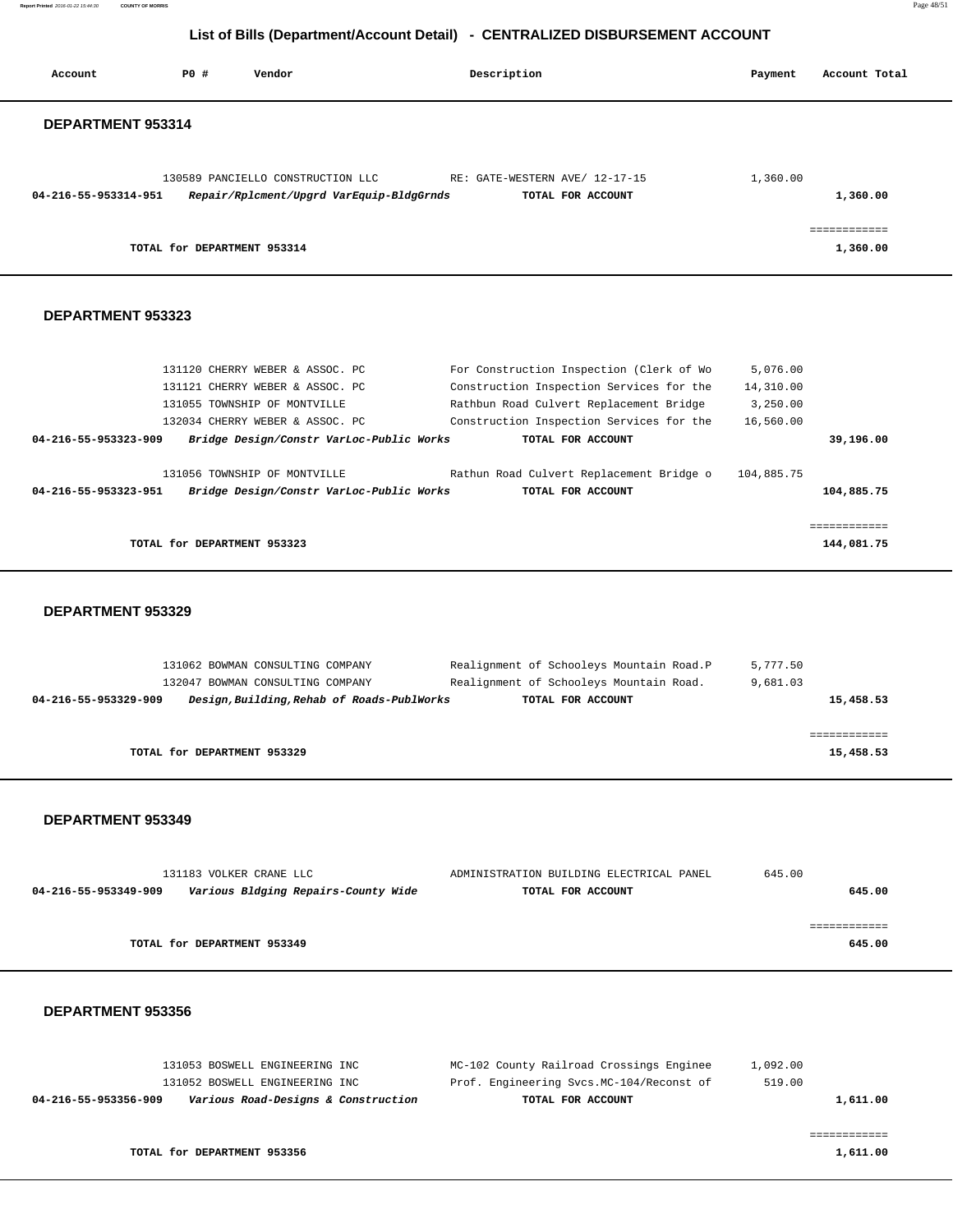**Report Printed** 2016-01-22 15:44:30 **COUNTY OF MORRIS** Page 48/51

# **List of Bills (Department/Account Detail) - CENTRALIZED DISBURSEMENT ACCOUNT**

| Account              | P0 # | Vendor                                                                         | Description                                                   | Payment    | Account Total            |
|----------------------|------|--------------------------------------------------------------------------------|---------------------------------------------------------------|------------|--------------------------|
| DEPARTMENT 953314    |      |                                                                                |                                                               |            |                          |
|                      |      | 130589 PANCIELLO CONSTRUCTION LLC                                              | RE: GATE-WESTERN AVE/ 12-17-15                                | 1,360.00   |                          |
| 04-216-55-953314-951 |      | Repair/Rplcment/Upgrd VarEquip-BldgGrnds                                       | TOTAL FOR ACCOUNT                                             |            | 1,360.00                 |
|                      |      | TOTAL for DEPARTMENT 953314                                                    |                                                               |            | ============<br>1,360.00 |
| DEPARTMENT 953323    |      |                                                                                |                                                               |            |                          |
|                      |      | 131120 CHERRY WEBER & ASSOC. PC                                                | For Construction Inspection (Clerk of Wo                      | 5,076.00   |                          |
|                      |      | 131121 CHERRY WEBER & ASSOC. PC                                                | Construction Inspection Services for the                      | 14,310.00  |                          |
|                      |      | 131055 TOWNSHIP OF MONTVILLE                                                   | Rathbun Road Culvert Replacement Bridge                       | 3,250.00   |                          |
| 04-216-55-953323-909 |      | 132034 CHERRY WEBER & ASSOC. PC<br>Bridge Design/Constr VarLoc-Public Works    | Construction Inspection Services for the<br>TOTAL FOR ACCOUNT | 16,560.00  | 39,196.00                |
|                      |      | 131056 TOWNSHIP OF MONTVILLE                                                   | Rathun Road Culvert Replacement Bridge o                      | 104,885.75 |                          |
| 04-216-55-953323-951 |      | Bridge Design/Constr VarLoc-Public Works                                       | TOTAL FOR ACCOUNT                                             |            | 104,885.75               |
|                      |      |                                                                                |                                                               |            | ============             |
|                      |      | TOTAL for DEPARTMENT 953323                                                    |                                                               |            | 144,081.75               |
| DEPARTMENT 953329    |      |                                                                                |                                                               |            |                          |
|                      |      |                                                                                |                                                               |            |                          |
|                      |      | 131062 BOWMAN CONSULTING COMPANY                                               | Realignment of Schooleys Mountain Road.P                      | 5,777.50   |                          |
| 04-216-55-953329-909 |      | 132047 BOWMAN CONSULTING COMPANY<br>Design, Building, Rehab of Roads-PublWorks | Realignment of Schooleys Mountain Road.<br>TOTAL FOR ACCOUNT  | 9,681.03   | 15,458.53                |
|                      |      |                                                                                |                                                               |            | ============             |
|                      |      | TOTAL for DEPARTMENT 953329                                                    |                                                               |            | 15,458.53                |
|                      |      |                                                                                |                                                               |            |                          |
| DEPARTMENT 953349    |      |                                                                                |                                                               |            |                          |
|                      |      |                                                                                |                                                               |            |                          |
| 04-216-55-953349-909 |      | 131183 VOLKER CRANE LLC<br>Various Bldging Repairs-County Wide                 | ADMINISTRATION BUILDING ELECTRICAL PANEL<br>TOTAL FOR ACCOUNT | 645.00     | 645.00                   |
|                      |      |                                                                                |                                                               |            | ============             |
|                      |      | TOTAL for DEPARTMENT 953349                                                    |                                                               |            | 645.00                   |
|                      |      |                                                                                |                                                               |            |                          |
| DEPARTMENT 953356    |      |                                                                                |                                                               |            |                          |

|          | 1,092.00 | MC-102 County Railroad Crossings Enginee | 131053 BOSWELL ENGINEERING INC      |                      |
|----------|----------|------------------------------------------|-------------------------------------|----------------------|
|          | 519.00   | Prof. Engineering Svcs.MC-104/Reconst of | 131052 BOSWELL ENGINEERING INC      |                      |
| 1,611.00 |          | TOTAL FOR ACCOUNT                        | Various Road-Designs & Construction | 04-216-55-953356-909 |
|          |          |                                          |                                     |                      |
|          |          |                                          |                                     |                      |
| 1,611.00 |          |                                          | TOTAL for DEPARTMENT 953356         |                      |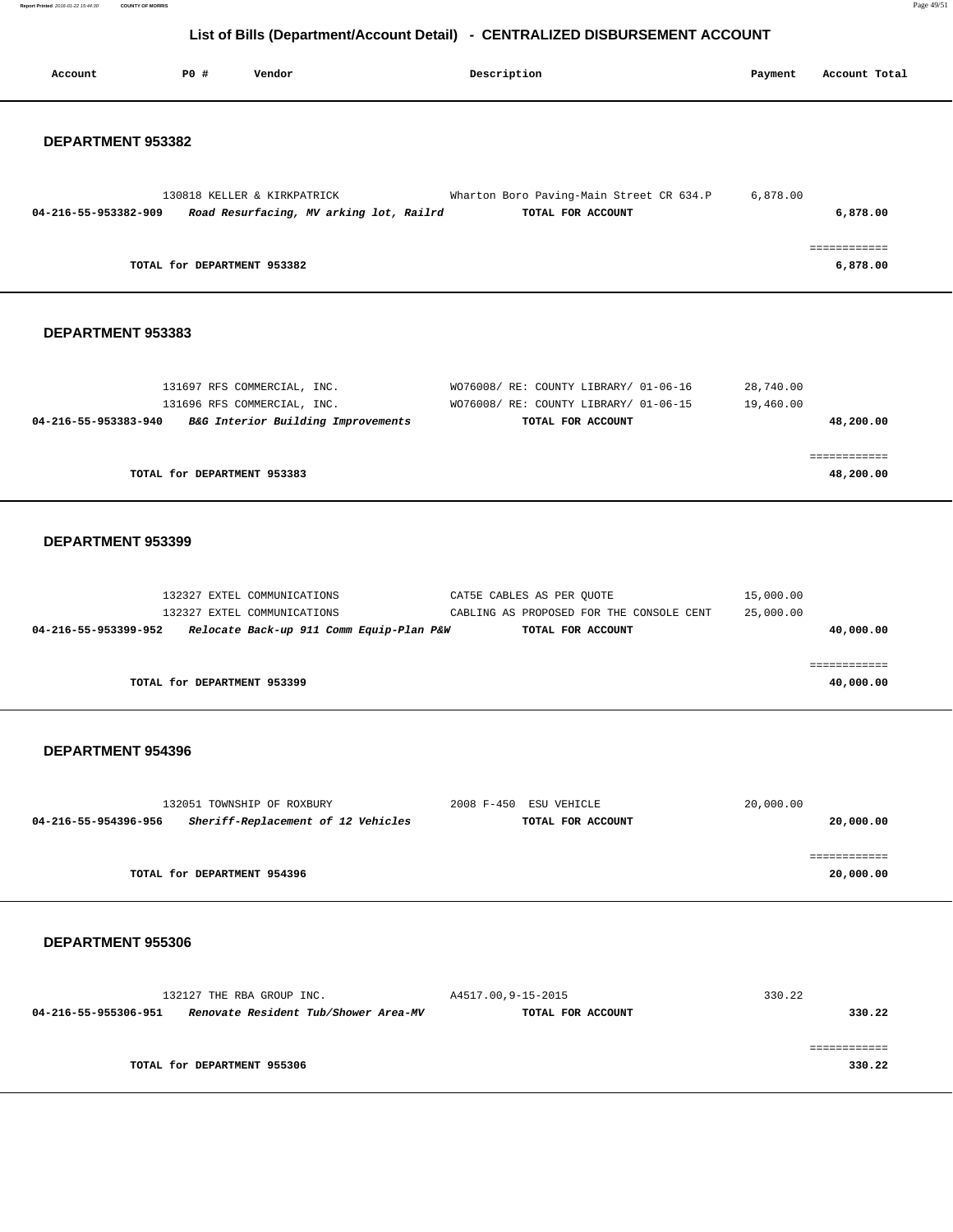**Report Printed** 2016-01-22 15:44:30 **COUNTY OF MORRIS** Page 49/51

# **List of Bills (Department/Account Detail) - CENTRALIZED DISBURSEMENT ACCOUNT**

| Account              | P0 #                        | Vendor                                                            |                                          | Description        |                                                                                            | Payment                | Account Total             |
|----------------------|-----------------------------|-------------------------------------------------------------------|------------------------------------------|--------------------|--------------------------------------------------------------------------------------------|------------------------|---------------------------|
| DEPARTMENT 953382    |                             |                                                                   |                                          |                    |                                                                                            |                        |                           |
| 04-216-55-953382-909 |                             | 130818 KELLER & KIRKPATRICK                                       | Road Resurfacing, MV arking lot, Railrd  |                    | Wharton Boro Paving-Main Street CR 634.P<br>TOTAL FOR ACCOUNT                              | 6,878.00               | 6,878.00<br>============  |
|                      |                             | TOTAL for DEPARTMENT 953382                                       |                                          |                    |                                                                                            |                        | 6,878.00                  |
| DEPARTMENT 953383    |                             |                                                                   |                                          |                    |                                                                                            |                        |                           |
|                      |                             | 131697 RFS COMMERCIAL, INC.<br>131696 RFS COMMERCIAL, INC.        |                                          |                    | WO76008/ RE: COUNTY LIBRARY/ 01-06-16<br>WO76008/ RE: COUNTY LIBRARY/ 01-06-15             | 28,740.00<br>19,460.00 |                           |
| 04-216-55-953383-940 |                             | B&G Interior Building Improvements                                |                                          |                    | TOTAL FOR ACCOUNT                                                                          |                        | 48,200.00                 |
|                      |                             | TOTAL for DEPARTMENT 953383                                       |                                          |                    |                                                                                            |                        | ============<br>48,200.00 |
| DEPARTMENT 953399    |                             |                                                                   |                                          |                    |                                                                                            |                        |                           |
| 04-216-55-953399-952 |                             | 132327 EXTEL COMMUNICATIONS<br>132327 EXTEL COMMUNICATIONS        | Relocate Back-up 911 Comm Equip-Plan P&W |                    | CAT5E CABLES AS PER QUOTE<br>CABLING AS PROPOSED FOR THE CONSOLE CENT<br>TOTAL FOR ACCOUNT | 15,000.00<br>25,000.00 | 40,000.00                 |
|                      | TOTAL for DEPARTMENT 953399 |                                                                   |                                          |                    |                                                                                            |                        | ============<br>40,000.00 |
| DEPARTMENT 954396    |                             |                                                                   |                                          |                    |                                                                                            |                        |                           |
| 04-216-55-954396-956 |                             | 132051 TOWNSHIP OF ROXBURY<br>Sheriff-Replacement of 12 Vehicles  |                                          |                    | 2008 F-450 ESU VEHICLE<br>TOTAL FOR ACCOUNT                                                | 20,000.00              | 20,000.00                 |
|                      |                             | TOTAL for DEPARTMENT 954396                                       |                                          |                    |                                                                                            |                        | ============<br>20,000.00 |
| DEPARTMENT 955306    |                             |                                                                   |                                          |                    |                                                                                            |                        |                           |
| 04-216-55-955306-951 |                             | 132127 THE RBA GROUP INC.<br>Renovate Resident Tub/Shower Area-MV |                                          | A4517.00,9-15-2015 | TOTAL FOR ACCOUNT                                                                          | 330.22                 | 330.22                    |
|                      |                             | TOTAL for DEPARTMENT 955306                                       |                                          |                    |                                                                                            |                        | ============<br>330.22    |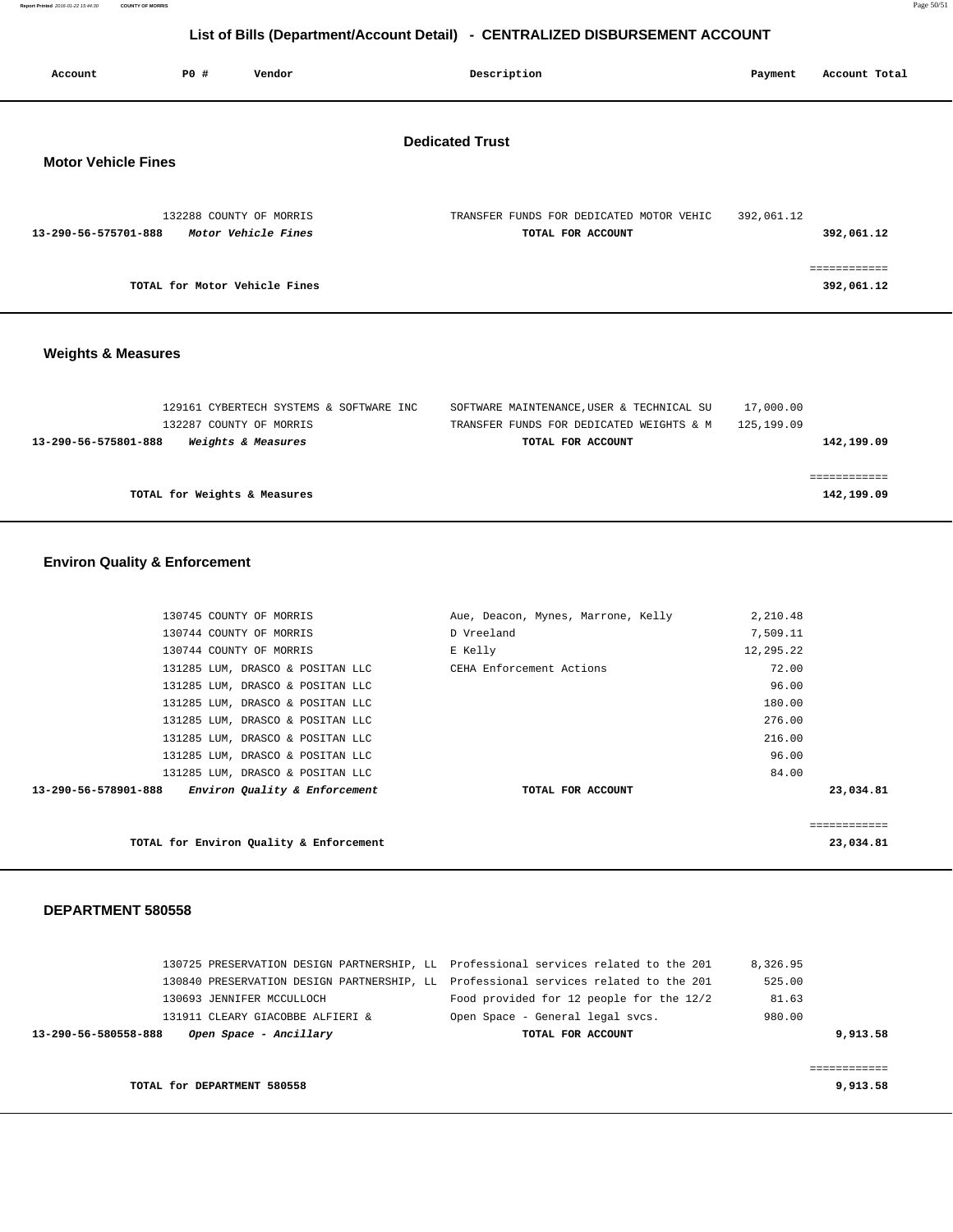**Report Printed** 2016-01-22 15:44:30 **COUNTY OF MORRIS** Page 50/51

# **List of Bills (Department/Account Detail) - CENTRALIZED DISBURSEMENT ACCOUNT**

| Account                    | <b>PO #</b> | Vendor                                         | Description                                                   | Payment    | Account Total              |
|----------------------------|-------------|------------------------------------------------|---------------------------------------------------------------|------------|----------------------------|
| <b>Motor Vehicle Fines</b> |             |                                                | <b>Dedicated Trust</b>                                        |            |                            |
| 13-290-56-575701-888       |             | 132288 COUNTY OF MORRIS<br>Motor Vehicle Fines | TRANSFER FUNDS FOR DEDICATED MOTOR VEHIC<br>TOTAL FOR ACCOUNT | 392,061.12 | 392,061.12                 |
|                            |             | TOTAL for Motor Vehicle Fines                  |                                                               |            | ============<br>392,061.12 |
|                            |             |                                                |                                                               |            |                            |

# **Weights & Measures**

| SOFTWARE MAINTENANCE, USER & TECHNICAL SU | 17,000.00                               |
|-------------------------------------------|-----------------------------------------|
| TRANSFER FUNDS FOR DEDICATED WEIGHTS & M  | 125,199.09                              |
| TOTAL FOR ACCOUNT                         | 142,199.09                              |
|                                           |                                         |
|                                           |                                         |
|                                           | 142,199.09                              |
|                                           | 129161 CYBERTECH SYSTEMS & SOFTWARE INC |

# **Environ Quality & Enforcement**

|                      | 130745 COUNTY OF MORRIS                 | Aue, Deacon, Mynes, Marrone, Kelly | 2,210.48  |              |
|----------------------|-----------------------------------------|------------------------------------|-----------|--------------|
|                      | 130744 COUNTY OF MORRIS                 | D Vreeland                         | 7,509.11  |              |
|                      | 130744 COUNTY OF MORRIS                 | E Kelly                            | 12,295.22 |              |
|                      | 131285 LUM, DRASCO & POSITAN LLC        | CEHA Enforcement Actions           | 72.00     |              |
|                      | 131285 LUM, DRASCO & POSITAN LLC        |                                    | 96.00     |              |
|                      | 131285 LUM, DRASCO & POSITAN LLC        |                                    | 180.00    |              |
|                      | 131285 LUM, DRASCO & POSITAN LLC        |                                    | 276.00    |              |
|                      | 131285 LUM, DRASCO & POSITAN LLC        |                                    | 216.00    |              |
|                      | 131285 LUM, DRASCO & POSITAN LLC        |                                    | 96.00     |              |
|                      | 131285 LUM, DRASCO & POSITAN LLC        |                                    | 84.00     |              |
| 13-290-56-578901-888 | Environ Quality & Enforcement           | TOTAL FOR ACCOUNT                  |           | 23,034.81    |
|                      |                                         |                                    |           |              |
|                      |                                         |                                    |           | ============ |
|                      | TOTAL for Environ Quality & Enforcement |                                    |           | 23,034.81    |

| Open Space - Ancillary<br>13-290-56-580558-888 | TOTAL FOR ACCOUNT                                                                   | 9,913.58 |
|------------------------------------------------|-------------------------------------------------------------------------------------|----------|
| 131911 CLEARY GIACOBBE ALFIERI &               | Open Space - General legal svcs.                                                    | 980.00   |
| 130693 JENNIFER MCCULLOCH                      | Food provided for 12 people for the 12/2                                            | 81.63    |
|                                                | 130840 PRESERVATION DESIGN PARTNERSHIP, LL Professional services related to the 201 | 525.00   |
|                                                | 130725 PRESERVATION DESIGN PARTNERSHIP, LL Professional services related to the 201 | 8,326.95 |